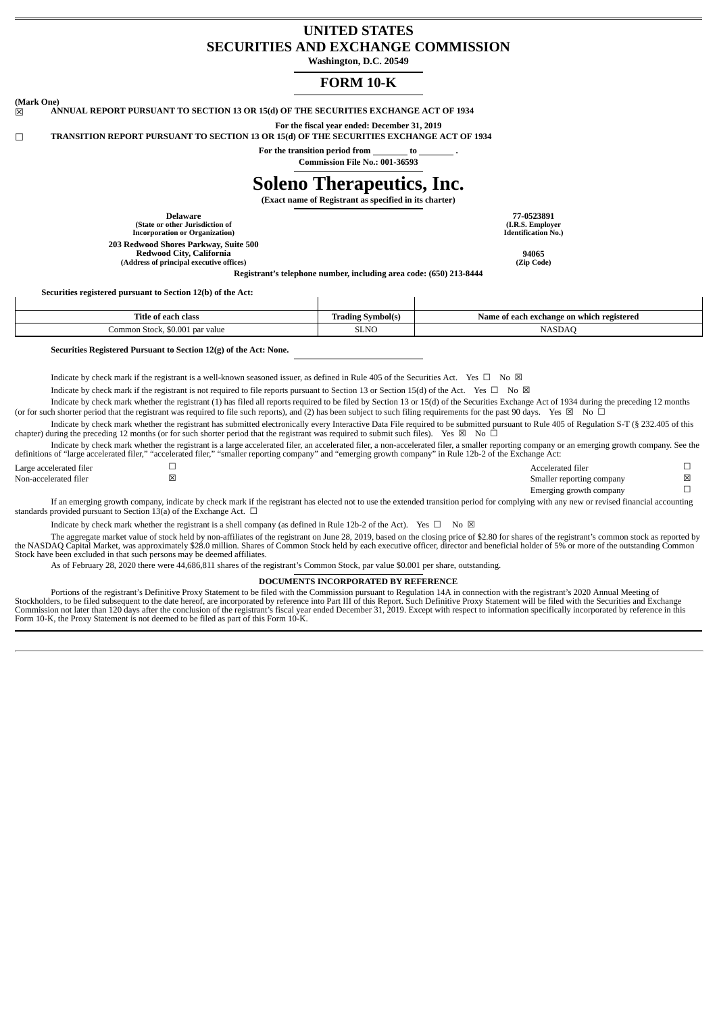# **UNITED STATES SECURITIES AND EXCHANGE COMMISSION**

**Washington, D.C. 20549**

# **FORM 10-K**

**(Mark One)** ☒ **ANNUAL REPORT PURSUANT TO SECTION 13 OR 15(d) OF THE SECURITIES EXCHANGE ACT OF 1934**

**For the fiscal year ended: December 31, 2019** ☐ **TRANSITION REPORT PURSUANT TO SECTION 13 OR 15(d) OF THE SECURITIES EXCHANGE ACT OF 1934**

**For the transition period from to . Commission File No.: 001-36593**

# **Soleno Therapeutics, Inc.**

**(Exact name of Registrant as specified in its charter)**

**Delaware 77-0523891 (State or other Jurisdiction of Incorporation or Organization) 203 Redwood Shores Parkway, Suite 500 Redwood City, California 94065 (Address of principal executive offices) (Zip Code)**

**(I.R.S. Employer Identification No.)**

**Securities registered pursuant to Section 12(b) of the Act:**

| <b>Title of each class</b>              | Name of each exchange on which registered | <b>Trading Symbol(s)</b> |
|-----------------------------------------|-------------------------------------------|--------------------------|
| Common Stock, \$0.001<br>value<br>' par |                                           | SLNC<br>$\sim$ $\sim$    |

 $\overline{1}$ 

**Registrant's telephone number, including area code: (650) 213-8444**

**Securities Registered Pursuant to Section 12(g) of the Act: None.**

Indicate by check mark if the registrant is a well-known seasoned issuer, as defined in Rule 405 of the Securities Act. Yes  $\Box$  No  $\boxtimes$ 

 $\overline{\phantom{a}}$ 

Indicate by check mark if the registrant is not required to file reports pursuant to Section 13 or Section 15(d) of the Act. Yes □ No ⊠

Indicate by check mark whether the registrant (1) has filed all reports required to be filed by Section 13 or 15(d) of the Securities Exchange Act of 1934 during the preceding 12 months (or for such shorter period that the registrant was required to file such reports), and (2) has been subject to such filing requirements for the past 90 days. Yes  $\boxtimes$  No  $\bar{\Box}$ 

Indicate by check mark whether the registrant has submitted electronically every Interactive Data File required to be submitted pursuant to Rule 405 of Regulation S-T (§ 232.405 of this chapter) during the preceding 12 months (or for such shorter period that the registrant was required to submit such files). Yes  $\boxtimes$  No  $\Box$ 

Indicate by check mark whether the registrant is a large accelerated filer, an accelerated filer, a non-accelerated filer, a smaller reporting company or an emerging growth company. See the definitions of "large accelerated filer," "accelerated filer," "smaller reporting company" and "emerging growth company" in Rule 12b-2 of the Exchange Act:

| Large accelerated filer | Accelerated filer                                                                                   |   |
|-------------------------|-----------------------------------------------------------------------------------------------------|---|
| Non-accelerated filer   | Smaller reporting company                                                                           | ⊠ |
|                         | Emerging growth company                                                                             |   |
|                         | ma album ang terletak terletak at tidak ang pangalang pangalang terletak sa terletak pangalang pang |   |

If an emerging growth company, indicate by check mark if the registrant has elected not to use the extended transition period for complying with any new or revised financial accounting standards provided pursuant to Section 13(a) of the Exchange Act.  $\Box$ 

Indicate by check mark whether the registrant is a shell company (as defined in Rule 12b-2 of the Act). Yes  $\Box$  No  $\boxtimes$ 

The aggregate market value of stock held by non-affiliates of the registrant on June 28, 2019, based on the closing price of \$2.80 for shares of the registrant's common stock as reported by the NASDAQ Capital Market, was approximately \$28.0 million. Shares of Common Stock held by each executive officer, director and beneficial holder of 5% or more of the outstanding Common Stock have been excluded in that such persons may be deemed affiliates.

As of February 28, 2020 there were 44,686,811 shares of the registrant's Common Stock, par value \$0.001 per share, outstanding.

#### **DOCUMENTS INCORPORATED BY REFERENCE**

Portions of the registrant's Definitive Proxy Statement to be filed with the Commission pursuant to Regulation 14A in connection with the registrant's 2020 Annual Meeting of<br>Stockholders, to be filed subsequent to the date Form 10-K, the Proxy Statement is not deemed to be filed as part of this Form 10-K.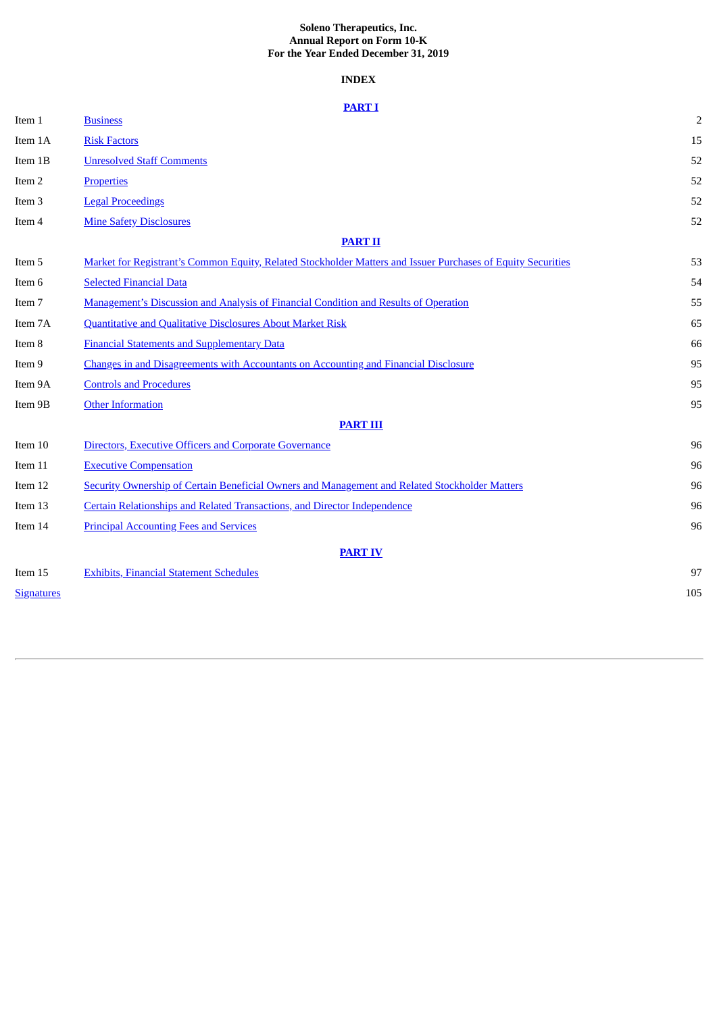# **Soleno Therapeutics, Inc. Annual Report on Form 10-K For the Year Ended December 31, 2019**

# **INDEX**

| Item 1            | <u> 11111111</u><br><b>Business</b>                                                                          | $\overline{2}$ |
|-------------------|--------------------------------------------------------------------------------------------------------------|----------------|
| Item 1A           | <b>Risk Factors</b>                                                                                          | 15             |
| Item 1B           | <b>Unresolved Staff Comments</b>                                                                             | 52             |
| Item 2            | <b>Properties</b>                                                                                            | 52             |
| Item <sub>3</sub> | <b>Legal Proceedings</b>                                                                                     | 52             |
| Item 4            | <b>Mine Safety Disclosures</b>                                                                               | 52             |
|                   | <b>PART II</b>                                                                                               |                |
| Item 5            | Market for Registrant's Common Equity, Related Stockholder Matters and Issuer Purchases of Equity Securities | 53             |
| Item 6            | <b>Selected Financial Data</b>                                                                               | 54             |
| Item 7            | Management's Discussion and Analysis of Financial Condition and Results of Operation                         | 55             |
| Item 7A           | <b>Quantitative and Qualitative Disclosures About Market Risk</b>                                            | 65             |
| Item 8            | <b>Financial Statements and Supplementary Data</b>                                                           | 66             |
| Item 9            | <b>Changes in and Disagreements with Accountants on Accounting and Financial Disclosure</b>                  | 95             |
| Item 9A           | <b>Controls and Procedures</b>                                                                               | 95             |
| Item 9B           | <b>Other Information</b>                                                                                     | 95             |
|                   | <b>PART III</b>                                                                                              |                |
| Item 10           | Directors, Executive Officers and Corporate Governance                                                       | 96             |
| Item 11           | <b>Executive Compensation</b>                                                                                | 96             |
| Item 12           | Security Ownership of Certain Beneficial Owners and Management and Related Stockholder Matters               | 96             |
| Item 13           | Certain Relationships and Related Transactions, and Director Independence                                    | 96             |
| Item 14           | <b>Principal Accounting Fees and Services</b>                                                                | 96             |
|                   | <b>PART IV</b>                                                                                               |                |
| Item 15           | <b>Exhibits, Financial Statement Schedules</b>                                                               | 97             |
| <b>Signatures</b> |                                                                                                              | 105            |
|                   |                                                                                                              |                |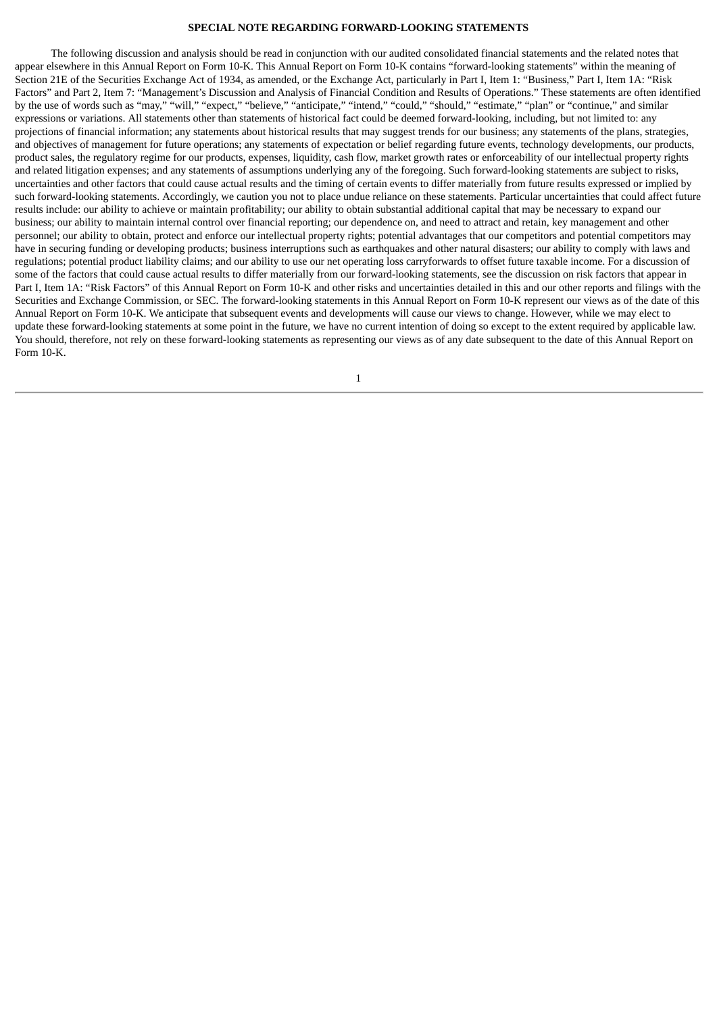## **SPECIAL NOTE REGARDING FORWARD-LOOKING STATEMENTS**

The following discussion and analysis should be read in conjunction with our audited consolidated financial statements and the related notes that appear elsewhere in this Annual Report on Form 10-K. This Annual Report on Form 10-K contains "forward-looking statements" within the meaning of Section 21E of the Securities Exchange Act of 1934, as amended, or the Exchange Act, particularly in Part I, Item 1: "Business," Part I, Item 1A: "Risk Factors" and Part 2, Item 7: "Management's Discussion and Analysis of Financial Condition and Results of Operations." These statements are often identified by the use of words such as "may," "will," "expect," "believe," "anticipate," "intend," "could," "should," "estimate," "plan" or "continue," and similar expressions or variations. All statements other than statements of historical fact could be deemed forward-looking, including, but not limited to: any projections of financial information; any statements about historical results that may suggest trends for our business; any statements of the plans, strategies, and objectives of management for future operations; any statements of expectation or belief regarding future events, technology developments, our products, product sales, the regulatory regime for our products, expenses, liquidity, cash flow, market growth rates or enforceability of our intellectual property rights and related litigation expenses; and any statements of assumptions underlying any of the foregoing. Such forward-looking statements are subject to risks, uncertainties and other factors that could cause actual results and the timing of certain events to differ materially from future results expressed or implied by such forward-looking statements. Accordingly, we caution you not to place undue reliance on these statements. Particular uncertainties that could affect future results include: our ability to achieve or maintain profitability; our ability to obtain substantial additional capital that may be necessary to expand our business; our ability to maintain internal control over financial reporting; our dependence on, and need to attract and retain, key management and other personnel; our ability to obtain, protect and enforce our intellectual property rights; potential advantages that our competitors and potential competitors may have in securing funding or developing products; business interruptions such as earthquakes and other natural disasters; our ability to comply with laws and regulations; potential product liability claims; and our ability to use our net operating loss carryforwards to offset future taxable income. For a discussion of some of the factors that could cause actual results to differ materially from our forward-looking statements, see the discussion on risk factors that appear in Part I, Item 1A: "Risk Factors" of this Annual Report on Form 10-K and other risks and uncertainties detailed in this and our other reports and filings with the Securities and Exchange Commission, or SEC. The forward-looking statements in this Annual Report on Form 10-K represent our views as of the date of this Annual Report on Form 10-K. We anticipate that subsequent events and developments will cause our views to change. However, while we may elect to update these forward-looking statements at some point in the future, we have no current intention of doing so except to the extent required by applicable law. You should, therefore, not rely on these forward-looking statements as representing our views as of any date subsequent to the date of this Annual Report on Form 10-K.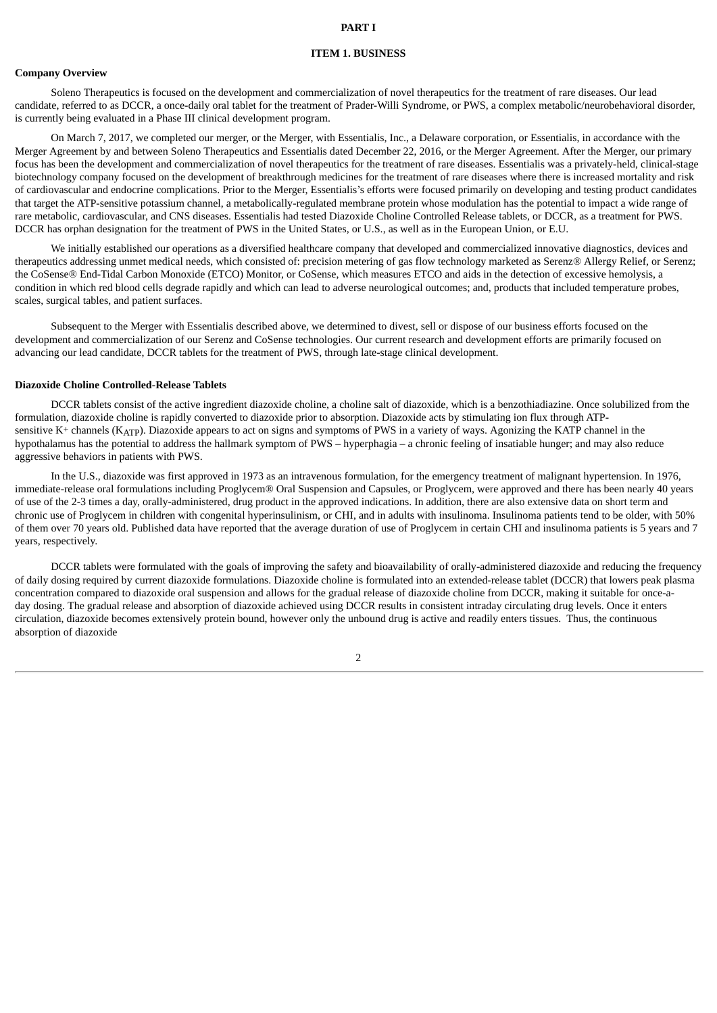#### **ITEM 1. BUSINESS**

# <span id="page-3-1"></span><span id="page-3-0"></span>**Company Overview**

Soleno Therapeutics is focused on the development and commercialization of novel therapeutics for the treatment of rare diseases. Our lead candidate, referred to as DCCR, a once-daily oral tablet for the treatment of Prader-Willi Syndrome, or PWS, a complex metabolic/neurobehavioral disorder, is currently being evaluated in a Phase III clinical development program.

On March 7, 2017, we completed our merger, or the Merger, with Essentialis, Inc., a Delaware corporation, or Essentialis, in accordance with the Merger Agreement by and between Soleno Therapeutics and Essentialis dated December 22, 2016, or the Merger Agreement. After the Merger, our primary focus has been the development and commercialization of novel therapeutics for the treatment of rare diseases. Essentialis was a privately-held, clinical-stage biotechnology company focused on the development of breakthrough medicines for the treatment of rare diseases where there is increased mortality and risk of cardiovascular and endocrine complications. Prior to the Merger, Essentialis's efforts were focused primarily on developing and testing product candidates that target the ATP-sensitive potassium channel, a metabolically-regulated membrane protein whose modulation has the potential to impact a wide range of rare metabolic, cardiovascular, and CNS diseases. Essentialis had tested Diazoxide Choline Controlled Release tablets, or DCCR, as a treatment for PWS. DCCR has orphan designation for the treatment of PWS in the United States, or U.S., as well as in the European Union, or E.U.

We initially established our operations as a diversified healthcare company that developed and commercialized innovative diagnostics, devices and therapeutics addressing unmet medical needs, which consisted of: precision metering of gas flow technology marketed as Serenz® Allergy Relief, or Serenz; the CoSense® End-Tidal Carbon Monoxide (ETCO) Monitor, or CoSense, which measures ETCO and aids in the detection of excessive hemolysis, a condition in which red blood cells degrade rapidly and which can lead to adverse neurological outcomes; and, products that included temperature probes, scales, surgical tables, and patient surfaces.

Subsequent to the Merger with Essentialis described above, we determined to divest, sell or dispose of our business efforts focused on the development and commercialization of our Serenz and CoSense technologies. Our current research and development efforts are primarily focused on advancing our lead candidate, DCCR tablets for the treatment of PWS, through late-stage clinical development.

#### **Diazoxide Choline Controlled-Release Tablets**

DCCR tablets consist of the active ingredient diazoxide choline, a choline salt of diazoxide, which is a benzothiadiazine. Once solubilized from the formulation, diazoxide choline is rapidly converted to diazoxide prior to absorption. Diazoxide acts by stimulating ion flux through ATPsensitive K+ channels (KATP). Diazoxide appears to act on signs and symptoms of PWS in a variety of ways. Agonizing the KATP channel in the hypothalamus has the potential to address the hallmark symptom of PWS – hyperphagia – a chronic feeling of insatiable hunger; and may also reduce aggressive behaviors in patients with PWS.

In the U.S., diazoxide was first approved in 1973 as an intravenous formulation, for the emergency treatment of malignant hypertension. In 1976, immediate-release oral formulations including Proglycem® Oral Suspension and Capsules, or Proglycem, were approved and there has been nearly 40 years of use of the 2-3 times a day, orally-administered, drug product in the approved indications. In addition, there are also extensive data on short term and chronic use of Proglycem in children with congenital hyperinsulinism, or CHI, and in adults with insulinoma. Insulinoma patients tend to be older, with 50% of them over 70 years old. Published data have reported that the average duration of use of Proglycem in certain CHI and insulinoma patients is 5 years and 7 years, respectively.

DCCR tablets were formulated with the goals of improving the safety and bioavailability of orally-administered diazoxide and reducing the frequency of daily dosing required by current diazoxide formulations. Diazoxide choline is formulated into an extended-release tablet (DCCR) that lowers peak plasma concentration compared to diazoxide oral suspension and allows for the gradual release of diazoxide choline from DCCR, making it suitable for once-aday dosing. The gradual release and absorption of diazoxide achieved using DCCR results in consistent intraday circulating drug levels. Once it enters circulation, diazoxide becomes extensively protein bound, however only the unbound drug is active and readily enters tissues. Thus, the continuous absorption of diazoxide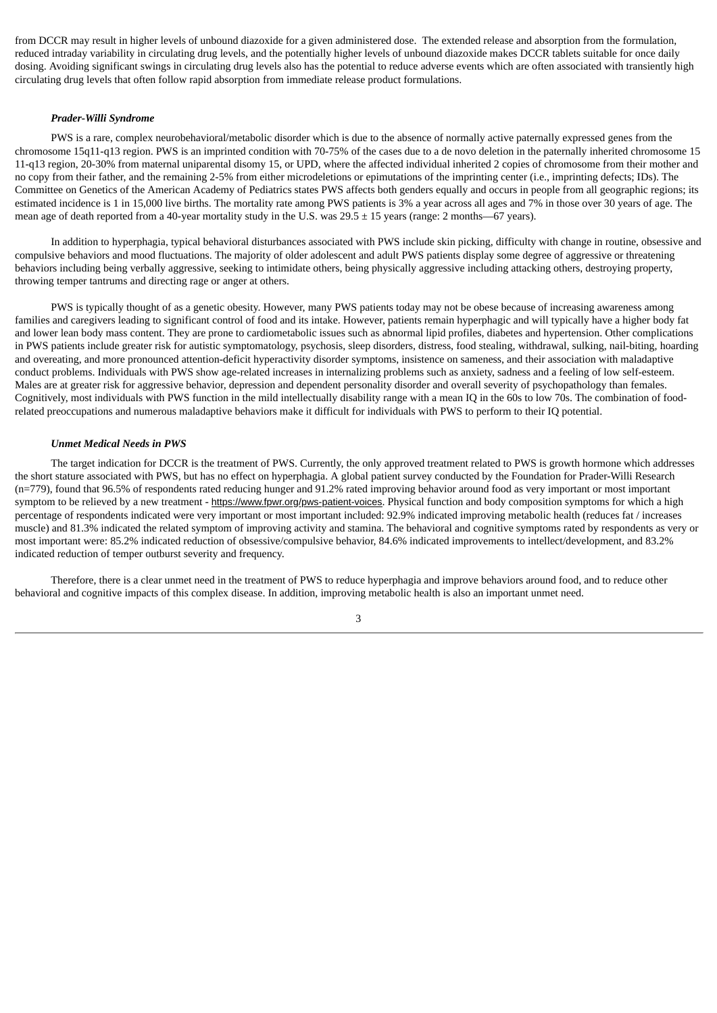from DCCR may result in higher levels of unbound diazoxide for a given administered dose. The extended release and absorption from the formulation, reduced intraday variability in circulating drug levels, and the potentially higher levels of unbound diazoxide makes DCCR tablets suitable for once daily dosing. Avoiding significant swings in circulating drug levels also has the potential to reduce adverse events which are often associated with transiently high circulating drug levels that often follow rapid absorption from immediate release product formulations.

#### *Prader-Willi Syndrome*

PWS is a rare, complex neurobehavioral/metabolic disorder which is due to the absence of normally active paternally expressed genes from the chromosome 15q11-q13 region. PWS is an imprinted condition with 70-75% of the cases due to a de novo deletion in the paternally inherited chromosome 15 11-q13 region, 20-30% from maternal uniparental disomy 15, or UPD, where the affected individual inherited 2 copies of chromosome from their mother and no copy from their father, and the remaining 2-5% from either microdeletions or epimutations of the imprinting center (i.e., imprinting defects; IDs). The Committee on Genetics of the American Academy of Pediatrics states PWS affects both genders equally and occurs in people from all geographic regions; its estimated incidence is 1 in 15,000 live births. The mortality rate among PWS patients is 3% a year across all ages and 7% in those over 30 years of age. The mean age of death reported from a 40-year mortality study in the U.S. was 29.5  $\pm$  15 years (range: 2 months—67 years).

In addition to hyperphagia, typical behavioral disturbances associated with PWS include skin picking, difficulty with change in routine, obsessive and compulsive behaviors and mood fluctuations. The majority of older adolescent and adult PWS patients display some degree of aggressive or threatening behaviors including being verbally aggressive, seeking to intimidate others, being physically aggressive including attacking others, destroying property, throwing temper tantrums and directing rage or anger at others.

PWS is typically thought of as a genetic obesity. However, many PWS patients today may not be obese because of increasing awareness among families and caregivers leading to significant control of food and its intake. However, patients remain hyperphagic and will typically have a higher body fat and lower lean body mass content. They are prone to cardiometabolic issues such as abnormal lipid profiles, diabetes and hypertension. Other complications in PWS patients include greater risk for autistic symptomatology, psychosis, sleep disorders, distress, food stealing, withdrawal, sulking, nail-biting, hoarding and overeating, and more pronounced attention-deficit hyperactivity disorder symptoms, insistence on sameness, and their association with maladaptive conduct problems. Individuals with PWS show age-related increases in internalizing problems such as anxiety, sadness and a feeling of low self-esteem. Males are at greater risk for aggressive behavior, depression and dependent personality disorder and overall severity of psychopathology than females. Cognitively, most individuals with PWS function in the mild intellectually disability range with a mean IQ in the 60s to low 70s. The combination of foodrelated preoccupations and numerous maladaptive behaviors make it difficult for individuals with PWS to perform to their IQ potential.

# *Unmet Medical Needs in PWS*

The target indication for DCCR is the treatment of PWS. Currently, the only approved treatment related to PWS is growth hormone which addresses the short stature associated with PWS, but has no effect on hyperphagia. A global patient survey conducted by the Foundation for Prader-Willi Research (n=779), found that 96.5% of respondents rated reducing hunger and 91.2% rated improving behavior around food as very important or most important symptom to be relieved by a new treatment - https://www.fpwr.org/pws-patient-voices. Physical function and body composition symptoms for which a high percentage of respondents indicated were very important or most important included: 92.9% indicated improving metabolic health (reduces fat / increases muscle) and 81.3% indicated the related symptom of improving activity and stamina. The behavioral and cognitive symptoms rated by respondents as very or most important were: 85.2% indicated reduction of obsessive/compulsive behavior, 84.6% indicated improvements to intellect/development, and 83.2% indicated reduction of temper outburst severity and frequency.

Therefore, there is a clear unmet need in the treatment of PWS to reduce hyperphagia and improve behaviors around food, and to reduce other behavioral and cognitive impacts of this complex disease. In addition, improving metabolic health is also an important unmet need.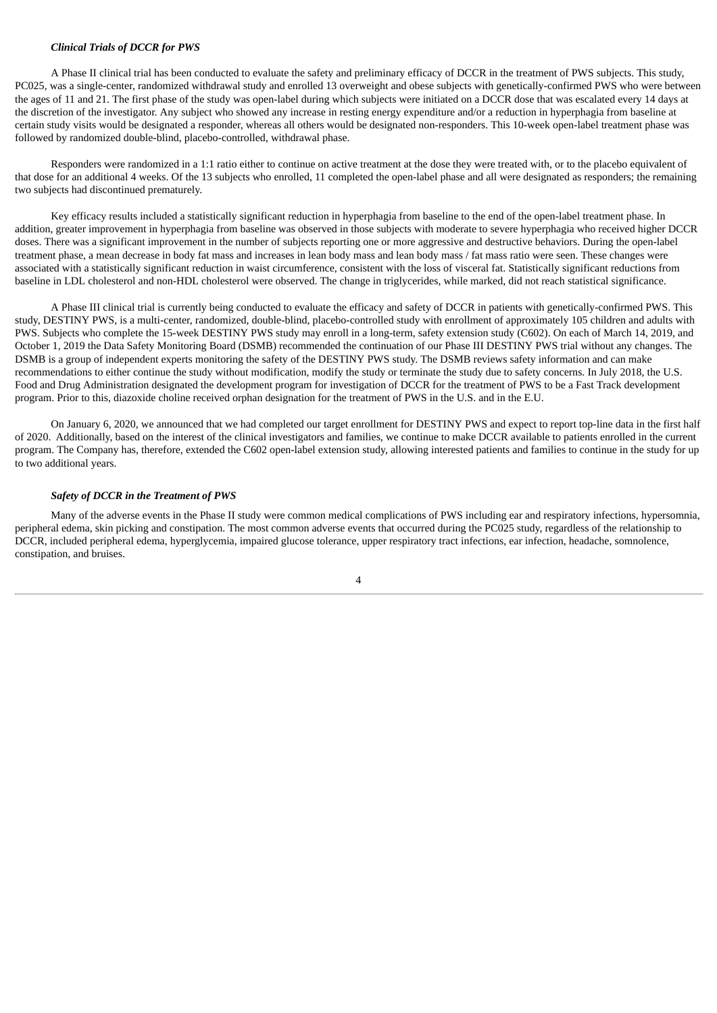# *Clinical Trials of DCCR for PWS*

A Phase II clinical trial has been conducted to evaluate the safety and preliminary efficacy of DCCR in the treatment of PWS subjects. This study, PC025, was a single-center, randomized withdrawal study and enrolled 13 overweight and obese subjects with genetically-confirmed PWS who were between the ages of 11 and 21. The first phase of the study was open-label during which subjects were initiated on a DCCR dose that was escalated every 14 days at the discretion of the investigator. Any subject who showed any increase in resting energy expenditure and/or a reduction in hyperphagia from baseline at certain study visits would be designated a responder, whereas all others would be designated non-responders. This 10-week open-label treatment phase was followed by randomized double-blind, placebo-controlled, withdrawal phase.

Responders were randomized in a 1:1 ratio either to continue on active treatment at the dose they were treated with, or to the placebo equivalent of that dose for an additional 4 weeks. Of the 13 subjects who enrolled, 11 completed the open-label phase and all were designated as responders; the remaining two subjects had discontinued prematurely.

Key efficacy results included a statistically significant reduction in hyperphagia from baseline to the end of the open-label treatment phase. In addition, greater improvement in hyperphagia from baseline was observed in those subjects with moderate to severe hyperphagia who received higher DCCR doses. There was a significant improvement in the number of subjects reporting one or more aggressive and destructive behaviors. During the open-label treatment phase, a mean decrease in body fat mass and increases in lean body mass and lean body mass / fat mass ratio were seen. These changes were associated with a statistically significant reduction in waist circumference, consistent with the loss of visceral fat. Statistically significant reductions from baseline in LDL cholesterol and non-HDL cholesterol were observed. The change in triglycerides, while marked, did not reach statistical significance.

A Phase III clinical trial is currently being conducted to evaluate the efficacy and safety of DCCR in patients with genetically-confirmed PWS. This study, DESTINY PWS, is a multi-center, randomized, double-blind, placebo-controlled study with enrollment of approximately 105 children and adults with PWS. Subjects who complete the 15-week DESTINY PWS study may enroll in a long-term, safety extension study (C602). On each of March 14, 2019, and October 1, 2019 the Data Safety Monitoring Board (DSMB) recommended the continuation of our Phase III DESTINY PWS trial without any changes. The DSMB is a group of independent experts monitoring the safety of the DESTINY PWS study. The DSMB reviews safety information and can make recommendations to either continue the study without modification, modify the study or terminate the study due to safety concerns. In July 2018, the U.S. Food and Drug Administration designated the development program for investigation of DCCR for the treatment of PWS to be a Fast Track development program. Prior to this, diazoxide choline received orphan designation for the treatment of PWS in the U.S. and in the E.U.

On January 6, 2020, we announced that we had completed our target enrollment for DESTINY PWS and expect to report top-line data in the first half of 2020. Additionally, based on the interest of the clinical investigators and families, we continue to make DCCR available to patients enrolled in the current program. The Company has, therefore, extended the C602 open-label extension study, allowing interested patients and families to continue in the study for up to two additional years.

#### *Safety of DCCR in the Treatment of PWS*

Many of the adverse events in the Phase II study were common medical complications of PWS including ear and respiratory infections, hypersomnia, peripheral edema, skin picking and constipation. The most common adverse events that occurred during the PC025 study, regardless of the relationship to DCCR, included peripheral edema, hyperglycemia, impaired glucose tolerance, upper respiratory tract infections, ear infection, headache, somnolence, constipation, and bruises.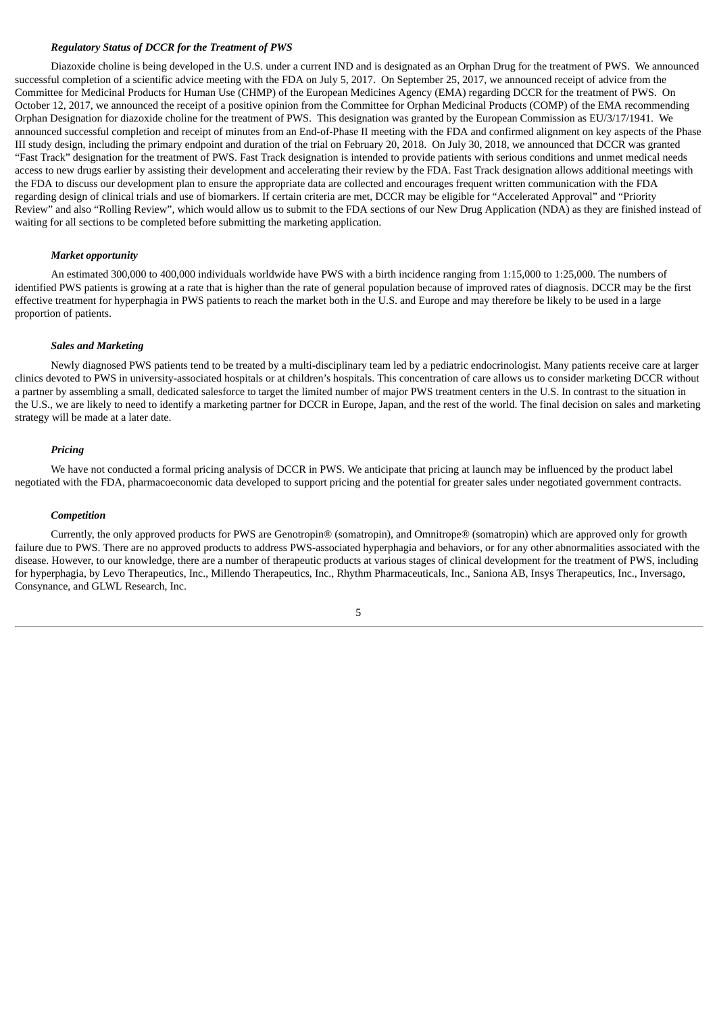# *Regulatory Status of DCCR for the Treatment of PWS*

Diazoxide choline is being developed in the U.S. under a current IND and is designated as an Orphan Drug for the treatment of PWS. We announced successful completion of a scientific advice meeting with the FDA on July 5, 2017. On September 25, 2017, we announced receipt of advice from the Committee for Medicinal Products for Human Use (CHMP) of the European Medicines Agency (EMA) regarding DCCR for the treatment of PWS. On October 12, 2017, we announced the receipt of a positive opinion from the Committee for Orphan Medicinal Products (COMP) of the EMA recommending Orphan Designation for diazoxide choline for the treatment of PWS. This designation was granted by the European Commission as EU/3/17/1941. We announced successful completion and receipt of minutes from an End-of-Phase II meeting with the FDA and confirmed alignment on key aspects of the Phase III study design, including the primary endpoint and duration of the trial on February 20, 2018. On July 30, 2018, we announced that DCCR was granted "Fast Track" designation for the treatment of PWS. Fast Track designation is intended to provide patients with serious conditions and unmet medical needs access to new drugs earlier by assisting their development and accelerating their review by the FDA. Fast Track designation allows additional meetings with the FDA to discuss our development plan to ensure the appropriate data are collected and encourages frequent written communication with the FDA regarding design of clinical trials and use of biomarkers. If certain criteria are met, DCCR may be eligible for "Accelerated Approval" and "Priority Review" and also "Rolling Review", which would allow us to submit to the FDA sections of our New Drug Application (NDA) as they are finished instead of waiting for all sections to be completed before submitting the marketing application.

# *Market opportunity*

An estimated 300,000 to 400,000 individuals worldwide have PWS with a birth incidence ranging from 1:15,000 to 1:25,000. The numbers of identified PWS patients is growing at a rate that is higher than the rate of general population because of improved rates of diagnosis. DCCR may be the first effective treatment for hyperphagia in PWS patients to reach the market both in the U.S. and Europe and may therefore be likely to be used in a large proportion of patients.

#### *Sales and Marketing*

Newly diagnosed PWS patients tend to be treated by a multi-disciplinary team led by a pediatric endocrinologist. Many patients receive care at larger clinics devoted to PWS in university-associated hospitals or at children's hospitals. This concentration of care allows us to consider marketing DCCR without a partner by assembling a small, dedicated salesforce to target the limited number of major PWS treatment centers in the U.S. In contrast to the situation in the U.S., we are likely to need to identify a marketing partner for DCCR in Europe, Japan, and the rest of the world. The final decision on sales and marketing strategy will be made at a later date.

#### *Pricing*

We have not conducted a formal pricing analysis of DCCR in PWS. We anticipate that pricing at launch may be influenced by the product label negotiated with the FDA, pharmacoeconomic data developed to support pricing and the potential for greater sales under negotiated government contracts.

#### *Competition*

Currently, the only approved products for PWS are Genotropin® (somatropin), and Omnitrope® (somatropin) which are approved only for growth failure due to PWS. There are no approved products to address PWS-associated hyperphagia and behaviors, or for any other abnormalities associated with the disease. However, to our knowledge, there are a number of therapeutic products at various stages of clinical development for the treatment of PWS, including for hyperphagia, by Levo Therapeutics, Inc., Millendo Therapeutics, Inc., Rhythm Pharmaceuticals, Inc., Saniona AB, Insys Therapeutics, Inc., Inversago, Consynance, and GLWL Research, Inc.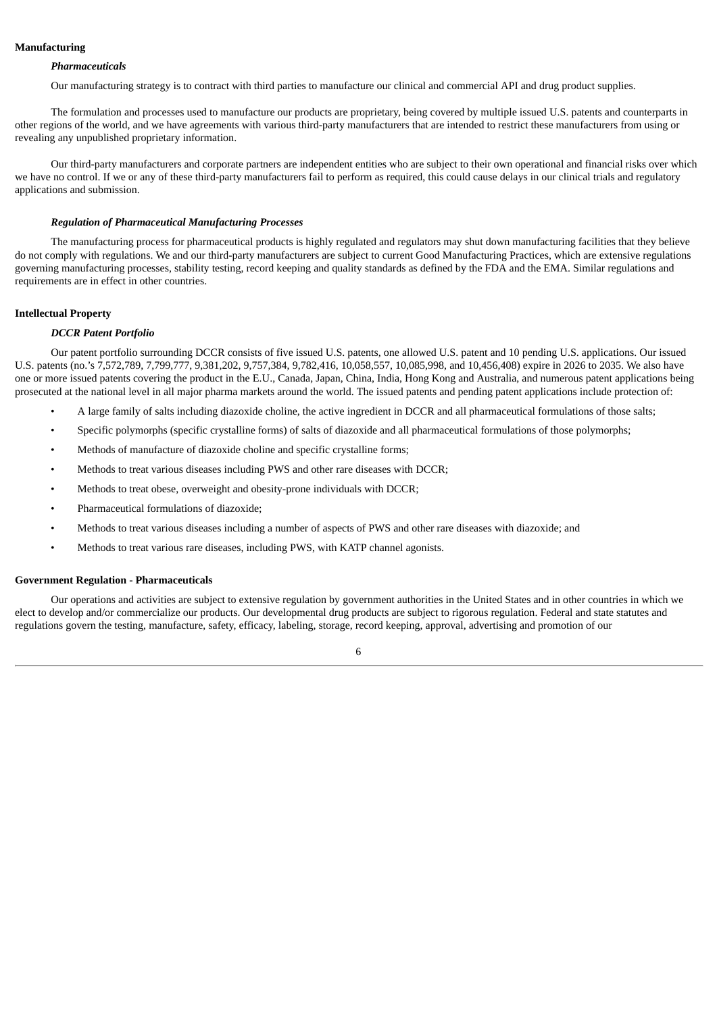# **Manufacturing**

#### *Pharmaceuticals*

Our manufacturing strategy is to contract with third parties to manufacture our clinical and commercial API and drug product supplies.

The formulation and processes used to manufacture our products are proprietary, being covered by multiple issued U.S. patents and counterparts in other regions of the world, and we have agreements with various third-party manufacturers that are intended to restrict these manufacturers from using or revealing any unpublished proprietary information.

Our third-party manufacturers and corporate partners are independent entities who are subject to their own operational and financial risks over which we have no control. If we or any of these third-party manufacturers fail to perform as required, this could cause delays in our clinical trials and regulatory applications and submission.

# *Regulation of Pharmaceutical Manufacturing Processes*

The manufacturing process for pharmaceutical products is highly regulated and regulators may shut down manufacturing facilities that they believe do not comply with regulations. We and our third-party manufacturers are subject to current Good Manufacturing Practices, which are extensive regulations governing manufacturing processes, stability testing, record keeping and quality standards as defined by the FDA and the EMA. Similar regulations and requirements are in effect in other countries.

# **Intellectual Property**

# *DCCR Patent Portfolio*

Our patent portfolio surrounding DCCR consists of five issued U.S. patents, one allowed U.S. patent and 10 pending U.S. applications. Our issued U.S. patents (no.'s 7,572,789, 7,799,777, 9,381,202, 9,757,384, 9,782,416, 10,058,557, 10,085,998, and 10,456,408) expire in 2026 to 2035. We also have one or more issued patents covering the product in the E.U., Canada, Japan, China, India, Hong Kong and Australia, and numerous patent applications being prosecuted at the national level in all major pharma markets around the world. The issued patents and pending patent applications include protection of:

- A large family of salts including diazoxide choline, the active ingredient in DCCR and all pharmaceutical formulations of those salts;
- Specific polymorphs (specific crystalline forms) of salts of diazoxide and all pharmaceutical formulations of those polymorphs;
- Methods of manufacture of diazoxide choline and specific crystalline forms;
- Methods to treat various diseases including PWS and other rare diseases with DCCR;
- Methods to treat obese, overweight and obesity-prone individuals with DCCR;
- Pharmaceutical formulations of diazoxide;
- Methods to treat various diseases including a number of aspects of PWS and other rare diseases with diazoxide; and
- Methods to treat various rare diseases, including PWS, with KATP channel agonists.

#### **Government Regulation - Pharmaceuticals**

Our operations and activities are subject to extensive regulation by government authorities in the United States and in other countries in which we elect to develop and/or commercialize our products. Our developmental drug products are subject to rigorous regulation. Federal and state statutes and regulations govern the testing, manufacture, safety, efficacy, labeling, storage, record keeping, approval, advertising and promotion of our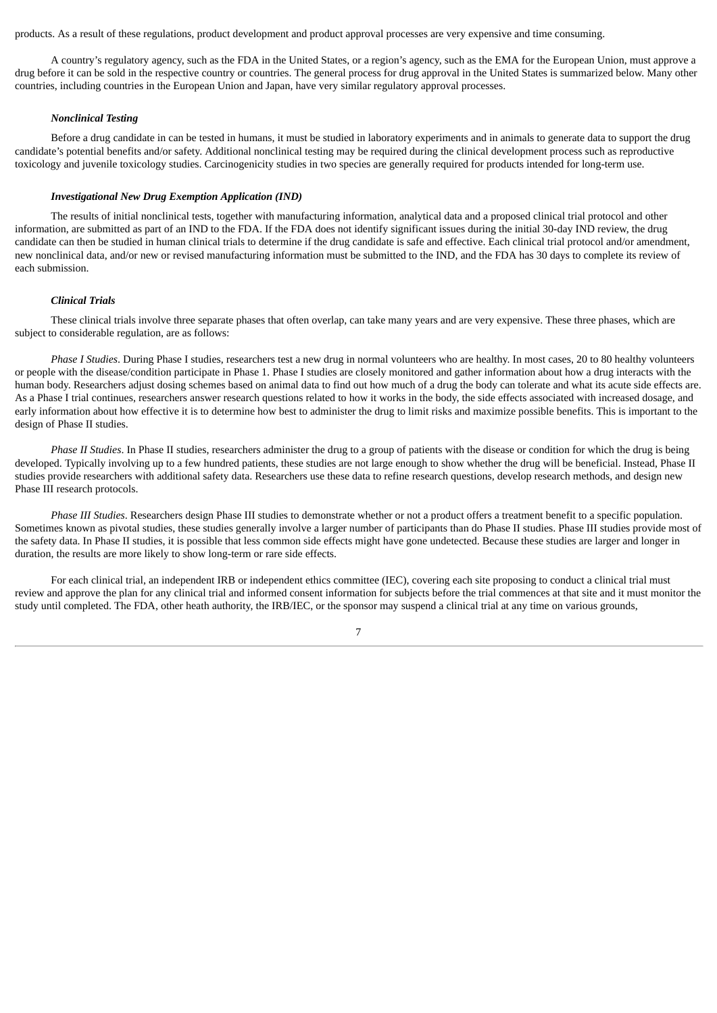products. As a result of these regulations, product development and product approval processes are very expensive and time consuming.

A country's regulatory agency, such as the FDA in the United States, or a region's agency, such as the EMA for the European Union, must approve a drug before it can be sold in the respective country or countries. The general process for drug approval in the United States is summarized below. Many other countries, including countries in the European Union and Japan, have very similar regulatory approval processes.

# *Nonclinical Testing*

Before a drug candidate in can be tested in humans, it must be studied in laboratory experiments and in animals to generate data to support the drug candidate's potential benefits and/or safety. Additional nonclinical testing may be required during the clinical development process such as reproductive toxicology and juvenile toxicology studies. Carcinogenicity studies in two species are generally required for products intended for long-term use.

# *Investigational New Drug Exemption Application (IND)*

The results of initial nonclinical tests, together with manufacturing information, analytical data and a proposed clinical trial protocol and other information, are submitted as part of an IND to the FDA. If the FDA does not identify significant issues during the initial 30-day IND review, the drug candidate can then be studied in human clinical trials to determine if the drug candidate is safe and effective. Each clinical trial protocol and/or amendment, new nonclinical data, and/or new or revised manufacturing information must be submitted to the IND, and the FDA has 30 days to complete its review of each submission.

#### *Clinical Trials*

These clinical trials involve three separate phases that often overlap, can take many years and are very expensive. These three phases, which are subject to considerable regulation, are as follows:

*Phase I Studies*. During Phase I studies, researchers test a new drug in normal volunteers who are healthy. In most cases, 20 to 80 healthy volunteers or people with the disease/condition participate in Phase 1. Phase I studies are closely monitored and gather information about how a drug interacts with the human body. Researchers adjust dosing schemes based on animal data to find out how much of a drug the body can tolerate and what its acute side effects are. As a Phase I trial continues, researchers answer research questions related to how it works in the body, the side effects associated with increased dosage, and early information about how effective it is to determine how best to administer the drug to limit risks and maximize possible benefits. This is important to the design of Phase II studies.

*Phase II Studies*. In Phase II studies, researchers administer the drug to a group of patients with the disease or condition for which the drug is being developed. Typically involving up to a few hundred patients, these studies are not large enough to show whether the drug will be beneficial. Instead, Phase II studies provide researchers with additional safety data. Researchers use these data to refine research questions, develop research methods, and design new Phase III research protocols.

*Phase III Studies*. Researchers design Phase III studies to demonstrate whether or not a product offers a treatment benefit to a specific population. Sometimes known as pivotal studies, these studies generally involve a larger number of participants than do Phase II studies. Phase III studies provide most of the safety data. In Phase II studies, it is possible that less common side effects might have gone undetected. Because these studies are larger and longer in duration, the results are more likely to show long-term or rare side effects.

For each clinical trial, an independent IRB or independent ethics committee (IEC), covering each site proposing to conduct a clinical trial must review and approve the plan for any clinical trial and informed consent information for subjects before the trial commences at that site and it must monitor the study until completed. The FDA, other heath authority, the IRB/IEC, or the sponsor may suspend a clinical trial at any time on various grounds,

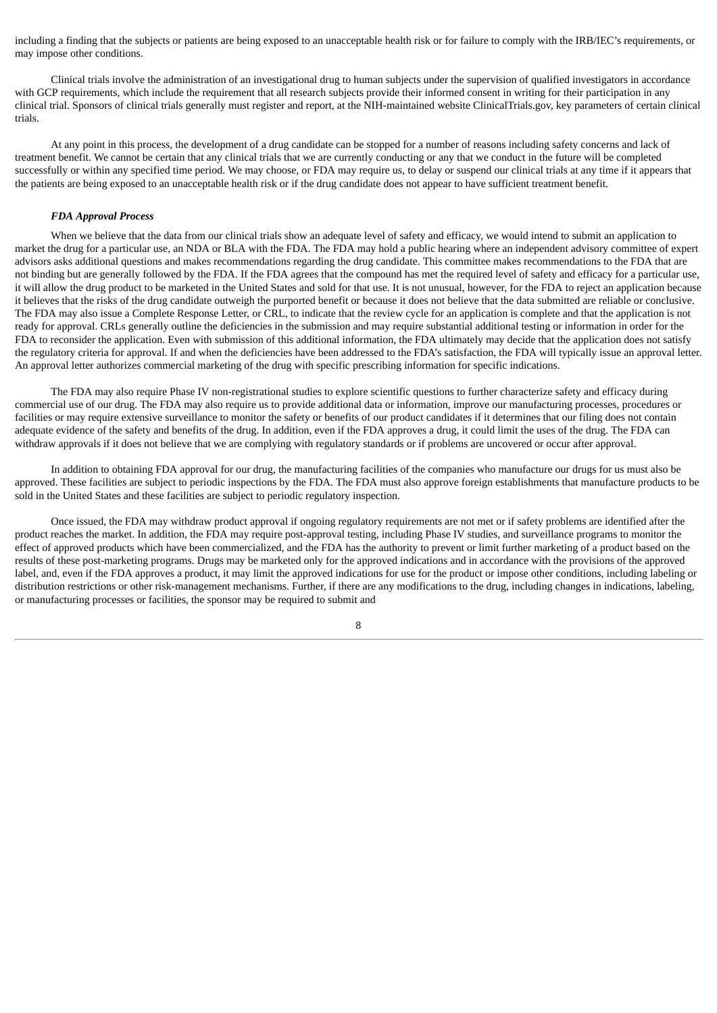including a finding that the subjects or patients are being exposed to an unacceptable health risk or for failure to comply with the IRB/IEC's requirements, or may impose other conditions.

Clinical trials involve the administration of an investigational drug to human subjects under the supervision of qualified investigators in accordance with GCP requirements, which include the requirement that all research subjects provide their informed consent in writing for their participation in any clinical trial. Sponsors of clinical trials generally must register and report, at the NIH-maintained website ClinicalTrials.gov, key parameters of certain clinical trials.

At any point in this process, the development of a drug candidate can be stopped for a number of reasons including safety concerns and lack of treatment benefit. We cannot be certain that any clinical trials that we are currently conducting or any that we conduct in the future will be completed successfully or within any specified time period. We may choose, or FDA may require us, to delay or suspend our clinical trials at any time if it appears that the patients are being exposed to an unacceptable health risk or if the drug candidate does not appear to have sufficient treatment benefit.

# *FDA Approval Process*

When we believe that the data from our clinical trials show an adequate level of safety and efficacy, we would intend to submit an application to market the drug for a particular use, an NDA or BLA with the FDA. The FDA may hold a public hearing where an independent advisory committee of expert advisors asks additional questions and makes recommendations regarding the drug candidate. This committee makes recommendations to the FDA that are not binding but are generally followed by the FDA. If the FDA agrees that the compound has met the required level of safety and efficacy for a particular use, it will allow the drug product to be marketed in the United States and sold for that use. It is not unusual, however, for the FDA to reject an application because it believes that the risks of the drug candidate outweigh the purported benefit or because it does not believe that the data submitted are reliable or conclusive. The FDA may also issue a Complete Response Letter, or CRL, to indicate that the review cycle for an application is complete and that the application is not ready for approval. CRLs generally outline the deficiencies in the submission and may require substantial additional testing or information in order for the FDA to reconsider the application. Even with submission of this additional information, the FDA ultimately may decide that the application does not satisfy the regulatory criteria for approval. If and when the deficiencies have been addressed to the FDA's satisfaction, the FDA will typically issue an approval letter. An approval letter authorizes commercial marketing of the drug with specific prescribing information for specific indications.

The FDA may also require Phase IV non-registrational studies to explore scientific questions to further characterize safety and efficacy during commercial use of our drug. The FDA may also require us to provide additional data or information, improve our manufacturing processes, procedures or facilities or may require extensive surveillance to monitor the safety or benefits of our product candidates if it determines that our filing does not contain adequate evidence of the safety and benefits of the drug. In addition, even if the FDA approves a drug, it could limit the uses of the drug. The FDA can withdraw approvals if it does not believe that we are complying with regulatory standards or if problems are uncovered or occur after approval.

In addition to obtaining FDA approval for our drug, the manufacturing facilities of the companies who manufacture our drugs for us must also be approved. These facilities are subject to periodic inspections by the FDA. The FDA must also approve foreign establishments that manufacture products to be sold in the United States and these facilities are subject to periodic regulatory inspection.

Once issued, the FDA may withdraw product approval if ongoing regulatory requirements are not met or if safety problems are identified after the product reaches the market. In addition, the FDA may require post-approval testing, including Phase IV studies, and surveillance programs to monitor the effect of approved products which have been commercialized, and the FDA has the authority to prevent or limit further marketing of a product based on the results of these post-marketing programs. Drugs may be marketed only for the approved indications and in accordance with the provisions of the approved label, and, even if the FDA approves a product, it may limit the approved indications for use for the product or impose other conditions, including labeling or distribution restrictions or other risk-management mechanisms. Further, if there are any modifications to the drug, including changes in indications, labeling, or manufacturing processes or facilities, the sponsor may be required to submit and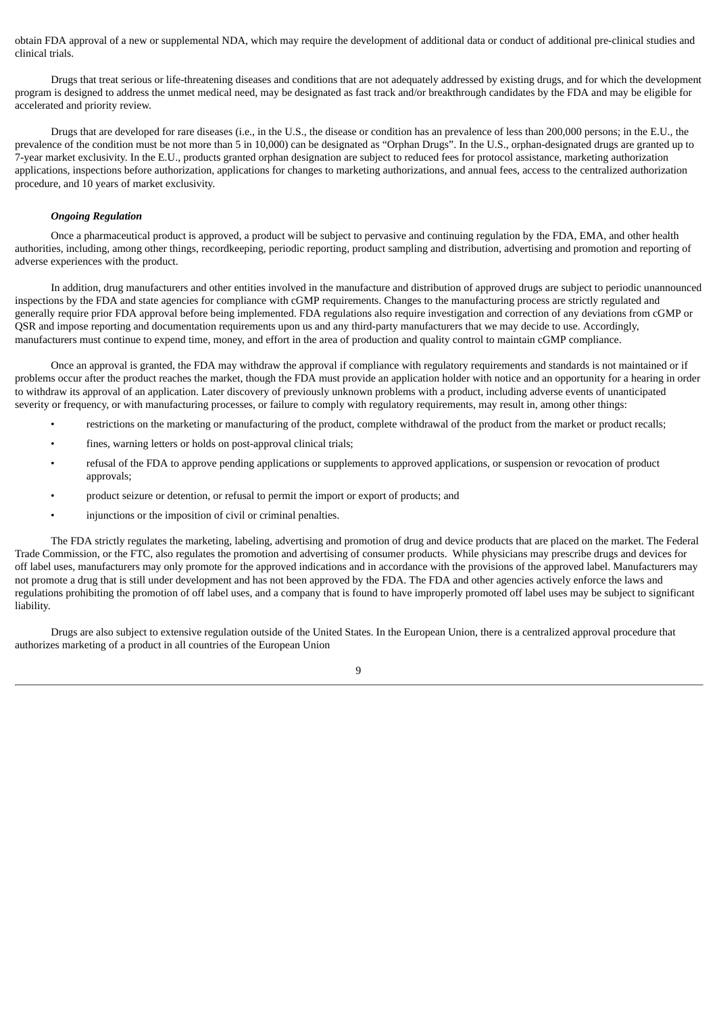obtain FDA approval of a new or supplemental NDA, which may require the development of additional data or conduct of additional pre-clinical studies and clinical trials.

Drugs that treat serious or life-threatening diseases and conditions that are not adequately addressed by existing drugs, and for which the development program is designed to address the unmet medical need, may be designated as fast track and/or breakthrough candidates by the FDA and may be eligible for accelerated and priority review.

Drugs that are developed for rare diseases (i.e., in the U.S., the disease or condition has an prevalence of less than 200,000 persons; in the E.U., the prevalence of the condition must be not more than 5 in 10,000) can be designated as "Orphan Drugs". In the U.S., orphan-designated drugs are granted up to 7-year market exclusivity. In the E.U., products granted orphan designation are subject to reduced fees for protocol assistance, marketing authorization applications, inspections before authorization, applications for changes to marketing authorizations, and annual fees, access to the centralized authorization procedure, and 10 years of market exclusivity.

# *Ongoing Regulation*

Once a pharmaceutical product is approved, a product will be subject to pervasive and continuing regulation by the FDA, EMA, and other health authorities, including, among other things, recordkeeping, periodic reporting, product sampling and distribution, advertising and promotion and reporting of adverse experiences with the product.

In addition, drug manufacturers and other entities involved in the manufacture and distribution of approved drugs are subject to periodic unannounced inspections by the FDA and state agencies for compliance with cGMP requirements. Changes to the manufacturing process are strictly regulated and generally require prior FDA approval before being implemented. FDA regulations also require investigation and correction of any deviations from cGMP or QSR and impose reporting and documentation requirements upon us and any third-party manufacturers that we may decide to use. Accordingly, manufacturers must continue to expend time, money, and effort in the area of production and quality control to maintain cGMP compliance.

Once an approval is granted, the FDA may withdraw the approval if compliance with regulatory requirements and standards is not maintained or if problems occur after the product reaches the market, though the FDA must provide an application holder with notice and an opportunity for a hearing in order to withdraw its approval of an application. Later discovery of previously unknown problems with a product, including adverse events of unanticipated severity or frequency, or with manufacturing processes, or failure to comply with regulatory requirements, may result in, among other things:

- restrictions on the marketing or manufacturing of the product, complete withdrawal of the product from the market or product recalls;
- fines, warning letters or holds on post-approval clinical trials;
- refusal of the FDA to approve pending applications or supplements to approved applications, or suspension or revocation of product approvals;
- product seizure or detention, or refusal to permit the import or export of products; and
- injunctions or the imposition of civil or criminal penalties.

The FDA strictly regulates the marketing, labeling, advertising and promotion of drug and device products that are placed on the market. The Federal Trade Commission, or the FTC, also regulates the promotion and advertising of consumer products. While physicians may prescribe drugs and devices for off label uses, manufacturers may only promote for the approved indications and in accordance with the provisions of the approved label. Manufacturers may not promote a drug that is still under development and has not been approved by the FDA. The FDA and other agencies actively enforce the laws and regulations prohibiting the promotion of off label uses, and a company that is found to have improperly promoted off label uses may be subject to significant liability.

Drugs are also subject to extensive regulation outside of the United States. In the European Union, there is a centralized approval procedure that authorizes marketing of a product in all countries of the European Union

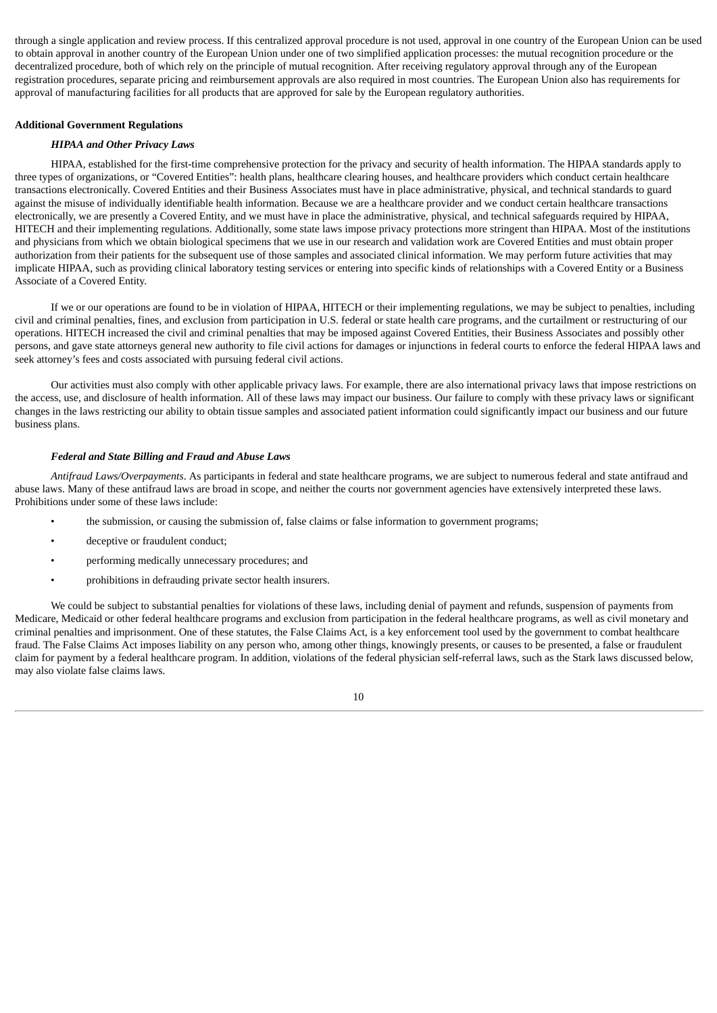through a single application and review process. If this centralized approval procedure is not used, approval in one country of the European Union can be used to obtain approval in another country of the European Union under one of two simplified application processes: the mutual recognition procedure or the decentralized procedure, both of which rely on the principle of mutual recognition. After receiving regulatory approval through any of the European registration procedures, separate pricing and reimbursement approvals are also required in most countries. The European Union also has requirements for approval of manufacturing facilities for all products that are approved for sale by the European regulatory authorities.

# **Additional Government Regulations**

# *HIPAA and Other Privacy Laws*

HIPAA, established for the first-time comprehensive protection for the privacy and security of health information. The HIPAA standards apply to three types of organizations, or "Covered Entities": health plans, healthcare clearing houses, and healthcare providers which conduct certain healthcare transactions electronically. Covered Entities and their Business Associates must have in place administrative, physical, and technical standards to guard against the misuse of individually identifiable health information. Because we are a healthcare provider and we conduct certain healthcare transactions electronically, we are presently a Covered Entity, and we must have in place the administrative, physical, and technical safeguards required by HIPAA, HITECH and their implementing regulations. Additionally, some state laws impose privacy protections more stringent than HIPAA. Most of the institutions and physicians from which we obtain biological specimens that we use in our research and validation work are Covered Entities and must obtain proper authorization from their patients for the subsequent use of those samples and associated clinical information. We may perform future activities that may implicate HIPAA, such as providing clinical laboratory testing services or entering into specific kinds of relationships with a Covered Entity or a Business Associate of a Covered Entity.

If we or our operations are found to be in violation of HIPAA, HITECH or their implementing regulations, we may be subject to penalties, including civil and criminal penalties, fines, and exclusion from participation in U.S. federal or state health care programs, and the curtailment or restructuring of our operations. HITECH increased the civil and criminal penalties that may be imposed against Covered Entities, their Business Associates and possibly other persons, and gave state attorneys general new authority to file civil actions for damages or injunctions in federal courts to enforce the federal HIPAA laws and seek attorney's fees and costs associated with pursuing federal civil actions.

Our activities must also comply with other applicable privacy laws. For example, there are also international privacy laws that impose restrictions on the access, use, and disclosure of health information. All of these laws may impact our business. Our failure to comply with these privacy laws or significant changes in the laws restricting our ability to obtain tissue samples and associated patient information could significantly impact our business and our future business plans.

# *Federal and State Billing and Fraud and Abuse Laws*

*Antifraud Laws/Overpayments*. As participants in federal and state healthcare programs, we are subject to numerous federal and state antifraud and abuse laws. Many of these antifraud laws are broad in scope, and neither the courts nor government agencies have extensively interpreted these laws. Prohibitions under some of these laws include:

- the submission, or causing the submission of, false claims or false information to government programs;
- deceptive or fraudulent conduct;
- performing medically unnecessary procedures; and
- prohibitions in defrauding private sector health insurers.

We could be subject to substantial penalties for violations of these laws, including denial of payment and refunds, suspension of payments from Medicare, Medicaid or other federal healthcare programs and exclusion from participation in the federal healthcare programs, as well as civil monetary and criminal penalties and imprisonment. One of these statutes, the False Claims Act, is a key enforcement tool used by the government to combat healthcare fraud. The False Claims Act imposes liability on any person who, among other things, knowingly presents, or causes to be presented, a false or fraudulent claim for payment by a federal healthcare program. In addition, violations of the federal physician self-referral laws, such as the Stark laws discussed below, may also violate false claims laws.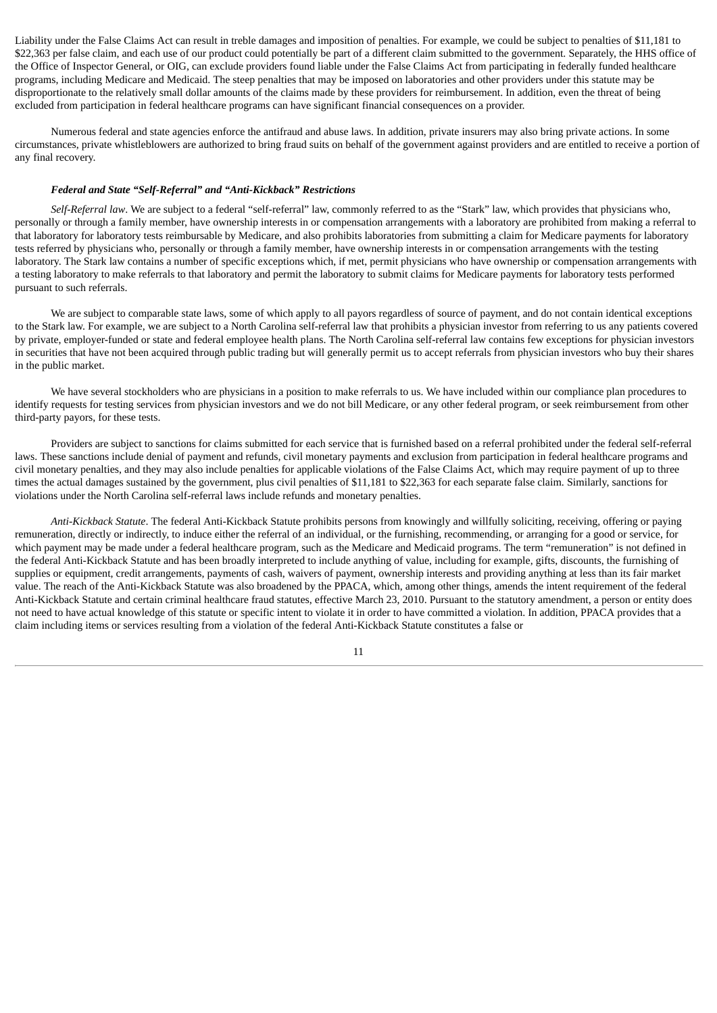Liability under the False Claims Act can result in treble damages and imposition of penalties. For example, we could be subject to penalties of \$11,181 to \$22,363 per false claim, and each use of our product could potentially be part of a different claim submitted to the government. Separately, the HHS office of the Office of Inspector General, or OIG, can exclude providers found liable under the False Claims Act from participating in federally funded healthcare programs, including Medicare and Medicaid. The steep penalties that may be imposed on laboratories and other providers under this statute may be disproportionate to the relatively small dollar amounts of the claims made by these providers for reimbursement. In addition, even the threat of being excluded from participation in federal healthcare programs can have significant financial consequences on a provider.

Numerous federal and state agencies enforce the antifraud and abuse laws. In addition, private insurers may also bring private actions. In some circumstances, private whistleblowers are authorized to bring fraud suits on behalf of the government against providers and are entitled to receive a portion of any final recovery.

# *Federal and State "Self-Referral" and "Anti-Kickback" Restrictions*

*Self-Referral law*. We are subject to a federal "self-referral" law, commonly referred to as the "Stark" law, which provides that physicians who, personally or through a family member, have ownership interests in or compensation arrangements with a laboratory are prohibited from making a referral to that laboratory for laboratory tests reimbursable by Medicare, and also prohibits laboratories from submitting a claim for Medicare payments for laboratory tests referred by physicians who, personally or through a family member, have ownership interests in or compensation arrangements with the testing laboratory. The Stark law contains a number of specific exceptions which, if met, permit physicians who have ownership or compensation arrangements with a testing laboratory to make referrals to that laboratory and permit the laboratory to submit claims for Medicare payments for laboratory tests performed pursuant to such referrals.

We are subject to comparable state laws, some of which apply to all payors regardless of source of payment, and do not contain identical exceptions to the Stark law. For example, we are subject to a North Carolina self-referral law that prohibits a physician investor from referring to us any patients covered by private, employer-funded or state and federal employee health plans. The North Carolina self-referral law contains few exceptions for physician investors in securities that have not been acquired through public trading but will generally permit us to accept referrals from physician investors who buy their shares in the public market.

We have several stockholders who are physicians in a position to make referrals to us. We have included within our compliance plan procedures to identify requests for testing services from physician investors and we do not bill Medicare, or any other federal program, or seek reimbursement from other third-party payors, for these tests.

Providers are subject to sanctions for claims submitted for each service that is furnished based on a referral prohibited under the federal self-referral laws. These sanctions include denial of payment and refunds, civil monetary payments and exclusion from participation in federal healthcare programs and civil monetary penalties, and they may also include penalties for applicable violations of the False Claims Act, which may require payment of up to three times the actual damages sustained by the government, plus civil penalties of \$11,181 to \$22,363 for each separate false claim. Similarly, sanctions for violations under the North Carolina self-referral laws include refunds and monetary penalties.

*Anti-Kickback Statute*. The federal Anti-Kickback Statute prohibits persons from knowingly and willfully soliciting, receiving, offering or paying remuneration, directly or indirectly, to induce either the referral of an individual, or the furnishing, recommending, or arranging for a good or service, for which payment may be made under a federal healthcare program, such as the Medicare and Medicaid programs. The term "remuneration" is not defined in the federal Anti-Kickback Statute and has been broadly interpreted to include anything of value, including for example, gifts, discounts, the furnishing of supplies or equipment, credit arrangements, payments of cash, waivers of payment, ownership interests and providing anything at less than its fair market value. The reach of the Anti-Kickback Statute was also broadened by the PPACA, which, among other things, amends the intent requirement of the federal Anti-Kickback Statute and certain criminal healthcare fraud statutes, effective March 23, 2010. Pursuant to the statutory amendment, a person or entity does not need to have actual knowledge of this statute or specific intent to violate it in order to have committed a violation. In addition, PPACA provides that a claim including items or services resulting from a violation of the federal Anti-Kickback Statute constitutes a false or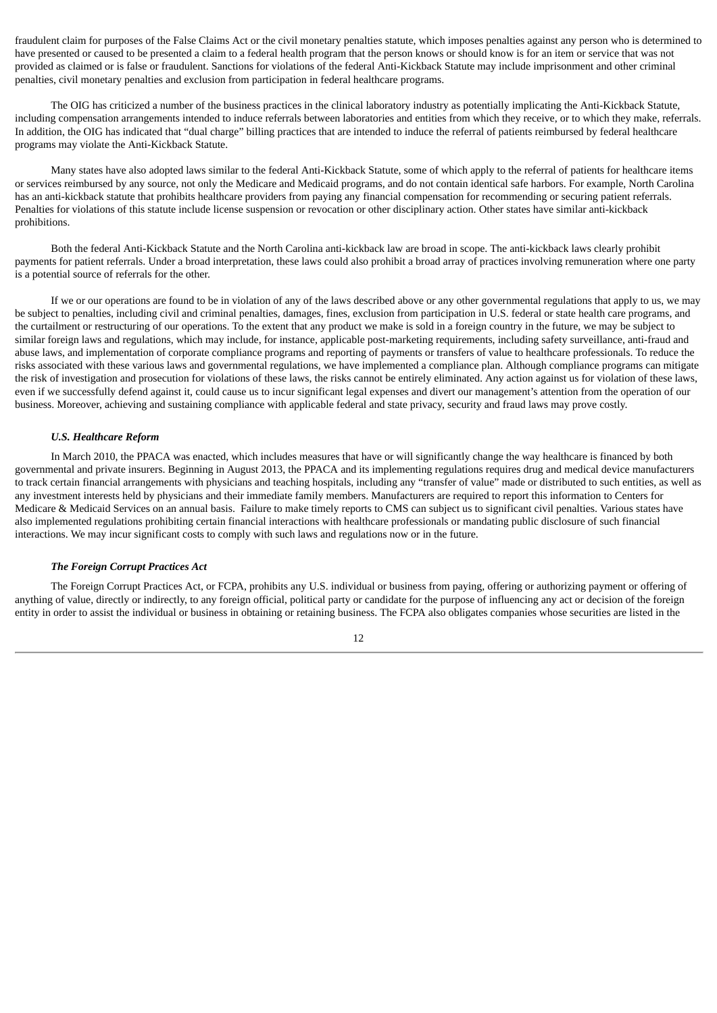fraudulent claim for purposes of the False Claims Act or the civil monetary penalties statute, which imposes penalties against any person who is determined to have presented or caused to be presented a claim to a federal health program that the person knows or should know is for an item or service that was not provided as claimed or is false or fraudulent. Sanctions for violations of the federal Anti-Kickback Statute may include imprisonment and other criminal penalties, civil monetary penalties and exclusion from participation in federal healthcare programs.

The OIG has criticized a number of the business practices in the clinical laboratory industry as potentially implicating the Anti-Kickback Statute, including compensation arrangements intended to induce referrals between laboratories and entities from which they receive, or to which they make, referrals. In addition, the OIG has indicated that "dual charge" billing practices that are intended to induce the referral of patients reimbursed by federal healthcare programs may violate the Anti-Kickback Statute.

Many states have also adopted laws similar to the federal Anti-Kickback Statute, some of which apply to the referral of patients for healthcare items or services reimbursed by any source, not only the Medicare and Medicaid programs, and do not contain identical safe harbors. For example, North Carolina has an anti-kickback statute that prohibits healthcare providers from paying any financial compensation for recommending or securing patient referrals. Penalties for violations of this statute include license suspension or revocation or other disciplinary action. Other states have similar anti-kickback prohibitions.

Both the federal Anti-Kickback Statute and the North Carolina anti-kickback law are broad in scope. The anti-kickback laws clearly prohibit payments for patient referrals. Under a broad interpretation, these laws could also prohibit a broad array of practices involving remuneration where one party is a potential source of referrals for the other.

If we or our operations are found to be in violation of any of the laws described above or any other governmental regulations that apply to us, we may be subject to penalties, including civil and criminal penalties, damages, fines, exclusion from participation in U.S. federal or state health care programs, and the curtailment or restructuring of our operations. To the extent that any product we make is sold in a foreign country in the future, we may be subject to similar foreign laws and regulations, which may include, for instance, applicable post-marketing requirements, including safety surveillance, anti-fraud and abuse laws, and implementation of corporate compliance programs and reporting of payments or transfers of value to healthcare professionals. To reduce the risks associated with these various laws and governmental regulations, we have implemented a compliance plan. Although compliance programs can mitigate the risk of investigation and prosecution for violations of these laws, the risks cannot be entirely eliminated. Any action against us for violation of these laws, even if we successfully defend against it, could cause us to incur significant legal expenses and divert our management's attention from the operation of our business. Moreover, achieving and sustaining compliance with applicable federal and state privacy, security and fraud laws may prove costly.

#### *U.S. Healthcare Reform*

In March 2010, the PPACA was enacted, which includes measures that have or will significantly change the way healthcare is financed by both governmental and private insurers. Beginning in August 2013, the PPACA and its implementing regulations requires drug and medical device manufacturers to track certain financial arrangements with physicians and teaching hospitals, including any "transfer of value" made or distributed to such entities, as well as any investment interests held by physicians and their immediate family members. Manufacturers are required to report this information to Centers for Medicare & Medicaid Services on an annual basis. Failure to make timely reports to CMS can subject us to significant civil penalties. Various states have also implemented regulations prohibiting certain financial interactions with healthcare professionals or mandating public disclosure of such financial interactions. We may incur significant costs to comply with such laws and regulations now or in the future.

# *The Foreign Corrupt Practices Act*

The Foreign Corrupt Practices Act, or FCPA, prohibits any U.S. individual or business from paying, offering or authorizing payment or offering of anything of value, directly or indirectly, to any foreign official, political party or candidate for the purpose of influencing any act or decision of the foreign entity in order to assist the individual or business in obtaining or retaining business. The FCPA also obligates companies whose securities are listed in the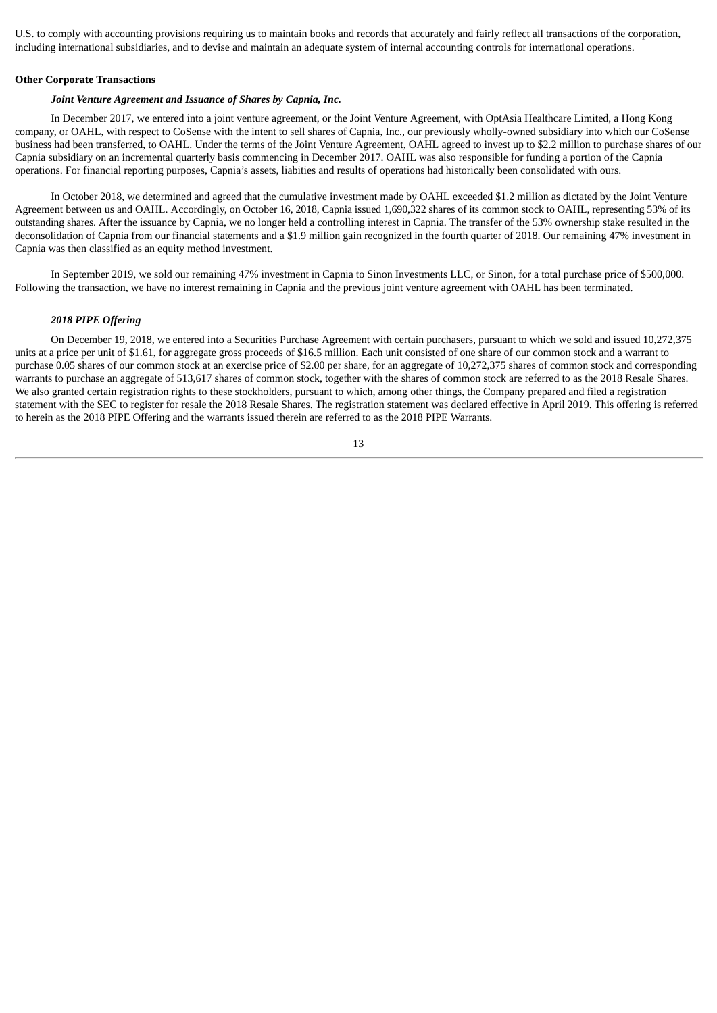U.S. to comply with accounting provisions requiring us to maintain books and records that accurately and fairly reflect all transactions of the corporation, including international subsidiaries, and to devise and maintain an adequate system of internal accounting controls for international operations.

#### **Other Corporate Transactions**

# *Joint Venture Agreement and Issuance of Shares by Capnia, Inc.*

In December 2017, we entered into a joint venture agreement, or the Joint Venture Agreement, with OptAsia Healthcare Limited, a Hong Kong company, or OAHL, with respect to CoSense with the intent to sell shares of Capnia, Inc., our previously wholly-owned subsidiary into which our CoSense business had been transferred, to OAHL. Under the terms of the Joint Venture Agreement, OAHL agreed to invest up to \$2.2 million to purchase shares of our Capnia subsidiary on an incremental quarterly basis commencing in December 2017. OAHL was also responsible for funding a portion of the Capnia operations. For financial reporting purposes, Capnia's assets, liabities and results of operations had historically been consolidated with ours.

In October 2018, we determined and agreed that the cumulative investment made by OAHL exceeded \$1.2 million as dictated by the Joint Venture Agreement between us and OAHL. Accordingly, on October 16, 2018, Capnia issued 1,690,322 shares of its common stock to OAHL, representing 53% of its outstanding shares. After the issuance by Capnia, we no longer held a controlling interest in Capnia. The transfer of the 53% ownership stake resulted in the deconsolidation of Capnia from our financial statements and a \$1.9 million gain recognized in the fourth quarter of 2018. Our remaining 47% investment in Capnia was then classified as an equity method investment.

In September 2019, we sold our remaining 47% investment in Capnia to Sinon Investments LLC, or Sinon, for a total purchase price of \$500,000. Following the transaction, we have no interest remaining in Capnia and the previous joint venture agreement with OAHL has been terminated.

# *2018 PIPE Offering*

On December 19, 2018, we entered into a Securities Purchase Agreement with certain purchasers, pursuant to which we sold and issued 10,272,375 units at a price per unit of \$1.61, for aggregate gross proceeds of \$16.5 million. Each unit consisted of one share of our common stock and a warrant to purchase 0.05 shares of our common stock at an exercise price of \$2.00 per share, for an aggregate of 10,272,375 shares of common stock and corresponding warrants to purchase an aggregate of 513,617 shares of common stock, together with the shares of common stock are referred to as the 2018 Resale Shares. We also granted certain registration rights to these stockholders, pursuant to which, among other things, the Company prepared and filed a registration statement with the SEC to register for resale the 2018 Resale Shares. The registration statement was declared effective in April 2019. This offering is referred to herein as the 2018 PIPE Offering and the warrants issued therein are referred to as the 2018 PIPE Warrants.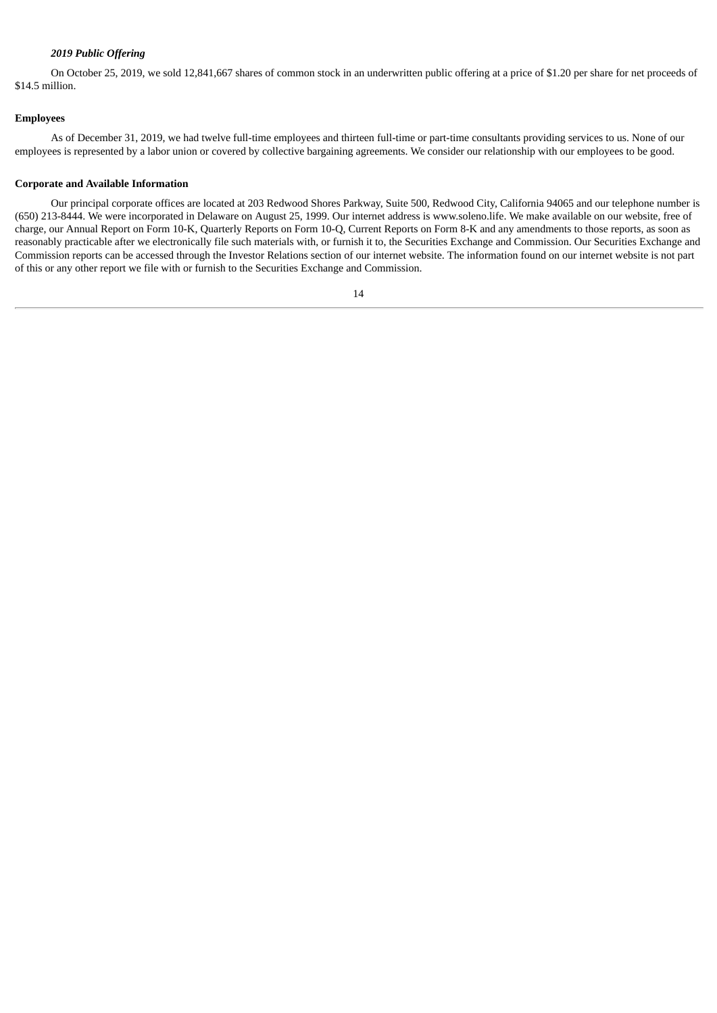# *2019 Public Offering*

On October 25, 2019, we sold 12,841,667 shares of common stock in an underwritten public offering at a price of \$1.20 per share for net proceeds of \$14.5 million.

#### **Employees**

As of December 31, 2019, we had twelve full-time employees and thirteen full-time or part-time consultants providing services to us. None of our employees is represented by a labor union or covered by collective bargaining agreements. We consider our relationship with our employees to be good.

#### **Corporate and Available Information**

Our principal corporate offices are located at 203 Redwood Shores Parkway, Suite 500, Redwood City, California 94065 and our telephone number is (650) 213-8444. We were incorporated in Delaware on August 25, 1999. Our internet address is www.soleno.life. We make available on our website, free of charge, our Annual Report on Form 10-K, Quarterly Reports on Form 10-Q, Current Reports on Form 8-K and any amendments to those reports, as soon as reasonably practicable after we electronically file such materials with, or furnish it to, the Securities Exchange and Commission. Our Securities Exchange and Commission reports can be accessed through the Investor Relations section of our internet website. The information found on our internet website is not part of this or any other report we file with or furnish to the Securities Exchange and Commission.

<sup>14</sup>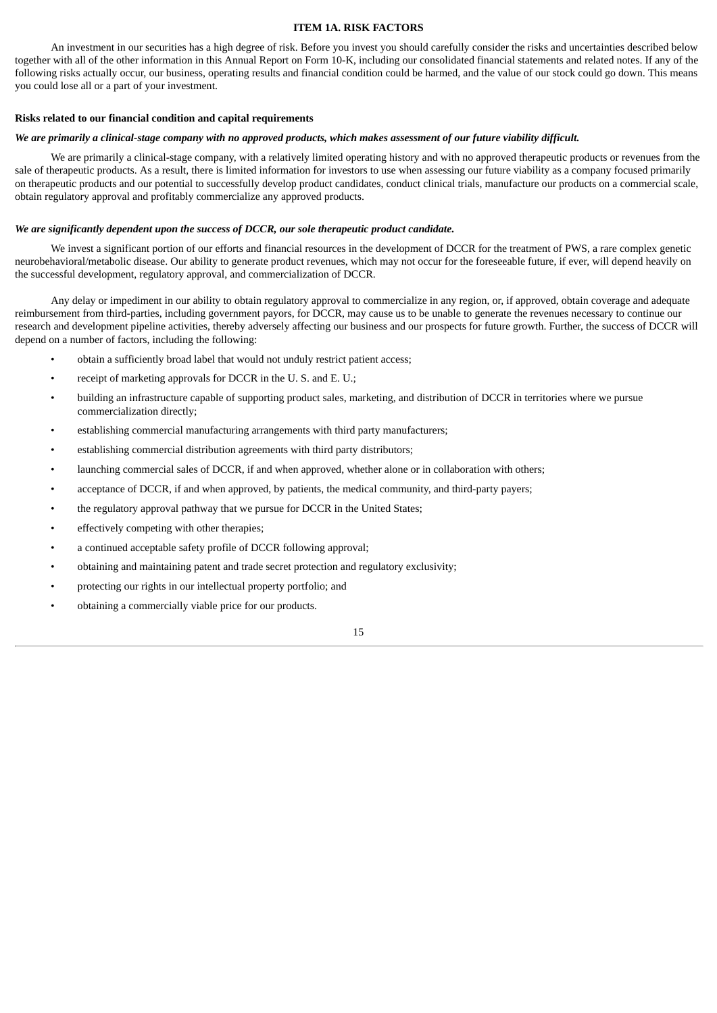# **ITEM 1A. RISK FACTORS**

<span id="page-16-0"></span>An investment in our securities has a high degree of risk. Before you invest you should carefully consider the risks and uncertainties described below together with all of the other information in this Annual Report on Form 10-K, including our consolidated financial statements and related notes. If any of the following risks actually occur, our business, operating results and financial condition could be harmed, and the value of our stock could go down. This means you could lose all or a part of your investment.

# **Risks related to our financial condition and capital requirements**

#### We are primarily a clinical-stage company with no approved products, which makes assessment of our future viability difficult.

We are primarily a clinical-stage company, with a relatively limited operating history and with no approved therapeutic products or revenues from the sale of therapeutic products. As a result, there is limited information for investors to use when assessing our future viability as a company focused primarily on therapeutic products and our potential to successfully develop product candidates, conduct clinical trials, manufacture our products on a commercial scale, obtain regulatory approval and profitably commercialize any approved products.

# *We are significantly dependent upon the success of DCCR, our sole therapeutic product candidate.*

We invest a significant portion of our efforts and financial resources in the development of DCCR for the treatment of PWS, a rare complex genetic neurobehavioral/metabolic disease. Our ability to generate product revenues, which may not occur for the foreseeable future, if ever, will depend heavily on the successful development, regulatory approval, and commercialization of DCCR.

Any delay or impediment in our ability to obtain regulatory approval to commercialize in any region, or, if approved, obtain coverage and adequate reimbursement from third-parties, including government payors, for DCCR, may cause us to be unable to generate the revenues necessary to continue our research and development pipeline activities, thereby adversely affecting our business and our prospects for future growth. Further, the success of DCCR will depend on a number of factors, including the following:

- obtain a sufficiently broad label that would not unduly restrict patient access;
- receipt of marketing approvals for DCCR in the U.S. and E.U.;
- building an infrastructure capable of supporting product sales, marketing, and distribution of DCCR in territories where we pursue commercialization directly;
- establishing commercial manufacturing arrangements with third party manufacturers;
- establishing commercial distribution agreements with third party distributors;
- launching commercial sales of DCCR, if and when approved, whether alone or in collaboration with others;
- acceptance of DCCR, if and when approved, by patients, the medical community, and third-party payers;
- the regulatory approval pathway that we pursue for DCCR in the United States;
- effectively competing with other therapies;
- a continued acceptable safety profile of DCCR following approval;
- obtaining and maintaining patent and trade secret protection and regulatory exclusivity;
- protecting our rights in our intellectual property portfolio; and
- obtaining a commercially viable price for our products.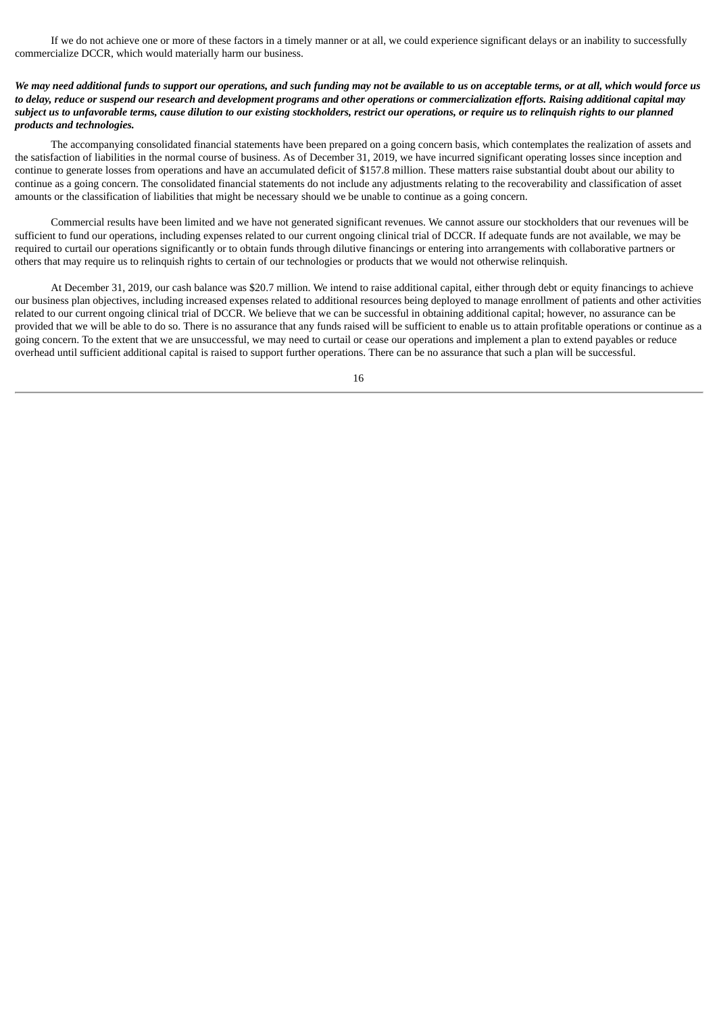If we do not achieve one or more of these factors in a timely manner or at all, we could experience significant delays or an inability to successfully commercialize DCCR, which would materially harm our business.

We may need additional funds to support our operations, and such funding may not be available to us on acceptable terms, or at all, which would force us to delay, reduce or suspend our research and development programs and other operations or commercialization efforts. Raising additional capital may subject us to unfavorable terms, cause dilution to our existing stockholders, restrict our operations, or require us to relinquish rights to our planned *products and technologies.*

The accompanying consolidated financial statements have been prepared on a going concern basis, which contemplates the realization of assets and the satisfaction of liabilities in the normal course of business. As of December 31, 2019, we have incurred significant operating losses since inception and continue to generate losses from operations and have an accumulated deficit of \$157.8 million. These matters raise substantial doubt about our ability to continue as a going concern. The consolidated financial statements do not include any adjustments relating to the recoverability and classification of asset amounts or the classification of liabilities that might be necessary should we be unable to continue as a going concern.

Commercial results have been limited and we have not generated significant revenues. We cannot assure our stockholders that our revenues will be sufficient to fund our operations, including expenses related to our current ongoing clinical trial of DCCR. If adequate funds are not available, we may be required to curtail our operations significantly or to obtain funds through dilutive financings or entering into arrangements with collaborative partners or others that may require us to relinquish rights to certain of our technologies or products that we would not otherwise relinquish.

At December 31, 2019, our cash balance was \$20.7 million. We intend to raise additional capital, either through debt or equity financings to achieve our business plan objectives, including increased expenses related to additional resources being deployed to manage enrollment of patients and other activities related to our current ongoing clinical trial of DCCR. We believe that we can be successful in obtaining additional capital; however, no assurance can be provided that we will be able to do so. There is no assurance that any funds raised will be sufficient to enable us to attain profitable operations or continue as a going concern. To the extent that we are unsuccessful, we may need to curtail or cease our operations and implement a plan to extend payables or reduce overhead until sufficient additional capital is raised to support further operations. There can be no assurance that such a plan will be successful.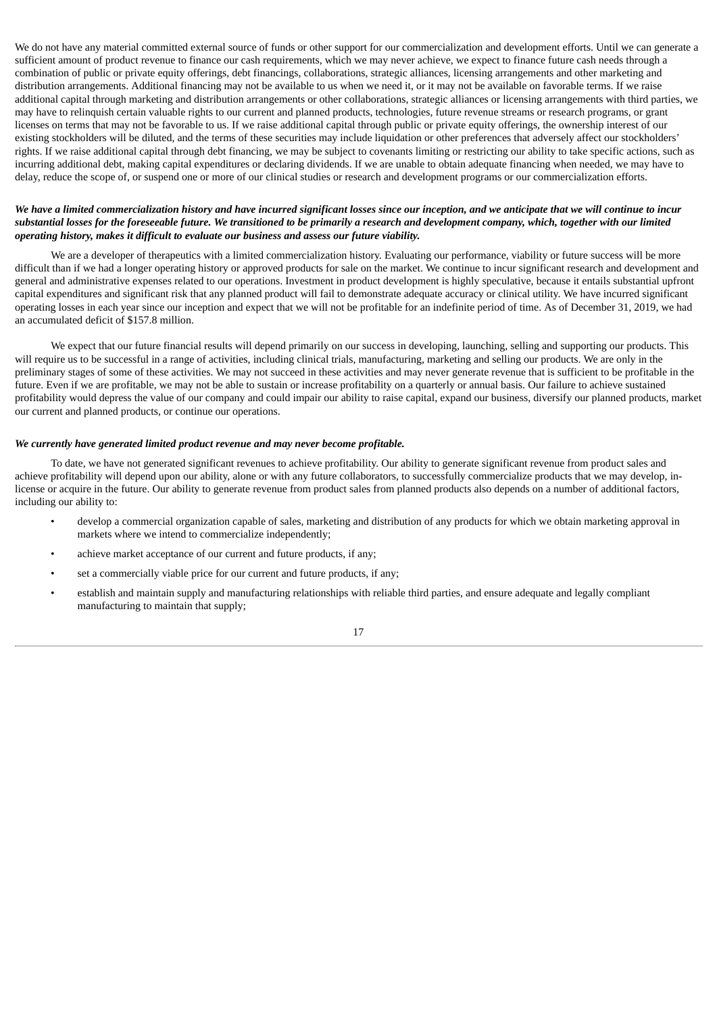We do not have any material committed external source of funds or other support for our commercialization and development efforts. Until we can generate a sufficient amount of product revenue to finance our cash requirements, which we may never achieve, we expect to finance future cash needs through a combination of public or private equity offerings, debt financings, collaborations, strategic alliances, licensing arrangements and other marketing and distribution arrangements. Additional financing may not be available to us when we need it, or it may not be available on favorable terms. If we raise additional capital through marketing and distribution arrangements or other collaborations, strategic alliances or licensing arrangements with third parties, we may have to relinquish certain valuable rights to our current and planned products, technologies, future revenue streams or research programs, or grant licenses on terms that may not be favorable to us. If we raise additional capital through public or private equity offerings, the ownership interest of our existing stockholders will be diluted, and the terms of these securities may include liquidation or other preferences that adversely affect our stockholders' rights. If we raise additional capital through debt financing, we may be subject to covenants limiting or restricting our ability to take specific actions, such as incurring additional debt, making capital expenditures or declaring dividends. If we are unable to obtain adequate financing when needed, we may have to delay, reduce the scope of, or suspend one or more of our clinical studies or research and development programs or our commercialization efforts.

# We have a limited commercialization history and have incurred sianificant losses since our inception, and we anticipate that we will continue to incur substantial losses for the foreseeable future. We transitioned to be primarily a research and development company, which, together with our limited *operating history, makes it difficult to evaluate our business and assess our future viability.*

We are a developer of therapeutics with a limited commercialization history. Evaluating our performance, viability or future success will be more difficult than if we had a longer operating history or approved products for sale on the market. We continue to incur significant research and development and general and administrative expenses related to our operations. Investment in product development is highly speculative, because it entails substantial upfront capital expenditures and significant risk that any planned product will fail to demonstrate adequate accuracy or clinical utility. We have incurred significant operating losses in each year since our inception and expect that we will not be profitable for an indefinite period of time. As of December 31, 2019, we had an accumulated deficit of \$157.8 million.

We expect that our future financial results will depend primarily on our success in developing, launching, selling and supporting our products. This will require us to be successful in a range of activities, including clinical trials, manufacturing, marketing and selling our products. We are only in the preliminary stages of some of these activities. We may not succeed in these activities and may never generate revenue that is sufficient to be profitable in the future. Even if we are profitable, we may not be able to sustain or increase profitability on a quarterly or annual basis. Our failure to achieve sustained profitability would depress the value of our company and could impair our ability to raise capital, expand our business, diversify our planned products, market our current and planned products, or continue our operations.

# *We currently have generated limited product revenue and may never become profitable.*

To date, we have not generated significant revenues to achieve profitability. Our ability to generate significant revenue from product sales and achieve profitability will depend upon our ability, alone or with any future collaborators, to successfully commercialize products that we may develop, inlicense or acquire in the future. Our ability to generate revenue from product sales from planned products also depends on a number of additional factors, including our ability to:

- develop a commercial organization capable of sales, marketing and distribution of any products for which we obtain marketing approval in markets where we intend to commercialize independently;
- achieve market acceptance of our current and future products, if any;
- set a commercially viable price for our current and future products, if any;
- establish and maintain supply and manufacturing relationships with reliable third parties, and ensure adequate and legally compliant manufacturing to maintain that supply;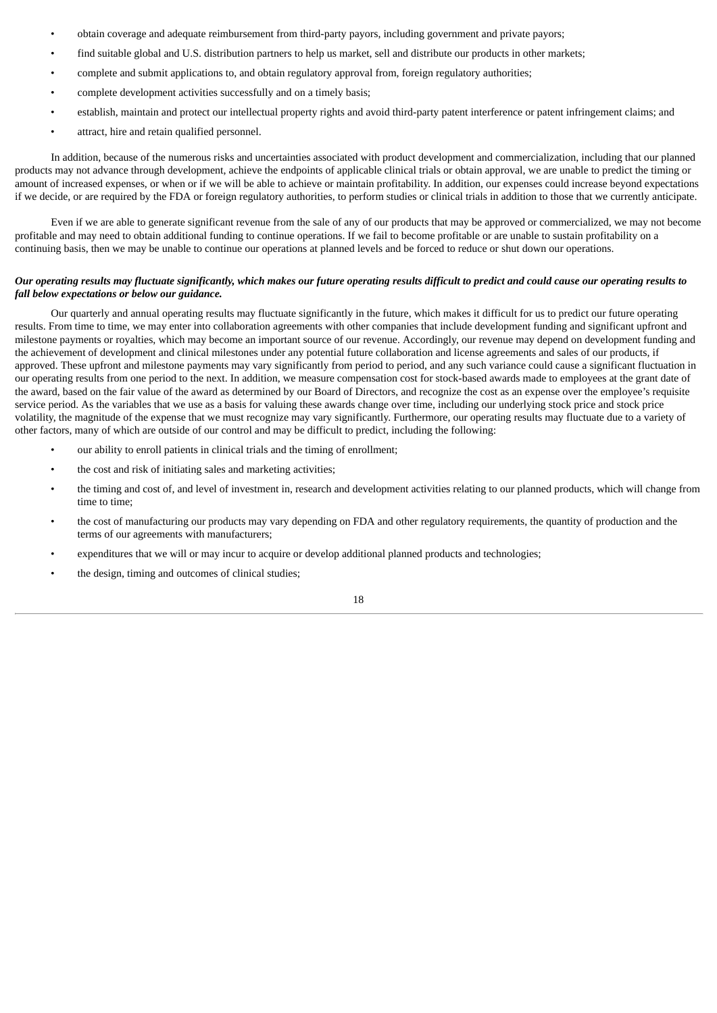- obtain coverage and adequate reimbursement from third-party payors, including government and private payors;
- find suitable global and U.S. distribution partners to help us market, sell and distribute our products in other markets;
- complete and submit applications to, and obtain regulatory approval from, foreign regulatory authorities;
- complete development activities successfully and on a timely basis;
- establish, maintain and protect our intellectual property rights and avoid third-party patent interference or patent infringement claims; and
- attract, hire and retain qualified personnel.

In addition, because of the numerous risks and uncertainties associated with product development and commercialization, including that our planned products may not advance through development, achieve the endpoints of applicable clinical trials or obtain approval, we are unable to predict the timing or amount of increased expenses, or when or if we will be able to achieve or maintain profitability. In addition, our expenses could increase beyond expectations if we decide, or are required by the FDA or foreign regulatory authorities, to perform studies or clinical trials in addition to those that we currently anticipate.

Even if we are able to generate significant revenue from the sale of any of our products that may be approved or commercialized, we may not become profitable and may need to obtain additional funding to continue operations. If we fail to become profitable or are unable to sustain profitability on a continuing basis, then we may be unable to continue our operations at planned levels and be forced to reduce or shut down our operations.

# Our operating results may fluctuate significantly, which makes our future operating results difficult to predict and could cause our operating results to *fall below expectations or below our guidance.*

Our quarterly and annual operating results may fluctuate significantly in the future, which makes it difficult for us to predict our future operating results. From time to time, we may enter into collaboration agreements with other companies that include development funding and significant upfront and milestone payments or royalties, which may become an important source of our revenue. Accordingly, our revenue may depend on development funding and the achievement of development and clinical milestones under any potential future collaboration and license agreements and sales of our products, if approved. These upfront and milestone payments may vary significantly from period to period, and any such variance could cause a significant fluctuation in our operating results from one period to the next. In addition, we measure compensation cost for stock-based awards made to employees at the grant date of the award, based on the fair value of the award as determined by our Board of Directors, and recognize the cost as an expense over the employee's requisite service period. As the variables that we use as a basis for valuing these awards change over time, including our underlying stock price and stock price volatility, the magnitude of the expense that we must recognize may vary significantly. Furthermore, our operating results may fluctuate due to a variety of other factors, many of which are outside of our control and may be difficult to predict, including the following:

- our ability to enroll patients in clinical trials and the timing of enrollment;
- the cost and risk of initiating sales and marketing activities;
- the timing and cost of, and level of investment in, research and development activities relating to our planned products, which will change from time to time;
- the cost of manufacturing our products may vary depending on FDA and other regulatory requirements, the quantity of production and the terms of our agreements with manufacturers;
- expenditures that we will or may incur to acquire or develop additional planned products and technologies;
- the design, timing and outcomes of clinical studies;

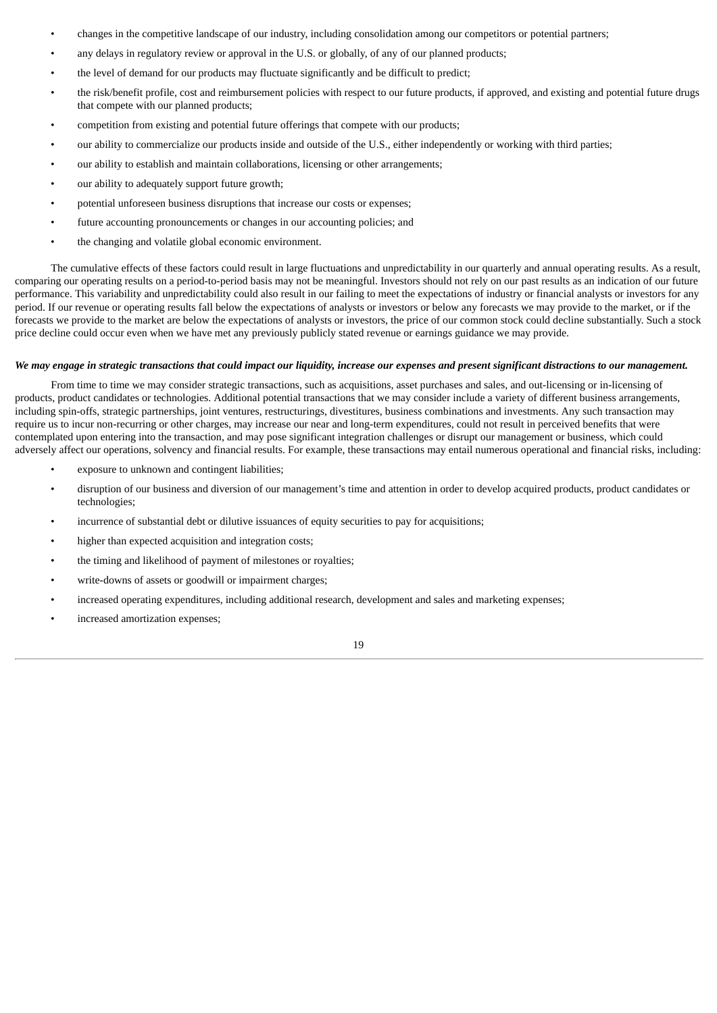- changes in the competitive landscape of our industry, including consolidation among our competitors or potential partners;
- any delays in regulatory review or approval in the U.S. or globally, of any of our planned products;
- the level of demand for our products may fluctuate significantly and be difficult to predict;
- the risk/benefit profile, cost and reimbursement policies with respect to our future products, if approved, and existing and potential future drugs that compete with our planned products;
- competition from existing and potential future offerings that compete with our products;
- our ability to commercialize our products inside and outside of the U.S., either independently or working with third parties;
- our ability to establish and maintain collaborations, licensing or other arrangements;
- our ability to adequately support future growth;
- potential unforeseen business disruptions that increase our costs or expenses;
- future accounting pronouncements or changes in our accounting policies; and
- the changing and volatile global economic environment.

The cumulative effects of these factors could result in large fluctuations and unpredictability in our quarterly and annual operating results. As a result, comparing our operating results on a period-to-period basis may not be meaningful. Investors should not rely on our past results as an indication of our future performance. This variability and unpredictability could also result in our failing to meet the expectations of industry or financial analysts or investors for any period. If our revenue or operating results fall below the expectations of analysts or investors or below any forecasts we may provide to the market, or if the forecasts we provide to the market are below the expectations of analysts or investors, the price of our common stock could decline substantially. Such a stock price decline could occur even when we have met any previously publicly stated revenue or earnings guidance we may provide.

# We may engage in strategic transactions that could impact our liquidity, increase our expenses and present significant distractions to our management.

From time to time we may consider strategic transactions, such as acquisitions, asset purchases and sales, and out-licensing or in-licensing of products, product candidates or technologies. Additional potential transactions that we may consider include a variety of different business arrangements, including spin-offs, strategic partnerships, joint ventures, restructurings, divestitures, business combinations and investments. Any such transaction may require us to incur non-recurring or other charges, may increase our near and long-term expenditures, could not result in perceived benefits that were contemplated upon entering into the transaction, and may pose significant integration challenges or disrupt our management or business, which could adversely affect our operations, solvency and financial results. For example, these transactions may entail numerous operational and financial risks, including:

- exposure to unknown and contingent liabilities;
- disruption of our business and diversion of our management's time and attention in order to develop acquired products, product candidates or technologies;
- incurrence of substantial debt or dilutive issuances of equity securities to pay for acquisitions;
- higher than expected acquisition and integration costs;
- the timing and likelihood of payment of milestones or royalties;
- write-downs of assets or goodwill or impairment charges;
- increased operating expenditures, including additional research, development and sales and marketing expenses;
- increased amortization expenses;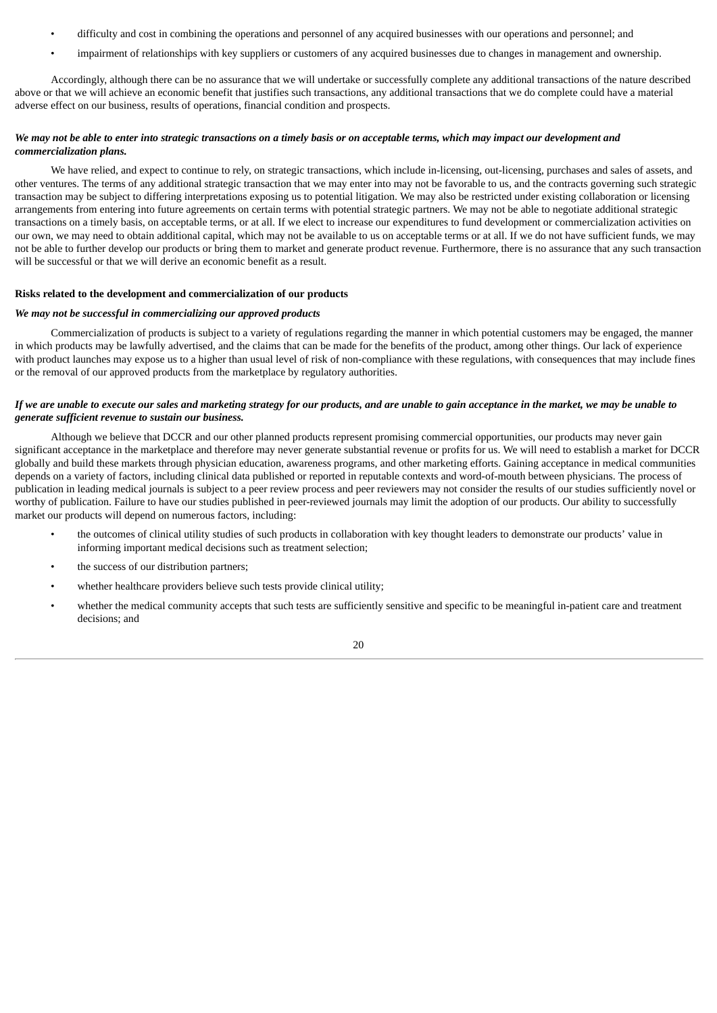- difficulty and cost in combining the operations and personnel of any acquired businesses with our operations and personnel; and
- impairment of relationships with key suppliers or customers of any acquired businesses due to changes in management and ownership.

Accordingly, although there can be no assurance that we will undertake or successfully complete any additional transactions of the nature described above or that we will achieve an economic benefit that justifies such transactions, any additional transactions that we do complete could have a material adverse effect on our business, results of operations, financial condition and prospects.

# We may not be able to enter into strategic transactions on a timely basis or on acceptable terms, which may impact our development and *commercialization plans.*

We have relied, and expect to continue to rely, on strategic transactions, which include in-licensing, out-licensing, purchases and sales of assets, and other ventures. The terms of any additional strategic transaction that we may enter into may not be favorable to us, and the contracts governing such strategic transaction may be subject to differing interpretations exposing us to potential litigation. We may also be restricted under existing collaboration or licensing arrangements from entering into future agreements on certain terms with potential strategic partners. We may not be able to negotiate additional strategic transactions on a timely basis, on acceptable terms, or at all. If we elect to increase our expenditures to fund development or commercialization activities on our own, we may need to obtain additional capital, which may not be available to us on acceptable terms or at all. If we do not have sufficient funds, we may not be able to further develop our products or bring them to market and generate product revenue. Furthermore, there is no assurance that any such transaction will be successful or that we will derive an economic benefit as a result.

# **Risks related to the development and commercialization of our products**

# *We may not be successful in commercializing our approved products*

Commercialization of products is subject to a variety of regulations regarding the manner in which potential customers may be engaged, the manner in which products may be lawfully advertised, and the claims that can be made for the benefits of the product, among other things. Our lack of experience with product launches may expose us to a higher than usual level of risk of non-compliance with these regulations, with consequences that may include fines or the removal of our approved products from the marketplace by regulatory authorities.

# If we are unable to execute our sales and marketing strategy for our products, and are unable to gain acceptance in the market, we may be unable to *generate sufficient revenue to sustain our business.*

Although we believe that DCCR and our other planned products represent promising commercial opportunities, our products may never gain significant acceptance in the marketplace and therefore may never generate substantial revenue or profits for us. We will need to establish a market for DCCR globally and build these markets through physician education, awareness programs, and other marketing efforts. Gaining acceptance in medical communities depends on a variety of factors, including clinical data published or reported in reputable contexts and word-of-mouth between physicians. The process of publication in leading medical journals is subject to a peer review process and peer reviewers may not consider the results of our studies sufficiently novel or worthy of publication. Failure to have our studies published in peer-reviewed journals may limit the adoption of our products. Our ability to successfully market our products will depend on numerous factors, including:

- the outcomes of clinical utility studies of such products in collaboration with key thought leaders to demonstrate our products' value in informing important medical decisions such as treatment selection;
- the success of our distribution partners;
- whether healthcare providers believe such tests provide clinical utility;
- whether the medical community accepts that such tests are sufficiently sensitive and specific to be meaningful in-patient care and treatment decisions; and

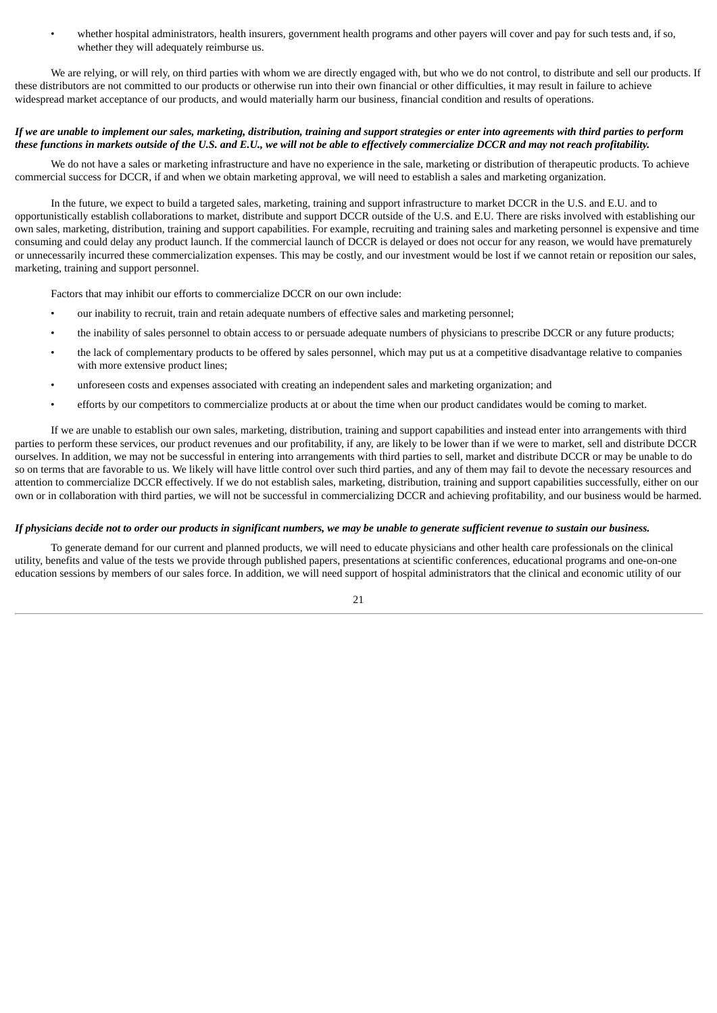• whether hospital administrators, health insurers, government health programs and other payers will cover and pay for such tests and, if so, whether they will adequately reimburse us.

We are relying, or will rely, on third parties with whom we are directly engaged with, but who we do not control, to distribute and sell our products. If these distributors are not committed to our products or otherwise run into their own financial or other difficulties, it may result in failure to achieve widespread market acceptance of our products, and would materially harm our business, financial condition and results of operations.

# If we are unable to implement our sales, marketing, distribution, training and support strategies or enter into agreements with third parties to perform these functions in markets outside of the U.S. and E.U., we will not be able to effectively commercialize DCCR and may not reach profitability.

We do not have a sales or marketing infrastructure and have no experience in the sale, marketing or distribution of therapeutic products. To achieve commercial success for DCCR, if and when we obtain marketing approval, we will need to establish a sales and marketing organization.

In the future, we expect to build a targeted sales, marketing, training and support infrastructure to market DCCR in the U.S. and E.U. and to opportunistically establish collaborations to market, distribute and support DCCR outside of the U.S. and E.U. There are risks involved with establishing our own sales, marketing, distribution, training and support capabilities. For example, recruiting and training sales and marketing personnel is expensive and time consuming and could delay any product launch. If the commercial launch of DCCR is delayed or does not occur for any reason, we would have prematurely or unnecessarily incurred these commercialization expenses. This may be costly, and our investment would be lost if we cannot retain or reposition our sales, marketing, training and support personnel.

Factors that may inhibit our efforts to commercialize DCCR on our own include:

- our inability to recruit, train and retain adequate numbers of effective sales and marketing personnel;
- the inability of sales personnel to obtain access to or persuade adequate numbers of physicians to prescribe DCCR or any future products;
- the lack of complementary products to be offered by sales personnel, which may put us at a competitive disadvantage relative to companies with more extensive product lines;
- unforeseen costs and expenses associated with creating an independent sales and marketing organization; and
- efforts by our competitors to commercialize products at or about the time when our product candidates would be coming to market.

If we are unable to establish our own sales, marketing, distribution, training and support capabilities and instead enter into arrangements with third parties to perform these services, our product revenues and our profitability, if any, are likely to be lower than if we were to market, sell and distribute DCCR ourselves. In addition, we may not be successful in entering into arrangements with third parties to sell, market and distribute DCCR or may be unable to do so on terms that are favorable to us. We likely will have little control over such third parties, and any of them may fail to devote the necessary resources and attention to commercialize DCCR effectively. If we do not establish sales, marketing, distribution, training and support capabilities successfully, either on our own or in collaboration with third parties, we will not be successful in commercializing DCCR and achieving profitability, and our business would be harmed.

# If physicians decide not to order our products in significant numbers, we may be unable to generate sufficient revenue to sustain our business.

To generate demand for our current and planned products, we will need to educate physicians and other health care professionals on the clinical utility, benefits and value of the tests we provide through published papers, presentations at scientific conferences, educational programs and one-on-one education sessions by members of our sales force. In addition, we will need support of hospital administrators that the clinical and economic utility of our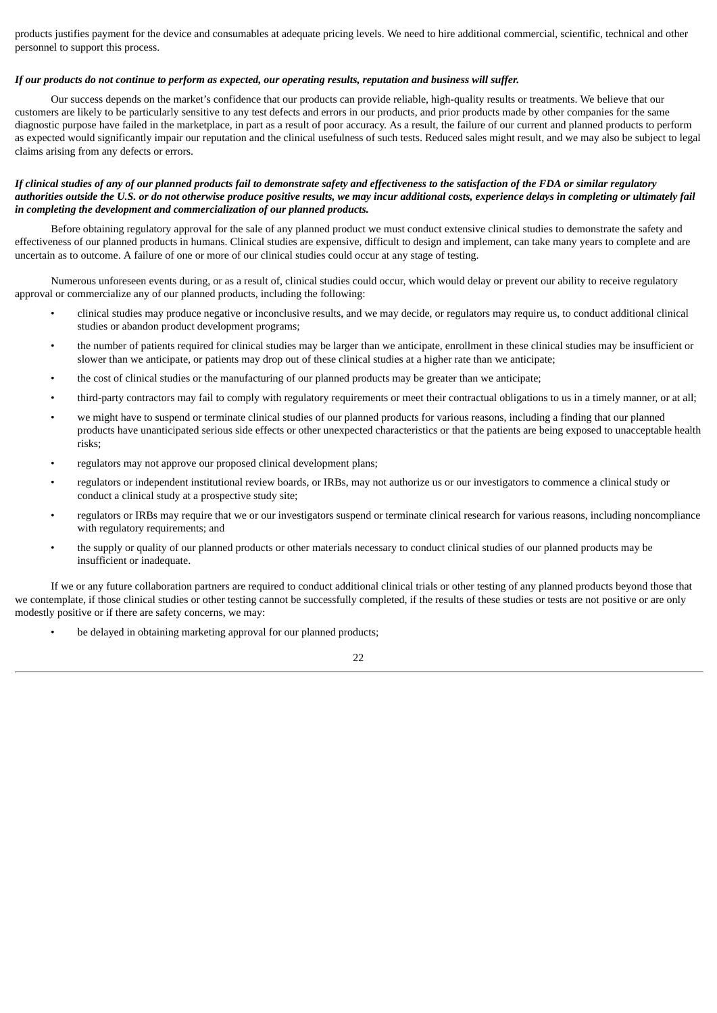products justifies payment for the device and consumables at adequate pricing levels. We need to hire additional commercial, scientific, technical and other personnel to support this process.

# If our products do not continue to perform as expected, our operating results, reputation and business will suffer.

Our success depends on the market's confidence that our products can provide reliable, high-quality results or treatments. We believe that our customers are likely to be particularly sensitive to any test defects and errors in our products, and prior products made by other companies for the same diagnostic purpose have failed in the marketplace, in part as a result of poor accuracy. As a result, the failure of our current and planned products to perform as expected would significantly impair our reputation and the clinical usefulness of such tests. Reduced sales might result, and we may also be subject to legal claims arising from any defects or errors.

# If clinical studies of any of our planned products fail to demonstrate safety and effectiveness to the satisfaction of the FDA or similar reaulatory authorities outside the U.S. or do not otherwise produce positive results, we may incur additional costs, experience delays in completing or ultimately fail *in completing the development and commercialization of our planned products.*

Before obtaining regulatory approval for the sale of any planned product we must conduct extensive clinical studies to demonstrate the safety and effectiveness of our planned products in humans. Clinical studies are expensive, difficult to design and implement, can take many years to complete and are uncertain as to outcome. A failure of one or more of our clinical studies could occur at any stage of testing.

Numerous unforeseen events during, or as a result of, clinical studies could occur, which would delay or prevent our ability to receive regulatory approval or commercialize any of our planned products, including the following:

- clinical studies may produce negative or inconclusive results, and we may decide, or regulators may require us, to conduct additional clinical studies or abandon product development programs;
- the number of patients required for clinical studies may be larger than we anticipate, enrollment in these clinical studies may be insufficient or slower than we anticipate, or patients may drop out of these clinical studies at a higher rate than we anticipate;
- the cost of clinical studies or the manufacturing of our planned products may be greater than we anticipate;
- third-party contractors may fail to comply with regulatory requirements or meet their contractual obligations to us in a timely manner, or at all;
- we might have to suspend or terminate clinical studies of our planned products for various reasons, including a finding that our planned products have unanticipated serious side effects or other unexpected characteristics or that the patients are being exposed to unacceptable health risks;
- regulators may not approve our proposed clinical development plans;
- regulators or independent institutional review boards, or IRBs, may not authorize us or our investigators to commence a clinical study or conduct a clinical study at a prospective study site;
- regulators or IRBs may require that we or our investigators suspend or terminate clinical research for various reasons, including noncompliance with regulatory requirements; and
- the supply or quality of our planned products or other materials necessary to conduct clinical studies of our planned products may be insufficient or inadequate.

If we or any future collaboration partners are required to conduct additional clinical trials or other testing of any planned products beyond those that we contemplate, if those clinical studies or other testing cannot be successfully completed, if the results of these studies or tests are not positive or are only modestly positive or if there are safety concerns, we may:

be delayed in obtaining marketing approval for our planned products;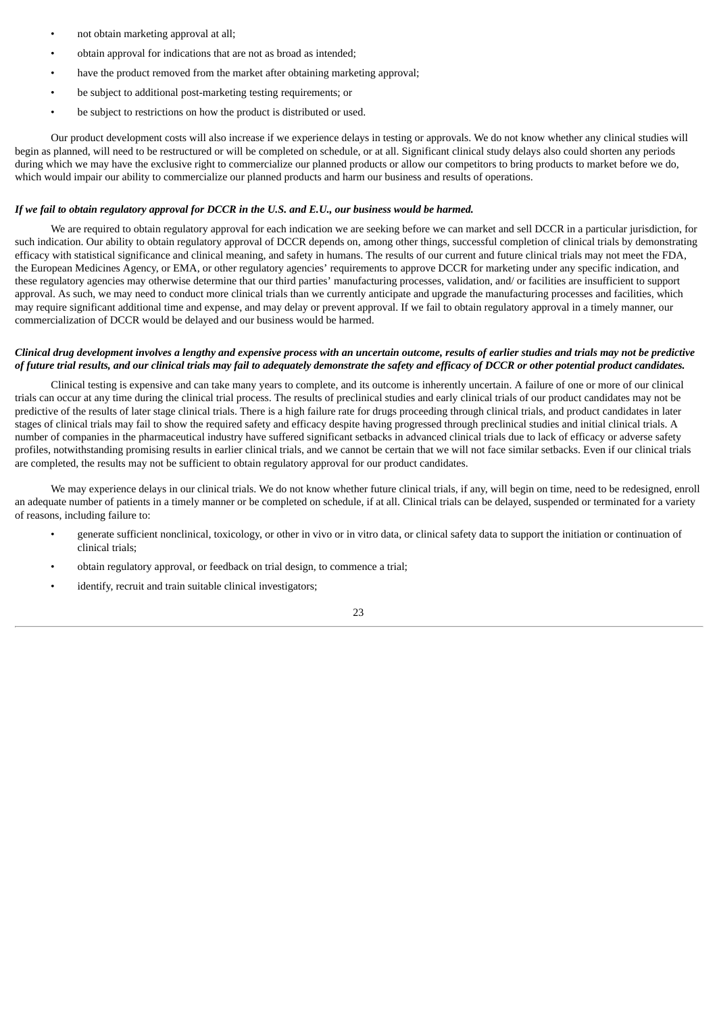- not obtain marketing approval at all;
- obtain approval for indications that are not as broad as intended;
- have the product removed from the market after obtaining marketing approval;
- be subject to additional post-marketing testing requirements; or
- be subject to restrictions on how the product is distributed or used.

Our product development costs will also increase if we experience delays in testing or approvals. We do not know whether any clinical studies will begin as planned, will need to be restructured or will be completed on schedule, or at all. Significant clinical study delays also could shorten any periods during which we may have the exclusive right to commercialize our planned products or allow our competitors to bring products to market before we do, which would impair our ability to commercialize our planned products and harm our business and results of operations.

#### If we fail to obtain reaulatory approval for DCCR in the U.S. and E.U., our business would be harmed.

We are required to obtain regulatory approval for each indication we are seeking before we can market and sell DCCR in a particular jurisdiction, for such indication. Our ability to obtain regulatory approval of DCCR depends on, among other things, successful completion of clinical trials by demonstrating efficacy with statistical significance and clinical meaning, and safety in humans. The results of our current and future clinical trials may not meet the FDA, the European Medicines Agency, or EMA, or other regulatory agencies' requirements to approve DCCR for marketing under any specific indication, and these regulatory agencies may otherwise determine that our third parties' manufacturing processes, validation, and/ or facilities are insufficient to support approval. As such, we may need to conduct more clinical trials than we currently anticipate and upgrade the manufacturing processes and facilities, which may require significant additional time and expense, and may delay or prevent approval. If we fail to obtain regulatory approval in a timely manner, our commercialization of DCCR would be delayed and our business would be harmed.

# Clinical drug development involves a lengthy and expensive process with an uncertain outcome, results of earlier studies and trials may not be predictive of future trial results, and our clinical trials may fail to adequately demonstrate the safety and efficacy of DCCR or other potential product candidates.

Clinical testing is expensive and can take many years to complete, and its outcome is inherently uncertain. A failure of one or more of our clinical trials can occur at any time during the clinical trial process. The results of preclinical studies and early clinical trials of our product candidates may not be predictive of the results of later stage clinical trials. There is a high failure rate for drugs proceeding through clinical trials, and product candidates in later stages of clinical trials may fail to show the required safety and efficacy despite having progressed through preclinical studies and initial clinical trials. A number of companies in the pharmaceutical industry have suffered significant setbacks in advanced clinical trials due to lack of efficacy or adverse safety profiles, notwithstanding promising results in earlier clinical trials, and we cannot be certain that we will not face similar setbacks. Even if our clinical trials are completed, the results may not be sufficient to obtain regulatory approval for our product candidates.

We may experience delays in our clinical trials. We do not know whether future clinical trials, if any, will begin on time, need to be redesigned, enroll an adequate number of patients in a timely manner or be completed on schedule, if at all. Clinical trials can be delayed, suspended or terminated for a variety of reasons, including failure to:

- generate sufficient nonclinical, toxicology, or other in vivo or in vitro data, or clinical safety data to support the initiation or continuation of clinical trials;
- obtain regulatory approval, or feedback on trial design, to commence a trial;
- identify, recruit and train suitable clinical investigators;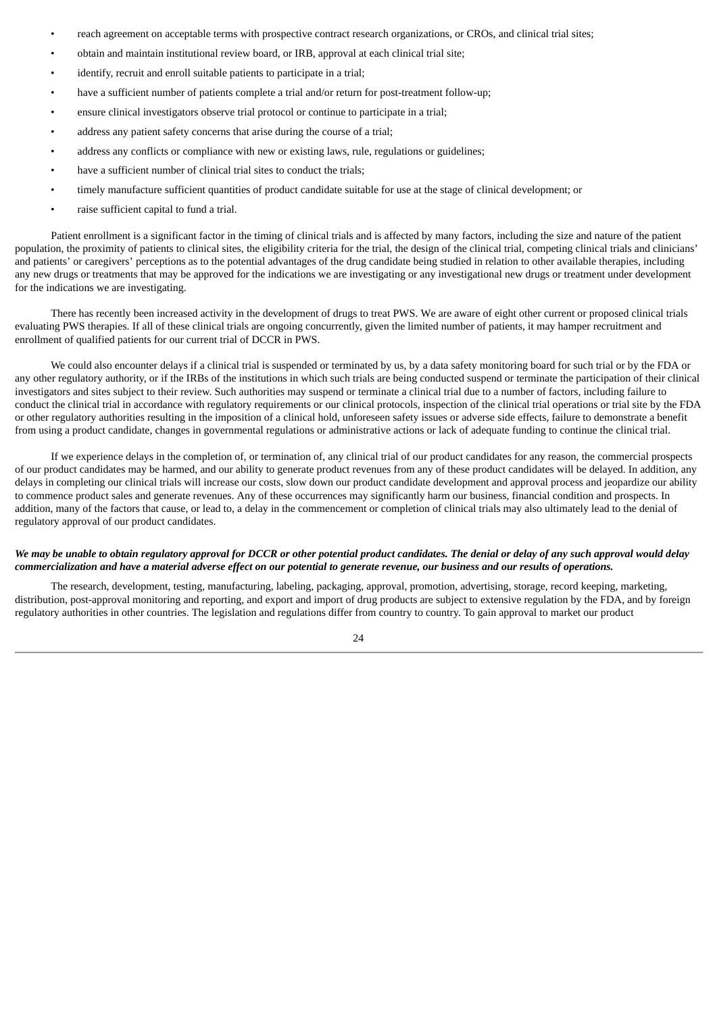- reach agreement on acceptable terms with prospective contract research organizations, or CROs, and clinical trial sites;
- obtain and maintain institutional review board, or IRB, approval at each clinical trial site;
- identify, recruit and enroll suitable patients to participate in a trial;
- have a sufficient number of patients complete a trial and/or return for post-treatment follow-up;
- ensure clinical investigators observe trial protocol or continue to participate in a trial;
- address any patient safety concerns that arise during the course of a trial;
- address any conflicts or compliance with new or existing laws, rule, regulations or guidelines;
- have a sufficient number of clinical trial sites to conduct the trials;
- timely manufacture sufficient quantities of product candidate suitable for use at the stage of clinical development; or
- raise sufficient capital to fund a trial.

Patient enrollment is a significant factor in the timing of clinical trials and is affected by many factors, including the size and nature of the patient population, the proximity of patients to clinical sites, the eligibility criteria for the trial, the design of the clinical trial, competing clinical trials and clinicians' and patients' or caregivers' perceptions as to the potential advantages of the drug candidate being studied in relation to other available therapies, including any new drugs or treatments that may be approved for the indications we are investigating or any investigational new drugs or treatment under development for the indications we are investigating.

There has recently been increased activity in the development of drugs to treat PWS. We are aware of eight other current or proposed clinical trials evaluating PWS therapies. If all of these clinical trials are ongoing concurrently, given the limited number of patients, it may hamper recruitment and enrollment of qualified patients for our current trial of DCCR in PWS.

We could also encounter delays if a clinical trial is suspended or terminated by us, by a data safety monitoring board for such trial or by the FDA or any other regulatory authority, or if the IRBs of the institutions in which such trials are being conducted suspend or terminate the participation of their clinical investigators and sites subject to their review. Such authorities may suspend or terminate a clinical trial due to a number of factors, including failure to conduct the clinical trial in accordance with regulatory requirements or our clinical protocols, inspection of the clinical trial operations or trial site by the FDA or other regulatory authorities resulting in the imposition of a clinical hold, unforeseen safety issues or adverse side effects, failure to demonstrate a benefit from using a product candidate, changes in governmental regulations or administrative actions or lack of adequate funding to continue the clinical trial.

If we experience delays in the completion of, or termination of, any clinical trial of our product candidates for any reason, the commercial prospects of our product candidates may be harmed, and our ability to generate product revenues from any of these product candidates will be delayed. In addition, any delays in completing our clinical trials will increase our costs, slow down our product candidate development and approval process and jeopardize our ability to commence product sales and generate revenues. Any of these occurrences may significantly harm our business, financial condition and prospects. In addition, many of the factors that cause, or lead to, a delay in the commencement or completion of clinical trials may also ultimately lead to the denial of regulatory approval of our product candidates.

# We may be unable to obtain regulatory approval for DCCR or other potential product candidates. The denial or delay of any such approval would delay commercialization and have a material adverse effect on our potential to generate revenue, our business and our results of operations.

The research, development, testing, manufacturing, labeling, packaging, approval, promotion, advertising, storage, record keeping, marketing, distribution, post-approval monitoring and reporting, and export and import of drug products are subject to extensive regulation by the FDA, and by foreign regulatory authorities in other countries. The legislation and regulations differ from country to country. To gain approval to market our product

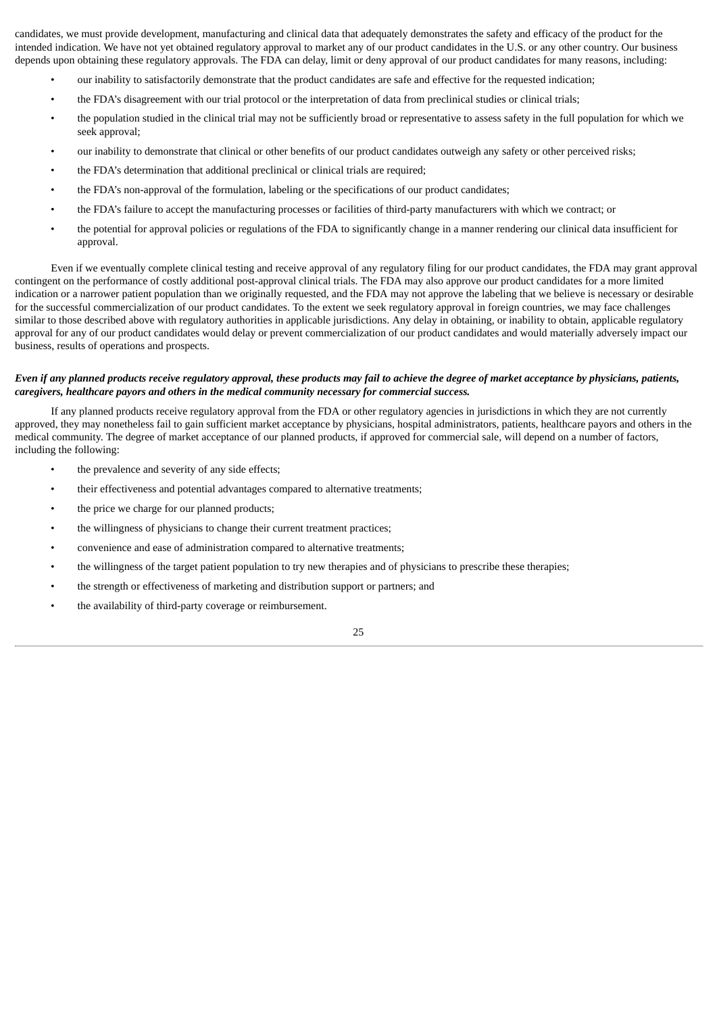candidates, we must provide development, manufacturing and clinical data that adequately demonstrates the safety and efficacy of the product for the intended indication. We have not yet obtained regulatory approval to market any of our product candidates in the U.S. or any other country. Our business depends upon obtaining these regulatory approvals. The FDA can delay, limit or deny approval of our product candidates for many reasons, including:

- our inability to satisfactorily demonstrate that the product candidates are safe and effective for the requested indication;
- the FDA's disagreement with our trial protocol or the interpretation of data from preclinical studies or clinical trials;
- the population studied in the clinical trial may not be sufficiently broad or representative to assess safety in the full population for which we seek approval;
- our inability to demonstrate that clinical or other benefits of our product candidates outweigh any safety or other perceived risks;
- the FDA's determination that additional preclinical or clinical trials are required;
- the FDA's non-approval of the formulation, labeling or the specifications of our product candidates;
- the FDA's failure to accept the manufacturing processes or facilities of third-party manufacturers with which we contract; or
- the potential for approval policies or regulations of the FDA to significantly change in a manner rendering our clinical data insufficient for approval.

Even if we eventually complete clinical testing and receive approval of any regulatory filing for our product candidates, the FDA may grant approval contingent on the performance of costly additional post-approval clinical trials. The FDA may also approve our product candidates for a more limited indication or a narrower patient population than we originally requested, and the FDA may not approve the labeling that we believe is necessary or desirable for the successful commercialization of our product candidates. To the extent we seek regulatory approval in foreign countries, we may face challenges similar to those described above with regulatory authorities in applicable jurisdictions. Any delay in obtaining, or inability to obtain, applicable regulatory approval for any of our product candidates would delay or prevent commercialization of our product candidates and would materially adversely impact our business, results of operations and prospects.

# Even if any planned products receive regulatory approval, these products may fail to achieve the degree of market acceptance by physicians, patients, *caregivers, healthcare payors and others in the medical community necessary for commercial success.*

If any planned products receive regulatory approval from the FDA or other regulatory agencies in jurisdictions in which they are not currently approved, they may nonetheless fail to gain sufficient market acceptance by physicians, hospital administrators, patients, healthcare payors and others in the medical community. The degree of market acceptance of our planned products, if approved for commercial sale, will depend on a number of factors, including the following:

- the prevalence and severity of any side effects;
- their effectiveness and potential advantages compared to alternative treatments;
- the price we charge for our planned products;
- the willingness of physicians to change their current treatment practices;
- convenience and ease of administration compared to alternative treatments;
- the willingness of the target patient population to try new therapies and of physicians to prescribe these therapies;
- the strength or effectiveness of marketing and distribution support or partners; and
- the availability of third-party coverage or reimbursement.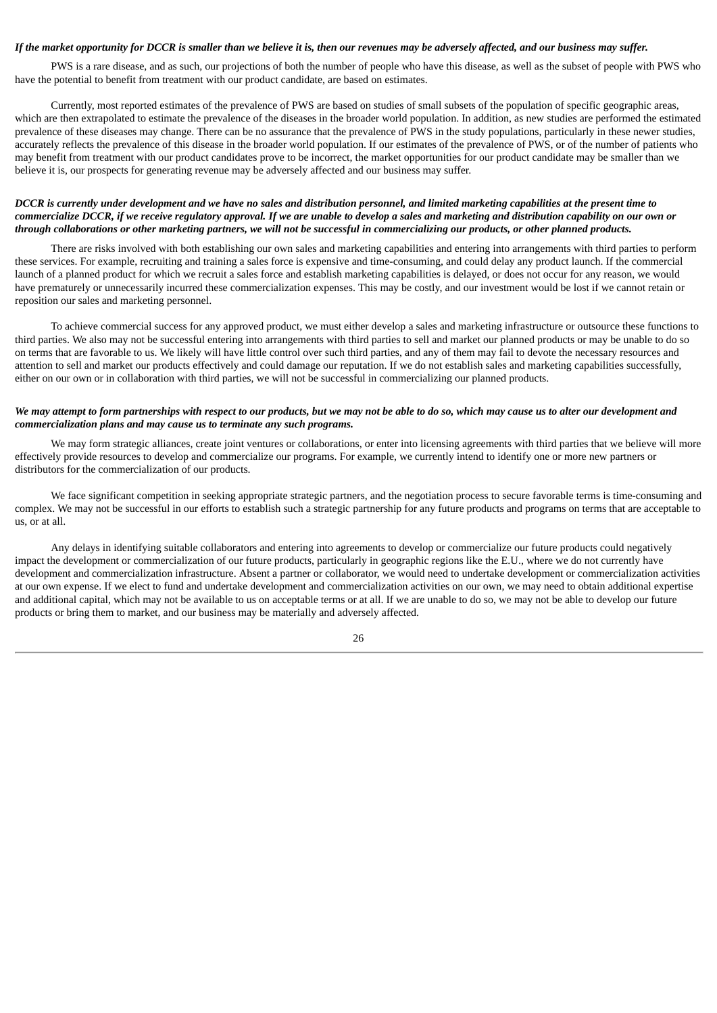# If the market opportunity for DCCR is smaller than we believe it is, then our revenues may be adversely affected, and our business may suffer.

PWS is a rare disease, and as such, our projections of both the number of people who have this disease, as well as the subset of people with PWS who have the potential to benefit from treatment with our product candidate, are based on estimates.

Currently, most reported estimates of the prevalence of PWS are based on studies of small subsets of the population of specific geographic areas, which are then extrapolated to estimate the prevalence of the diseases in the broader world population. In addition, as new studies are performed the estimated prevalence of these diseases may change. There can be no assurance that the prevalence of PWS in the study populations, particularly in these newer studies, accurately reflects the prevalence of this disease in the broader world population. If our estimates of the prevalence of PWS, or of the number of patients who may benefit from treatment with our product candidates prove to be incorrect, the market opportunities for our product candidate may be smaller than we believe it is, our prospects for generating revenue may be adversely affected and our business may suffer.

# DCCR is currently under development and we have no sales and distribution personnel, and limited marketing capabilities at the present time to commercialize DCCR, if we receive regulatory approval. If we are unable to develop a sales and marketing and distribution capability on our own or through collaborations or other marketing partners, we will not be successful in commercializing our products, or other planned products.

There are risks involved with both establishing our own sales and marketing capabilities and entering into arrangements with third parties to perform these services. For example, recruiting and training a sales force is expensive and time-consuming, and could delay any product launch. If the commercial launch of a planned product for which we recruit a sales force and establish marketing capabilities is delayed, or does not occur for any reason, we would have prematurely or unnecessarily incurred these commercialization expenses. This may be costly, and our investment would be lost if we cannot retain or reposition our sales and marketing personnel.

To achieve commercial success for any approved product, we must either develop a sales and marketing infrastructure or outsource these functions to third parties. We also may not be successful entering into arrangements with third parties to sell and market our planned products or may be unable to do so on terms that are favorable to us. We likely will have little control over such third parties, and any of them may fail to devote the necessary resources and attention to sell and market our products effectively and could damage our reputation. If we do not establish sales and marketing capabilities successfully, either on our own or in collaboration with third parties, we will not be successful in commercializing our planned products.

# We may attempt to form partnerships with respect to our products, but we may not be able to do so, which may cause us to alter our development and *commercialization plans and may cause us to terminate any such programs.*

We may form strategic alliances, create joint ventures or collaborations, or enter into licensing agreements with third parties that we believe will more effectively provide resources to develop and commercialize our programs. For example, we currently intend to identify one or more new partners or distributors for the commercialization of our products.

We face significant competition in seeking appropriate strategic partners, and the negotiation process to secure favorable terms is time-consuming and complex. We may not be successful in our efforts to establish such a strategic partnership for any future products and programs on terms that are acceptable to us, or at all.

Any delays in identifying suitable collaborators and entering into agreements to develop or commercialize our future products could negatively impact the development or commercialization of our future products, particularly in geographic regions like the E.U., where we do not currently have development and commercialization infrastructure. Absent a partner or collaborator, we would need to undertake development or commercialization activities at our own expense. If we elect to fund and undertake development and commercialization activities on our own, we may need to obtain additional expertise and additional capital, which may not be available to us on acceptable terms or at all. If we are unable to do so, we may not be able to develop our future products or bring them to market, and our business may be materially and adversely affected.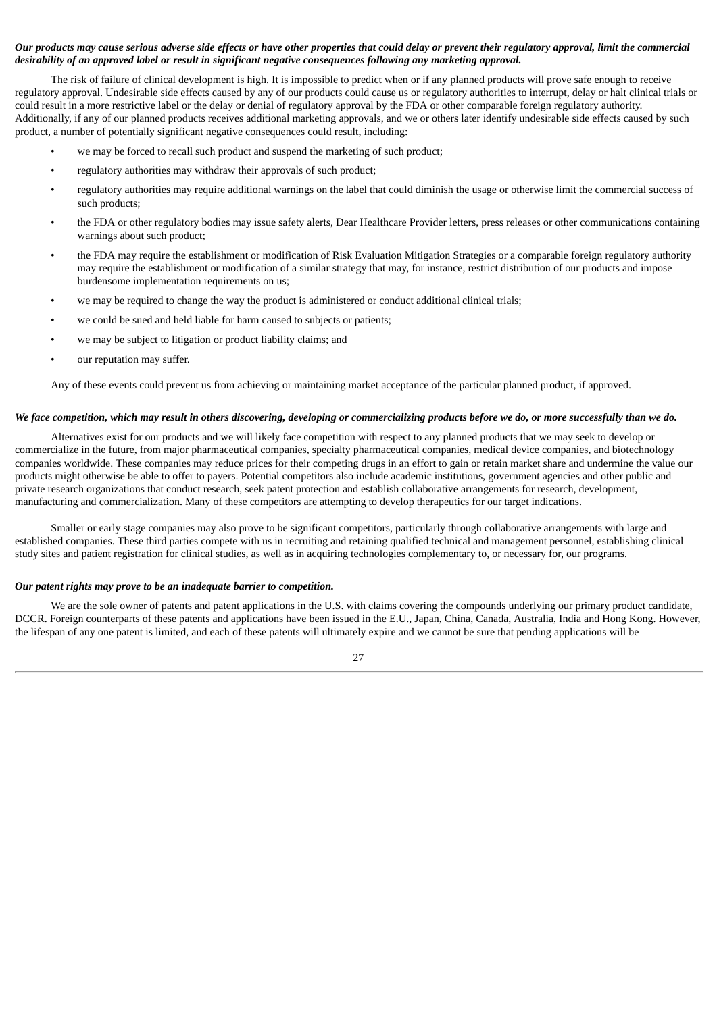# Our products may cause serious adverse side effects or have other properties that could delay or prevent their regulatory approval, limit the commercial *desirability of an approved label or result in significant negative consequences following any marketing approval.*

The risk of failure of clinical development is high. It is impossible to predict when or if any planned products will prove safe enough to receive regulatory approval. Undesirable side effects caused by any of our products could cause us or regulatory authorities to interrupt, delay or halt clinical trials or could result in a more restrictive label or the delay or denial of regulatory approval by the FDA or other comparable foreign regulatory authority. Additionally, if any of our planned products receives additional marketing approvals, and we or others later identify undesirable side effects caused by such product, a number of potentially significant negative consequences could result, including:

- we may be forced to recall such product and suspend the marketing of such product;
- regulatory authorities may withdraw their approvals of such product;
- regulatory authorities may require additional warnings on the label that could diminish the usage or otherwise limit the commercial success of such products;
- the FDA or other regulatory bodies may issue safety alerts, Dear Healthcare Provider letters, press releases or other communications containing warnings about such product;
- the FDA may require the establishment or modification of Risk Evaluation Mitigation Strategies or a comparable foreign regulatory authority may require the establishment or modification of a similar strategy that may, for instance, restrict distribution of our products and impose burdensome implementation requirements on us;
- we may be required to change the way the product is administered or conduct additional clinical trials;
- we could be sued and held liable for harm caused to subjects or patients;
- we may be subject to litigation or product liability claims; and
- our reputation may suffer.

Any of these events could prevent us from achieving or maintaining market acceptance of the particular planned product, if approved.

### We face competition, which may result in others discovering, developing or commercializing products before we do, or more successfully than we do.

Alternatives exist for our products and we will likely face competition with respect to any planned products that we may seek to develop or commercialize in the future, from major pharmaceutical companies, specialty pharmaceutical companies, medical device companies, and biotechnology companies worldwide. These companies may reduce prices for their competing drugs in an effort to gain or retain market share and undermine the value our products might otherwise be able to offer to payers. Potential competitors also include academic institutions, government agencies and other public and private research organizations that conduct research, seek patent protection and establish collaborative arrangements for research, development, manufacturing and commercialization. Many of these competitors are attempting to develop therapeutics for our target indications.

Smaller or early stage companies may also prove to be significant competitors, particularly through collaborative arrangements with large and established companies. These third parties compete with us in recruiting and retaining qualified technical and management personnel, establishing clinical study sites and patient registration for clinical studies, as well as in acquiring technologies complementary to, or necessary for, our programs.

#### *Our patent rights may prove to be an inadequate barrier to competition.*

We are the sole owner of patents and patent applications in the U.S. with claims covering the compounds underlying our primary product candidate, DCCR. Foreign counterparts of these patents and applications have been issued in the E.U., Japan, China, Canada, Australia, India and Hong Kong. However, the lifespan of any one patent is limited, and each of these patents will ultimately expire and we cannot be sure that pending applications will be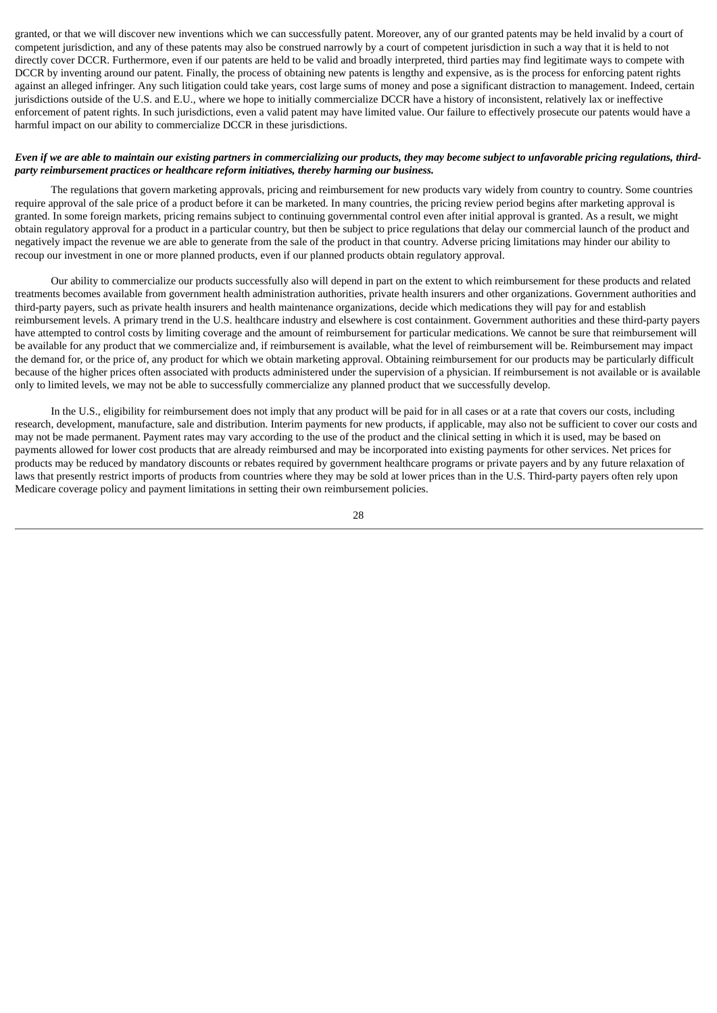granted, or that we will discover new inventions which we can successfully patent. Moreover, any of our granted patents may be held invalid by a court of competent jurisdiction, and any of these patents may also be construed narrowly by a court of competent jurisdiction in such a way that it is held to not directly cover DCCR. Furthermore, even if our patents are held to be valid and broadly interpreted, third parties may find legitimate ways to compete with DCCR by inventing around our patent. Finally, the process of obtaining new patents is lengthy and expensive, as is the process for enforcing patent rights against an alleged infringer. Any such litigation could take years, cost large sums of money and pose a significant distraction to management. Indeed, certain jurisdictions outside of the U.S. and E.U., where we hope to initially commercialize DCCR have a history of inconsistent, relatively lax or ineffective enforcement of patent rights. In such jurisdictions, even a valid patent may have limited value. Our failure to effectively prosecute our patents would have a harmful impact on our ability to commercialize DCCR in these jurisdictions.

# Even if we are able to maintain our existing partners in commercializing our products, they may become subject to unfavorable pricing regulations, third*party reimbursement practices or healthcare reform initiatives, thereby harming our business.*

The regulations that govern marketing approvals, pricing and reimbursement for new products vary widely from country to country. Some countries require approval of the sale price of a product before it can be marketed. In many countries, the pricing review period begins after marketing approval is granted. In some foreign markets, pricing remains subject to continuing governmental control even after initial approval is granted. As a result, we might obtain regulatory approval for a product in a particular country, but then be subject to price regulations that delay our commercial launch of the product and negatively impact the revenue we are able to generate from the sale of the product in that country. Adverse pricing limitations may hinder our ability to recoup our investment in one or more planned products, even if our planned products obtain regulatory approval.

Our ability to commercialize our products successfully also will depend in part on the extent to which reimbursement for these products and related treatments becomes available from government health administration authorities, private health insurers and other organizations. Government authorities and third-party payers, such as private health insurers and health maintenance organizations, decide which medications they will pay for and establish reimbursement levels. A primary trend in the U.S. healthcare industry and elsewhere is cost containment. Government authorities and these third-party payers have attempted to control costs by limiting coverage and the amount of reimbursement for particular medications. We cannot be sure that reimbursement will be available for any product that we commercialize and, if reimbursement is available, what the level of reimbursement will be. Reimbursement may impact the demand for, or the price of, any product for which we obtain marketing approval. Obtaining reimbursement for our products may be particularly difficult because of the higher prices often associated with products administered under the supervision of a physician. If reimbursement is not available or is available only to limited levels, we may not be able to successfully commercialize any planned product that we successfully develop.

In the U.S., eligibility for reimbursement does not imply that any product will be paid for in all cases or at a rate that covers our costs, including research, development, manufacture, sale and distribution. Interim payments for new products, if applicable, may also not be sufficient to cover our costs and may not be made permanent. Payment rates may vary according to the use of the product and the clinical setting in which it is used, may be based on payments allowed for lower cost products that are already reimbursed and may be incorporated into existing payments for other services. Net prices for products may be reduced by mandatory discounts or rebates required by government healthcare programs or private payers and by any future relaxation of laws that presently restrict imports of products from countries where they may be sold at lower prices than in the U.S. Third-party payers often rely upon Medicare coverage policy and payment limitations in setting their own reimbursement policies.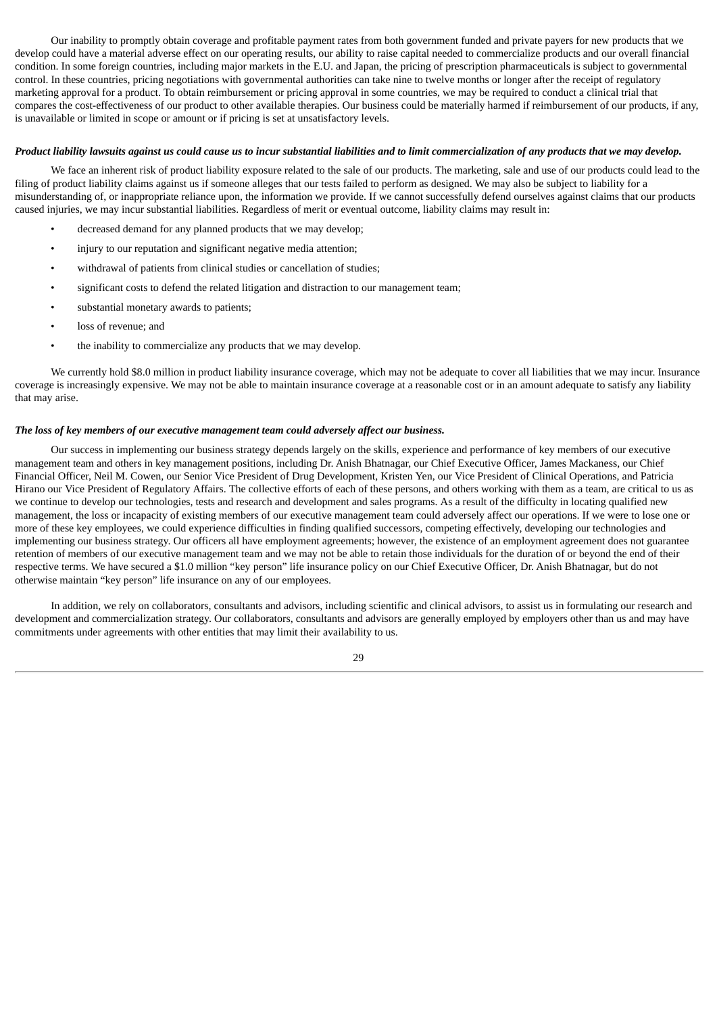Our inability to promptly obtain coverage and profitable payment rates from both government funded and private payers for new products that we develop could have a material adverse effect on our operating results, our ability to raise capital needed to commercialize products and our overall financial condition. In some foreign countries, including major markets in the E.U. and Japan, the pricing of prescription pharmaceuticals is subject to governmental control. In these countries, pricing negotiations with governmental authorities can take nine to twelve months or longer after the receipt of regulatory marketing approval for a product. To obtain reimbursement or pricing approval in some countries, we may be required to conduct a clinical trial that compares the cost-effectiveness of our product to other available therapies. Our business could be materially harmed if reimbursement of our products, if any, is unavailable or limited in scope or amount or if pricing is set at unsatisfactory levels.

#### Product liability lawsuits against us could cause us to incur substantial liabilities and to limit commercialization of any products that we may develop.

We face an inherent risk of product liability exposure related to the sale of our products. The marketing, sale and use of our products could lead to the filing of product liability claims against us if someone alleges that our tests failed to perform as designed. We may also be subject to liability for a misunderstanding of, or inappropriate reliance upon, the information we provide. If we cannot successfully defend ourselves against claims that our products caused injuries, we may incur substantial liabilities. Regardless of merit or eventual outcome, liability claims may result in:

- decreased demand for any planned products that we may develop;
- injury to our reputation and significant negative media attention;
- withdrawal of patients from clinical studies or cancellation of studies;
- significant costs to defend the related litigation and distraction to our management team;
- substantial monetary awards to patients;
- loss of revenue; and
- the inability to commercialize any products that we may develop.

We currently hold \$8.0 million in product liability insurance coverage, which may not be adequate to cover all liabilities that we may incur. Insurance coverage is increasingly expensive. We may not be able to maintain insurance coverage at a reasonable cost or in an amount adequate to satisfy any liability that may arise.

# *The loss of key members of our executive management team could adversely affect our business.*

Our success in implementing our business strategy depends largely on the skills, experience and performance of key members of our executive management team and others in key management positions, including Dr. Anish Bhatnagar, our Chief Executive Officer, James Mackaness, our Chief Financial Officer, Neil M. Cowen, our Senior Vice President of Drug Development, Kristen Yen, our Vice President of Clinical Operations, and Patricia Hirano our Vice President of Regulatory Affairs. The collective efforts of each of these persons, and others working with them as a team, are critical to us as we continue to develop our technologies, tests and research and development and sales programs. As a result of the difficulty in locating qualified new management, the loss or incapacity of existing members of our executive management team could adversely affect our operations. If we were to lose one or more of these key employees, we could experience difficulties in finding qualified successors, competing effectively, developing our technologies and implementing our business strategy. Our officers all have employment agreements; however, the existence of an employment agreement does not guarantee retention of members of our executive management team and we may not be able to retain those individuals for the duration of or beyond the end of their respective terms. We have secured a \$1.0 million "key person" life insurance policy on our Chief Executive Officer, Dr. Anish Bhatnagar, but do not otherwise maintain "key person" life insurance on any of our employees.

In addition, we rely on collaborators, consultants and advisors, including scientific and clinical advisors, to assist us in formulating our research and development and commercialization strategy. Our collaborators, consultants and advisors are generally employed by employers other than us and may have commitments under agreements with other entities that may limit their availability to us.

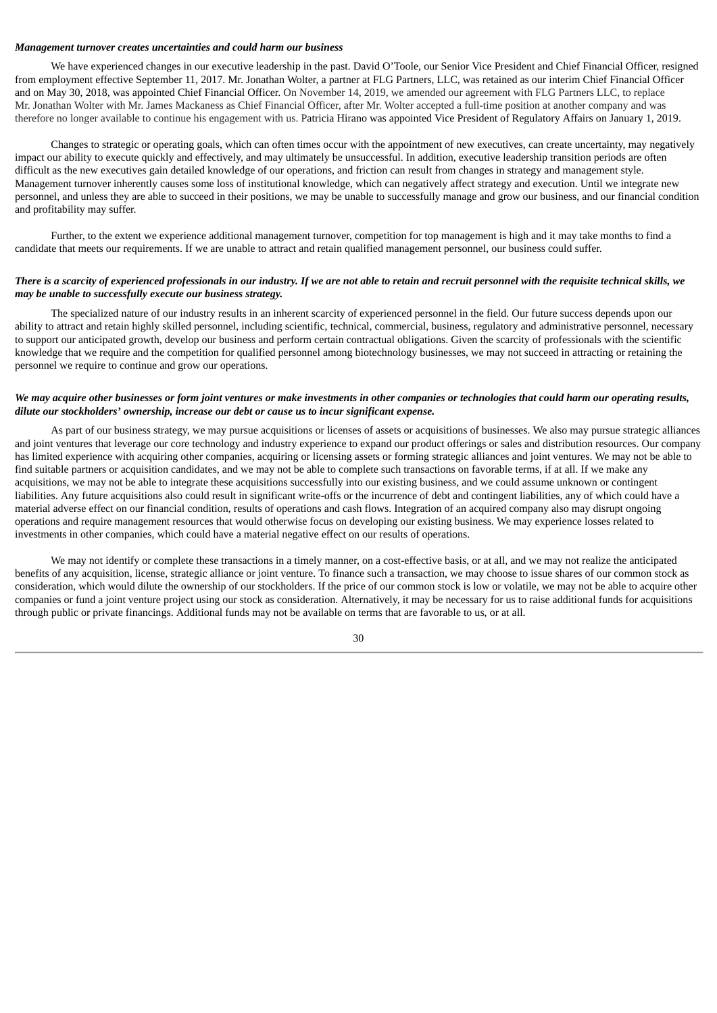# *Management turnover creates uncertainties and could harm our business*

We have experienced changes in our executive leadership in the past. David O'Toole, our Senior Vice President and Chief Financial Officer, resigned from employment effective September 11, 2017. Mr. Jonathan Wolter, a partner at FLG Partners, LLC, was retained as our interim Chief Financial Officer and on May 30, 2018, was appointed Chief Financial Officer. On November 14, 2019, we amended our agreement with FLG Partners LLC, to replace Mr. Jonathan Wolter with Mr. James Mackaness as Chief Financial Officer, after Mr. Wolter accepted a full-time position at another company and was therefore no longer available to continue his engagement with us. Patricia Hirano was appointed Vice President of Regulatory Affairs on January 1, 2019.

Changes to strategic or operating goals, which can often times occur with the appointment of new executives, can create uncertainty, may negatively impact our ability to execute quickly and effectively, and may ultimately be unsuccessful. In addition, executive leadership transition periods are often difficult as the new executives gain detailed knowledge of our operations, and friction can result from changes in strategy and management style. Management turnover inherently causes some loss of institutional knowledge, which can negatively affect strategy and execution. Until we integrate new personnel, and unless they are able to succeed in their positions, we may be unable to successfully manage and grow our business, and our financial condition and profitability may suffer.

Further, to the extent we experience additional management turnover, competition for top management is high and it may take months to find a candidate that meets our requirements. If we are unable to attract and retain qualified management personnel, our business could suffer.

# There is a scarcity of experienced professionals in our industry. If we are not able to retain and recruit personnel with the requisite technical skills, we *may be unable to successfully execute our business strategy.*

The specialized nature of our industry results in an inherent scarcity of experienced personnel in the field. Our future success depends upon our ability to attract and retain highly skilled personnel, including scientific, technical, commercial, business, regulatory and administrative personnel, necessary to support our anticipated growth, develop our business and perform certain contractual obligations. Given the scarcity of professionals with the scientific knowledge that we require and the competition for qualified personnel among biotechnology businesses, we may not succeed in attracting or retaining the personnel we require to continue and grow our operations.

# We may acquire other businesses or form joint ventures or make investments in other companies or technologies that could harm our operating results, *dilute our stockholders' ownership, increase our debt or cause us to incur significant expense.*

As part of our business strategy, we may pursue acquisitions or licenses of assets or acquisitions of businesses. We also may pursue strategic alliances and joint ventures that leverage our core technology and industry experience to expand our product offerings or sales and distribution resources. Our company has limited experience with acquiring other companies, acquiring or licensing assets or forming strategic alliances and joint ventures. We may not be able to find suitable partners or acquisition candidates, and we may not be able to complete such transactions on favorable terms, if at all. If we make any acquisitions, we may not be able to integrate these acquisitions successfully into our existing business, and we could assume unknown or contingent liabilities. Any future acquisitions also could result in significant write-offs or the incurrence of debt and contingent liabilities, any of which could have a material adverse effect on our financial condition, results of operations and cash flows. Integration of an acquired company also may disrupt ongoing operations and require management resources that would otherwise focus on developing our existing business. We may experience losses related to investments in other companies, which could have a material negative effect on our results of operations.

We may not identify or complete these transactions in a timely manner, on a cost-effective basis, or at all, and we may not realize the anticipated benefits of any acquisition, license, strategic alliance or joint venture. To finance such a transaction, we may choose to issue shares of our common stock as consideration, which would dilute the ownership of our stockholders. If the price of our common stock is low or volatile, we may not be able to acquire other companies or fund a joint venture project using our stock as consideration. Alternatively, it may be necessary for us to raise additional funds for acquisitions through public or private financings. Additional funds may not be available on terms that are favorable to us, or at all.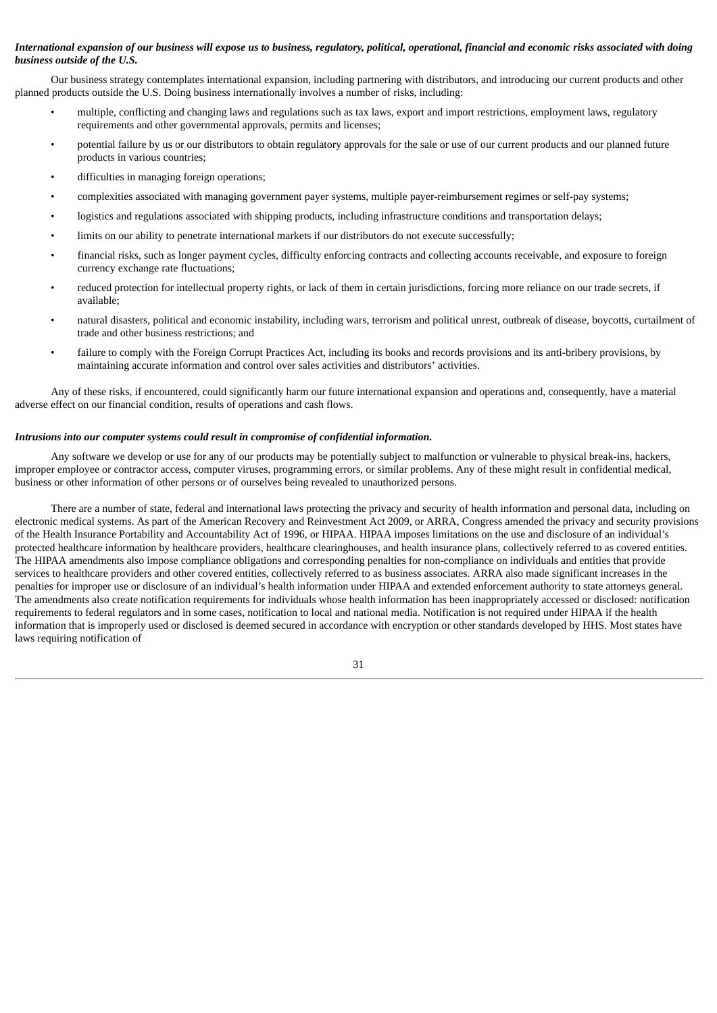# International expansion of our business will expose us to business, regulatory, political, operational, financial and economic risks associated with doing *business outside of the U.S.*

Our business strategy contemplates international expansion, including partnering with distributors, and introducing our current products and other planned products outside the U.S. Doing business internationally involves a number of risks, including:

- multiple, conflicting and changing laws and regulations such as tax laws, export and import restrictions, employment laws, regulatory requirements and other governmental approvals, permits and licenses;
- potential failure by us or our distributors to obtain regulatory approvals for the sale or use of our current products and our planned future products in various countries;
- difficulties in managing foreign operations;
- complexities associated with managing government payer systems, multiple payer-reimbursement regimes or self-pay systems;
- logistics and regulations associated with shipping products, including infrastructure conditions and transportation delays;
- limits on our ability to penetrate international markets if our distributors do not execute successfully;
- financial risks, such as longer payment cycles, difficulty enforcing contracts and collecting accounts receivable, and exposure to foreign currency exchange rate fluctuations;
- reduced protection for intellectual property rights, or lack of them in certain jurisdictions, forcing more reliance on our trade secrets, if available;
- natural disasters, political and economic instability, including wars, terrorism and political unrest, outbreak of disease, boycotts, curtailment of trade and other business restrictions; and
- failure to comply with the Foreign Corrupt Practices Act, including its books and records provisions and its anti-bribery provisions, by maintaining accurate information and control over sales activities and distributors' activities.

Any of these risks, if encountered, could significantly harm our future international expansion and operations and, consequently, have a material adverse effect on our financial condition, results of operations and cash flows.

#### *Intrusions into our computer systems could result in compromise of confidential information.*

Any software we develop or use for any of our products may be potentially subject to malfunction or vulnerable to physical break-ins, hackers, improper employee or contractor access, computer viruses, programming errors, or similar problems. Any of these might result in confidential medical, business or other information of other persons or of ourselves being revealed to unauthorized persons.

There are a number of state, federal and international laws protecting the privacy and security of health information and personal data, including on electronic medical systems. As part of the American Recovery and Reinvestment Act 2009, or ARRA, Congress amended the privacy and security provisions of the Health Insurance Portability and Accountability Act of 1996, or HIPAA. HIPAA imposes limitations on the use and disclosure of an individual's protected healthcare information by healthcare providers, healthcare clearinghouses, and health insurance plans, collectively referred to as covered entities. The HIPAA amendments also impose compliance obligations and corresponding penalties for non-compliance on individuals and entities that provide services to healthcare providers and other covered entities, collectively referred to as business associates. ARRA also made significant increases in the penalties for improper use or disclosure of an individual's health information under HIPAA and extended enforcement authority to state attorneys general. The amendments also create notification requirements for individuals whose health information has been inappropriately accessed or disclosed: notification requirements to federal regulators and in some cases, notification to local and national media. Notification is not required under HIPAA if the health information that is improperly used or disclosed is deemed secured in accordance with encryption or other standards developed by HHS. Most states have laws requiring notification of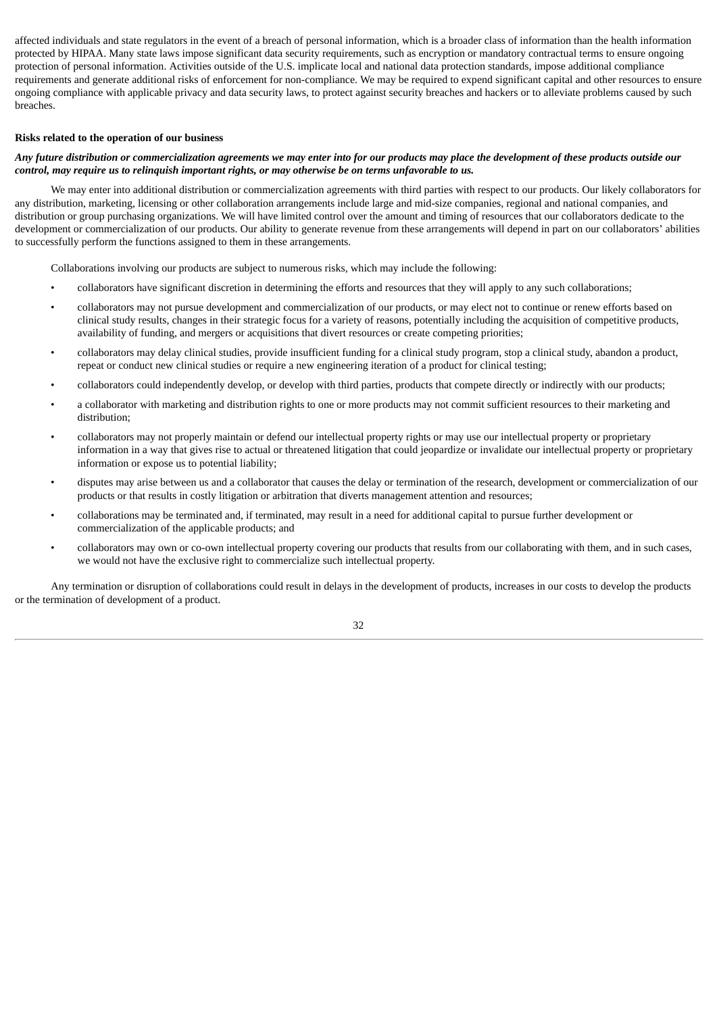affected individuals and state regulators in the event of a breach of personal information, which is a broader class of information than the health information protected by HIPAA. Many state laws impose significant data security requirements, such as encryption or mandatory contractual terms to ensure ongoing protection of personal information. Activities outside of the U.S. implicate local and national data protection standards, impose additional compliance requirements and generate additional risks of enforcement for non-compliance. We may be required to expend significant capital and other resources to ensure ongoing compliance with applicable privacy and data security laws, to protect against security breaches and hackers or to alleviate problems caused by such breaches.

# **Risks related to the operation of our business**

# Any future distribution or commercialization agreements we may enter into for our products may place the development of these products outside our *control, may require us to relinquish important rights, or may otherwise be on terms unfavorable to us.*

We may enter into additional distribution or commercialization agreements with third parties with respect to our products. Our likely collaborators for any distribution, marketing, licensing or other collaboration arrangements include large and mid-size companies, regional and national companies, and distribution or group purchasing organizations. We will have limited control over the amount and timing of resources that our collaborators dedicate to the development or commercialization of our products. Our ability to generate revenue from these arrangements will depend in part on our collaborators' abilities to successfully perform the functions assigned to them in these arrangements.

Collaborations involving our products are subject to numerous risks, which may include the following:

- collaborators have significant discretion in determining the efforts and resources that they will apply to any such collaborations;
- collaborators may not pursue development and commercialization of our products, or may elect not to continue or renew efforts based on clinical study results, changes in their strategic focus for a variety of reasons, potentially including the acquisition of competitive products, availability of funding, and mergers or acquisitions that divert resources or create competing priorities;
- collaborators may delay clinical studies, provide insufficient funding for a clinical study program, stop a clinical study, abandon a product, repeat or conduct new clinical studies or require a new engineering iteration of a product for clinical testing;
- collaborators could independently develop, or develop with third parties, products that compete directly or indirectly with our products;
- a collaborator with marketing and distribution rights to one or more products may not commit sufficient resources to their marketing and distribution;
- collaborators may not properly maintain or defend our intellectual property rights or may use our intellectual property or proprietary information in a way that gives rise to actual or threatened litigation that could jeopardize or invalidate our intellectual property or proprietary information or expose us to potential liability;
- disputes may arise between us and a collaborator that causes the delay or termination of the research, development or commercialization of our products or that results in costly litigation or arbitration that diverts management attention and resources;
- collaborations may be terminated and, if terminated, may result in a need for additional capital to pursue further development or commercialization of the applicable products; and
- collaborators may own or co-own intellectual property covering our products that results from our collaborating with them, and in such cases, we would not have the exclusive right to commercialize such intellectual property.

Any termination or disruption of collaborations could result in delays in the development of products, increases in our costs to develop the products or the termination of development of a product.

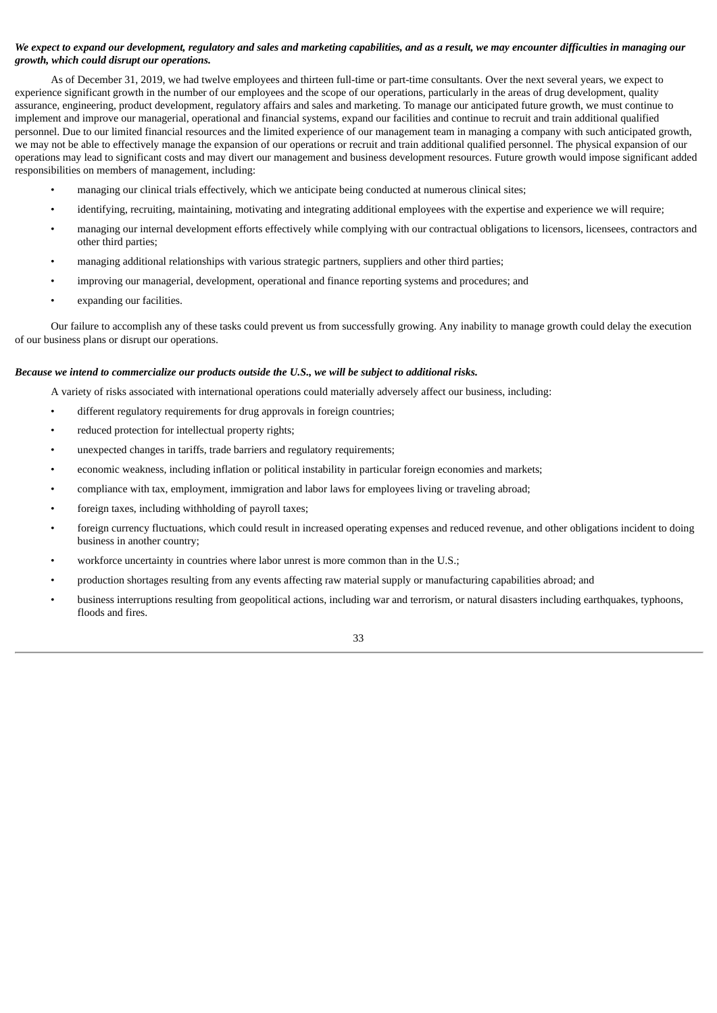# We expect to expand our development, regulatory and sales and marketing capabilities, and as a result, we may encounter difficulties in managing our *growth, which could disrupt our operations.*

As of December 31, 2019, we had twelve employees and thirteen full-time or part-time consultants. Over the next several years, we expect to experience significant growth in the number of our employees and the scope of our operations, particularly in the areas of drug development, quality assurance, engineering, product development, regulatory affairs and sales and marketing. To manage our anticipated future growth, we must continue to implement and improve our managerial, operational and financial systems, expand our facilities and continue to recruit and train additional qualified personnel. Due to our limited financial resources and the limited experience of our management team in managing a company with such anticipated growth, we may not be able to effectively manage the expansion of our operations or recruit and train additional qualified personnel. The physical expansion of our operations may lead to significant costs and may divert our management and business development resources. Future growth would impose significant added responsibilities on members of management, including:

- managing our clinical trials effectively, which we anticipate being conducted at numerous clinical sites;
- identifying, recruiting, maintaining, motivating and integrating additional employees with the expertise and experience we will require;
- managing our internal development efforts effectively while complying with our contractual obligations to licensors, licensees, contractors and other third parties;
- managing additional relationships with various strategic partners, suppliers and other third parties;
- improving our managerial, development, operational and finance reporting systems and procedures; and
- expanding our facilities.

Our failure to accomplish any of these tasks could prevent us from successfully growing. Any inability to manage growth could delay the execution of our business plans or disrupt our operations.

#### *Because we intend to commercialize our products outside the U.S., we will be subject to additional risks.*

A variety of risks associated with international operations could materially adversely affect our business, including:

- different regulatory requirements for drug approvals in foreign countries;
- reduced protection for intellectual property rights;
- unexpected changes in tariffs, trade barriers and regulatory requirements;
- economic weakness, including inflation or political instability in particular foreign economies and markets;
- compliance with tax, employment, immigration and labor laws for employees living or traveling abroad;
- foreign taxes, including withholding of payroll taxes;
- foreign currency fluctuations, which could result in increased operating expenses and reduced revenue, and other obligations incident to doing business in another country;
- workforce uncertainty in countries where labor unrest is more common than in the U.S.;
- production shortages resulting from any events affecting raw material supply or manufacturing capabilities abroad; and
- business interruptions resulting from geopolitical actions, including war and terrorism, or natural disasters including earthquakes, typhoons, floods and fires.

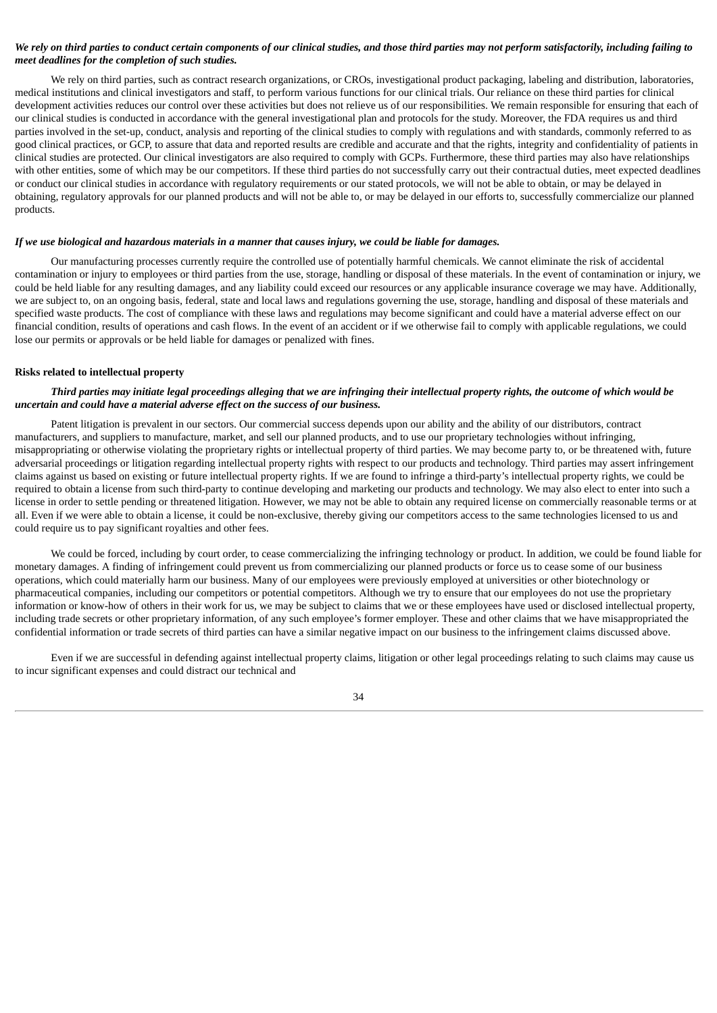# We rely on third parties to conduct certain components of our clinical studies, and those third parties may not perform satisfactorily, including failing to *meet deadlines for the completion of such studies.*

We rely on third parties, such as contract research organizations, or CROs, investigational product packaging, labeling and distribution, laboratories, medical institutions and clinical investigators and staff, to perform various functions for our clinical trials. Our reliance on these third parties for clinical development activities reduces our control over these activities but does not relieve us of our responsibilities. We remain responsible for ensuring that each of our clinical studies is conducted in accordance with the general investigational plan and protocols for the study. Moreover, the FDA requires us and third parties involved in the set-up, conduct, analysis and reporting of the clinical studies to comply with regulations and with standards, commonly referred to as good clinical practices, or GCP, to assure that data and reported results are credible and accurate and that the rights, integrity and confidentiality of patients in clinical studies are protected. Our clinical investigators are also required to comply with GCPs. Furthermore, these third parties may also have relationships with other entities, some of which may be our competitors. If these third parties do not successfully carry out their contractual duties, meet expected deadlines or conduct our clinical studies in accordance with regulatory requirements or our stated protocols, we will not be able to obtain, or may be delayed in obtaining, regulatory approvals for our planned products and will not be able to, or may be delayed in our efforts to, successfully commercialize our planned products.

# If we use biological and hazardous materials in a manner that causes injury, we could be liable for damages.

Our manufacturing processes currently require the controlled use of potentially harmful chemicals. We cannot eliminate the risk of accidental contamination or injury to employees or third parties from the use, storage, handling or disposal of these materials. In the event of contamination or injury, we could be held liable for any resulting damages, and any liability could exceed our resources or any applicable insurance coverage we may have. Additionally, we are subject to, on an ongoing basis, federal, state and local laws and regulations governing the use, storage, handling and disposal of these materials and specified waste products. The cost of compliance with these laws and regulations may become significant and could have a material adverse effect on our financial condition, results of operations and cash flows. In the event of an accident or if we otherwise fail to comply with applicable regulations, we could lose our permits or approvals or be held liable for damages or penalized with fines.

# **Risks related to intellectual property**

# Third parties may initiate legal proceedings alleging that we are infringing their intellectual property rights, the outcome of which would be *uncertain and could have a material adverse effect on the success of our business.*

Patent litigation is prevalent in our sectors. Our commercial success depends upon our ability and the ability of our distributors, contract manufacturers, and suppliers to manufacture, market, and sell our planned products, and to use our proprietary technologies without infringing, misappropriating or otherwise violating the proprietary rights or intellectual property of third parties. We may become party to, or be threatened with, future adversarial proceedings or litigation regarding intellectual property rights with respect to our products and technology. Third parties may assert infringement claims against us based on existing or future intellectual property rights. If we are found to infringe a third-party's intellectual property rights, we could be required to obtain a license from such third-party to continue developing and marketing our products and technology. We may also elect to enter into such a license in order to settle pending or threatened litigation. However, we may not be able to obtain any required license on commercially reasonable terms or at all. Even if we were able to obtain a license, it could be non-exclusive, thereby giving our competitors access to the same technologies licensed to us and could require us to pay significant royalties and other fees.

We could be forced, including by court order, to cease commercializing the infringing technology or product. In addition, we could be found liable for monetary damages. A finding of infringement could prevent us from commercializing our planned products or force us to cease some of our business operations, which could materially harm our business. Many of our employees were previously employed at universities or other biotechnology or pharmaceutical companies, including our competitors or potential competitors. Although we try to ensure that our employees do not use the proprietary information or know-how of others in their work for us, we may be subject to claims that we or these employees have used or disclosed intellectual property, including trade secrets or other proprietary information, of any such employee's former employer. These and other claims that we have misappropriated the confidential information or trade secrets of third parties can have a similar negative impact on our business to the infringement claims discussed above.

Even if we are successful in defending against intellectual property claims, litigation or other legal proceedings relating to such claims may cause us to incur significant expenses and could distract our technical and

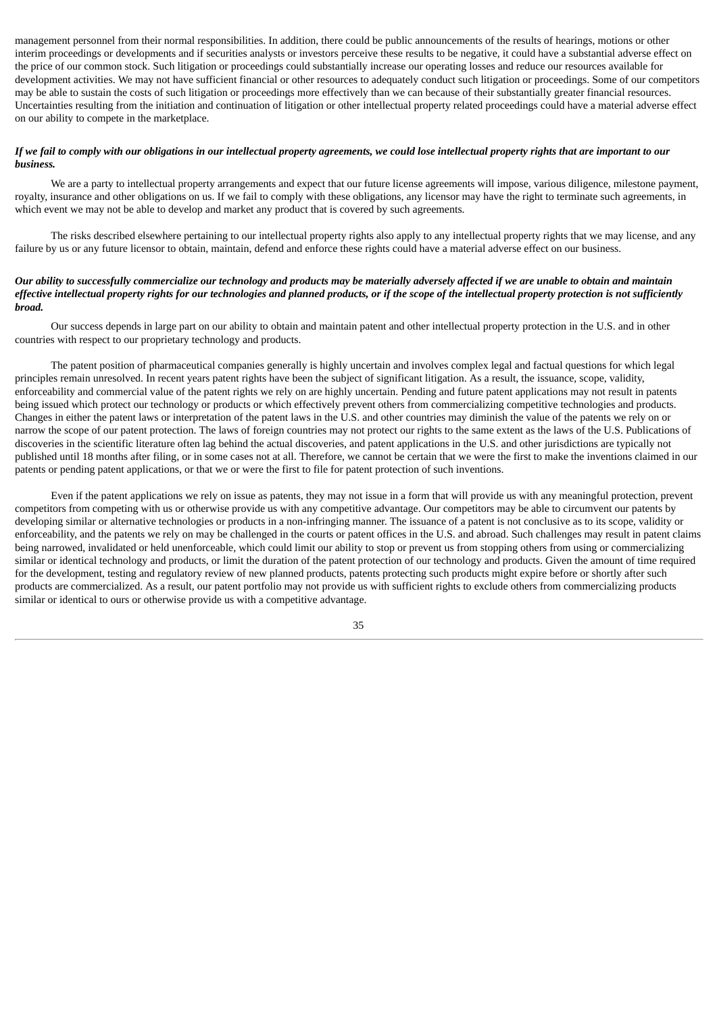management personnel from their normal responsibilities. In addition, there could be public announcements of the results of hearings, motions or other interim proceedings or developments and if securities analysts or investors perceive these results to be negative, it could have a substantial adverse effect on the price of our common stock. Such litigation or proceedings could substantially increase our operating losses and reduce our resources available for development activities. We may not have sufficient financial or other resources to adequately conduct such litigation or proceedings. Some of our competitors may be able to sustain the costs of such litigation or proceedings more effectively than we can because of their substantially greater financial resources. Uncertainties resulting from the initiation and continuation of litigation or other intellectual property related proceedings could have a material adverse effect on our ability to compete in the marketplace.

### If we fail to comply with our obligations in our intellectual property agreements, we could lose intellectual property rights that are important to our *business.*

We are a party to intellectual property arrangements and expect that our future license agreements will impose, various diligence, milestone payment, royalty, insurance and other obligations on us. If we fail to comply with these obligations, any licensor may have the right to terminate such agreements, in which event we may not be able to develop and market any product that is covered by such agreements.

The risks described elsewhere pertaining to our intellectual property rights also apply to any intellectual property rights that we may license, and any failure by us or any future licensor to obtain, maintain, defend and enforce these rights could have a material adverse effect on our business.

# Our ability to successfully commercialize our technology and products may be materially adversely affected if we are unable to obtain and maintain effective intellectual property rights for our technologies and planned products, or if the scope of the intellectual property protection is not sufficiently *broad.*

Our success depends in large part on our ability to obtain and maintain patent and other intellectual property protection in the U.S. and in other countries with respect to our proprietary technology and products.

The patent position of pharmaceutical companies generally is highly uncertain and involves complex legal and factual questions for which legal principles remain unresolved. In recent years patent rights have been the subject of significant litigation. As a result, the issuance, scope, validity, enforceability and commercial value of the patent rights we rely on are highly uncertain. Pending and future patent applications may not result in patents being issued which protect our technology or products or which effectively prevent others from commercializing competitive technologies and products. Changes in either the patent laws or interpretation of the patent laws in the U.S. and other countries may diminish the value of the patents we rely on or narrow the scope of our patent protection. The laws of foreign countries may not protect our rights to the same extent as the laws of the U.S. Publications of discoveries in the scientific literature often lag behind the actual discoveries, and patent applications in the U.S. and other jurisdictions are typically not published until 18 months after filing, or in some cases not at all. Therefore, we cannot be certain that we were the first to make the inventions claimed in our patents or pending patent applications, or that we or were the first to file for patent protection of such inventions.

Even if the patent applications we rely on issue as patents, they may not issue in a form that will provide us with any meaningful protection, prevent competitors from competing with us or otherwise provide us with any competitive advantage. Our competitors may be able to circumvent our patents by developing similar or alternative technologies or products in a non-infringing manner. The issuance of a patent is not conclusive as to its scope, validity or enforceability, and the patents we rely on may be challenged in the courts or patent offices in the U.S. and abroad. Such challenges may result in patent claims being narrowed, invalidated or held unenforceable, which could limit our ability to stop or prevent us from stopping others from using or commercializing similar or identical technology and products, or limit the duration of the patent protection of our technology and products. Given the amount of time required for the development, testing and regulatory review of new planned products, patents protecting such products might expire before or shortly after such products are commercialized. As a result, our patent portfolio may not provide us with sufficient rights to exclude others from commercializing products similar or identical to ours or otherwise provide us with a competitive advantage.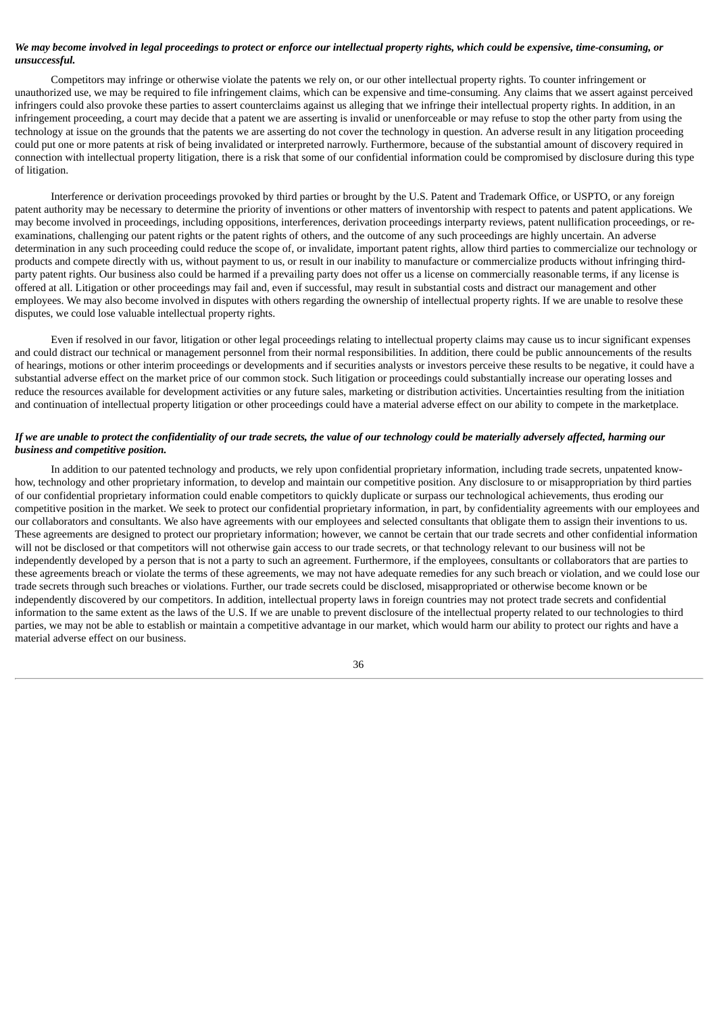# We may become involved in legal proceedings to protect or enforce our intellectual property rights, which could be expensive, time-consuming, or *unsuccessful.*

Competitors may infringe or otherwise violate the patents we rely on, or our other intellectual property rights. To counter infringement or unauthorized use, we may be required to file infringement claims, which can be expensive and time-consuming. Any claims that we assert against perceived infringers could also provoke these parties to assert counterclaims against us alleging that we infringe their intellectual property rights. In addition, in an infringement proceeding, a court may decide that a patent we are asserting is invalid or unenforceable or may refuse to stop the other party from using the technology at issue on the grounds that the patents we are asserting do not cover the technology in question. An adverse result in any litigation proceeding could put one or more patents at risk of being invalidated or interpreted narrowly. Furthermore, because of the substantial amount of discovery required in connection with intellectual property litigation, there is a risk that some of our confidential information could be compromised by disclosure during this type of litigation.

Interference or derivation proceedings provoked by third parties or brought by the U.S. Patent and Trademark Office, or USPTO, or any foreign patent authority may be necessary to determine the priority of inventions or other matters of inventorship with respect to patents and patent applications. We may become involved in proceedings, including oppositions, interferences, derivation proceedings interparty reviews, patent nullification proceedings, or reexaminations, challenging our patent rights or the patent rights of others, and the outcome of any such proceedings are highly uncertain. An adverse determination in any such proceeding could reduce the scope of, or invalidate, important patent rights, allow third parties to commercialize our technology or products and compete directly with us, without payment to us, or result in our inability to manufacture or commercialize products without infringing thirdparty patent rights. Our business also could be harmed if a prevailing party does not offer us a license on commercially reasonable terms, if any license is offered at all. Litigation or other proceedings may fail and, even if successful, may result in substantial costs and distract our management and other employees. We may also become involved in disputes with others regarding the ownership of intellectual property rights. If we are unable to resolve these disputes, we could lose valuable intellectual property rights.

Even if resolved in our favor, litigation or other legal proceedings relating to intellectual property claims may cause us to incur significant expenses and could distract our technical or management personnel from their normal responsibilities. In addition, there could be public announcements of the results of hearings, motions or other interim proceedings or developments and if securities analysts or investors perceive these results to be negative, it could have a substantial adverse effect on the market price of our common stock. Such litigation or proceedings could substantially increase our operating losses and reduce the resources available for development activities or any future sales, marketing or distribution activities. Uncertainties resulting from the initiation and continuation of intellectual property litigation or other proceedings could have a material adverse effect on our ability to compete in the marketplace.

### If we are unable to protect the confidentiality of our trade secrets, the value of our technology could be materially adversely affected, harming our *business and competitive position.*

In addition to our patented technology and products, we rely upon confidential proprietary information, including trade secrets, unpatented knowhow, technology and other proprietary information, to develop and maintain our competitive position. Any disclosure to or misappropriation by third parties of our confidential proprietary information could enable competitors to quickly duplicate or surpass our technological achievements, thus eroding our competitive position in the market. We seek to protect our confidential proprietary information, in part, by confidentiality agreements with our employees and our collaborators and consultants. We also have agreements with our employees and selected consultants that obligate them to assign their inventions to us. These agreements are designed to protect our proprietary information; however, we cannot be certain that our trade secrets and other confidential information will not be disclosed or that competitors will not otherwise gain access to our trade secrets, or that technology relevant to our business will not be independently developed by a person that is not a party to such an agreement. Furthermore, if the employees, consultants or collaborators that are parties to these agreements breach or violate the terms of these agreements, we may not have adequate remedies for any such breach or violation, and we could lose our trade secrets through such breaches or violations. Further, our trade secrets could be disclosed, misappropriated or otherwise become known or be independently discovered by our competitors. In addition, intellectual property laws in foreign countries may not protect trade secrets and confidential information to the same extent as the laws of the U.S. If we are unable to prevent disclosure of the intellectual property related to our technologies to third parties, we may not be able to establish or maintain a competitive advantage in our market, which would harm our ability to protect our rights and have a material adverse effect on our business.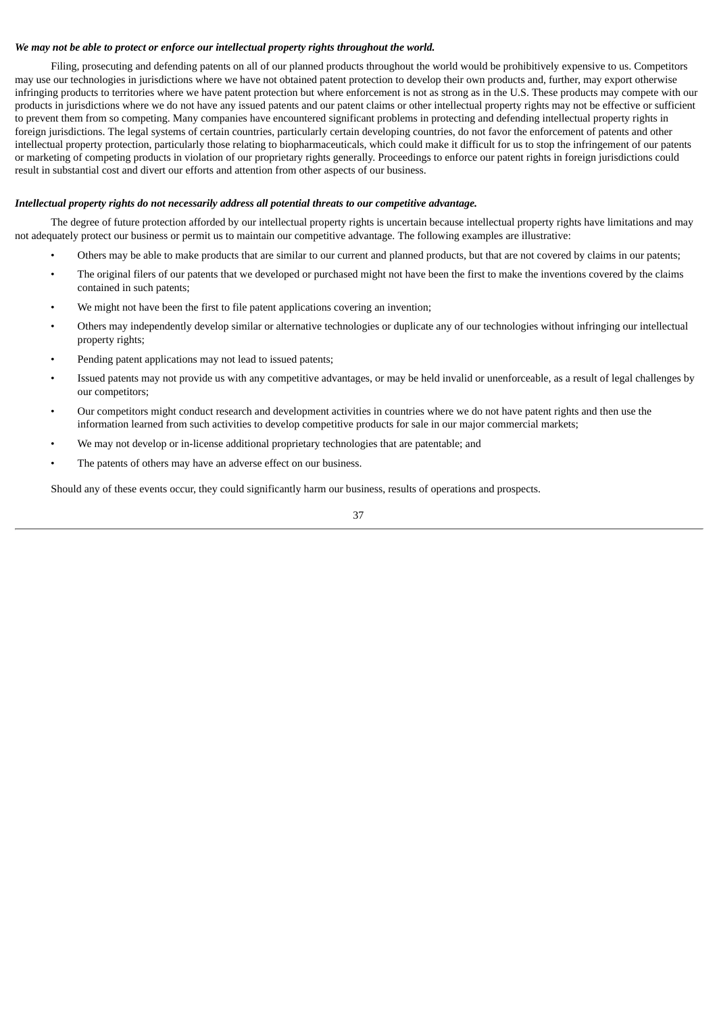# *We may not be able to protect or enforce our intellectual property rights throughout the world.*

Filing, prosecuting and defending patents on all of our planned products throughout the world would be prohibitively expensive to us. Competitors may use our technologies in jurisdictions where we have not obtained patent protection to develop their own products and, further, may export otherwise infringing products to territories where we have patent protection but where enforcement is not as strong as in the U.S. These products may compete with our products in jurisdictions where we do not have any issued patents and our patent claims or other intellectual property rights may not be effective or sufficient to prevent them from so competing. Many companies have encountered significant problems in protecting and defending intellectual property rights in foreign jurisdictions. The legal systems of certain countries, particularly certain developing countries, do not favor the enforcement of patents and other intellectual property protection, particularly those relating to biopharmaceuticals, which could make it difficult for us to stop the infringement of our patents or marketing of competing products in violation of our proprietary rights generally. Proceedings to enforce our patent rights in foreign jurisdictions could result in substantial cost and divert our efforts and attention from other aspects of our business.

# *Intellectual property rights do not necessarily address all potential threats to our competitive advantage.*

The degree of future protection afforded by our intellectual property rights is uncertain because intellectual property rights have limitations and may not adequately protect our business or permit us to maintain our competitive advantage. The following examples are illustrative:

- Others may be able to make products that are similar to our current and planned products, but that are not covered by claims in our patents;
- The original filers of our patents that we developed or purchased might not have been the first to make the inventions covered by the claims contained in such patents;
- We might not have been the first to file patent applications covering an invention;
- Others may independently develop similar or alternative technologies or duplicate any of our technologies without infringing our intellectual property rights;
- Pending patent applications may not lead to issued patents;
- Issued patents may not provide us with any competitive advantages, or may be held invalid or unenforceable, as a result of legal challenges by our competitors;
- Our competitors might conduct research and development activities in countries where we do not have patent rights and then use the information learned from such activities to develop competitive products for sale in our major commercial markets;
- We may not develop or in-license additional proprietary technologies that are patentable; and
- The patents of others may have an adverse effect on our business.

Should any of these events occur, they could significantly harm our business, results of operations and prospects.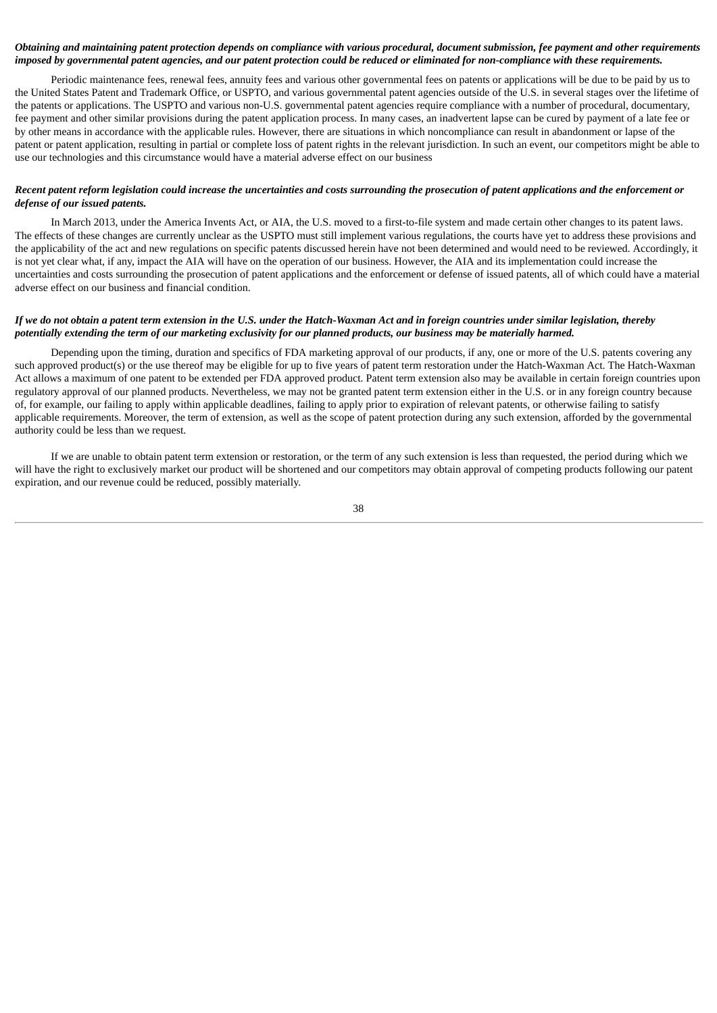# Obtaining and maintaining patent protection depends on compliance with various procedural, document submission, fee payment and other requirements imposed by governmental patent agencies, and our patent protection could be reduced or eliminated for non-compliance with these requirements.

Periodic maintenance fees, renewal fees, annuity fees and various other governmental fees on patents or applications will be due to be paid by us to the United States Patent and Trademark Office, or USPTO, and various governmental patent agencies outside of the U.S. in several stages over the lifetime of the patents or applications. The USPTO and various non-U.S. governmental patent agencies require compliance with a number of procedural, documentary, fee payment and other similar provisions during the patent application process. In many cases, an inadvertent lapse can be cured by payment of a late fee or by other means in accordance with the applicable rules. However, there are situations in which noncompliance can result in abandonment or lapse of the patent or patent application, resulting in partial or complete loss of patent rights in the relevant jurisdiction. In such an event, our competitors might be able to use our technologies and this circumstance would have a material adverse effect on our business

# Recent patent reform legislation could increase the uncertainties and costs surrounding the prosecution of patent applications and the enforcement or *defense of our issued patents.*

In March 2013, under the America Invents Act, or AIA, the U.S. moved to a first-to-file system and made certain other changes to its patent laws. The effects of these changes are currently unclear as the USPTO must still implement various regulations, the courts have yet to address these provisions and the applicability of the act and new regulations on specific patents discussed herein have not been determined and would need to be reviewed. Accordingly, it is not yet clear what, if any, impact the AIA will have on the operation of our business. However, the AIA and its implementation could increase the uncertainties and costs surrounding the prosecution of patent applications and the enforcement or defense of issued patents, all of which could have a material adverse effect on our business and financial condition.

### If we do not obtain a patent term extension in the U.S. under the Hatch-Waxman Act and in foreign countries under similar legislation, thereby potentially extending the term of our marketing exclusivity for our planned products, our business may be materially harmed.

Depending upon the timing, duration and specifics of FDA marketing approval of our products, if any, one or more of the U.S. patents covering any such approved product(s) or the use thereof may be eligible for up to five years of patent term restoration under the Hatch-Waxman Act. The Hatch-Waxman Act allows a maximum of one patent to be extended per FDA approved product. Patent term extension also may be available in certain foreign countries upon regulatory approval of our planned products. Nevertheless, we may not be granted patent term extension either in the U.S. or in any foreign country because of, for example, our failing to apply within applicable deadlines, failing to apply prior to expiration of relevant patents, or otherwise failing to satisfy applicable requirements. Moreover, the term of extension, as well as the scope of patent protection during any such extension, afforded by the governmental authority could be less than we request.

If we are unable to obtain patent term extension or restoration, or the term of any such extension is less than requested, the period during which we will have the right to exclusively market our product will be shortened and our competitors may obtain approval of competing products following our patent expiration, and our revenue could be reduced, possibly materially.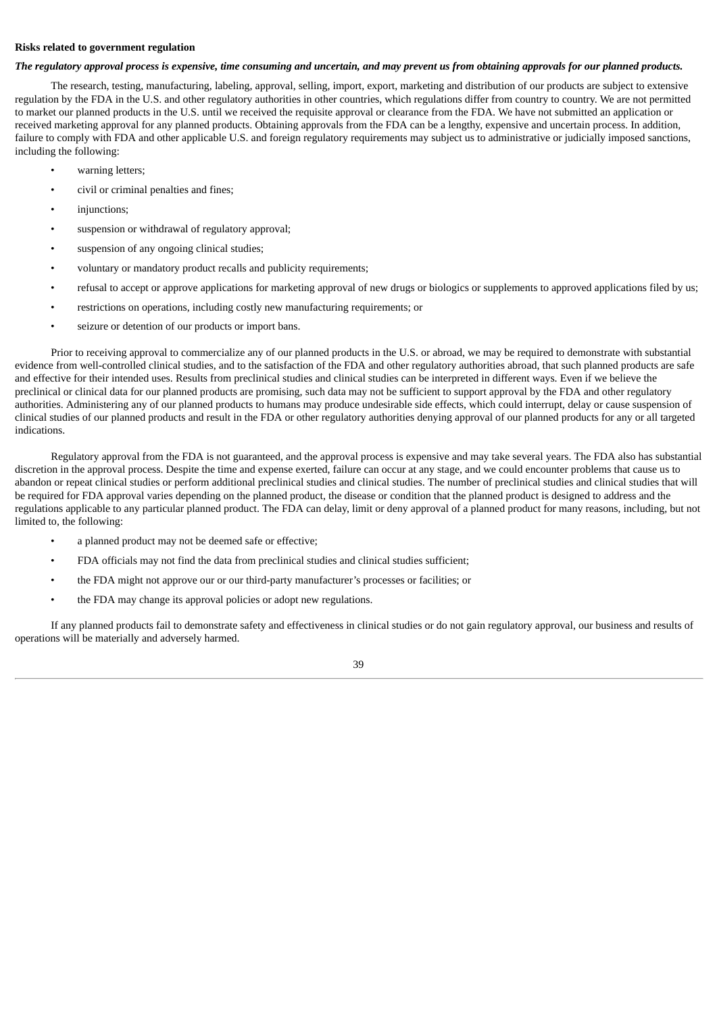# **Risks related to government regulation**

### The regulatory approval process is expensive, time consuming and uncertain, and may prevent us from obtaining approvals for our planned products.

The research, testing, manufacturing, labeling, approval, selling, import, export, marketing and distribution of our products are subject to extensive regulation by the FDA in the U.S. and other regulatory authorities in other countries, which regulations differ from country to country. We are not permitted to market our planned products in the U.S. until we received the requisite approval or clearance from the FDA. We have not submitted an application or received marketing approval for any planned products. Obtaining approvals from the FDA can be a lengthy, expensive and uncertain process. In addition, failure to comply with FDA and other applicable U.S. and foreign regulatory requirements may subject us to administrative or judicially imposed sanctions, including the following:

- warning letters;
- civil or criminal penalties and fines;
- injunctions:
- suspension or withdrawal of regulatory approval;
- suspension of any ongoing clinical studies;
- voluntary or mandatory product recalls and publicity requirements;
- refusal to accept or approve applications for marketing approval of new drugs or biologics or supplements to approved applications filed by us;
- restrictions on operations, including costly new manufacturing requirements; or
- seizure or detention of our products or import bans.

Prior to receiving approval to commercialize any of our planned products in the U.S. or abroad, we may be required to demonstrate with substantial evidence from well-controlled clinical studies, and to the satisfaction of the FDA and other regulatory authorities abroad, that such planned products are safe and effective for their intended uses. Results from preclinical studies and clinical studies can be interpreted in different ways. Even if we believe the preclinical or clinical data for our planned products are promising, such data may not be sufficient to support approval by the FDA and other regulatory authorities. Administering any of our planned products to humans may produce undesirable side effects, which could interrupt, delay or cause suspension of clinical studies of our planned products and result in the FDA or other regulatory authorities denying approval of our planned products for any or all targeted indications.

Regulatory approval from the FDA is not guaranteed, and the approval process is expensive and may take several years. The FDA also has substantial discretion in the approval process. Despite the time and expense exerted, failure can occur at any stage, and we could encounter problems that cause us to abandon or repeat clinical studies or perform additional preclinical studies and clinical studies. The number of preclinical studies and clinical studies that will be required for FDA approval varies depending on the planned product, the disease or condition that the planned product is designed to address and the regulations applicable to any particular planned product. The FDA can delay, limit or deny approval of a planned product for many reasons, including, but not limited to, the following:

- a planned product may not be deemed safe or effective;
- FDA officials may not find the data from preclinical studies and clinical studies sufficient;
- the FDA might not approve our or our third-party manufacturer's processes or facilities; or
- the FDA may change its approval policies or adopt new regulations.

If any planned products fail to demonstrate safety and effectiveness in clinical studies or do not gain regulatory approval, our business and results of operations will be materially and adversely harmed.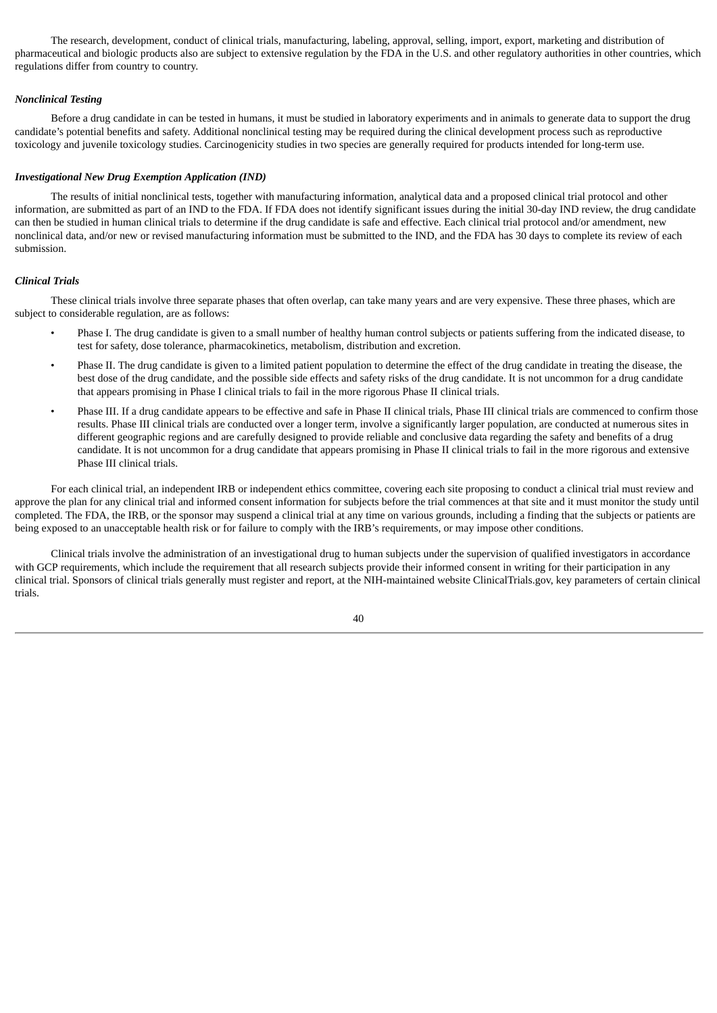The research, development, conduct of clinical trials, manufacturing, labeling, approval, selling, import, export, marketing and distribution of pharmaceutical and biologic products also are subject to extensive regulation by the FDA in the U.S. and other regulatory authorities in other countries, which regulations differ from country to country.

# *Nonclinical Testing*

Before a drug candidate in can be tested in humans, it must be studied in laboratory experiments and in animals to generate data to support the drug candidate's potential benefits and safety. Additional nonclinical testing may be required during the clinical development process such as reproductive toxicology and juvenile toxicology studies. Carcinogenicity studies in two species are generally required for products intended for long-term use.

# *Investigational New Drug Exemption Application (IND)*

The results of initial nonclinical tests, together with manufacturing information, analytical data and a proposed clinical trial protocol and other information, are submitted as part of an IND to the FDA. If FDA does not identify significant issues during the initial 30-day IND review, the drug candidate can then be studied in human clinical trials to determine if the drug candidate is safe and effective. Each clinical trial protocol and/or amendment, new nonclinical data, and/or new or revised manufacturing information must be submitted to the IND, and the FDA has 30 days to complete its review of each submission.

### *Clinical Trials*

These clinical trials involve three separate phases that often overlap, can take many years and are very expensive. These three phases, which are subject to considerable regulation, are as follows:

- Phase I. The drug candidate is given to a small number of healthy human control subjects or patients suffering from the indicated disease, to test for safety, dose tolerance, pharmacokinetics, metabolism, distribution and excretion.
- Phase II. The drug candidate is given to a limited patient population to determine the effect of the drug candidate in treating the disease, the best dose of the drug candidate, and the possible side effects and safety risks of the drug candidate. It is not uncommon for a drug candidate that appears promising in Phase I clinical trials to fail in the more rigorous Phase II clinical trials.
- Phase III. If a drug candidate appears to be effective and safe in Phase II clinical trials, Phase III clinical trials are commenced to confirm those results. Phase III clinical trials are conducted over a longer term, involve a significantly larger population, are conducted at numerous sites in different geographic regions and are carefully designed to provide reliable and conclusive data regarding the safety and benefits of a drug candidate. It is not uncommon for a drug candidate that appears promising in Phase II clinical trials to fail in the more rigorous and extensive Phase III clinical trials.

For each clinical trial, an independent IRB or independent ethics committee, covering each site proposing to conduct a clinical trial must review and approve the plan for any clinical trial and informed consent information for subjects before the trial commences at that site and it must monitor the study until completed. The FDA, the IRB, or the sponsor may suspend a clinical trial at any time on various grounds, including a finding that the subjects or patients are being exposed to an unacceptable health risk or for failure to comply with the IRB's requirements, or may impose other conditions.

Clinical trials involve the administration of an investigational drug to human subjects under the supervision of qualified investigators in accordance with GCP requirements, which include the requirement that all research subjects provide their informed consent in writing for their participation in any clinical trial. Sponsors of clinical trials generally must register and report, at the NIH-maintained website ClinicalTrials.gov, key parameters of certain clinical trials.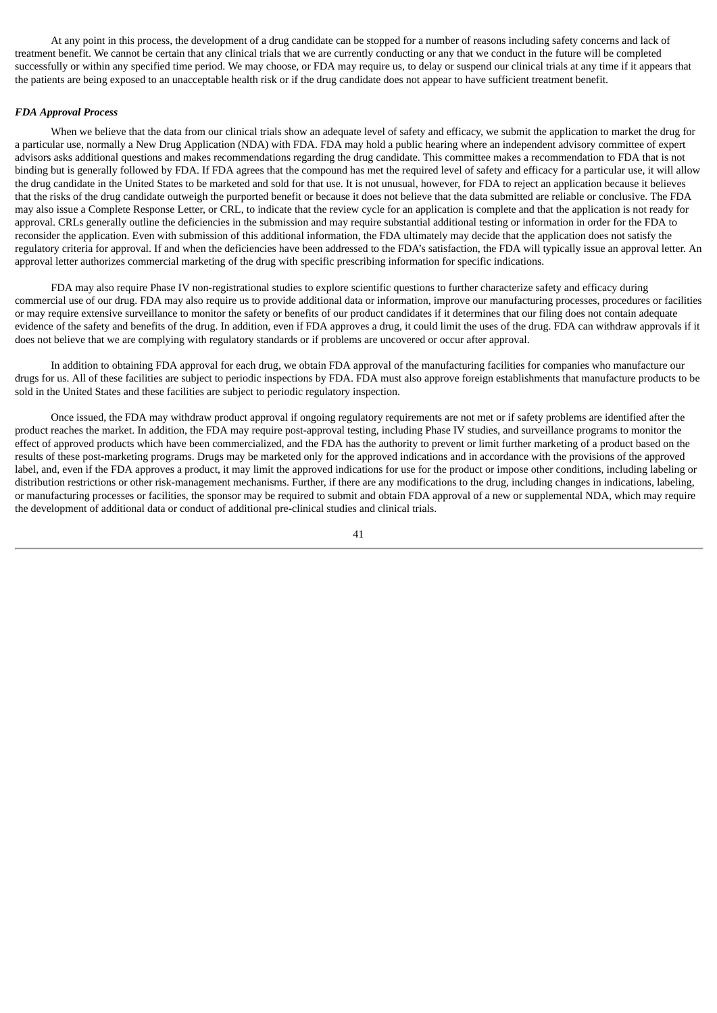At any point in this process, the development of a drug candidate can be stopped for a number of reasons including safety concerns and lack of treatment benefit. We cannot be certain that any clinical trials that we are currently conducting or any that we conduct in the future will be completed successfully or within any specified time period. We may choose, or FDA may require us, to delay or suspend our clinical trials at any time if it appears that the patients are being exposed to an unacceptable health risk or if the drug candidate does not appear to have sufficient treatment benefit.

### *FDA Approval Process*

When we believe that the data from our clinical trials show an adequate level of safety and efficacy, we submit the application to market the drug for a particular use, normally a New Drug Application (NDA) with FDA. FDA may hold a public hearing where an independent advisory committee of expert advisors asks additional questions and makes recommendations regarding the drug candidate. This committee makes a recommendation to FDA that is not binding but is generally followed by FDA. If FDA agrees that the compound has met the required level of safety and efficacy for a particular use, it will allow the drug candidate in the United States to be marketed and sold for that use. It is not unusual, however, for FDA to reject an application because it believes that the risks of the drug candidate outweigh the purported benefit or because it does not believe that the data submitted are reliable or conclusive. The FDA may also issue a Complete Response Letter, or CRL, to indicate that the review cycle for an application is complete and that the application is not ready for approval. CRLs generally outline the deficiencies in the submission and may require substantial additional testing or information in order for the FDA to reconsider the application. Even with submission of this additional information, the FDA ultimately may decide that the application does not satisfy the regulatory criteria for approval. If and when the deficiencies have been addressed to the FDA's satisfaction, the FDA will typically issue an approval letter. An approval letter authorizes commercial marketing of the drug with specific prescribing information for specific indications.

FDA may also require Phase IV non-registrational studies to explore scientific questions to further characterize safety and efficacy during commercial use of our drug. FDA may also require us to provide additional data or information, improve our manufacturing processes, procedures or facilities or may require extensive surveillance to monitor the safety or benefits of our product candidates if it determines that our filing does not contain adequate evidence of the safety and benefits of the drug. In addition, even if FDA approves a drug, it could limit the uses of the drug. FDA can withdraw approvals if it does not believe that we are complying with regulatory standards or if problems are uncovered or occur after approval.

In addition to obtaining FDA approval for each drug, we obtain FDA approval of the manufacturing facilities for companies who manufacture our drugs for us. All of these facilities are subject to periodic inspections by FDA. FDA must also approve foreign establishments that manufacture products to be sold in the United States and these facilities are subject to periodic regulatory inspection.

Once issued, the FDA may withdraw product approval if ongoing regulatory requirements are not met or if safety problems are identified after the product reaches the market. In addition, the FDA may require post-approval testing, including Phase IV studies, and surveillance programs to monitor the effect of approved products which have been commercialized, and the FDA has the authority to prevent or limit further marketing of a product based on the results of these post-marketing programs. Drugs may be marketed only for the approved indications and in accordance with the provisions of the approved label, and, even if the FDA approves a product, it may limit the approved indications for use for the product or impose other conditions, including labeling or distribution restrictions or other risk-management mechanisms. Further, if there are any modifications to the drug, including changes in indications, labeling, or manufacturing processes or facilities, the sponsor may be required to submit and obtain FDA approval of a new or supplemental NDA, which may require the development of additional data or conduct of additional pre-clinical studies and clinical trials.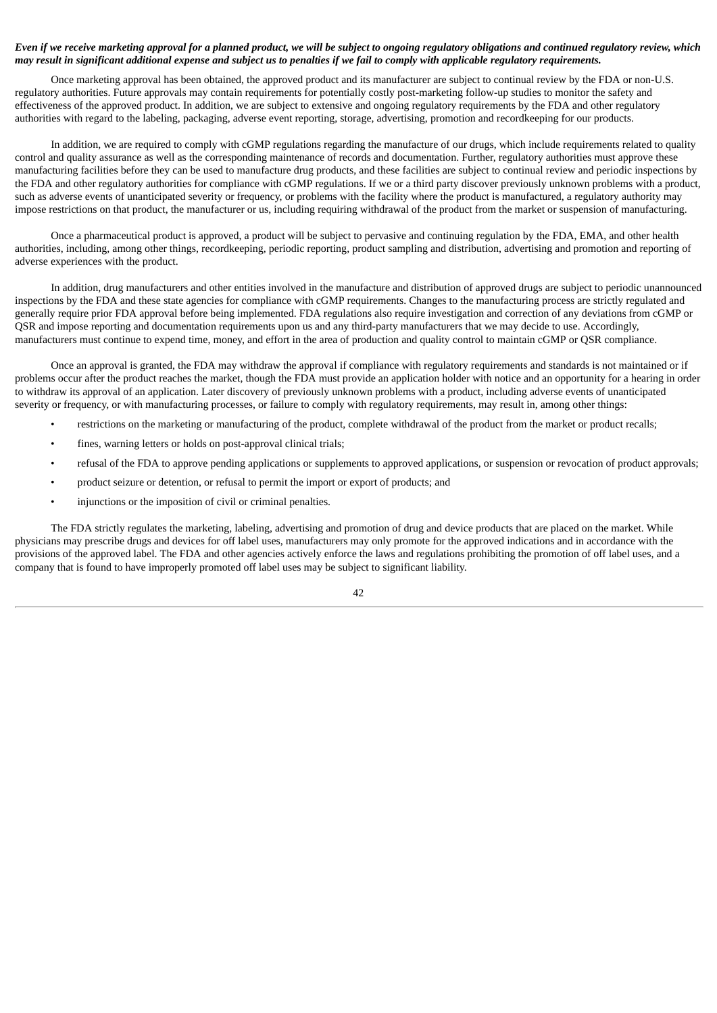# Even if we receive marketing approval for a planned product, we will be subject to ongoing regulatory obligations and continued regulatory review, which may result in significant additional expense and subject us to penalties if we fail to comply with applicable regulatory requirements.

Once marketing approval has been obtained, the approved product and its manufacturer are subject to continual review by the FDA or non-U.S. regulatory authorities. Future approvals may contain requirements for potentially costly post-marketing follow-up studies to monitor the safety and effectiveness of the approved product. In addition, we are subject to extensive and ongoing regulatory requirements by the FDA and other regulatory authorities with regard to the labeling, packaging, adverse event reporting, storage, advertising, promotion and recordkeeping for our products.

In addition, we are required to comply with cGMP regulations regarding the manufacture of our drugs, which include requirements related to quality control and quality assurance as well as the corresponding maintenance of records and documentation. Further, regulatory authorities must approve these manufacturing facilities before they can be used to manufacture drug products, and these facilities are subject to continual review and periodic inspections by the FDA and other regulatory authorities for compliance with cGMP regulations. If we or a third party discover previously unknown problems with a product, such as adverse events of unanticipated severity or frequency, or problems with the facility where the product is manufactured, a regulatory authority may impose restrictions on that product, the manufacturer or us, including requiring withdrawal of the product from the market or suspension of manufacturing.

Once a pharmaceutical product is approved, a product will be subject to pervasive and continuing regulation by the FDA, EMA, and other health authorities, including, among other things, recordkeeping, periodic reporting, product sampling and distribution, advertising and promotion and reporting of adverse experiences with the product.

In addition, drug manufacturers and other entities involved in the manufacture and distribution of approved drugs are subject to periodic unannounced inspections by the FDA and these state agencies for compliance with cGMP requirements. Changes to the manufacturing process are strictly regulated and generally require prior FDA approval before being implemented. FDA regulations also require investigation and correction of any deviations from cGMP or QSR and impose reporting and documentation requirements upon us and any third-party manufacturers that we may decide to use. Accordingly, manufacturers must continue to expend time, money, and effort in the area of production and quality control to maintain cGMP or QSR compliance.

Once an approval is granted, the FDA may withdraw the approval if compliance with regulatory requirements and standards is not maintained or if problems occur after the product reaches the market, though the FDA must provide an application holder with notice and an opportunity for a hearing in order to withdraw its approval of an application. Later discovery of previously unknown problems with a product, including adverse events of unanticipated severity or frequency, or with manufacturing processes, or failure to comply with regulatory requirements, may result in, among other things:

- restrictions on the marketing or manufacturing of the product, complete withdrawal of the product from the market or product recalls;
- fines, warning letters or holds on post-approval clinical trials;
- refusal of the FDA to approve pending applications or supplements to approved applications, or suspension or revocation of product approvals;
- product seizure or detention, or refusal to permit the import or export of products; and
- injunctions or the imposition of civil or criminal penalties.

The FDA strictly regulates the marketing, labeling, advertising and promotion of drug and device products that are placed on the market. While physicians may prescribe drugs and devices for off label uses, manufacturers may only promote for the approved indications and in accordance with the provisions of the approved label. The FDA and other agencies actively enforce the laws and regulations prohibiting the promotion of off label uses, and a company that is found to have improperly promoted off label uses may be subject to significant liability.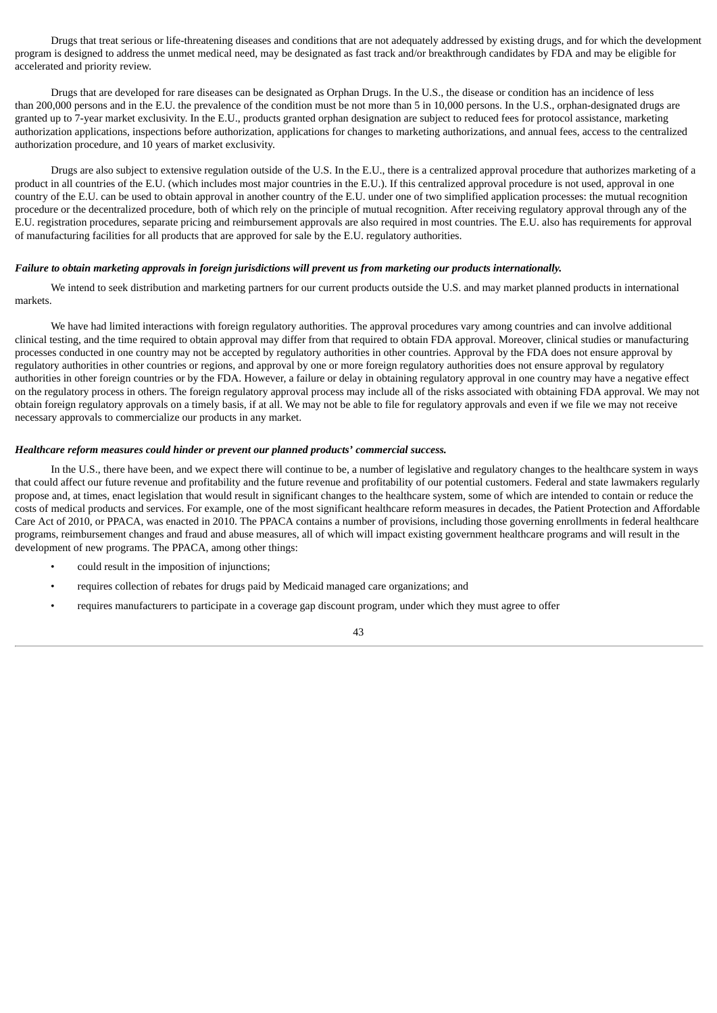Drugs that treat serious or life-threatening diseases and conditions that are not adequately addressed by existing drugs, and for which the development program is designed to address the unmet medical need, may be designated as fast track and/or breakthrough candidates by FDA and may be eligible for accelerated and priority review.

Drugs that are developed for rare diseases can be designated as Orphan Drugs. In the U.S., the disease or condition has an incidence of less than 200,000 persons and in the E.U. the prevalence of the condition must be not more than 5 in 10,000 persons. In the U.S., orphan-designated drugs are granted up to 7-year market exclusivity. In the E.U., products granted orphan designation are subject to reduced fees for protocol assistance, marketing authorization applications, inspections before authorization, applications for changes to marketing authorizations, and annual fees, access to the centralized authorization procedure, and 10 years of market exclusivity.

Drugs are also subject to extensive regulation outside of the U.S. In the E.U., there is a centralized approval procedure that authorizes marketing of a product in all countries of the E.U. (which includes most major countries in the E.U.). If this centralized approval procedure is not used, approval in one country of the E.U. can be used to obtain approval in another country of the E.U. under one of two simplified application processes: the mutual recognition procedure or the decentralized procedure, both of which rely on the principle of mutual recognition. After receiving regulatory approval through any of the E.U. registration procedures, separate pricing and reimbursement approvals are also required in most countries. The E.U. also has requirements for approval of manufacturing facilities for all products that are approved for sale by the E.U. regulatory authorities.

### Failure to obtain marketing approvals in foreign jurisdictions will prevent us from marketing our products internationally.

We intend to seek distribution and marketing partners for our current products outside the U.S. and may market planned products in international markets.

We have had limited interactions with foreign regulatory authorities. The approval procedures vary among countries and can involve additional clinical testing, and the time required to obtain approval may differ from that required to obtain FDA approval. Moreover, clinical studies or manufacturing processes conducted in one country may not be accepted by regulatory authorities in other countries. Approval by the FDA does not ensure approval by regulatory authorities in other countries or regions, and approval by one or more foreign regulatory authorities does not ensure approval by regulatory authorities in other foreign countries or by the FDA. However, a failure or delay in obtaining regulatory approval in one country may have a negative effect on the regulatory process in others. The foreign regulatory approval process may include all of the risks associated with obtaining FDA approval. We may not obtain foreign regulatory approvals on a timely basis, if at all. We may not be able to file for regulatory approvals and even if we file we may not receive necessary approvals to commercialize our products in any market.

### *Healthcare reform measures could hinder or prevent our planned products' commercial success.*

In the U.S., there have been, and we expect there will continue to be, a number of legislative and regulatory changes to the healthcare system in ways that could affect our future revenue and profitability and the future revenue and profitability of our potential customers. Federal and state lawmakers regularly propose and, at times, enact legislation that would result in significant changes to the healthcare system, some of which are intended to contain or reduce the costs of medical products and services. For example, one of the most significant healthcare reform measures in decades, the Patient Protection and Affordable Care Act of 2010, or PPACA, was enacted in 2010. The PPACA contains a number of provisions, including those governing enrollments in federal healthcare programs, reimbursement changes and fraud and abuse measures, all of which will impact existing government healthcare programs and will result in the development of new programs. The PPACA, among other things:

- could result in the imposition of injunctions;
- requires collection of rebates for drugs paid by Medicaid managed care organizations; and
- requires manufacturers to participate in a coverage gap discount program, under which they must agree to offer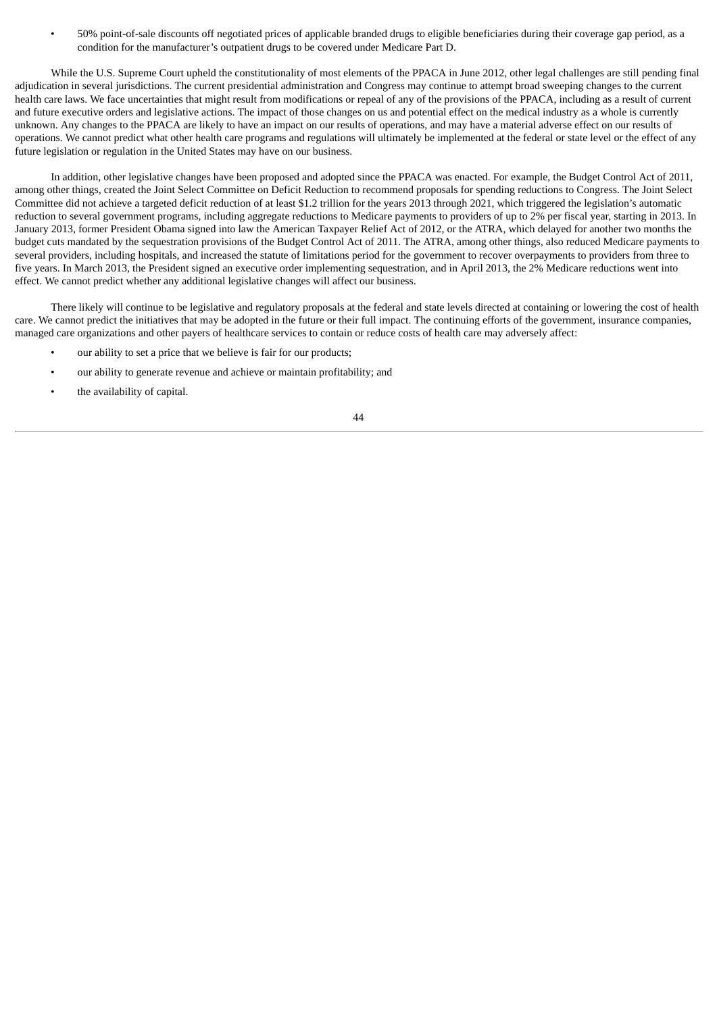• 50% point-of-sale discounts off negotiated prices of applicable branded drugs to eligible beneficiaries during their coverage gap period, as a condition for the manufacturer's outpatient drugs to be covered under Medicare Part D.

While the U.S. Supreme Court upheld the constitutionality of most elements of the PPACA in June 2012, other legal challenges are still pending final adjudication in several jurisdictions. The current presidential administration and Congress may continue to attempt broad sweeping changes to the current health care laws. We face uncertainties that might result from modifications or repeal of any of the provisions of the PPACA, including as a result of current and future executive orders and legislative actions. The impact of those changes on us and potential effect on the medical industry as a whole is currently unknown. Any changes to the PPACA are likely to have an impact on our results of operations, and may have a material adverse effect on our results of operations. We cannot predict what other health care programs and regulations will ultimately be implemented at the federal or state level or the effect of any future legislation or regulation in the United States may have on our business.

In addition, other legislative changes have been proposed and adopted since the PPACA was enacted. For example, the Budget Control Act of 2011, among other things, created the Joint Select Committee on Deficit Reduction to recommend proposals for spending reductions to Congress. The Joint Select Committee did not achieve a targeted deficit reduction of at least \$1.2 trillion for the years 2013 through 2021, which triggered the legislation's automatic reduction to several government programs, including aggregate reductions to Medicare payments to providers of up to 2% per fiscal year, starting in 2013. In January 2013, former President Obama signed into law the American Taxpayer Relief Act of 2012, or the ATRA, which delayed for another two months the budget cuts mandated by the sequestration provisions of the Budget Control Act of 2011. The ATRA, among other things, also reduced Medicare payments to several providers, including hospitals, and increased the statute of limitations period for the government to recover overpayments to providers from three to five years. In March 2013, the President signed an executive order implementing sequestration, and in April 2013, the 2% Medicare reductions went into effect. We cannot predict whether any additional legislative changes will affect our business.

There likely will continue to be legislative and regulatory proposals at the federal and state levels directed at containing or lowering the cost of health care. We cannot predict the initiatives that may be adopted in the future or their full impact. The continuing efforts of the government, insurance companies, managed care organizations and other payers of healthcare services to contain or reduce costs of health care may adversely affect:

- our ability to set a price that we believe is fair for our products;
- our ability to generate revenue and achieve or maintain profitability; and
- the availability of capital.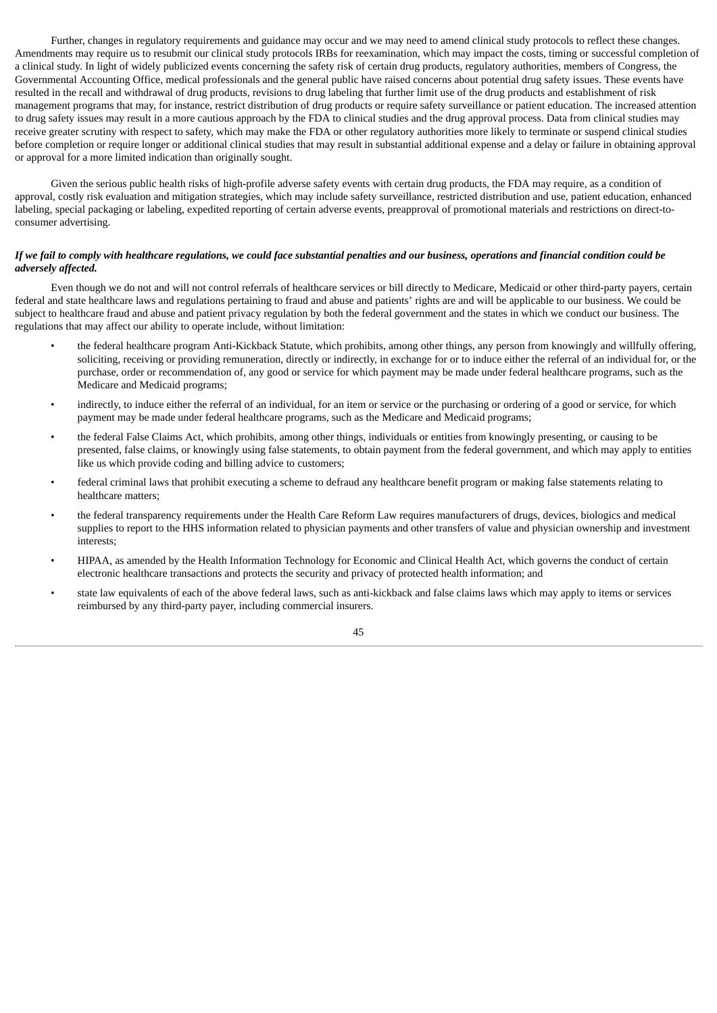Further, changes in regulatory requirements and guidance may occur and we may need to amend clinical study protocols to reflect these changes. Amendments may require us to resubmit our clinical study protocols IRBs for reexamination, which may impact the costs, timing or successful completion of a clinical study. In light of widely publicized events concerning the safety risk of certain drug products, regulatory authorities, members of Congress, the Governmental Accounting Office, medical professionals and the general public have raised concerns about potential drug safety issues. These events have resulted in the recall and withdrawal of drug products, revisions to drug labeling that further limit use of the drug products and establishment of risk management programs that may, for instance, restrict distribution of drug products or require safety surveillance or patient education. The increased attention to drug safety issues may result in a more cautious approach by the FDA to clinical studies and the drug approval process. Data from clinical studies may receive greater scrutiny with respect to safety, which may make the FDA or other regulatory authorities more likely to terminate or suspend clinical studies before completion or require longer or additional clinical studies that may result in substantial additional expense and a delay or failure in obtaining approval or approval for a more limited indication than originally sought.

Given the serious public health risks of high-profile adverse safety events with certain drug products, the FDA may require, as a condition of approval, costly risk evaluation and mitigation strategies, which may include safety surveillance, restricted distribution and use, patient education, enhanced labeling, special packaging or labeling, expedited reporting of certain adverse events, preapproval of promotional materials and restrictions on direct-toconsumer advertising.

# If we fail to comply with healthcare regulations, we could face substantial penalties and our business, operations and financial condition could be *adversely affected.*

Even though we do not and will not control referrals of healthcare services or bill directly to Medicare, Medicaid or other third-party payers, certain federal and state healthcare laws and regulations pertaining to fraud and abuse and patients' rights are and will be applicable to our business. We could be subject to healthcare fraud and abuse and patient privacy regulation by both the federal government and the states in which we conduct our business. The regulations that may affect our ability to operate include, without limitation:

- the federal healthcare program Anti-Kickback Statute, which prohibits, among other things, any person from knowingly and willfully offering, soliciting, receiving or providing remuneration, directly or indirectly, in exchange for or to induce either the referral of an individual for, or the purchase, order or recommendation of, any good or service for which payment may be made under federal healthcare programs, such as the Medicare and Medicaid programs;
- indirectly, to induce either the referral of an individual, for an item or service or the purchasing or ordering of a good or service, for which payment may be made under federal healthcare programs, such as the Medicare and Medicaid programs;
- the federal False Claims Act, which prohibits, among other things, individuals or entities from knowingly presenting, or causing to be presented, false claims, or knowingly using false statements, to obtain payment from the federal government, and which may apply to entities like us which provide coding and billing advice to customers;
- federal criminal laws that prohibit executing a scheme to defraud any healthcare benefit program or making false statements relating to healthcare matters;
- the federal transparency requirements under the Health Care Reform Law requires manufacturers of drugs, devices, biologics and medical supplies to report to the HHS information related to physician payments and other transfers of value and physician ownership and investment interests;
- HIPAA, as amended by the Health Information Technology for Economic and Clinical Health Act, which governs the conduct of certain electronic healthcare transactions and protects the security and privacy of protected health information; and
- state law equivalents of each of the above federal laws, such as anti-kickback and false claims laws which may apply to items or services reimbursed by any third-party payer, including commercial insurers.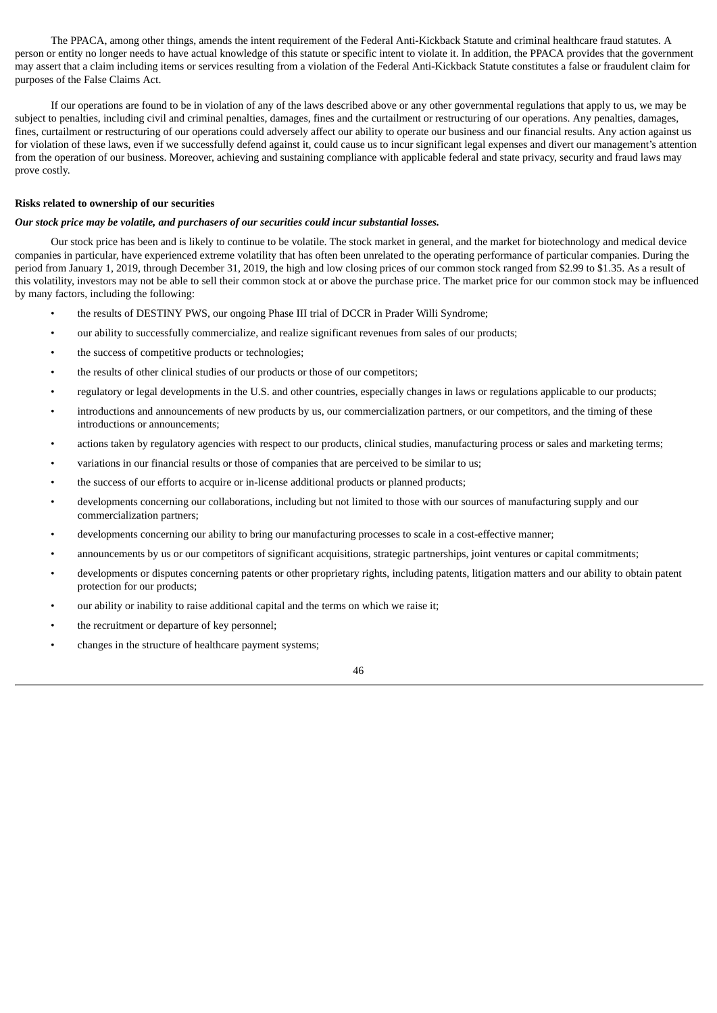The PPACA, among other things, amends the intent requirement of the Federal Anti-Kickback Statute and criminal healthcare fraud statutes. A person or entity no longer needs to have actual knowledge of this statute or specific intent to violate it. In addition, the PPACA provides that the government may assert that a claim including items or services resulting from a violation of the Federal Anti-Kickback Statute constitutes a false or fraudulent claim for purposes of the False Claims Act.

If our operations are found to be in violation of any of the laws described above or any other governmental regulations that apply to us, we may be subject to penalties, including civil and criminal penalties, damages, fines and the curtailment or restructuring of our operations. Any penalties, damages, fines, curtailment or restructuring of our operations could adversely affect our ability to operate our business and our financial results. Any action against us for violation of these laws, even if we successfully defend against it, could cause us to incur significant legal expenses and divert our management's attention from the operation of our business. Moreover, achieving and sustaining compliance with applicable federal and state privacy, security and fraud laws may prove costly.

### **Risks related to ownership of our securities**

### *Our stock price may be volatile, and purchasers of our securities could incur substantial losses.*

Our stock price has been and is likely to continue to be volatile. The stock market in general, and the market for biotechnology and medical device companies in particular, have experienced extreme volatility that has often been unrelated to the operating performance of particular companies. During the period from January 1, 2019, through December 31, 2019, the high and low closing prices of our common stock ranged from \$2.99 to \$1.35. As a result of this volatility, investors may not be able to sell their common stock at or above the purchase price. The market price for our common stock may be influenced by many factors, including the following:

- the results of DESTINY PWS, our ongoing Phase III trial of DCCR in Prader Willi Syndrome;
- our ability to successfully commercialize, and realize significant revenues from sales of our products;
- the success of competitive products or technologies;
- the results of other clinical studies of our products or those of our competitors;
- regulatory or legal developments in the U.S. and other countries, especially changes in laws or regulations applicable to our products;
- introductions and announcements of new products by us, our commercialization partners, or our competitors, and the timing of these introductions or announcements;
- actions taken by regulatory agencies with respect to our products, clinical studies, manufacturing process or sales and marketing terms;
- variations in our financial results or those of companies that are perceived to be similar to us;
- the success of our efforts to acquire or in-license additional products or planned products;
- developments concerning our collaborations, including but not limited to those with our sources of manufacturing supply and our commercialization partners;
- developments concerning our ability to bring our manufacturing processes to scale in a cost-effective manner;
- announcements by us or our competitors of significant acquisitions, strategic partnerships, joint ventures or capital commitments;
- developments or disputes concerning patents or other proprietary rights, including patents, litigation matters and our ability to obtain patent protection for our products;
- our ability or inability to raise additional capital and the terms on which we raise it;
- the recruitment or departure of key personnel;
- changes in the structure of healthcare payment systems;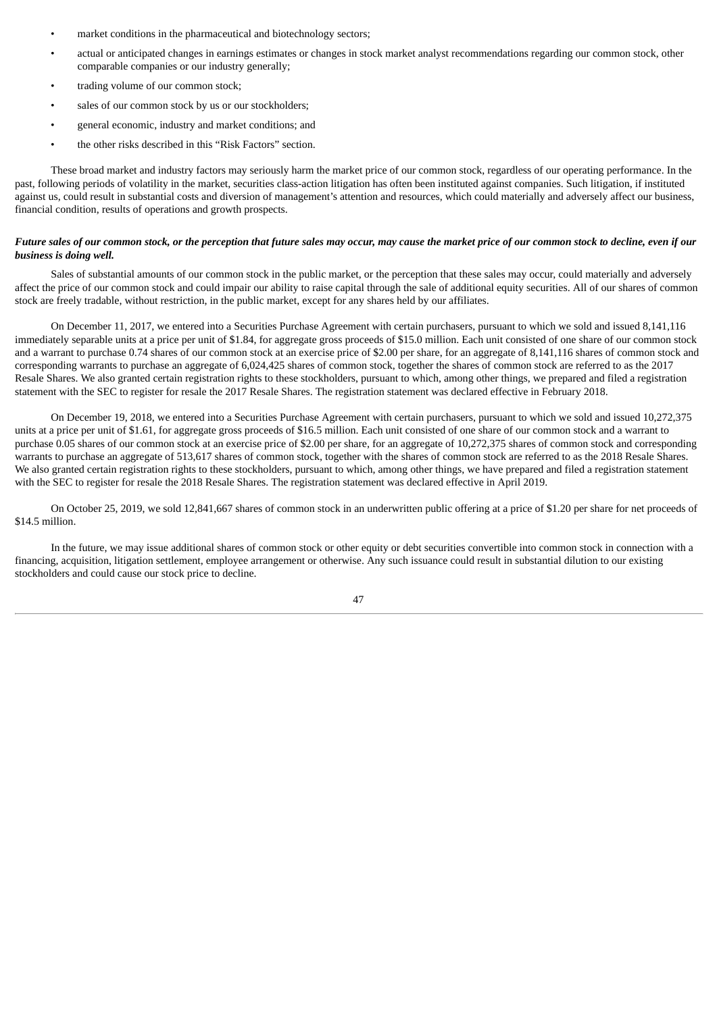- market conditions in the pharmaceutical and biotechnology sectors;
- actual or anticipated changes in earnings estimates or changes in stock market analyst recommendations regarding our common stock, other comparable companies or our industry generally;
- trading volume of our common stock;
- sales of our common stock by us or our stockholders;
- general economic, industry and market conditions; and
- the other risks described in this "Risk Factors" section.

These broad market and industry factors may seriously harm the market price of our common stock, regardless of our operating performance. In the past, following periods of volatility in the market, securities class-action litigation has often been instituted against companies. Such litigation, if instituted against us, could result in substantial costs and diversion of management's attention and resources, which could materially and adversely affect our business, financial condition, results of operations and growth prospects.

# Future sales of our common stock, or the perception that future sales may occur, may cause the market price of our common stock to decline, even if our *business is doing well.*

Sales of substantial amounts of our common stock in the public market, or the perception that these sales may occur, could materially and adversely affect the price of our common stock and could impair our ability to raise capital through the sale of additional equity securities. All of our shares of common stock are freely tradable, without restriction, in the public market, except for any shares held by our affiliates.

On December 11, 2017, we entered into a Securities Purchase Agreement with certain purchasers, pursuant to which we sold and issued 8,141,116 immediately separable units at a price per unit of \$1.84, for aggregate gross proceeds of \$15.0 million. Each unit consisted of one share of our common stock and a warrant to purchase 0.74 shares of our common stock at an exercise price of \$2.00 per share, for an aggregate of 8,141,116 shares of common stock and corresponding warrants to purchase an aggregate of 6,024,425 shares of common stock, together the shares of common stock are referred to as the 2017 Resale Shares. We also granted certain registration rights to these stockholders, pursuant to which, among other things, we prepared and filed a registration statement with the SEC to register for resale the 2017 Resale Shares. The registration statement was declared effective in February 2018.

On December 19, 2018, we entered into a Securities Purchase Agreement with certain purchasers, pursuant to which we sold and issued 10,272,375 units at a price per unit of \$1.61, for aggregate gross proceeds of \$16.5 million. Each unit consisted of one share of our common stock and a warrant to purchase 0.05 shares of our common stock at an exercise price of \$2.00 per share, for an aggregate of 10,272,375 shares of common stock and corresponding warrants to purchase an aggregate of 513,617 shares of common stock, together with the shares of common stock are referred to as the 2018 Resale Shares. We also granted certain registration rights to these stockholders, pursuant to which, among other things, we have prepared and filed a registration statement with the SEC to register for resale the 2018 Resale Shares. The registration statement was declared effective in April 2019.

On October 25, 2019, we sold 12,841,667 shares of common stock in an underwritten public offering at a price of \$1.20 per share for net proceeds of \$14.5 million.

In the future, we may issue additional shares of common stock or other equity or debt securities convertible into common stock in connection with a financing, acquisition, litigation settlement, employee arrangement or otherwise. Any such issuance could result in substantial dilution to our existing stockholders and could cause our stock price to decline.

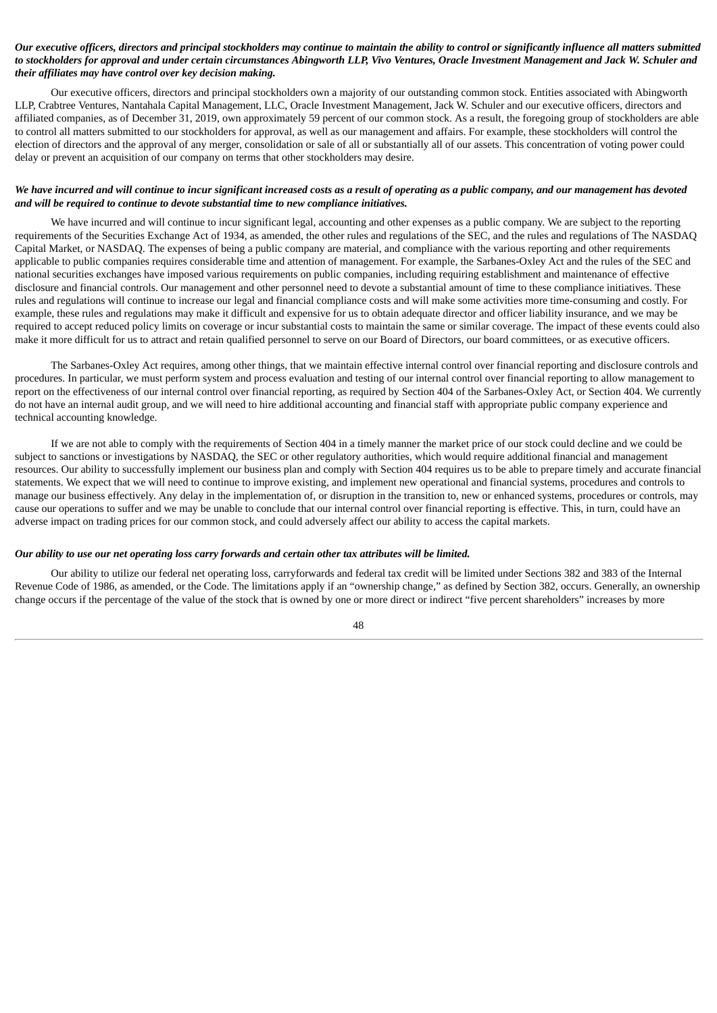# Our executive officers, directors and principal stockholders may continue to maintain the ability to control or significantly influence all matters submitted to stockholders for approval and under certain circumstances Abingworth LLP, Vivo Ventures, Oracle Investment Management and Jack W. Schuler and *their affiliates may have control over key decision making.*

Our executive officers, directors and principal stockholders own a majority of our outstanding common stock. Entities associated with Abingworth LLP, Crabtree Ventures, Nantahala Capital Management, LLC, Oracle Investment Management, Jack W. Schuler and our executive officers, directors and affiliated companies, as of December 31, 2019, own approximately 59 percent of our common stock. As a result, the foregoing group of stockholders are able to control all matters submitted to our stockholders for approval, as well as our management and affairs. For example, these stockholders will control the election of directors and the approval of any merger, consolidation or sale of all or substantially all of our assets. This concentration of voting power could delay or prevent an acquisition of our company on terms that other stockholders may desire.

# We have incurred and will continue to incur significant increased costs as a result of operating as a public company, and our management has devoted *and will be required to continue to devote substantial time to new compliance initiatives.*

We have incurred and will continue to incur significant legal, accounting and other expenses as a public company. We are subject to the reporting requirements of the Securities Exchange Act of 1934, as amended, the other rules and regulations of the SEC, and the rules and regulations of The NASDAQ Capital Market, or NASDAQ. The expenses of being a public company are material, and compliance with the various reporting and other requirements applicable to public companies requires considerable time and attention of management. For example, the Sarbanes-Oxley Act and the rules of the SEC and national securities exchanges have imposed various requirements on public companies, including requiring establishment and maintenance of effective disclosure and financial controls. Our management and other personnel need to devote a substantial amount of time to these compliance initiatives. These rules and regulations will continue to increase our legal and financial compliance costs and will make some activities more time-consuming and costly. For example, these rules and regulations may make it difficult and expensive for us to obtain adequate director and officer liability insurance, and we may be required to accept reduced policy limits on coverage or incur substantial costs to maintain the same or similar coverage. The impact of these events could also make it more difficult for us to attract and retain qualified personnel to serve on our Board of Directors, our board committees, or as executive officers.

The Sarbanes-Oxley Act requires, among other things, that we maintain effective internal control over financial reporting and disclosure controls and procedures. In particular, we must perform system and process evaluation and testing of our internal control over financial reporting to allow management to report on the effectiveness of our internal control over financial reporting, as required by Section 404 of the Sarbanes-Oxley Act, or Section 404. We currently do not have an internal audit group, and we will need to hire additional accounting and financial staff with appropriate public company experience and technical accounting knowledge.

If we are not able to comply with the requirements of Section 404 in a timely manner the market price of our stock could decline and we could be subject to sanctions or investigations by NASDAQ, the SEC or other regulatory authorities, which would require additional financial and management resources. Our ability to successfully implement our business plan and comply with Section 404 requires us to be able to prepare timely and accurate financial statements. We expect that we will need to continue to improve existing, and implement new operational and financial systems, procedures and controls to manage our business effectively. Any delay in the implementation of, or disruption in the transition to, new or enhanced systems, procedures or controls, may cause our operations to suffer and we may be unable to conclude that our internal control over financial reporting is effective. This, in turn, could have an adverse impact on trading prices for our common stock, and could adversely affect our ability to access the capital markets.

### Our ability to use our net operating loss carry forwards and certain other tax attributes will be limited.

Our ability to utilize our federal net operating loss, carryforwards and federal tax credit will be limited under Sections 382 and 383 of the Internal Revenue Code of 1986, as amended, or the Code. The limitations apply if an "ownership change," as defined by Section 382, occurs. Generally, an ownership change occurs if the percentage of the value of the stock that is owned by one or more direct or indirect "five percent shareholders" increases by more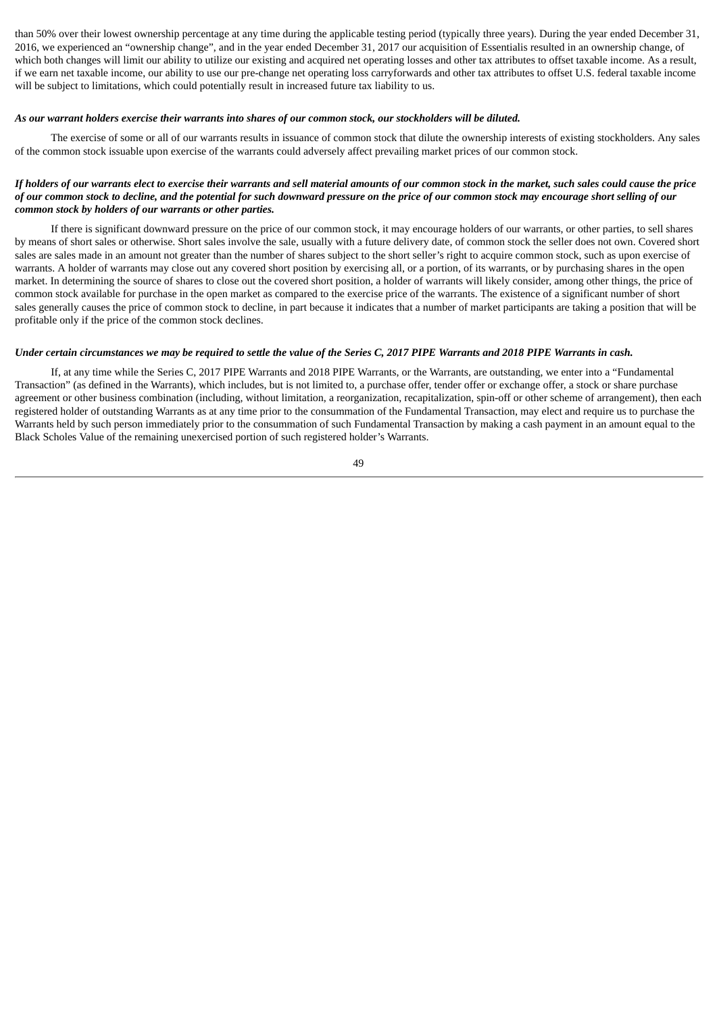than 50% over their lowest ownership percentage at any time during the applicable testing period (typically three years). During the year ended December 31, 2016, we experienced an "ownership change", and in the year ended December 31, 2017 our acquisition of Essentialis resulted in an ownership change, of which both changes will limit our ability to utilize our existing and acquired net operating losses and other tax attributes to offset taxable income. As a result, if we earn net taxable income, our ability to use our pre-change net operating loss carryforwards and other tax attributes to offset U.S. federal taxable income will be subject to limitations, which could potentially result in increased future tax liability to us.

#### As our warrant holders exercise their warrants into shares of our common stock, our stockholders will be diluted.

The exercise of some or all of our warrants results in issuance of common stock that dilute the ownership interests of existing stockholders. Any sales of the common stock issuable upon exercise of the warrants could adversely affect prevailing market prices of our common stock.

# If holders of our warrants elect to exercise their warrants and sell material amounts of our common stock in the market, such sales could cause the price of our common stock to decline, and the potential for such downward pressure on the price of our common stock may encourage short selling of our *common stock by holders of our warrants or other parties.*

If there is significant downward pressure on the price of our common stock, it may encourage holders of our warrants, or other parties, to sell shares by means of short sales or otherwise. Short sales involve the sale, usually with a future delivery date, of common stock the seller does not own. Covered short sales are sales made in an amount not greater than the number of shares subject to the short seller's right to acquire common stock, such as upon exercise of warrants. A holder of warrants may close out any covered short position by exercising all, or a portion, of its warrants, or by purchasing shares in the open market. In determining the source of shares to close out the covered short position, a holder of warrants will likely consider, among other things, the price of common stock available for purchase in the open market as compared to the exercise price of the warrants. The existence of a significant number of short sales generally causes the price of common stock to decline, in part because it indicates that a number of market participants are taking a position that will be profitable only if the price of the common stock declines.

### Under certain circumstances we may be required to settle the value of the Series C, 2017 PIPE Warrants and 2018 PIPE Warrants in cash.

If, at any time while the Series C, 2017 PIPE Warrants and 2018 PIPE Warrants, or the Warrants, are outstanding, we enter into a "Fundamental Transaction" (as defined in the Warrants), which includes, but is not limited to, a purchase offer, tender offer or exchange offer, a stock or share purchase agreement or other business combination (including, without limitation, a reorganization, recapitalization, spin-off or other scheme of arrangement), then each registered holder of outstanding Warrants as at any time prior to the consummation of the Fundamental Transaction, may elect and require us to purchase the Warrants held by such person immediately prior to the consummation of such Fundamental Transaction by making a cash payment in an amount equal to the Black Scholes Value of the remaining unexercised portion of such registered holder's Warrants.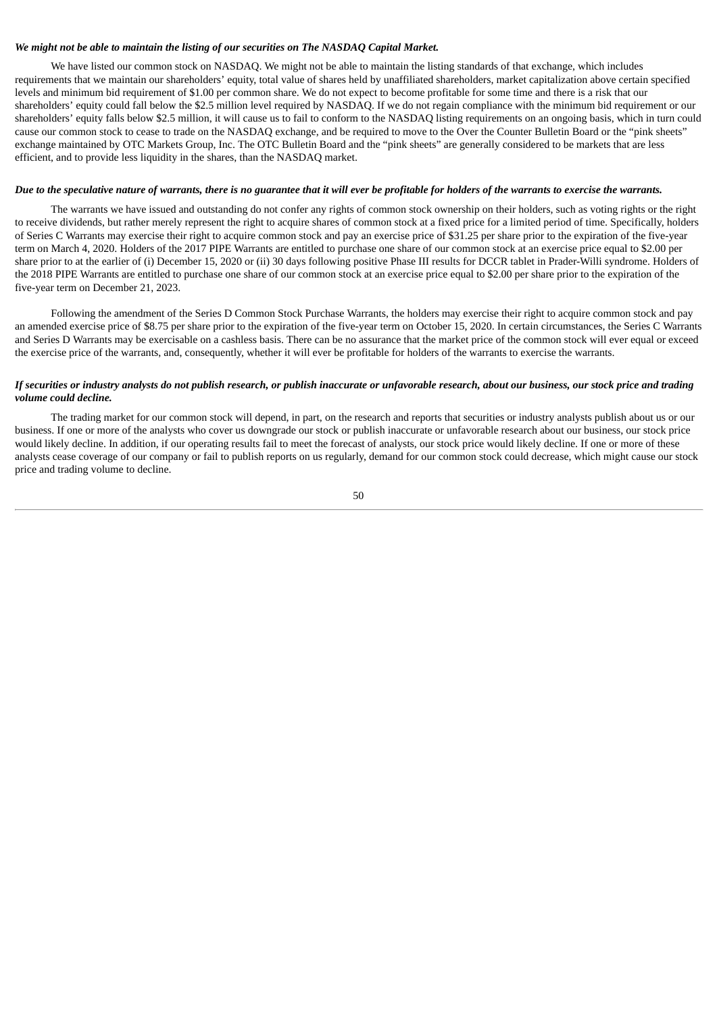### *We might not be able to maintain the listing of our securities on The NASDAQ Capital Market.*

We have listed our common stock on NASDAQ. We might not be able to maintain the listing standards of that exchange, which includes requirements that we maintain our shareholders' equity, total value of shares held by unaffiliated shareholders, market capitalization above certain specified levels and minimum bid requirement of \$1.00 per common share. We do not expect to become profitable for some time and there is a risk that our shareholders' equity could fall below the \$2.5 million level required by NASDAQ. If we do not regain compliance with the minimum bid requirement or our shareholders' equity falls below \$2.5 million, it will cause us to fail to conform to the NASDAQ listing requirements on an ongoing basis, which in turn could cause our common stock to cease to trade on the NASDAQ exchange, and be required to move to the Over the Counter Bulletin Board or the "pink sheets" exchange maintained by OTC Markets Group, Inc. The OTC Bulletin Board and the "pink sheets" are generally considered to be markets that are less efficient, and to provide less liquidity in the shares, than the NASDAQ market.

### Due to the speculative nature of warrants, there is no guarantee that it will ever be profitable for holders of the warrants to exercise the warrants.

The warrants we have issued and outstanding do not confer any rights of common stock ownership on their holders, such as voting rights or the right to receive dividends, but rather merely represent the right to acquire shares of common stock at a fixed price for a limited period of time. Specifically, holders of Series C Warrants may exercise their right to acquire common stock and pay an exercise price of \$31.25 per share prior to the expiration of the five-year term on March 4, 2020. Holders of the 2017 PIPE Warrants are entitled to purchase one share of our common stock at an exercise price equal to \$2.00 per share prior to at the earlier of (i) December 15, 2020 or (ii) 30 days following positive Phase III results for DCCR tablet in Prader-Willi syndrome. Holders of the 2018 PIPE Warrants are entitled to purchase one share of our common stock at an exercise price equal to \$2.00 per share prior to the expiration of the five-year term on December 21, 2023.

Following the amendment of the Series D Common Stock Purchase Warrants, the holders may exercise their right to acquire common stock and pay an amended exercise price of \$8.75 per share prior to the expiration of the five-year term on October 15, 2020. In certain circumstances, the Series C Warrants and Series D Warrants may be exercisable on a cashless basis. There can be no assurance that the market price of the common stock will ever equal or exceed the exercise price of the warrants, and, consequently, whether it will ever be profitable for holders of the warrants to exercise the warrants.

### If securities or industry analysts do not publish research, or publish inaccurate or unfavorable research, about our business, our stock price and trading *volume could decline.*

The trading market for our common stock will depend, in part, on the research and reports that securities or industry analysts publish about us or our business. If one or more of the analysts who cover us downgrade our stock or publish inaccurate or unfavorable research about our business, our stock price would likely decline. In addition, if our operating results fail to meet the forecast of analysts, our stock price would likely decline. If one or more of these analysts cease coverage of our company or fail to publish reports on us regularly, demand for our common stock could decrease, which might cause our stock price and trading volume to decline.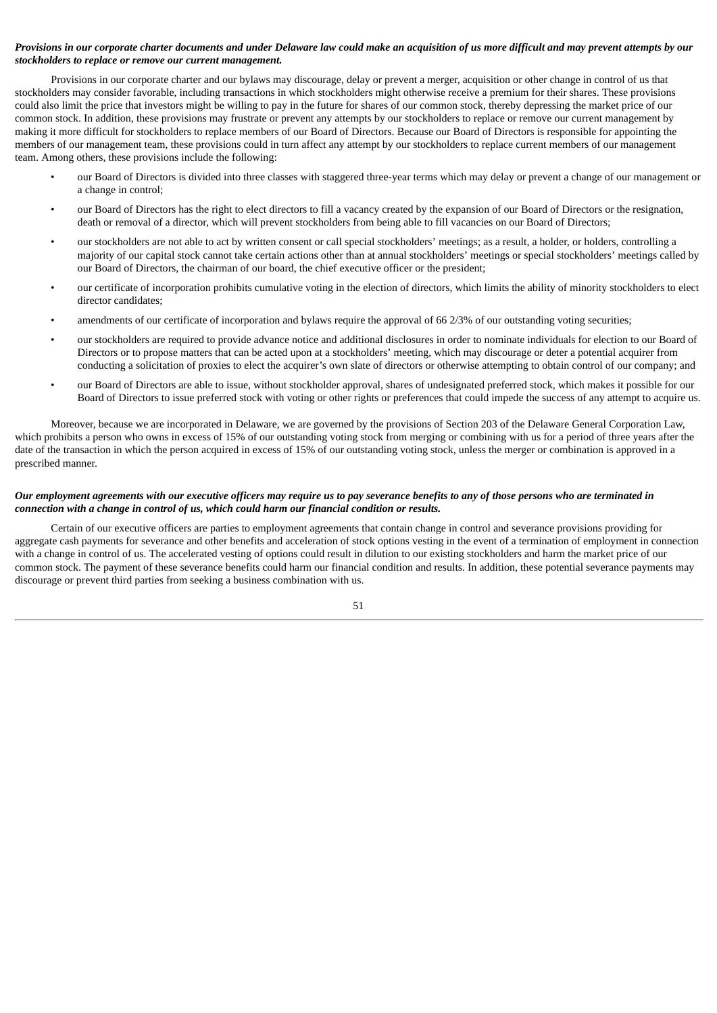# Provisions in our corporate charter documents and under Delaware law could make an acquisition of us more difficult and may prevent attempts by our *stockholders to replace or remove our current management.*

Provisions in our corporate charter and our bylaws may discourage, delay or prevent a merger, acquisition or other change in control of us that stockholders may consider favorable, including transactions in which stockholders might otherwise receive a premium for their shares. These provisions could also limit the price that investors might be willing to pay in the future for shares of our common stock, thereby depressing the market price of our common stock. In addition, these provisions may frustrate or prevent any attempts by our stockholders to replace or remove our current management by making it more difficult for stockholders to replace members of our Board of Directors. Because our Board of Directors is responsible for appointing the members of our management team, these provisions could in turn affect any attempt by our stockholders to replace current members of our management team. Among others, these provisions include the following:

- our Board of Directors is divided into three classes with staggered three-year terms which may delay or prevent a change of our management or a change in control;
- our Board of Directors has the right to elect directors to fill a vacancy created by the expansion of our Board of Directors or the resignation, death or removal of a director, which will prevent stockholders from being able to fill vacancies on our Board of Directors;
- our stockholders are not able to act by written consent or call special stockholders' meetings; as a result, a holder, or holders, controlling a majority of our capital stock cannot take certain actions other than at annual stockholders' meetings or special stockholders' meetings called by our Board of Directors, the chairman of our board, the chief executive officer or the president;
- our certificate of incorporation prohibits cumulative voting in the election of directors, which limits the ability of minority stockholders to elect director candidates;
- amendments of our certificate of incorporation and bylaws require the approval of 66 2/3% of our outstanding voting securities;
- our stockholders are required to provide advance notice and additional disclosures in order to nominate individuals for election to our Board of Directors or to propose matters that can be acted upon at a stockholders' meeting, which may discourage or deter a potential acquirer from conducting a solicitation of proxies to elect the acquirer's own slate of directors or otherwise attempting to obtain control of our company; and
- our Board of Directors are able to issue, without stockholder approval, shares of undesignated preferred stock, which makes it possible for our Board of Directors to issue preferred stock with voting or other rights or preferences that could impede the success of any attempt to acquire us.

Moreover, because we are incorporated in Delaware, we are governed by the provisions of Section 203 of the Delaware General Corporation Law, which prohibits a person who owns in excess of 15% of our outstanding voting stock from merging or combining with us for a period of three years after the date of the transaction in which the person acquired in excess of 15% of our outstanding voting stock, unless the merger or combination is approved in a prescribed manner.

# Our employment agreements with our executive officers may require us to pay severance benefits to any of those persons who are terminated in *connection with a change in control of us, which could harm our financial condition or results.*

Certain of our executive officers are parties to employment agreements that contain change in control and severance provisions providing for aggregate cash payments for severance and other benefits and acceleration of stock options vesting in the event of a termination of employment in connection with a change in control of us. The accelerated vesting of options could result in dilution to our existing stockholders and harm the market price of our common stock. The payment of these severance benefits could harm our financial condition and results. In addition, these potential severance payments may discourage or prevent third parties from seeking a business combination with us.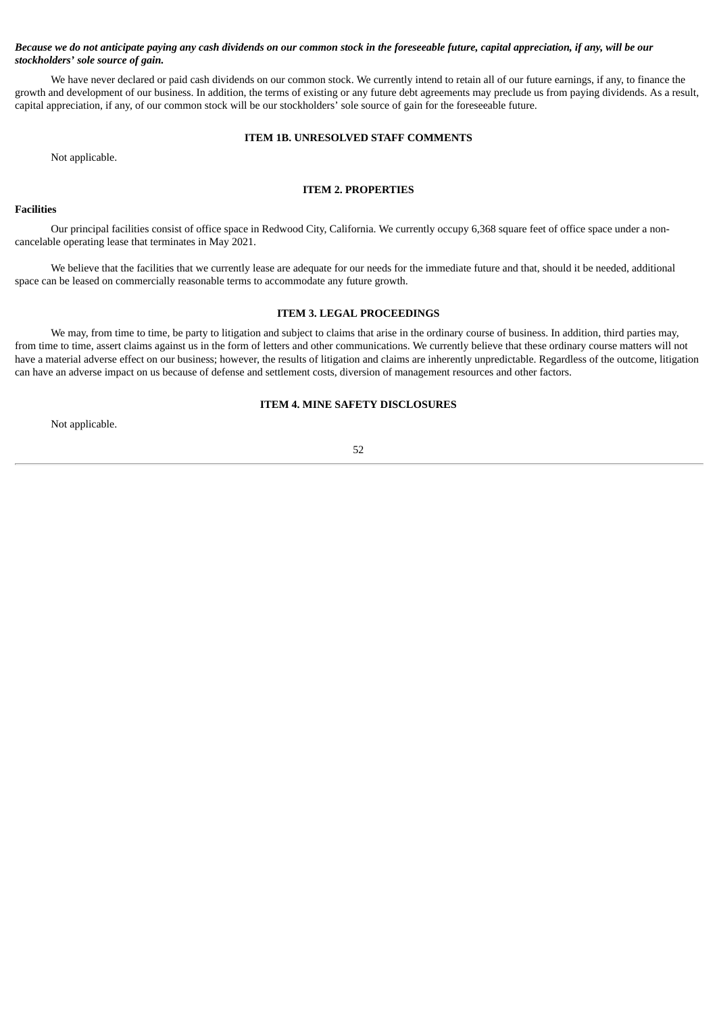# Because we do not anticipate paying any cash dividends on our common stock in the foreseeable future, capital appreciation, if any, will be our *stockholders' sole source of gain.*

We have never declared or paid cash dividends on our common stock. We currently intend to retain all of our future earnings, if any, to finance the growth and development of our business. In addition, the terms of existing or any future debt agreements may preclude us from paying dividends. As a result, capital appreciation, if any, of our common stock will be our stockholders' sole source of gain for the foreseeable future.

# **ITEM 1B. UNRESOLVED STAFF COMMENTS**

Not applicable.

# **ITEM 2. PROPERTIES**

# **Facilities**

Our principal facilities consist of office space in Redwood City, California. We currently occupy 6,368 square feet of office space under a noncancelable operating lease that terminates in May 2021.

We believe that the facilities that we currently lease are adequate for our needs for the immediate future and that, should it be needed, additional space can be leased on commercially reasonable terms to accommodate any future growth.

### **ITEM 3. LEGAL PROCEEDINGS**

We may, from time to time, be party to litigation and subject to claims that arise in the ordinary course of business. In addition, third parties may, from time to time, assert claims against us in the form of letters and other communications. We currently believe that these ordinary course matters will not have a material adverse effect on our business; however, the results of litigation and claims are inherently unpredictable. Regardless of the outcome, litigation can have an adverse impact on us because of defense and settlement costs, diversion of management resources and other factors.

# **ITEM 4. MINE SAFETY DISCLOSURES**

Not applicable.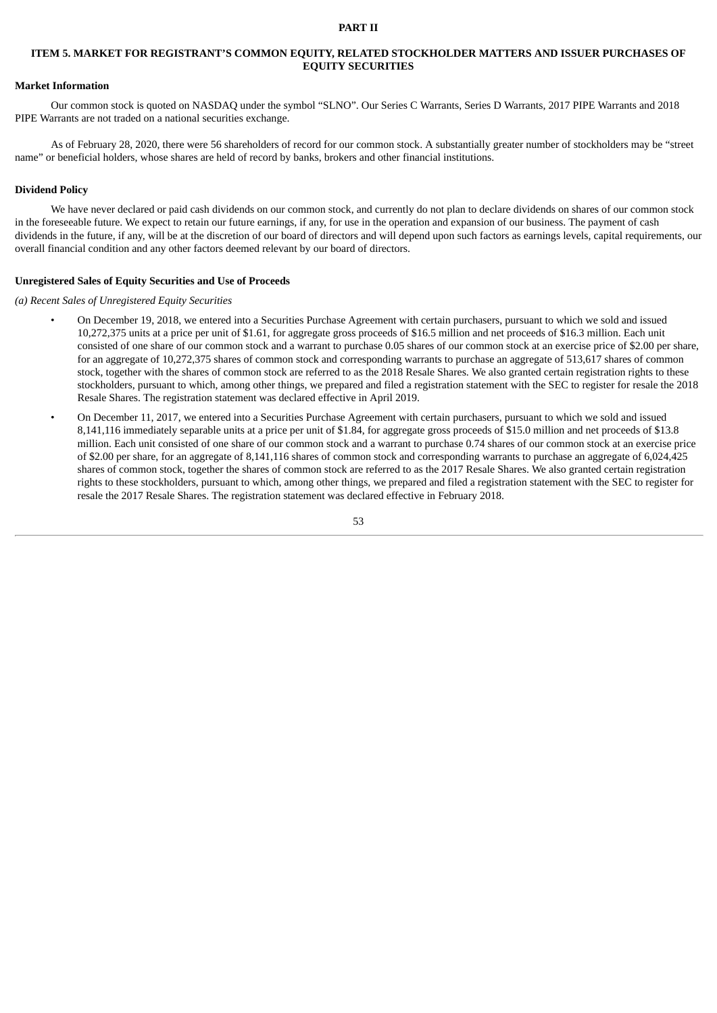#### **PART II**

# **ITEM 5. MARKET FOR REGISTRANT'S COMMON EQUITY, RELATED STOCKHOLDER MATTERS AND ISSUER PURCHASES OF EQUITY SECURITIES**

# **Market Information**

Our common stock is quoted on NASDAQ under the symbol "SLNO". Our Series C Warrants, Series D Warrants, 2017 PIPE Warrants and 2018 PIPE Warrants are not traded on a national securities exchange.

As of February 28, 2020, there were 56 shareholders of record for our common stock. A substantially greater number of stockholders may be "street name" or beneficial holders, whose shares are held of record by banks, brokers and other financial institutions.

### **Dividend Policy**

We have never declared or paid cash dividends on our common stock, and currently do not plan to declare dividends on shares of our common stock in the foreseeable future. We expect to retain our future earnings, if any, for use in the operation and expansion of our business. The payment of cash dividends in the future, if any, will be at the discretion of our board of directors and will depend upon such factors as earnings levels, capital requirements, our overall financial condition and any other factors deemed relevant by our board of directors.

### **Unregistered Sales of Equity Securities and Use of Proceeds**

*(a) Recent Sales of Unregistered Equity Securities*

- On December 19, 2018, we entered into a Securities Purchase Agreement with certain purchasers, pursuant to which we sold and issued 10,272,375 units at a price per unit of \$1.61, for aggregate gross proceeds of \$16.5 million and net proceeds of \$16.3 million. Each unit consisted of one share of our common stock and a warrant to purchase 0.05 shares of our common stock at an exercise price of \$2.00 per share, for an aggregate of 10,272,375 shares of common stock and corresponding warrants to purchase an aggregate of 513,617 shares of common stock, together with the shares of common stock are referred to as the 2018 Resale Shares. We also granted certain registration rights to these stockholders, pursuant to which, among other things, we prepared and filed a registration statement with the SEC to register for resale the 2018 Resale Shares. The registration statement was declared effective in April 2019.
- On December 11, 2017, we entered into a Securities Purchase Agreement with certain purchasers, pursuant to which we sold and issued 8,141,116 immediately separable units at a price per unit of \$1.84, for aggregate gross proceeds of \$15.0 million and net proceeds of \$13.8 million. Each unit consisted of one share of our common stock and a warrant to purchase 0.74 shares of our common stock at an exercise price of \$2.00 per share, for an aggregate of 8,141,116 shares of common stock and corresponding warrants to purchase an aggregate of 6,024,425 shares of common stock, together the shares of common stock are referred to as the 2017 Resale Shares. We also granted certain registration rights to these stockholders, pursuant to which, among other things, we prepared and filed a registration statement with the SEC to register for resale the 2017 Resale Shares. The registration statement was declared effective in February 2018.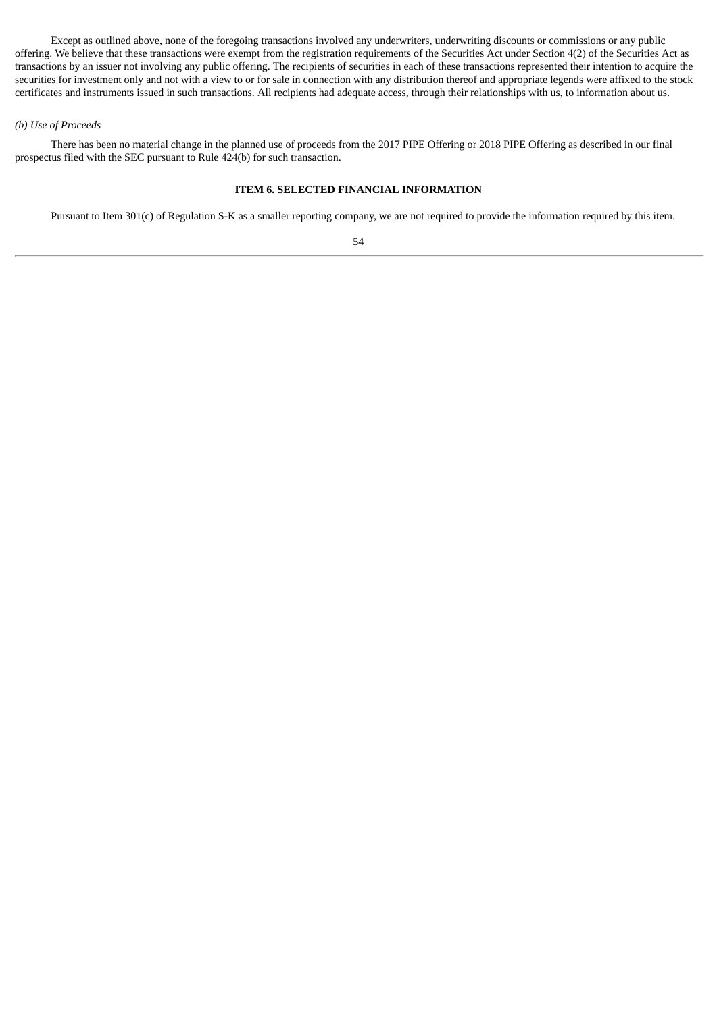Except as outlined above, none of the foregoing transactions involved any underwriters, underwriting discounts or commissions or any public offering. We believe that these transactions were exempt from the registration requirements of the Securities Act under Section 4(2) of the Securities Act as transactions by an issuer not involving any public offering. The recipients of securities in each of these transactions represented their intention to acquire the securities for investment only and not with a view to or for sale in connection with any distribution thereof and appropriate legends were affixed to the stock certificates and instruments issued in such transactions. All recipients had adequate access, through their relationships with us, to information about us.

# *(b) Use of Proceeds*

There has been no material change in the planned use of proceeds from the 2017 PIPE Offering or 2018 PIPE Offering as described in our final prospectus filed with the SEC pursuant to Rule 424(b) for such transaction.

# **ITEM 6. SELECTED FINANCIAL INFORMATION**

Pursuant to Item 301(c) of Regulation S-K as a smaller reporting company, we are not required to provide the information required by this item.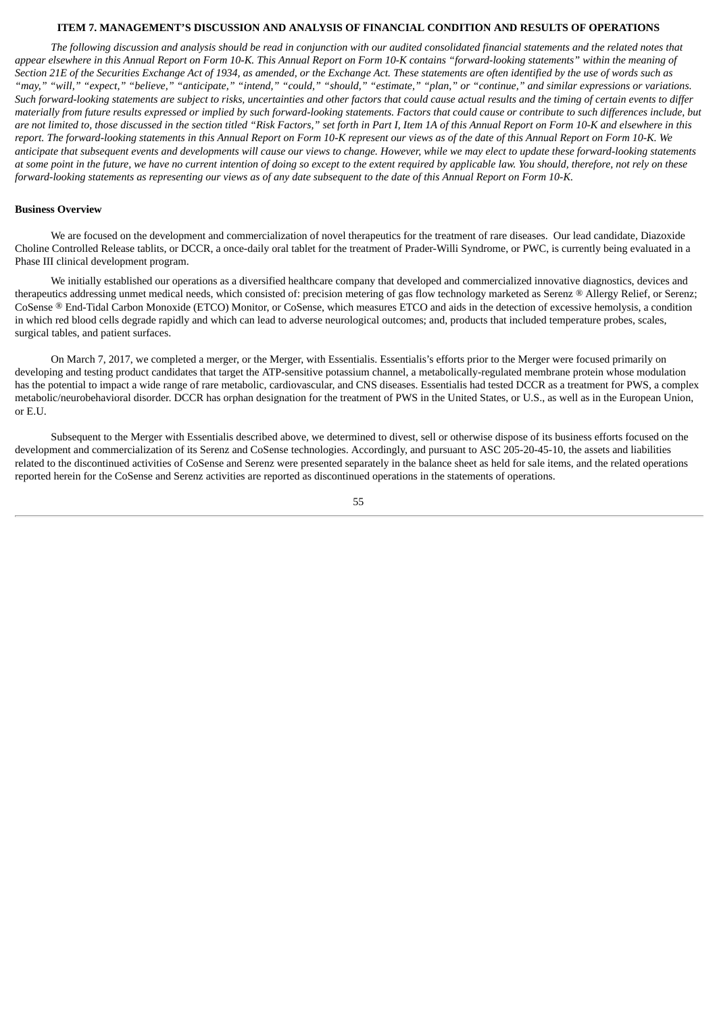### **ITEM 7. MANAGEMENT'S DISCUSSION AND ANALYSIS OF FINANCIAL CONDITION AND RESULTS OF OPERATIONS**

The following discussion and analysis should be read in conjunction with our audited consolidated financial statements and the related notes that appear elsewhere in this Annual Report on Form 10-K. This Annual Report on Form 10-K contains "forward-looking statements" within the meaning of Section 21E of the Securities Exchange Act of 1934, as amended, or the Exchange Act. These statements are often identified by the use of words such as "may," "will," "expect," "believe," "anticipate," "intend," "could," "should," "estimate," "plan," or "continue," and similar expressions or variations. Such forward-looking statements are subject to risks, uncertainties and other factors that could cause actual results and the timing of certain events to differ materially from future results expressed or implied by such forward-looking statements. Factors that could cause or contribute to such differences include, but are not limited to, those discussed in the section titled "Risk Factors," set forth in Part I, Item 1A of this Annual Report on Form 10-K and elsewhere in this report. The forward-looking statements in this Annual Report on Form 10-K represent our views as of the date of this Annual Report on Form 10-K. We anticipate that subsequent events and developments will cause our views to change. However, while we may elect to update these forward-looking statements at some point in the future, we have no current intention of doing so except to the extent required by applicable law. You should, therefore, not rely on these forward-looking statements as representing our views as of any date subsequent to the date of this Annual Report on Form 10-K.

## **Business Overview**

We are focused on the development and commercialization of novel therapeutics for the treatment of rare diseases. Our lead candidate, Diazoxide Choline Controlled Release tablits, or DCCR, a once-daily oral tablet for the treatment of Prader-Willi Syndrome, or PWC, is currently being evaluated in a Phase III clinical development program.

We initially established our operations as a diversified healthcare company that developed and commercialized innovative diagnostics, devices and therapeutics addressing unmet medical needs, which consisted of: precision metering of gas flow technology marketed as Serenz ® Allergy Relief, or Serenz; CoSense ® End-Tidal Carbon Monoxide (ETCO) Monitor, or CoSense, which measures ETCO and aids in the detection of excessive hemolysis, a condition in which red blood cells degrade rapidly and which can lead to adverse neurological outcomes; and, products that included temperature probes, scales, surgical tables, and patient surfaces.

On March 7, 2017, we completed a merger, or the Merger, with Essentialis. Essentialis's efforts prior to the Merger were focused primarily on developing and testing product candidates that target the ATP-sensitive potassium channel, a metabolically-regulated membrane protein whose modulation has the potential to impact a wide range of rare metabolic, cardiovascular, and CNS diseases. Essentialis had tested DCCR as a treatment for PWS, a complex metabolic/neurobehavioral disorder. DCCR has orphan designation for the treatment of PWS in the United States, or U.S., as well as in the European Union, or E.U.

Subsequent to the Merger with Essentialis described above, we determined to divest, sell or otherwise dispose of its business efforts focused on the development and commercialization of its Serenz and CoSense technologies. Accordingly, and pursuant to ASC 205-20-45-10, the assets and liabilities related to the discontinued activities of CoSense and Serenz were presented separately in the balance sheet as held for sale items, and the related operations reported herein for the CoSense and Serenz activities are reported as discontinued operations in the statements of operations.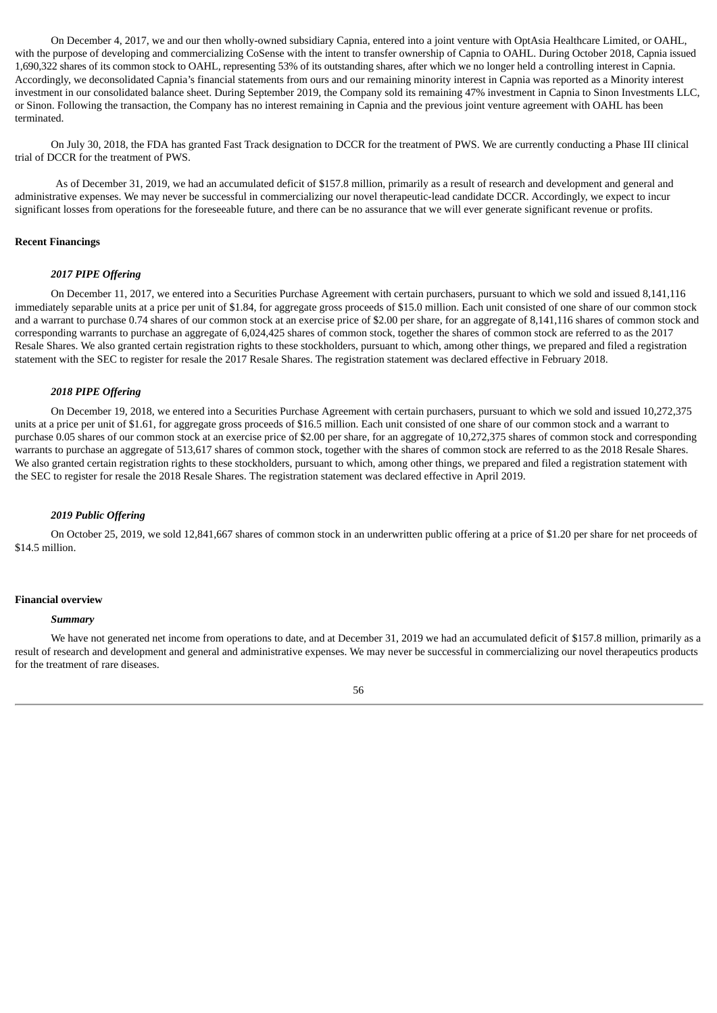On December 4, 2017, we and our then wholly-owned subsidiary Capnia, entered into a joint venture with OptAsia Healthcare Limited, or OAHL, with the purpose of developing and commercializing CoSense with the intent to transfer ownership of Capnia to OAHL. During October 2018, Capnia issued 1,690,322 shares of its common stock to OAHL, representing 53% of its outstanding shares, after which we no longer held a controlling interest in Capnia. Accordingly, we deconsolidated Capnia's financial statements from ours and our remaining minority interest in Capnia was reported as a Minority interest investment in our consolidated balance sheet. During September 2019, the Company sold its remaining 47% investment in Capnia to Sinon Investments LLC, or Sinon. Following the transaction, the Company has no interest remaining in Capnia and the previous joint venture agreement with OAHL has been terminated.

On July 30, 2018, the FDA has granted Fast Track designation to DCCR for the treatment of PWS. We are currently conducting a Phase III clinical trial of DCCR for the treatment of PWS.

As of December 31, 2019, we had an accumulated deficit of \$157.8 million, primarily as a result of research and development and general and administrative expenses. We may never be successful in commercializing our novel therapeutic-lead candidate DCCR. Accordingly, we expect to incur significant losses from operations for the foreseeable future, and there can be no assurance that we will ever generate significant revenue or profits.

## **Recent Financings**

### *2017 PIPE Offering*

On December 11, 2017, we entered into a Securities Purchase Agreement with certain purchasers, pursuant to which we sold and issued 8,141,116 immediately separable units at a price per unit of \$1.84, for aggregate gross proceeds of \$15.0 million. Each unit consisted of one share of our common stock and a warrant to purchase 0.74 shares of our common stock at an exercise price of \$2.00 per share, for an aggregate of 8,141,116 shares of common stock and corresponding warrants to purchase an aggregate of 6,024,425 shares of common stock, together the shares of common stock are referred to as the 2017 Resale Shares. We also granted certain registration rights to these stockholders, pursuant to which, among other things, we prepared and filed a registration statement with the SEC to register for resale the 2017 Resale Shares. The registration statement was declared effective in February 2018.

## *2018 PIPE Offering*

On December 19, 2018, we entered into a Securities Purchase Agreement with certain purchasers, pursuant to which we sold and issued 10,272,375 units at a price per unit of \$1.61, for aggregate gross proceeds of \$16.5 million. Each unit consisted of one share of our common stock and a warrant to purchase 0.05 shares of our common stock at an exercise price of \$2.00 per share, for an aggregate of 10,272,375 shares of common stock and corresponding warrants to purchase an aggregate of 513,617 shares of common stock, together with the shares of common stock are referred to as the 2018 Resale Shares. We also granted certain registration rights to these stockholders, pursuant to which, among other things, we prepared and filed a registration statement with the SEC to register for resale the 2018 Resale Shares. The registration statement was declared effective in April 2019.

#### *2019 Public Offering*

On October 25, 2019, we sold 12,841,667 shares of common stock in an underwritten public offering at a price of \$1.20 per share for net proceeds of \$14.5 million.

#### **Financial overview**

#### *Summary*

We have not generated net income from operations to date, and at December 31, 2019 we had an accumulated deficit of \$157.8 million, primarily as a result of research and development and general and administrative expenses. We may never be successful in commercializing our novel therapeutics products for the treatment of rare diseases.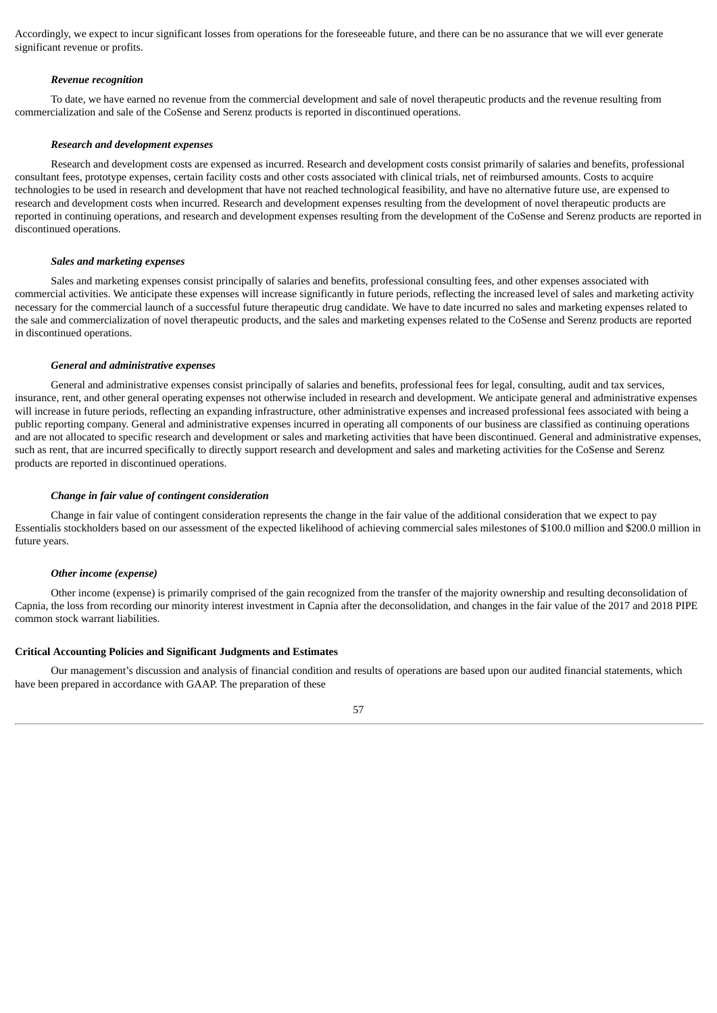Accordingly, we expect to incur significant losses from operations for the foreseeable future, and there can be no assurance that we will ever generate significant revenue or profits.

#### *Revenue recognition*

To date, we have earned no revenue from the commercial development and sale of novel therapeutic products and the revenue resulting from commercialization and sale of the CoSense and Serenz products is reported in discontinued operations.

#### *Research and development expenses*

Research and development costs are expensed as incurred. Research and development costs consist primarily of salaries and benefits, professional consultant fees, prototype expenses, certain facility costs and other costs associated with clinical trials, net of reimbursed amounts. Costs to acquire technologies to be used in research and development that have not reached technological feasibility, and have no alternative future use, are expensed to research and development costs when incurred. Research and development expenses resulting from the development of novel therapeutic products are reported in continuing operations, and research and development expenses resulting from the development of the CoSense and Serenz products are reported in discontinued operations.

#### *Sales and marketing expenses*

Sales and marketing expenses consist principally of salaries and benefits, professional consulting fees, and other expenses associated with commercial activities. We anticipate these expenses will increase significantly in future periods, reflecting the increased level of sales and marketing activity necessary for the commercial launch of a successful future therapeutic drug candidate. We have to date incurred no sales and marketing expenses related to the sale and commercialization of novel therapeutic products, and the sales and marketing expenses related to the CoSense and Serenz products are reported in discontinued operations.

### *General and administrative expenses*

General and administrative expenses consist principally of salaries and benefits, professional fees for legal, consulting, audit and tax services, insurance, rent, and other general operating expenses not otherwise included in research and development. We anticipate general and administrative expenses will increase in future periods, reflecting an expanding infrastructure, other administrative expenses and increased professional fees associated with being a public reporting company. General and administrative expenses incurred in operating all components of our business are classified as continuing operations and are not allocated to specific research and development or sales and marketing activities that have been discontinued. General and administrative expenses, such as rent, that are incurred specifically to directly support research and development and sales and marketing activities for the CoSense and Serenz products are reported in discontinued operations.

#### *Change in fair value of contingent consideration*

Change in fair value of contingent consideration represents the change in the fair value of the additional consideration that we expect to pay Essentialis stockholders based on our assessment of the expected likelihood of achieving commercial sales milestones of \$100.0 million and \$200.0 million in future years.

#### *Other income (expense)*

Other income (expense) is primarily comprised of the gain recognized from the transfer of the majority ownership and resulting deconsolidation of Capnia, the loss from recording our minority interest investment in Capnia after the deconsolidation, and changes in the fair value of the 2017 and 2018 PIPE common stock warrant liabilities.

### **Critical Accounting Policies and Significant Judgments and Estimates**

Our management's discussion and analysis of financial condition and results of operations are based upon our audited financial statements, which have been prepared in accordance with GAAP. The preparation of these

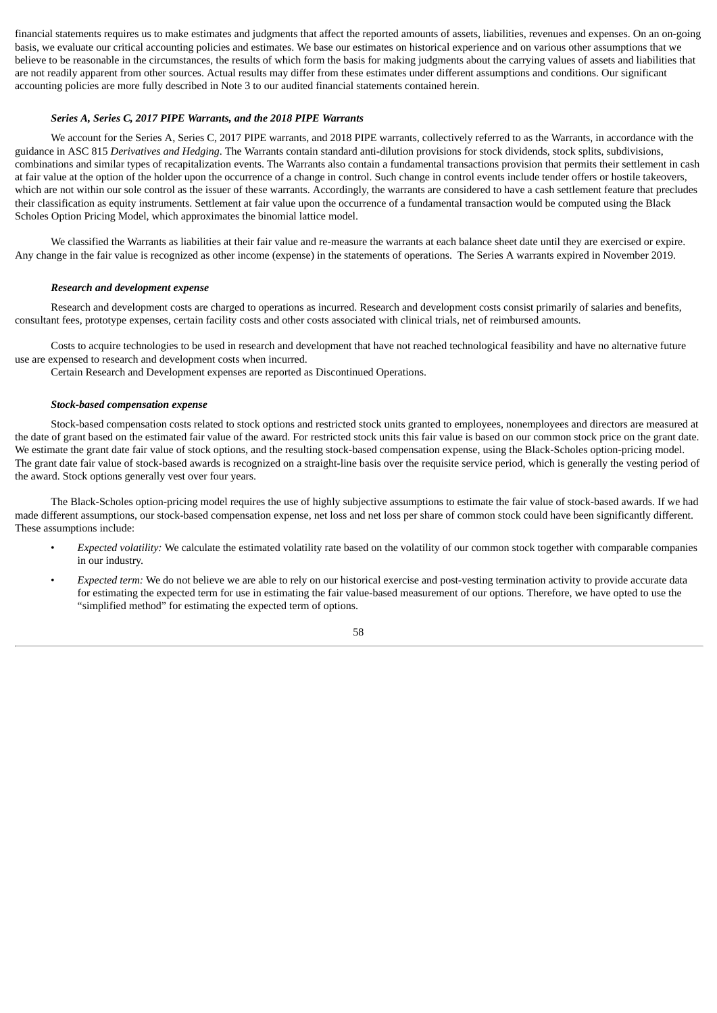financial statements requires us to make estimates and judgments that affect the reported amounts of assets, liabilities, revenues and expenses. On an on-going basis, we evaluate our critical accounting policies and estimates. We base our estimates on historical experience and on various other assumptions that we believe to be reasonable in the circumstances, the results of which form the basis for making judgments about the carrying values of assets and liabilities that are not readily apparent from other sources. Actual results may differ from these estimates under different assumptions and conditions. Our significant accounting policies are more fully described in Note 3 to our audited financial statements contained herein.

# *Series A, Series C, 2017 PIPE Warrants, and the 2018 PIPE Warrants*

We account for the Series A, Series C, 2017 PIPE warrants, and 2018 PIPE warrants, collectively referred to as the Warrants, in accordance with the guidance in ASC 815 *Derivatives and Hedging*. The Warrants contain standard anti-dilution provisions for stock dividends, stock splits, subdivisions, combinations and similar types of recapitalization events. The Warrants also contain a fundamental transactions provision that permits their settlement in cash at fair value at the option of the holder upon the occurrence of a change in control. Such change in control events include tender offers or hostile takeovers, which are not within our sole control as the issuer of these warrants. Accordingly, the warrants are considered to have a cash settlement feature that precludes their classification as equity instruments. Settlement at fair value upon the occurrence of a fundamental transaction would be computed using the Black Scholes Option Pricing Model, which approximates the binomial lattice model.

We classified the Warrants as liabilities at their fair value and re-measure the warrants at each balance sheet date until they are exercised or expire. Any change in the fair value is recognized as other income (expense) in the statements of operations. The Series A warrants expired in November 2019.

### *Research and development expense*

Research and development costs are charged to operations as incurred. Research and development costs consist primarily of salaries and benefits, consultant fees, prototype expenses, certain facility costs and other costs associated with clinical trials, net of reimbursed amounts.

Costs to acquire technologies to be used in research and development that have not reached technological feasibility and have no alternative future use are expensed to research and development costs when incurred.

Certain Research and Development expenses are reported as Discontinued Operations.

#### *Stock-based compensation expense*

Stock-based compensation costs related to stock options and restricted stock units granted to employees, nonemployees and directors are measured at the date of grant based on the estimated fair value of the award. For restricted stock units this fair value is based on our common stock price on the grant date. We estimate the grant date fair value of stock options, and the resulting stock-based compensation expense, using the Black-Scholes option-pricing model. The grant date fair value of stock-based awards is recognized on a straight-line basis over the requisite service period, which is generally the vesting period of the award. Stock options generally vest over four years.

The Black-Scholes option-pricing model requires the use of highly subjective assumptions to estimate the fair value of stock-based awards. If we had made different assumptions, our stock-based compensation expense, net loss and net loss per share of common stock could have been significantly different. These assumptions include:

- *Expected volatility:* We calculate the estimated volatility rate based on the volatility of our common stock together with comparable companies in our industry.
- *Expected term:* We do not believe we are able to rely on our historical exercise and post-vesting termination activity to provide accurate data for estimating the expected term for use in estimating the fair value-based measurement of our options. Therefore, we have opted to use the "simplified method" for estimating the expected term of options.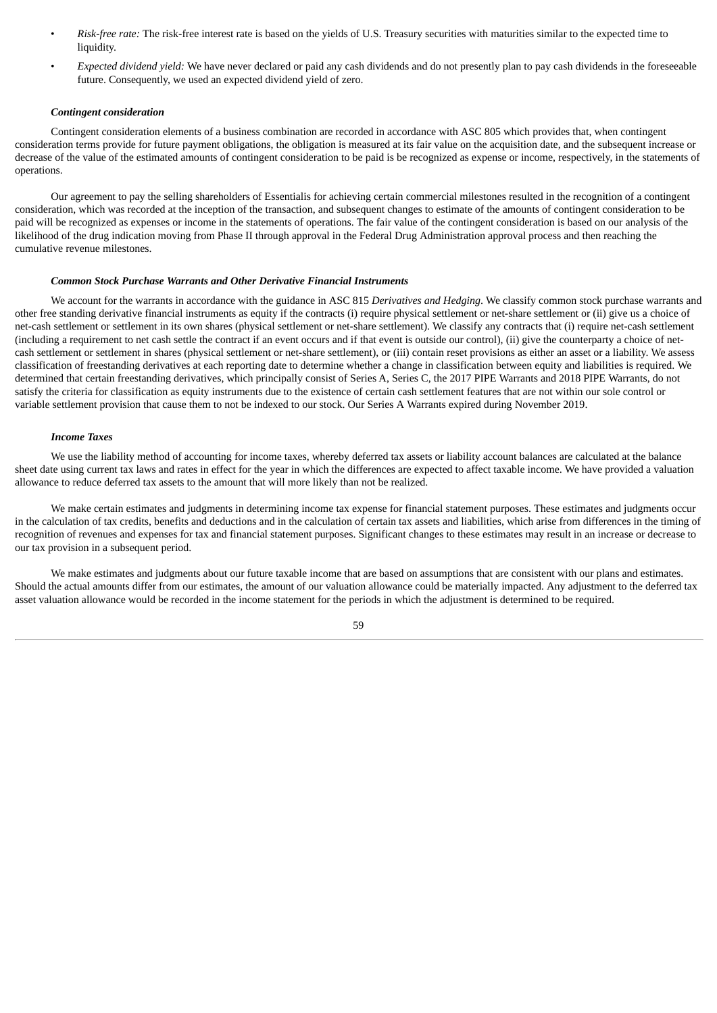- *Risk-free rate:* The risk-free interest rate is based on the yields of U.S. Treasury securities with maturities similar to the expected time to liquidity.
- *Expected dividend yield:* We have never declared or paid any cash dividends and do not presently plan to pay cash dividends in the foreseeable future. Consequently, we used an expected dividend yield of zero.

### *Contingent consideration*

Contingent consideration elements of a business combination are recorded in accordance with ASC 805 which provides that, when contingent consideration terms provide for future payment obligations, the obligation is measured at its fair value on the acquisition date, and the subsequent increase or decrease of the value of the estimated amounts of contingent consideration to be paid is be recognized as expense or income, respectively, in the statements of operations.

Our agreement to pay the selling shareholders of Essentialis for achieving certain commercial milestones resulted in the recognition of a contingent consideration, which was recorded at the inception of the transaction, and subsequent changes to estimate of the amounts of contingent consideration to be paid will be recognized as expenses or income in the statements of operations. The fair value of the contingent consideration is based on our analysis of the likelihood of the drug indication moving from Phase II through approval in the Federal Drug Administration approval process and then reaching the cumulative revenue milestones.

### *Common Stock Purchase Warrants and Other Derivative Financial Instruments*

We account for the warrants in accordance with the guidance in ASC 815 *Derivatives and Hedging*. We classify common stock purchase warrants and other free standing derivative financial instruments as equity if the contracts (i) require physical settlement or net-share settlement or (ii) give us a choice of net-cash settlement or settlement in its own shares (physical settlement or net-share settlement). We classify any contracts that (i) require net-cash settlement (including a requirement to net cash settle the contract if an event occurs and if that event is outside our control), (ii) give the counterparty a choice of netcash settlement or settlement in shares (physical settlement or net-share settlement), or (iii) contain reset provisions as either an asset or a liability. We assess classification of freestanding derivatives at each reporting date to determine whether a change in classification between equity and liabilities is required. We determined that certain freestanding derivatives, which principally consist of Series A, Series C, the 2017 PIPE Warrants and 2018 PIPE Warrants, do not satisfy the criteria for classification as equity instruments due to the existence of certain cash settlement features that are not within our sole control or variable settlement provision that cause them to not be indexed to our stock. Our Series A Warrants expired during November 2019.

#### *Income Taxes*

We use the liability method of accounting for income taxes, whereby deferred tax assets or liability account balances are calculated at the balance sheet date using current tax laws and rates in effect for the year in which the differences are expected to affect taxable income. We have provided a valuation allowance to reduce deferred tax assets to the amount that will more likely than not be realized.

We make certain estimates and judgments in determining income tax expense for financial statement purposes. These estimates and judgments occur in the calculation of tax credits, benefits and deductions and in the calculation of certain tax assets and liabilities, which arise from differences in the timing of recognition of revenues and expenses for tax and financial statement purposes. Significant changes to these estimates may result in an increase or decrease to our tax provision in a subsequent period.

We make estimates and judgments about our future taxable income that are based on assumptions that are consistent with our plans and estimates. Should the actual amounts differ from our estimates, the amount of our valuation allowance could be materially impacted. Any adjustment to the deferred tax asset valuation allowance would be recorded in the income statement for the periods in which the adjustment is determined to be required.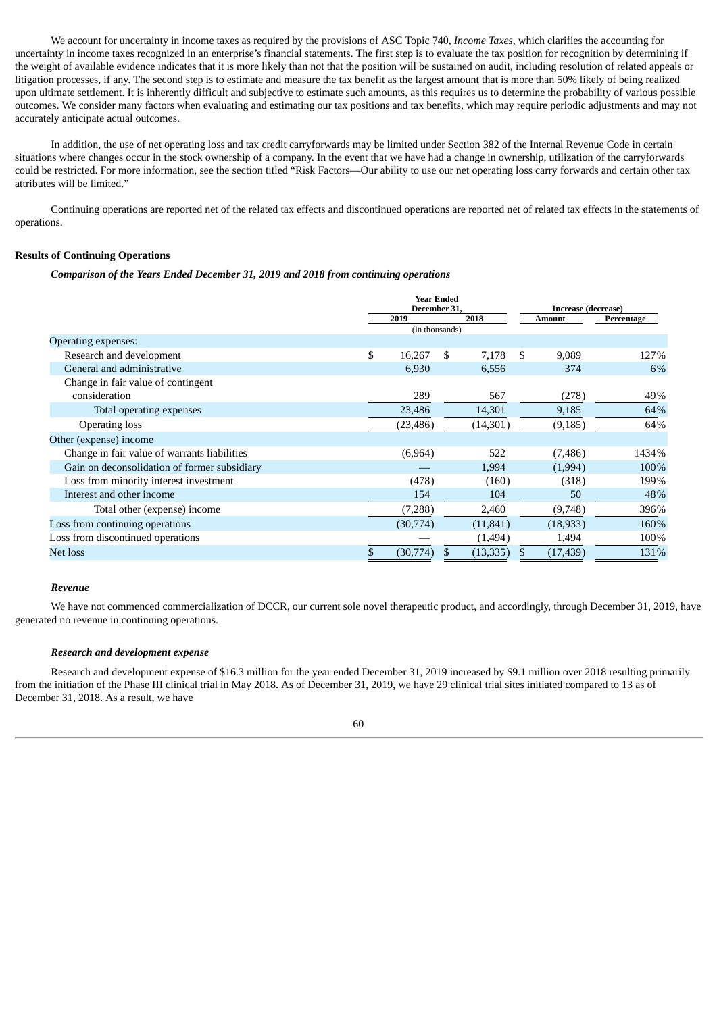We account for uncertainty in income taxes as required by the provisions of ASC Topic 740, *Income Taxes*, which clarifies the accounting for uncertainty in income taxes recognized in an enterprise's financial statements. The first step is to evaluate the tax position for recognition by determining if the weight of available evidence indicates that it is more likely than not that the position will be sustained on audit, including resolution of related appeals or litigation processes, if any. The second step is to estimate and measure the tax benefit as the largest amount that is more than 50% likely of being realized upon ultimate settlement. It is inherently difficult and subjective to estimate such amounts, as this requires us to determine the probability of various possible outcomes. We consider many factors when evaluating and estimating our tax positions and tax benefits, which may require periodic adjustments and may not accurately anticipate actual outcomes.

In addition, the use of net operating loss and tax credit carryforwards may be limited under Section 382 of the Internal Revenue Code in certain situations where changes occur in the stock ownership of a company. In the event that we have had a change in ownership, utilization of the carryforwards could be restricted. For more information, see the section titled "Risk Factors—Our ability to use our net operating loss carry forwards and certain other tax attributes will be limited."

Continuing operations are reported net of the related tax effects and discontinued operations are reported net of related tax effects in the statements of operations.

## **Results of Continuing Operations**

*Comparison of the Years Ended December 31, 2019 and 2018 from continuing operations*

|                                              | <b>Year Ended</b><br>December 31. |           |      |           |        | Increase (decrease) |            |  |  |  |
|----------------------------------------------|-----------------------------------|-----------|------|-----------|--------|---------------------|------------|--|--|--|
|                                              |                                   | 2019      | 2018 |           | Amount |                     | Percentage |  |  |  |
|                                              | (in thousands)                    |           |      |           |        |                     |            |  |  |  |
| Operating expenses:                          |                                   |           |      |           |        |                     |            |  |  |  |
| Research and development                     | \$                                | 16,267    | \$   | 7,178     | \$     | 9,089               | 127%       |  |  |  |
| General and administrative                   |                                   | 6,930     |      | 6,556     |        | 374                 | 6%         |  |  |  |
| Change in fair value of contingent           |                                   |           |      |           |        |                     |            |  |  |  |
| consideration                                |                                   | 289       |      | 567       |        | (278)               | 49%        |  |  |  |
| Total operating expenses                     |                                   | 23,486    |      | 14,301    |        | 9,185               | 64%        |  |  |  |
| <b>Operating loss</b>                        |                                   | (23, 486) |      | (14, 301) |        | (9, 185)            | 64%        |  |  |  |
| Other (expense) income                       |                                   |           |      |           |        |                     |            |  |  |  |
| Change in fair value of warrants liabilities |                                   | (6,964)   |      | 522       |        | (7, 486)            | 1434%      |  |  |  |
| Gain on deconsolidation of former subsidiary |                                   |           |      | 1,994     |        | (1,994)             | 100%       |  |  |  |
| Loss from minority interest investment       |                                   | (478)     |      | (160)     |        | (318)               | 199%       |  |  |  |
| Interest and other income                    |                                   | 154       |      | 104       |        | 50                  | 48%        |  |  |  |
| Total other (expense) income                 |                                   | (7,288)   |      | 2,460     |        | (9,748)             | 396%       |  |  |  |
| Loss from continuing operations              |                                   | (30,774)  |      | (11, 841) |        | (18,933)            | 160%       |  |  |  |
| Loss from discontinued operations            |                                   |           |      | (1,494)   |        | 1,494               | 100%       |  |  |  |
| Net loss                                     |                                   | (30,774)  | \$   | (13, 335) | S      | (17, 439)           | 131%       |  |  |  |

### *Revenue*

We have not commenced commercialization of DCCR, our current sole novel therapeutic product, and accordingly, through December 31, 2019, have generated no revenue in continuing operations.

### *Research and development expense*

Research and development expense of \$16.3 million for the year ended December 31, 2019 increased by \$9.1 million over 2018 resulting primarily from the initiation of the Phase III clinical trial in May 2018. As of December 31, 2019, we have 29 clinical trial sites initiated compared to 13 as of December 31, 2018. As a result, we have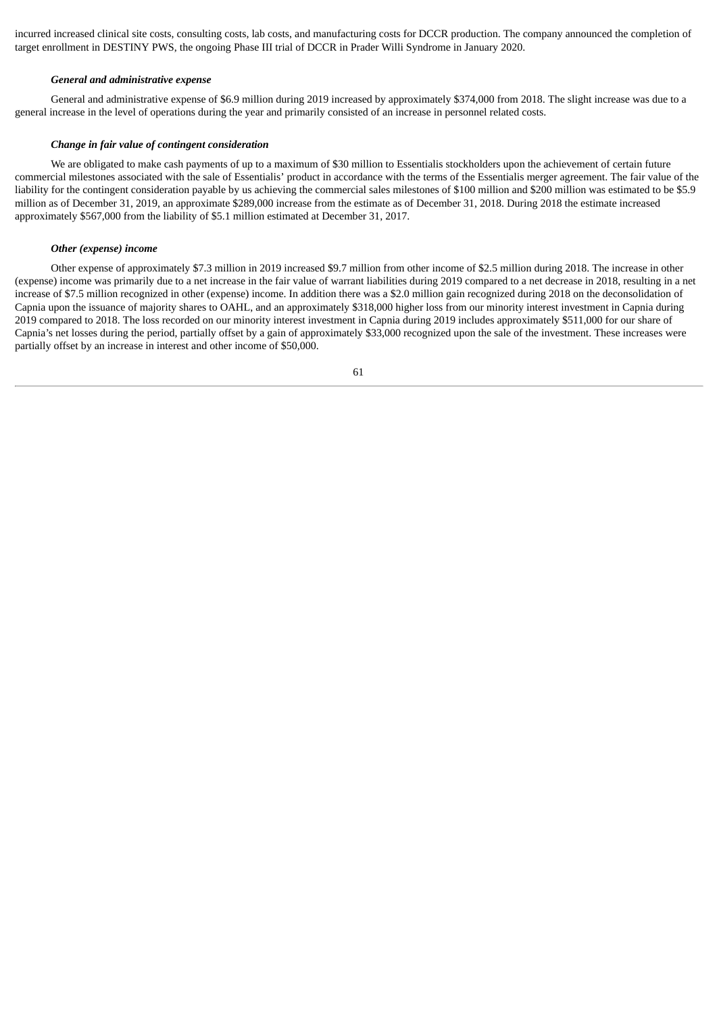incurred increased clinical site costs, consulting costs, lab costs, and manufacturing costs for DCCR production. The company announced the completion of target enrollment in DESTINY PWS, the ongoing Phase III trial of DCCR in Prader Willi Syndrome in January 2020.

### *General and administrative expense*

General and administrative expense of \$6.9 million during 2019 increased by approximately \$374,000 from 2018. The slight increase was due to a general increase in the level of operations during the year and primarily consisted of an increase in personnel related costs.

### *Change in fair value of contingent consideration*

We are obligated to make cash payments of up to a maximum of \$30 million to Essentialis stockholders upon the achievement of certain future commercial milestones associated with the sale of Essentialis' product in accordance with the terms of the Essentialis merger agreement. The fair value of the liability for the contingent consideration payable by us achieving the commercial sales milestones of \$100 million and \$200 million was estimated to be \$5.9 million as of December 31, 2019, an approximate \$289,000 increase from the estimate as of December 31, 2018. During 2018 the estimate increased approximately \$567,000 from the liability of \$5.1 million estimated at December 31, 2017.

### *Other (expense) income*

Other expense of approximately \$7.3 million in 2019 increased \$9.7 million from other income of \$2.5 million during 2018. The increase in other (expense) income was primarily due to a net increase in the fair value of warrant liabilities during 2019 compared to a net decrease in 2018, resulting in a net increase of \$7.5 million recognized in other (expense) income. In addition there was a \$2.0 million gain recognized during 2018 on the deconsolidation of Capnia upon the issuance of majority shares to OAHL, and an approximately \$318,000 higher loss from our minority interest investment in Capnia during 2019 compared to 2018. The loss recorded on our minority interest investment in Capnia during 2019 includes approximately \$511,000 for our share of Capnia's net losses during the period, partially offset by a gain of approximately \$33,000 recognized upon the sale of the investment. These increases were partially offset by an increase in interest and other income of \$50,000.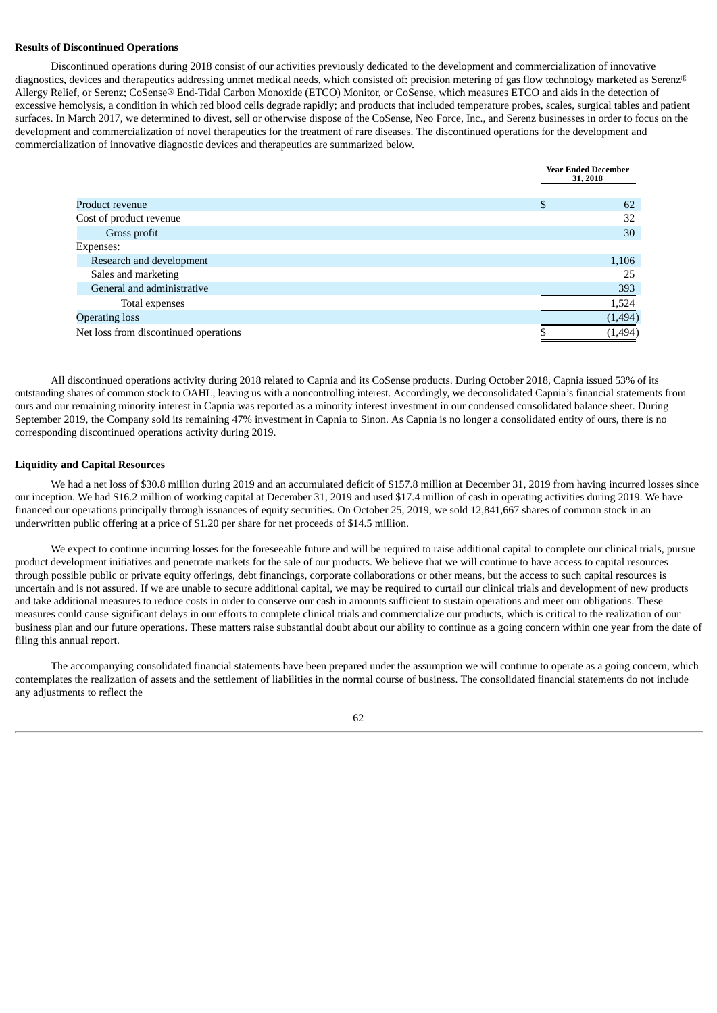## **Results of Discontinued Operations**

Discontinued operations during 2018 consist of our activities previously dedicated to the development and commercialization of innovative diagnostics, devices and therapeutics addressing unmet medical needs, which consisted of: precision metering of gas flow technology marketed as Serenz® Allergy Relief, or Serenz; CoSense® End-Tidal Carbon Monoxide (ETCO) Monitor, or CoSense, which measures ETCO and aids in the detection of excessive hemolysis, a condition in which red blood cells degrade rapidly; and products that included temperature probes, scales, surgical tables and patient surfaces. In March 2017, we determined to divest, sell or otherwise dispose of the CoSense, Neo Force, Inc., and Serenz businesses in order to focus on the development and commercialization of novel therapeutics for the treatment of rare diseases. The discontinued operations for the development and commercialization of innovative diagnostic devices and therapeutics are summarized below.

|                                       | <b>Year Ended December</b><br>31, 2018 |  |  |
|---------------------------------------|----------------------------------------|--|--|
| Product revenue                       | \$<br>62                               |  |  |
| Cost of product revenue               | 32                                     |  |  |
| Gross profit                          | 30                                     |  |  |
| Expenses:                             |                                        |  |  |
| Research and development              | 1,106                                  |  |  |
| Sales and marketing                   | 25                                     |  |  |
| General and administrative            | 393                                    |  |  |
| Total expenses                        | 1,524                                  |  |  |
| <b>Operating loss</b>                 | (1, 494)                               |  |  |
| Net loss from discontinued operations | (1,494)                                |  |  |

All discontinued operations activity during 2018 related to Capnia and its CoSense products. During October 2018, Capnia issued 53% of its outstanding shares of common stock to OAHL, leaving us with a noncontrolling interest. Accordingly, we deconsolidated Capnia's financial statements from ours and our remaining minority interest in Capnia was reported as a minority interest investment in our condensed consolidated balance sheet. During September 2019, the Company sold its remaining 47% investment in Capnia to Sinon. As Capnia is no longer a consolidated entity of ours, there is no corresponding discontinued operations activity during 2019.

#### **Liquidity and Capital Resources**

We had a net loss of \$30.8 million during 2019 and an accumulated deficit of \$157.8 million at December 31, 2019 from having incurred losses since our inception. We had \$16.2 million of working capital at December 31, 2019 and used \$17.4 million of cash in operating activities during 2019. We have financed our operations principally through issuances of equity securities. On October 25, 2019, we sold 12,841,667 shares of common stock in an underwritten public offering at a price of \$1.20 per share for net proceeds of \$14.5 million.

We expect to continue incurring losses for the foreseeable future and will be required to raise additional capital to complete our clinical trials, pursue product development initiatives and penetrate markets for the sale of our products. We believe that we will continue to have access to capital resources through possible public or private equity offerings, debt financings, corporate collaborations or other means, but the access to such capital resources is uncertain and is not assured. If we are unable to secure additional capital, we may be required to curtail our clinical trials and development of new products and take additional measures to reduce costs in order to conserve our cash in amounts sufficient to sustain operations and meet our obligations. These measures could cause significant delays in our efforts to complete clinical trials and commercialize our products, which is critical to the realization of our business plan and our future operations. These matters raise substantial doubt about our ability to continue as a going concern within one year from the date of filing this annual report.

The accompanying consolidated financial statements have been prepared under the assumption we will continue to operate as a going concern, which contemplates the realization of assets and the settlement of liabilities in the normal course of business. The consolidated financial statements do not include any adjustments to reflect the

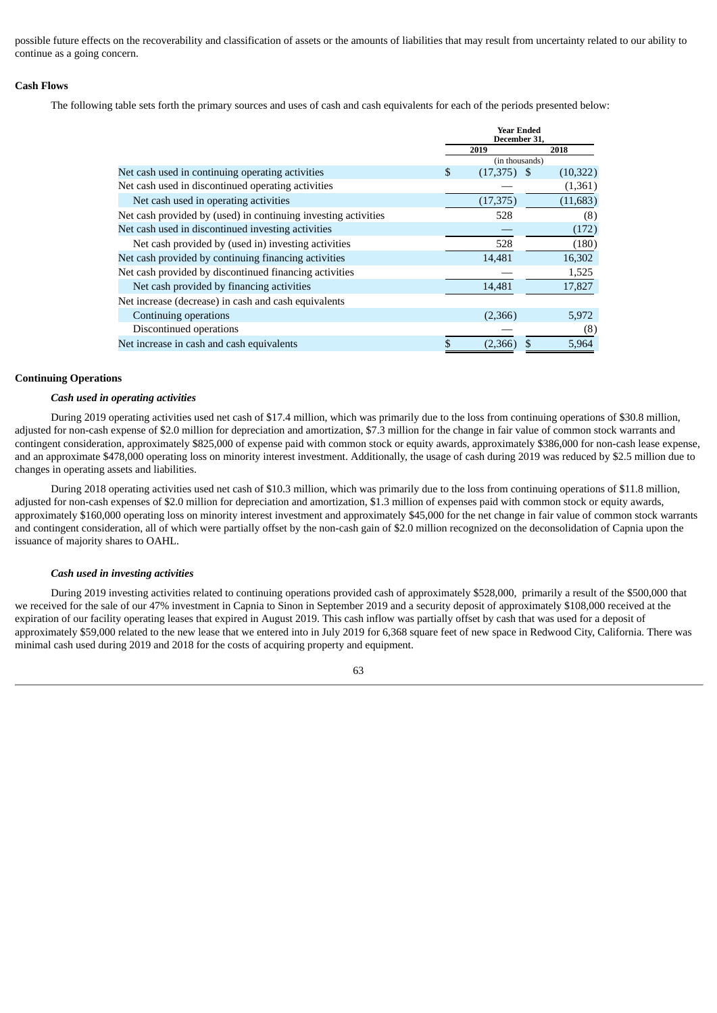possible future effects on the recoverability and classification of assets or the amounts of liabilities that may result from uncertainty related to our ability to continue as a going concern.

# **Cash Flows**

The following table sets forth the primary sources and uses of cash and cash equivalents for each of the periods presented below:

|                                                                |                | <b>Year Ended</b><br>December 31, |  |           |
|----------------------------------------------------------------|----------------|-----------------------------------|--|-----------|
|                                                                |                | 2019                              |  | 2018      |
|                                                                | (in thousands) |                                   |  |           |
| Net cash used in continuing operating activities               | \$             | $(17,375)$ \$                     |  | (10, 322) |
| Net cash used in discontinued operating activities             |                |                                   |  | (1,361)   |
| Net cash used in operating activities                          |                | (17, 375)                         |  | (11, 683) |
| Net cash provided by (used) in continuing investing activities |                | 528                               |  | (8)       |
| Net cash used in discontinued investing activities             |                |                                   |  | (172)     |
| Net cash provided by (used in) investing activities            |                | 528                               |  | (180)     |
| Net cash provided by continuing financing activities           |                | 14,481                            |  | 16,302    |
| Net cash provided by discontinued financing activities         |                |                                   |  | 1,525     |
| Net cash provided by financing activities                      |                | 14,481                            |  | 17,827    |
| Net increase (decrease) in cash and cash equivalents           |                |                                   |  |           |
| Continuing operations                                          |                | (2,366)                           |  | 5,972     |
| Discontinued operations                                        |                |                                   |  | (8)       |
| Net increase in cash and cash equivalents                      |                | (2,366)                           |  | 5,964     |

# **Continuing Operations**

#### *Cash used in operating activities*

During 2019 operating activities used net cash of \$17.4 million, which was primarily due to the loss from continuing operations of \$30.8 million, adjusted for non-cash expense of \$2.0 million for depreciation and amortization, \$7.3 million for the change in fair value of common stock warrants and contingent consideration, approximately \$825,000 of expense paid with common stock or equity awards, approximately \$386,000 for non-cash lease expense, and an approximate \$478,000 operating loss on minority interest investment. Additionally, the usage of cash during 2019 was reduced by \$2.5 million due to changes in operating assets and liabilities.

During 2018 operating activities used net cash of \$10.3 million, which was primarily due to the loss from continuing operations of \$11.8 million, adjusted for non-cash expenses of \$2.0 million for depreciation and amortization, \$1.3 million of expenses paid with common stock or equity awards, approximately \$160,000 operating loss on minority interest investment and approximately \$45,000 for the net change in fair value of common stock warrants and contingent consideration, all of which were partially offset by the non-cash gain of \$2.0 million recognized on the deconsolidation of Capnia upon the issuance of majority shares to OAHL.

### *Cash used in investing activities*

During 2019 investing activities related to continuing operations provided cash of approximately \$528,000, primarily a result of the \$500,000 that we received for the sale of our 47% investment in Capnia to Sinon in September 2019 and a security deposit of approximately \$108,000 received at the expiration of our facility operating leases that expired in August 2019. This cash inflow was partially offset by cash that was used for a deposit of approximately \$59,000 related to the new lease that we entered into in July 2019 for 6,368 square feet of new space in Redwood City, California. There was minimal cash used during 2019 and 2018 for the costs of acquiring property and equipment.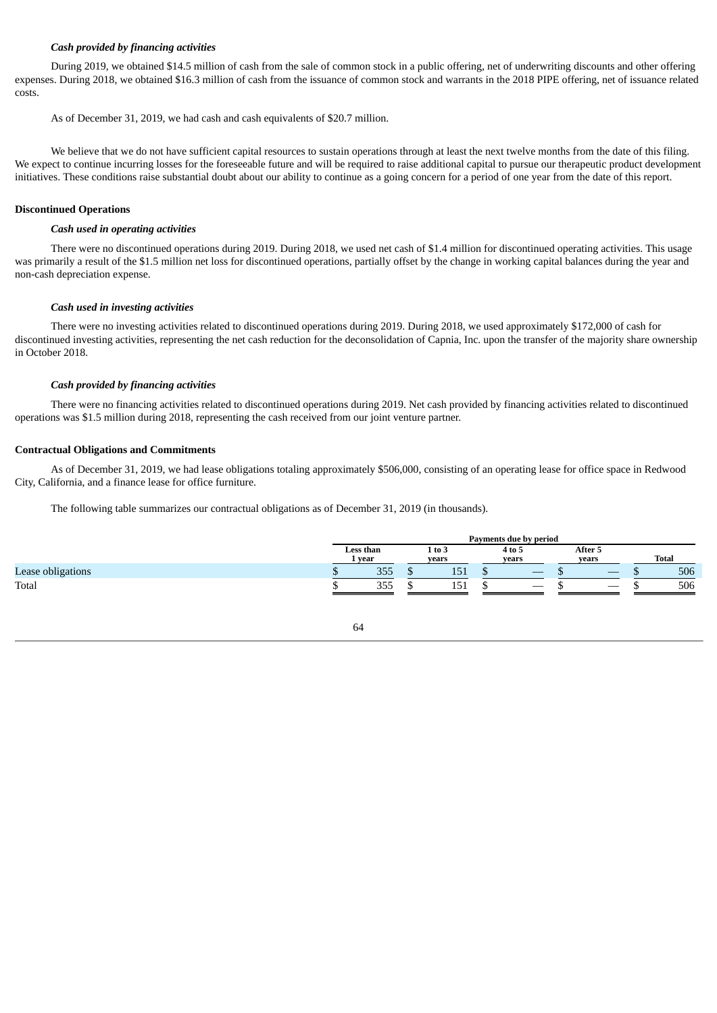## *Cash provided by financing activities*

During 2019, we obtained \$14.5 million of cash from the sale of common stock in a public offering, net of underwriting discounts and other offering expenses. During 2018, we obtained \$16.3 million of cash from the issuance of common stock and warrants in the 2018 PIPE offering, net of issuance related costs.

As of December 31, 2019, we had cash and cash equivalents of \$20.7 million.

We believe that we do not have sufficient capital resources to sustain operations through at least the next twelve months from the date of this filing. We expect to continue incurring losses for the foreseeable future and will be required to raise additional capital to pursue our therapeutic product development initiatives. These conditions raise substantial doubt about our ability to continue as a going concern for a period of one year from the date of this report.

### **Discontinued Operations**

### *Cash used in operating activities*

There were no discontinued operations during 2019. During 2018, we used net cash of \$1.4 million for discontinued operating activities. This usage was primarily a result of the \$1.5 million net loss for discontinued operations, partially offset by the change in working capital balances during the year and non-cash depreciation expense.

### *Cash used in investing activities*

There were no investing activities related to discontinued operations during 2019. During 2018, we used approximately \$172,000 of cash for discontinued investing activities, representing the net cash reduction for the deconsolidation of Capnia, Inc. upon the transfer of the majority share ownership in October 2018.

### *Cash provided by financing activities*

There were no financing activities related to discontinued operations during 2019. Net cash provided by financing activities related to discontinued operations was \$1.5 million during 2018, representing the cash received from our joint venture partner.

### **Contractual Obligations and Commitments**

As of December 31, 2019, we had lease obligations totaling approximately \$506,000, consisting of an operating lease for office space in Redwood City, California, and a finance lease for office furniture.

The following table summarizes our contractual obligations as of December 31, 2019 (in thousands).

|                   | Payments due by period |      |  |                 |  |                          |  |                          |  |       |
|-------------------|------------------------|------|--|-----------------|--|--------------------------|--|--------------------------|--|-------|
|                   | Less than              | vear |  | 1 to 3<br>vears |  | 4 to 5<br>vears          |  | After 5<br>vears         |  | Total |
| Lease obligations |                        | 355  |  | 151             |  |                          |  | _                        |  | 506   |
| Total             |                        | 355  |  | .<br>151        |  | $\overline{\phantom{a}}$ |  | $\overline{\phantom{a}}$ |  | 506   |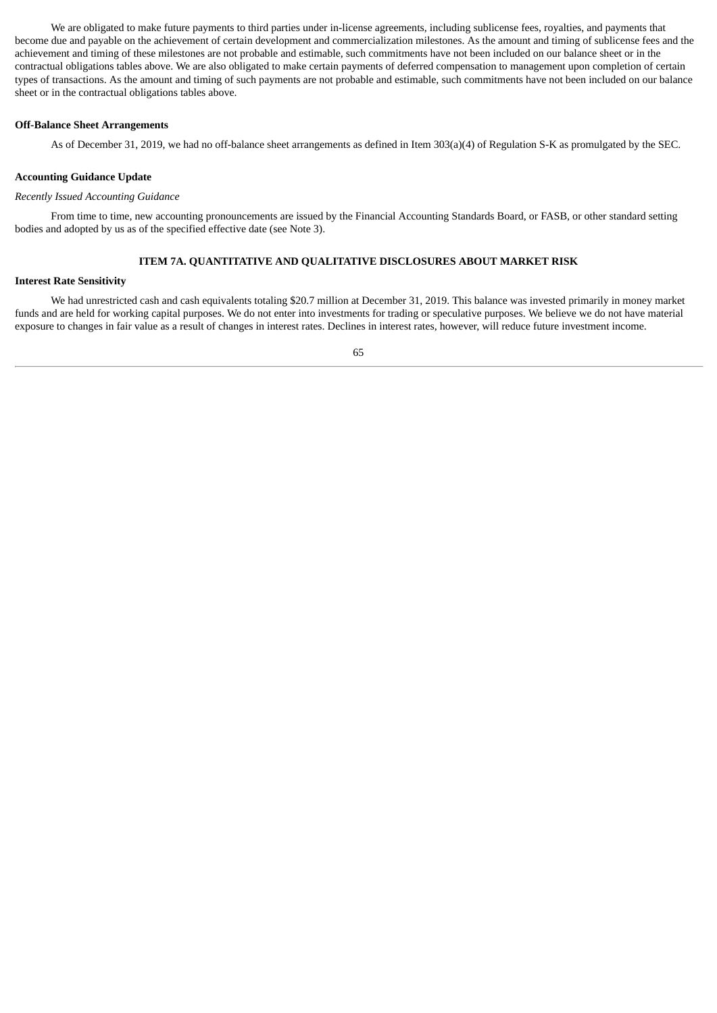We are obligated to make future payments to third parties under in-license agreements, including sublicense fees, royalties, and payments that become due and payable on the achievement of certain development and commercialization milestones. As the amount and timing of sublicense fees and the achievement and timing of these milestones are not probable and estimable, such commitments have not been included on our balance sheet or in the contractual obligations tables above. We are also obligated to make certain payments of deferred compensation to management upon completion of certain types of transactions. As the amount and timing of such payments are not probable and estimable, such commitments have not been included on our balance sheet or in the contractual obligations tables above.

# **Off-Balance Sheet Arrangements**

As of December 31, 2019, we had no off-balance sheet arrangements as defined in Item 303(a)(4) of Regulation S-K as promulgated by the SEC.

# **Accounting Guidance Update**

### *Recently Issued Accounting Guidance*

From time to time, new accounting pronouncements are issued by the Financial Accounting Standards Board, or FASB, or other standard setting bodies and adopted by us as of the specified effective date (see Note 3).

# **ITEM 7A. QUANTITATIVE AND QUALITATIVE DISCLOSURES ABOUT MARKET RISK**

### **Interest Rate Sensitivity**

We had unrestricted cash and cash equivalents totaling \$20.7 million at December 31, 2019. This balance was invested primarily in money market funds and are held for working capital purposes. We do not enter into investments for trading or speculative purposes. We believe we do not have material exposure to changes in fair value as a result of changes in interest rates. Declines in interest rates, however, will reduce future investment income.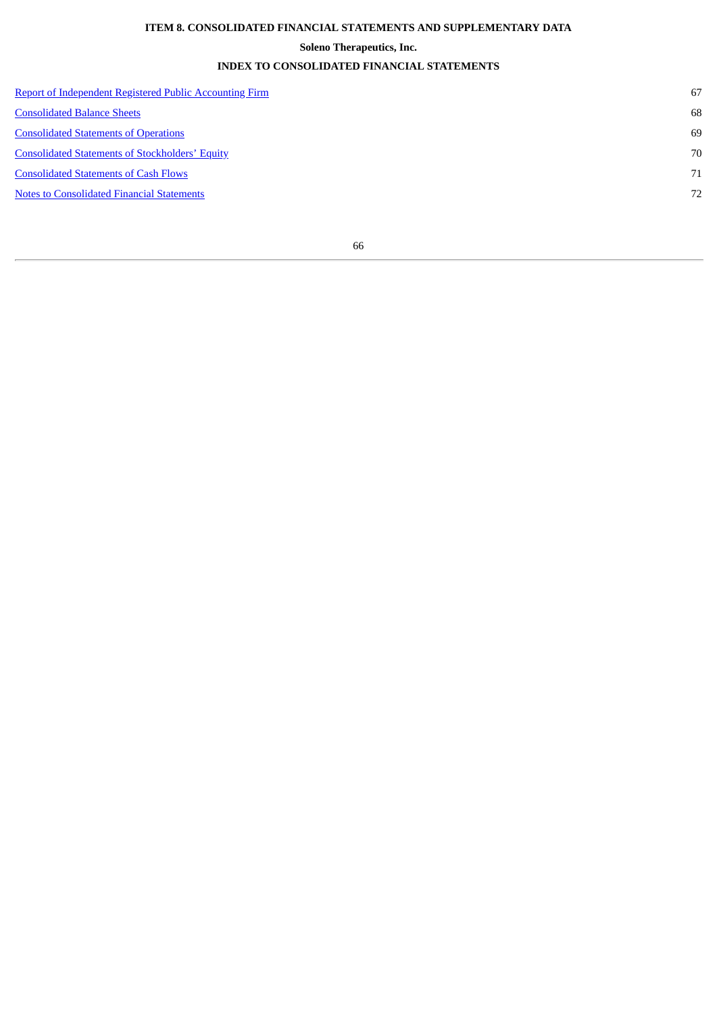# **ITEM 8. CONSOLIDATED FINANCIAL STATEMENTS AND SUPPLEMENTARY DATA**

# **Soleno Therapeutics, Inc.**

# **INDEX TO CONSOLIDATED FINANCIAL STATEMENTS**

| <b>Report of Independent Registered Public Accounting Firm</b> | 67 |
|----------------------------------------------------------------|----|
| <b>Consolidated Balance Sheets</b>                             | 68 |
| <b>Consolidated Statements of Operations</b>                   | 69 |
| <b>Consolidated Statements of Stockholders' Equity</b>         | 70 |
| <b>Consolidated Statements of Cash Flows</b>                   | 71 |
| <b>Notes to Consolidated Financial Statements</b>              | 72 |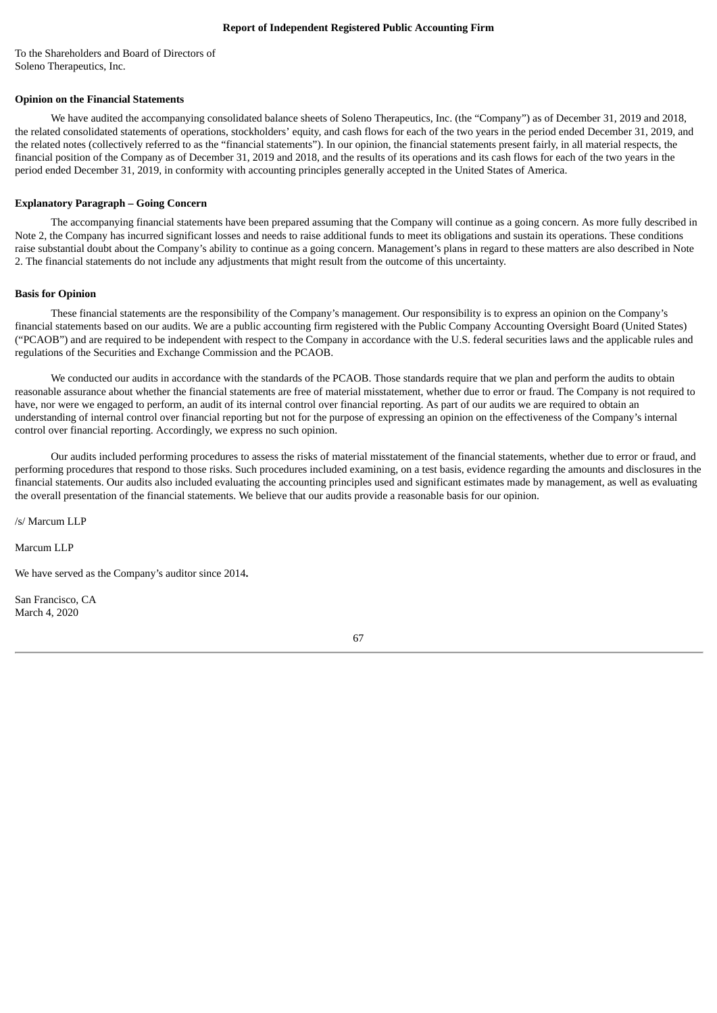### **Report of Independent Registered Public Accounting Firm**

<span id="page-68-0"></span>To the Shareholders and Board of Directors of Soleno Therapeutics, Inc.

# **Opinion on the Financial Statements**

We have audited the accompanying consolidated balance sheets of Soleno Therapeutics, Inc. (the "Company") as of December 31, 2019 and 2018, the related consolidated statements of operations, stockholders' equity, and cash flows for each of the two years in the period ended December 31, 2019, and the related notes (collectively referred to as the "financial statements"). In our opinion, the financial statements present fairly, in all material respects, the financial position of the Company as of December 31, 2019 and 2018, and the results of its operations and its cash flows for each of the two years in the period ended December 31, 2019, in conformity with accounting principles generally accepted in the United States of America.

### **Explanatory Paragraph – Going Concern**

The accompanying financial statements have been prepared assuming that the Company will continue as a going concern. As more fully described in Note 2, the Company has incurred significant losses and needs to raise additional funds to meet its obligations and sustain its operations. These conditions raise substantial doubt about the Company's ability to continue as a going concern. Management's plans in regard to these matters are also described in Note 2. The financial statements do not include any adjustments that might result from the outcome of this uncertainty.

### **Basis for Opinion**

These financial statements are the responsibility of the Company's management. Our responsibility is to express an opinion on the Company's financial statements based on our audits. We are a public accounting firm registered with the Public Company Accounting Oversight Board (United States) ("PCAOB") and are required to be independent with respect to the Company in accordance with the U.S. federal securities laws and the applicable rules and regulations of the Securities and Exchange Commission and the PCAOB.

We conducted our audits in accordance with the standards of the PCAOB. Those standards require that we plan and perform the audits to obtain reasonable assurance about whether the financial statements are free of material misstatement, whether due to error or fraud. The Company is not required to have, nor were we engaged to perform, an audit of its internal control over financial reporting. As part of our audits we are required to obtain an understanding of internal control over financial reporting but not for the purpose of expressing an opinion on the effectiveness of the Company's internal control over financial reporting. Accordingly, we express no such opinion.

Our audits included performing procedures to assess the risks of material misstatement of the financial statements, whether due to error or fraud, and performing procedures that respond to those risks. Such procedures included examining, on a test basis, evidence regarding the amounts and disclosures in the financial statements. Our audits also included evaluating the accounting principles used and significant estimates made by management, as well as evaluating the overall presentation of the financial statements. We believe that our audits provide a reasonable basis for our opinion.

/s/ Marcum LLP

Marcum LLP

We have served as the Company's auditor since 2014**.**

San Francisco, CA March 4, 2020

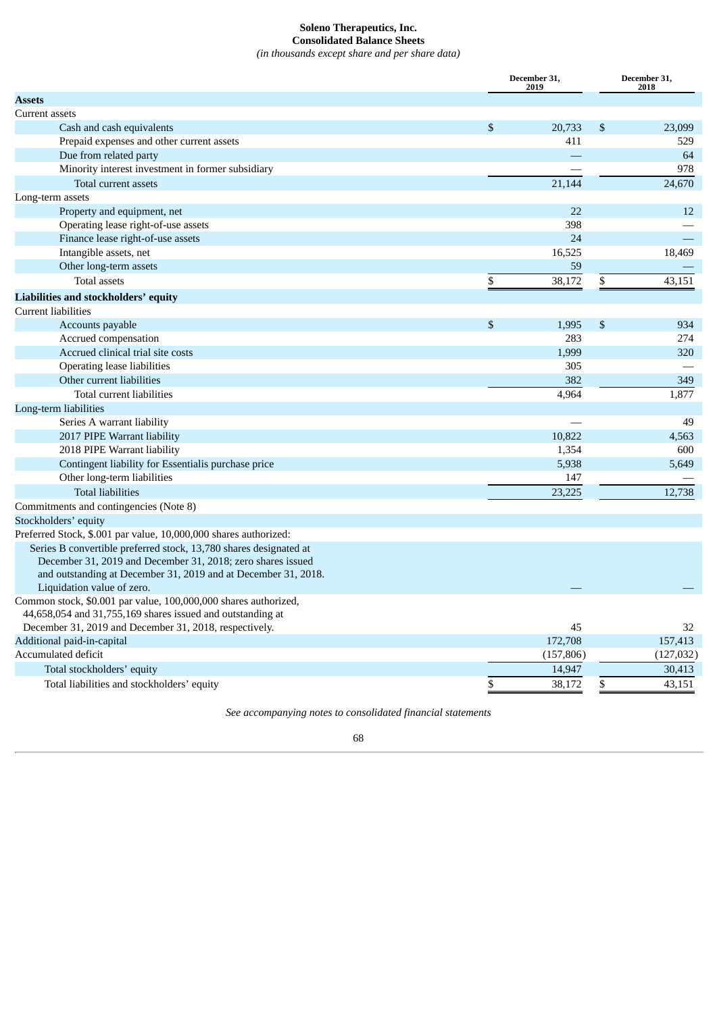# **Soleno Therapeutics, Inc. Consolidated Balance Sheets**

*(in thousands except share and per share data)*

<span id="page-69-0"></span>

|                                                                   |                | December 31,<br>2019 | December 31,<br>2018 |  |
|-------------------------------------------------------------------|----------------|----------------------|----------------------|--|
| <b>Assets</b>                                                     |                |                      |                      |  |
| Current assets                                                    |                |                      |                      |  |
| Cash and cash equivalents                                         | $\mathfrak{S}$ | 20,733               | \$<br>23,099         |  |
| Prepaid expenses and other current assets                         |                | 411                  | 529                  |  |
| Due from related party                                            |                |                      | 64                   |  |
| Minority interest investment in former subsidiary                 |                |                      | 978                  |  |
| Total current assets                                              |                | 21,144               | 24,670               |  |
| Long-term assets                                                  |                |                      |                      |  |
| Property and equipment, net                                       |                | 22                   | 12                   |  |
| Operating lease right-of-use assets                               |                | 398                  |                      |  |
| Finance lease right-of-use assets                                 |                | 24                   |                      |  |
| Intangible assets, net                                            |                | 16,525               | 18,469               |  |
| Other long-term assets                                            |                | 59                   |                      |  |
| <b>Total assets</b>                                               | \$             | 38,172               | \$<br>43,151         |  |
| Liabilities and stockholders' equity                              |                |                      |                      |  |
| <b>Current liabilities</b>                                        |                |                      |                      |  |
| Accounts payable                                                  | \$             | 1,995                | \$<br>934            |  |
| Accrued compensation                                              |                | 283                  | 274                  |  |
| Accrued clinical trial site costs                                 |                | 1,999                | 320                  |  |
| <b>Operating lease liabilities</b>                                |                | 305                  |                      |  |
| Other current liabilities                                         |                | 382                  | 349                  |  |
| Total current liabilities                                         |                | 4,964                | 1,877                |  |
| Long-term liabilities                                             |                |                      |                      |  |
| Series A warrant liability                                        |                |                      | 49                   |  |
| 2017 PIPE Warrant liability                                       |                | 10,822               | 4,563                |  |
| 2018 PIPE Warrant liability                                       |                | 1,354                | 600                  |  |
| Contingent liability for Essentialis purchase price               |                | 5,938                | 5,649                |  |
| Other long-term liabilities                                       |                | 147                  |                      |  |
| <b>Total liabilities</b>                                          |                | 23,225               | 12,738               |  |
| Commitments and contingencies (Note 8)                            |                |                      |                      |  |
| Stockholders' equity                                              |                |                      |                      |  |
| Preferred Stock, \$.001 par value, 10,000,000 shares authorized:  |                |                      |                      |  |
| Series B convertible preferred stock, 13,780 shares designated at |                |                      |                      |  |
| December 31, 2019 and December 31, 2018; zero shares issued       |                |                      |                      |  |
| and outstanding at December 31, 2019 and at December 31, 2018.    |                |                      |                      |  |
| Liquidation value of zero.                                        |                |                      |                      |  |
| Common stock, \$0.001 par value, 100,000,000 shares authorized,   |                |                      |                      |  |
| 44,658,054 and 31,755,169 shares issued and outstanding at        |                |                      |                      |  |
| December 31, 2019 and December 31, 2018, respectively.            |                | 45                   | 32                   |  |
| Additional paid-in-capital                                        |                | 172,708              | 157,413              |  |
| Accumulated deficit                                               |                | (157, 806)           | (127, 032)           |  |
| Total stockholders' equity                                        |                | 14,947               | 30,413               |  |
| Total liabilities and stockholders' equity                        | \$             | 38,172               | \$<br>43,151         |  |

*See accompanying notes to consolidated financial statements*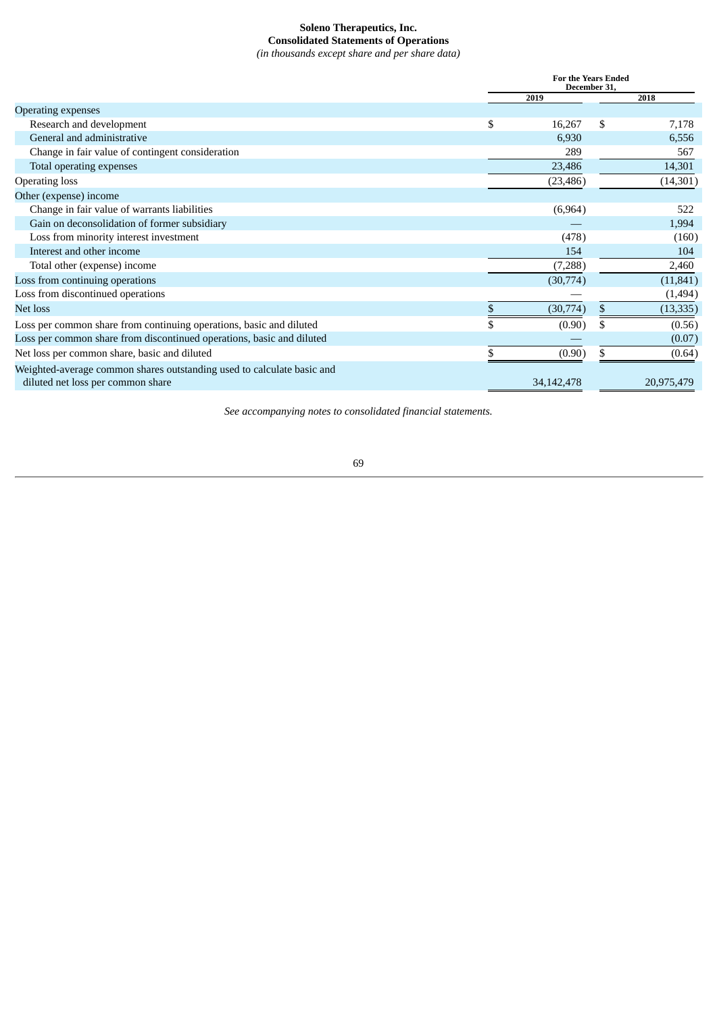# **Soleno Therapeutics, Inc. Consolidated Statements of Operations**

*(in thousands except share and per share data)*

<span id="page-70-0"></span>

|                                                                                                             | <b>For the Years Ended</b><br>December 31 |              |    |            |  |
|-------------------------------------------------------------------------------------------------------------|-------------------------------------------|--------------|----|------------|--|
|                                                                                                             |                                           | 2019         |    | 2018       |  |
| Operating expenses                                                                                          |                                           |              |    |            |  |
| Research and development                                                                                    | \$                                        | 16,267       | \$ | 7,178      |  |
| General and administrative                                                                                  |                                           | 6,930        |    | 6,556      |  |
| Change in fair value of contingent consideration                                                            |                                           | 289          |    | 567        |  |
| Total operating expenses                                                                                    |                                           | 23,486       |    | 14,301     |  |
| <b>Operating loss</b>                                                                                       |                                           | (23, 486)    |    | (14, 301)  |  |
| Other (expense) income                                                                                      |                                           |              |    |            |  |
| Change in fair value of warrants liabilities                                                                |                                           | (6,964)      |    | 522        |  |
| Gain on deconsolidation of former subsidiary                                                                |                                           |              |    | 1,994      |  |
| Loss from minority interest investment                                                                      |                                           | (478)        |    | (160)      |  |
| Interest and other income                                                                                   |                                           | 154          |    | 104        |  |
| Total other (expense) income                                                                                |                                           | (7,288)      |    | 2,460      |  |
| Loss from continuing operations                                                                             |                                           | (30,774)     |    | (11, 841)  |  |
| Loss from discontinued operations                                                                           |                                           |              |    | (1, 494)   |  |
| Net loss                                                                                                    |                                           | (30,774)     | \$ | (13, 335)  |  |
| Loss per common share from continuing operations, basic and diluted                                         |                                           | (0.90)       |    | (0.56)     |  |
| Loss per common share from discontinued operations, basic and diluted                                       |                                           |              |    | (0.07)     |  |
| Net loss per common share, basic and diluted                                                                |                                           | (0.90)       |    | (0.64)     |  |
| Weighted-average common shares outstanding used to calculate basic and<br>diluted net loss per common share |                                           | 34, 142, 478 |    | 20,975,479 |  |

*See accompanying notes to consolidated financial statements.*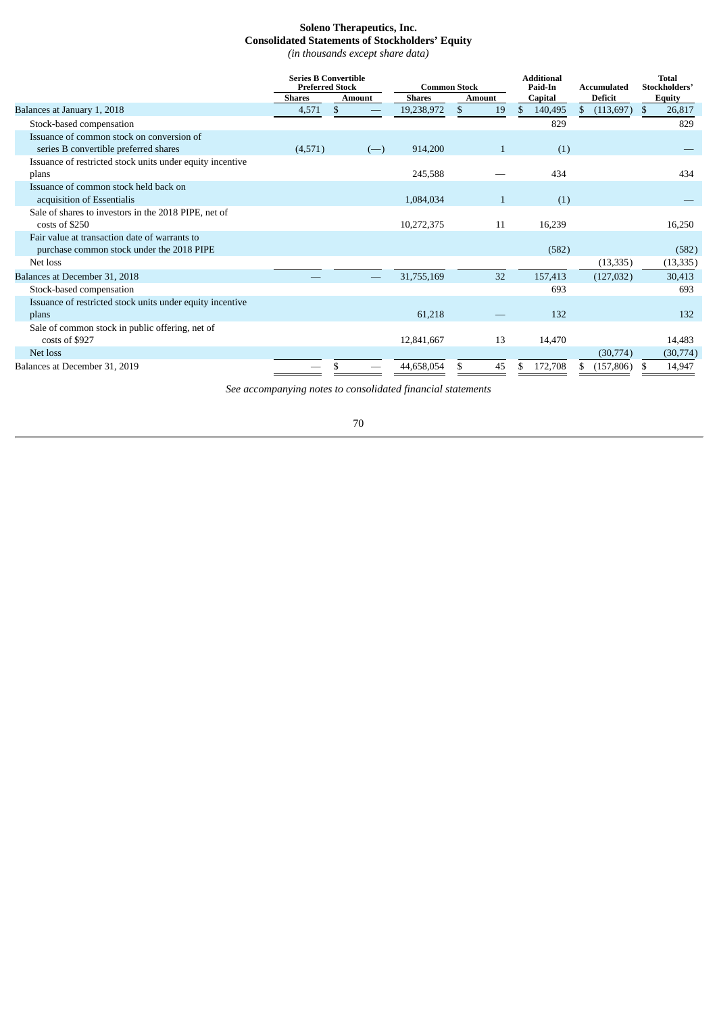# **Soleno Therapeutics, Inc. Consolidated Statements of Stockholders' Equity**

*(in thousands except share data)*

<span id="page-71-0"></span>

|                                                           |               | <b>Preferred Stock</b><br><b>Common Stock</b> |               |                      | <b>Series B Convertible</b> |                                |               | <b>Additional</b><br>Paid-In | Accumulated | <b>Total</b><br>Stockholders' |  |
|-----------------------------------------------------------|---------------|-----------------------------------------------|---------------|----------------------|-----------------------------|--------------------------------|---------------|------------------------------|-------------|-------------------------------|--|
|                                                           | <b>Shares</b> | <b>Amount</b>                                 | <b>Shares</b> | Amount               | Capital                     | <b>Deficit</b>                 | <b>Equity</b> |                              |             |                               |  |
| Balances at January 1, 2018                               | 4,571         | \$                                            | 19,238,972    | $\mathfrak{L}$<br>19 | 140,495<br>\$               | $\mathbb{S}$<br>$(113,697)$ \$ | 26,817        |                              |             |                               |  |
| Stock-based compensation                                  |               |                                               |               |                      | 829                         |                                | 829           |                              |             |                               |  |
| Issuance of common stock on conversion of                 |               |                                               |               |                      |                             |                                |               |                              |             |                               |  |
| series B convertible preferred shares                     | (4,571)       | $(-)$                                         | 914,200       | $\mathbf{1}$         | (1)                         |                                |               |                              |             |                               |  |
| Issuance of restricted stock units under equity incentive |               |                                               |               |                      |                             |                                |               |                              |             |                               |  |
| plans                                                     |               |                                               | 245,588       |                      | 434                         |                                | 434           |                              |             |                               |  |
| Issuance of common stock held back on                     |               |                                               |               |                      |                             |                                |               |                              |             |                               |  |
| acquisition of Essentialis                                |               |                                               | 1,084,034     | $\mathbf{1}$         | (1)                         |                                |               |                              |             |                               |  |
| Sale of shares to investors in the 2018 PIPE, net of      |               |                                               |               |                      |                             |                                |               |                              |             |                               |  |
| costs of \$250                                            |               |                                               | 10,272,375    | 11                   | 16,239                      |                                | 16,250        |                              |             |                               |  |
| Fair value at transaction date of warrants to             |               |                                               |               |                      |                             |                                |               |                              |             |                               |  |
| purchase common stock under the 2018 PIPE                 |               |                                               |               |                      | (582)                       |                                | (582)         |                              |             |                               |  |
| Net loss                                                  |               |                                               |               |                      |                             | (13, 335)                      | (13, 335)     |                              |             |                               |  |
| Balances at December 31, 2018                             |               |                                               | 31,755,169    | 32                   | 157,413                     | (127, 032)                     | 30,413        |                              |             |                               |  |
| Stock-based compensation                                  |               |                                               |               |                      | 693                         |                                | 693           |                              |             |                               |  |
| Issuance of restricted stock units under equity incentive |               |                                               |               |                      |                             |                                |               |                              |             |                               |  |
| plans                                                     |               |                                               | 61,218        |                      | 132                         |                                | 132           |                              |             |                               |  |
| Sale of common stock in public offering, net of           |               |                                               |               |                      |                             |                                |               |                              |             |                               |  |
| costs of \$927                                            |               |                                               | 12,841,667    | 13                   | 14,470                      |                                | 14,483        |                              |             |                               |  |
| Net loss                                                  |               |                                               |               |                      |                             | (30,774)                       | (30,774)      |                              |             |                               |  |
| Balances at December 31, 2019                             |               |                                               | 44,658,054    | 45                   | 172,708                     | (157, 806)                     | 14,947        |                              |             |                               |  |

*See accompanying notes to consolidated financial statements*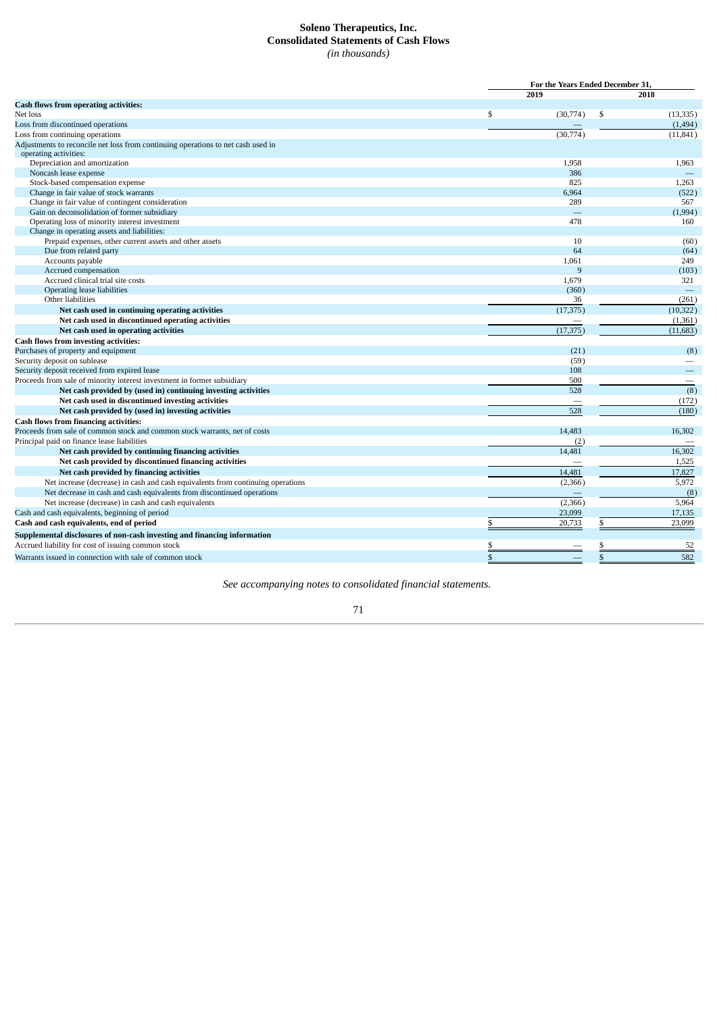## **Soleno Therapeutics, Inc. Consolidated Statements of Cash Flows** *(in thousands)*

|                                                                                  |      | For the Years Ended December 31, |    |           |  |
|----------------------------------------------------------------------------------|------|----------------------------------|----|-----------|--|
|                                                                                  | 2019 |                                  |    | 2018      |  |
| <b>Cash flows from operating activities:</b>                                     |      |                                  |    |           |  |
| Net loss                                                                         | \$   | (30,774)                         | \$ | (13, 335) |  |
| Loss from discontinued operations                                                |      |                                  |    | (1, 494)  |  |
| Loss from continuing operations                                                  |      | (30, 774)                        |    | (11, 841) |  |
| Adjustments to reconcile net loss from continuing operations to net cash used in |      |                                  |    |           |  |
| operating activities:                                                            |      |                                  |    |           |  |
| Depreciation and amortization                                                    |      | 1,958                            |    | 1,963     |  |
| Noncash lease expense                                                            |      | 386                              |    |           |  |
| Stock-based compensation expense                                                 |      | 825                              |    | 1,263     |  |
| Change in fair value of stock warrants                                           |      | 6,964                            |    | (522)     |  |
| Change in fair value of contingent consideration                                 |      | 289                              |    | 567       |  |
| Gain on deconsolidation of former subsidiary                                     |      | ÷,                               |    | (1,994)   |  |
| Operating loss of minority interest investment                                   |      | 478                              |    | 160       |  |
| Change in operating assets and liabilities:                                      |      |                                  |    |           |  |
| Prepaid expenses, other current assets and other assets                          |      | 10                               |    | (60)      |  |
| Due from related party                                                           |      | 64                               |    | (64)      |  |
| Accounts payable                                                                 |      | 1,061                            |    | 249       |  |
| Accrued compensation                                                             |      | 9                                |    | (103)     |  |
| Accrued clinical trial site costs                                                |      | 1,679                            |    | 321       |  |
| Operating lease liabilities                                                      |      | (360)                            |    |           |  |
| Other liabilities                                                                |      | 36                               |    | (261)     |  |
| Net cash used in continuing operating activities                                 |      | (17, 375)                        |    | (10, 322) |  |
| Net cash used in discontinued operating activities                               |      |                                  |    | (1, 361)  |  |
| Net cash used in operating activities                                            |      | (17, 375)                        |    | (11, 683) |  |
| <b>Cash flows from investing activities:</b>                                     |      |                                  |    |           |  |
| Purchases of property and equipment                                              |      | (21)                             |    | (8)       |  |
| Security deposit on sublease                                                     |      | (59)                             |    |           |  |
| Security deposit received from expired lease                                     |      | 108                              |    |           |  |
| Proceeds from sale of minority interest investment in former subsidiary          |      | 500                              |    |           |  |
| Net cash provided by (used in) continuing investing activities                   |      | 528                              |    | (8)       |  |
| Net cash used in discontinued investing activities                               |      |                                  |    | (172)     |  |
| Net cash provided by (used in) investing activities                              |      | 528                              |    | (180)     |  |
| <b>Cash flows from financing activities:</b>                                     |      |                                  |    |           |  |
| Proceeds from sale of common stock and common stock warrants, net of costs       |      | 14,483                           |    | 16,302    |  |
| Principal paid on finance lease liabilities                                      |      | (2)                              |    |           |  |
| Net cash provided by continuing financing activities                             |      | 14,481                           |    | 16,302    |  |
| Net cash provided by discontinued financing activities                           |      |                                  |    | 1,525     |  |
| Net cash provided by financing activities                                        |      | 14,481                           |    | 17,827    |  |
| Net increase (decrease) in cash and cash equivalents from continuing operations  |      | (2,366)                          |    | 5,972     |  |
| Net decrease in cash and cash equivalents from discontinued operations           |      |                                  |    | (8)       |  |
| Net increase (decrease) in cash and cash equivalents                             |      | (2,366)                          |    | 5,964     |  |
| Cash and cash equivalents, beginning of period                                   |      | 23,099                           |    | 17,135    |  |
| Cash and cash equivalents, end of period                                         | \$   | 20,733                           | \$ | 23,099    |  |
| Supplemental disclosures of non-cash investing and financing information         |      |                                  |    |           |  |
| Accrued liability for cost of issuing common stock                               | \$   |                                  | \$ | 52        |  |
|                                                                                  |      |                                  |    |           |  |
| Warrants issued in connection with sale of common stock                          | \$   |                                  | \$ | 582       |  |

*See accompanying notes to consolidated financial statements.*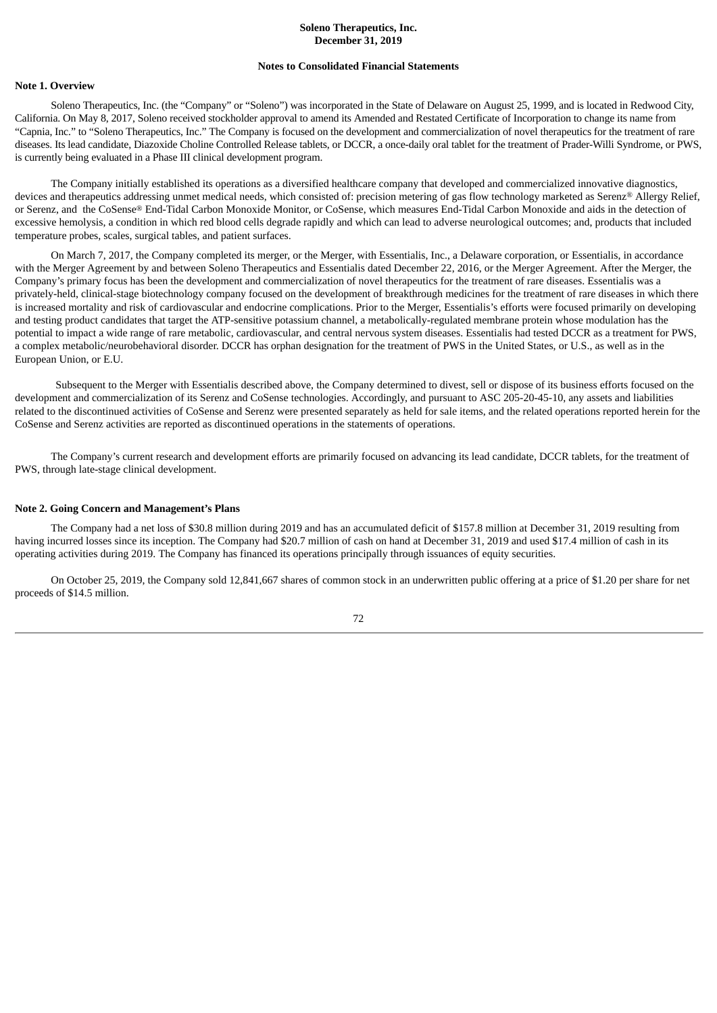# **Soleno Therapeutics, Inc. December 31, 2019**

#### **Notes to Consolidated Financial Statements**

### **Note 1. Overview**

Soleno Therapeutics, Inc. (the "Company" or "Soleno") was incorporated in the State of Delaware on August 25, 1999, and is located in Redwood City, California. On May 8, 2017, Soleno received stockholder approval to amend its Amended and Restated Certificate of Incorporation to change its name from "Capnia, Inc." to "Soleno Therapeutics, Inc." The Company is focused on the development and commercialization of novel therapeutics for the treatment of rare diseases. Its lead candidate, Diazoxide Choline Controlled Release tablets, or DCCR, a once-daily oral tablet for the treatment of Prader-Willi Syndrome, or PWS, is currently being evaluated in a Phase III clinical development program.

The Company initially established its operations as a diversified healthcare company that developed and commercialized innovative diagnostics, devices and therapeutics addressing unmet medical needs, which consisted of: precision metering of gas flow technology marketed as Serenz® Allergy Relief, or Serenz, and the CoSense® End-Tidal Carbon Monoxide Monitor, or CoSense, which measures End-Tidal Carbon Monoxide and aids in the detection of excessive hemolysis, a condition in which red blood cells degrade rapidly and which can lead to adverse neurological outcomes; and, products that included temperature probes, scales, surgical tables, and patient surfaces.

On March 7, 2017, the Company completed its merger, or the Merger, with Essentialis, Inc., a Delaware corporation, or Essentialis, in accordance with the Merger Agreement by and between Soleno Therapeutics and Essentialis dated December 22, 2016, or the Merger Agreement. After the Merger, the Company's primary focus has been the development and commercialization of novel therapeutics for the treatment of rare diseases. Essentialis was a privately-held, clinical-stage biotechnology company focused on the development of breakthrough medicines for the treatment of rare diseases in which there is increased mortality and risk of cardiovascular and endocrine complications. Prior to the Merger, Essentialis's efforts were focused primarily on developing and testing product candidates that target the ATP-sensitive potassium channel, a metabolically-regulated membrane protein whose modulation has the potential to impact a wide range of rare metabolic, cardiovascular, and central nervous system diseases. Essentialis had tested DCCR as a treatment for PWS, a complex metabolic/neurobehavioral disorder. DCCR has orphan designation for the treatment of PWS in the United States, or U.S., as well as in the European Union, or E.U.

Subsequent to the Merger with Essentialis described above, the Company determined to divest, sell or dispose of its business efforts focused on the development and commercialization of its Serenz and CoSense technologies. Accordingly, and pursuant to ASC 205-20-45-10, any assets and liabilities related to the discontinued activities of CoSense and Serenz were presented separately as held for sale items, and the related operations reported herein for the CoSense and Serenz activities are reported as discontinued operations in the statements of operations.

The Company's current research and development efforts are primarily focused on advancing its lead candidate, DCCR tablets, for the treatment of PWS, through late-stage clinical development.

### **Note 2. Going Concern and Management's Plans**

The Company had a net loss of \$30.8 million during 2019 and has an accumulated deficit of \$157.8 million at December 31, 2019 resulting from having incurred losses since its inception. The Company had \$20.7 million of cash on hand at December 31, 2019 and used \$17.4 million of cash in its operating activities during 2019. The Company has financed its operations principally through issuances of equity securities.

On October 25, 2019, the Company sold 12,841,667 shares of common stock in an underwritten public offering at a price of \$1.20 per share for net proceeds of \$14.5 million.

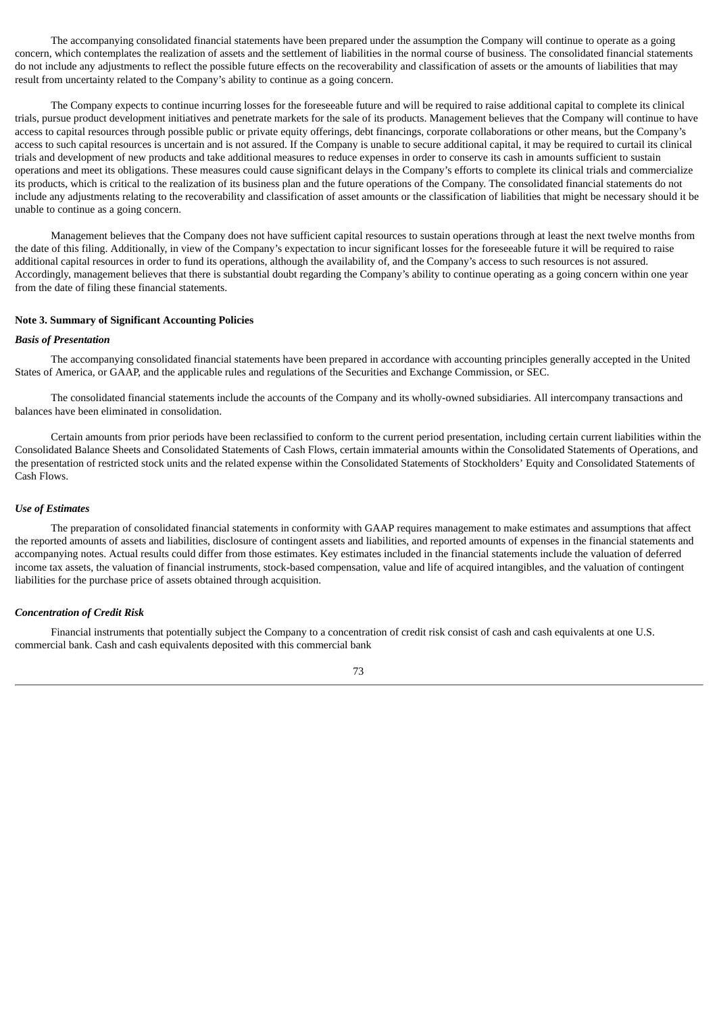The accompanying consolidated financial statements have been prepared under the assumption the Company will continue to operate as a going concern, which contemplates the realization of assets and the settlement of liabilities in the normal course of business. The consolidated financial statements do not include any adjustments to reflect the possible future effects on the recoverability and classification of assets or the amounts of liabilities that may result from uncertainty related to the Company's ability to continue as a going concern.

The Company expects to continue incurring losses for the foreseeable future and will be required to raise additional capital to complete its clinical trials, pursue product development initiatives and penetrate markets for the sale of its products. Management believes that the Company will continue to have access to capital resources through possible public or private equity offerings, debt financings, corporate collaborations or other means, but the Company's access to such capital resources is uncertain and is not assured. If the Company is unable to secure additional capital, it may be required to curtail its clinical trials and development of new products and take additional measures to reduce expenses in order to conserve its cash in amounts sufficient to sustain operations and meet its obligations. These measures could cause significant delays in the Company's efforts to complete its clinical trials and commercialize its products, which is critical to the realization of its business plan and the future operations of the Company. The consolidated financial statements do not include any adjustments relating to the recoverability and classification of asset amounts or the classification of liabilities that might be necessary should it be unable to continue as a going concern.

Management believes that the Company does not have sufficient capital resources to sustain operations through at least the next twelve months from the date of this filing. Additionally, in view of the Company's expectation to incur significant losses for the foreseeable future it will be required to raise additional capital resources in order to fund its operations, although the availability of, and the Company's access to such resources is not assured. Accordingly, management believes that there is substantial doubt regarding the Company's ability to continue operating as a going concern within one year from the date of filing these financial statements.

#### **Note 3. Summary of Significant Accounting Policies**

#### *Basis of Presentation*

The accompanying consolidated financial statements have been prepared in accordance with accounting principles generally accepted in the United States of America, or GAAP, and the applicable rules and regulations of the Securities and Exchange Commission, or SEC.

The consolidated financial statements include the accounts of the Company and its wholly-owned subsidiaries. All intercompany transactions and balances have been eliminated in consolidation.

Certain amounts from prior periods have been reclassified to conform to the current period presentation, including certain current liabilities within the Consolidated Balance Sheets and Consolidated Statements of Cash Flows, certain immaterial amounts within the Consolidated Statements of Operations, and the presentation of restricted stock units and the related expense within the Consolidated Statements of Stockholders' Equity and Consolidated Statements of Cash Flows.

#### *Use of Estimates*

The preparation of consolidated financial statements in conformity with GAAP requires management to make estimates and assumptions that affect the reported amounts of assets and liabilities, disclosure of contingent assets and liabilities, and reported amounts of expenses in the financial statements and accompanying notes. Actual results could differ from those estimates. Key estimates included in the financial statements include the valuation of deferred income tax assets, the valuation of financial instruments, stock-based compensation, value and life of acquired intangibles, and the valuation of contingent liabilities for the purchase price of assets obtained through acquisition.

### *Concentration of Credit Risk*

Financial instruments that potentially subject the Company to a concentration of credit risk consist of cash and cash equivalents at one U.S. commercial bank. Cash and cash equivalents deposited with this commercial bank

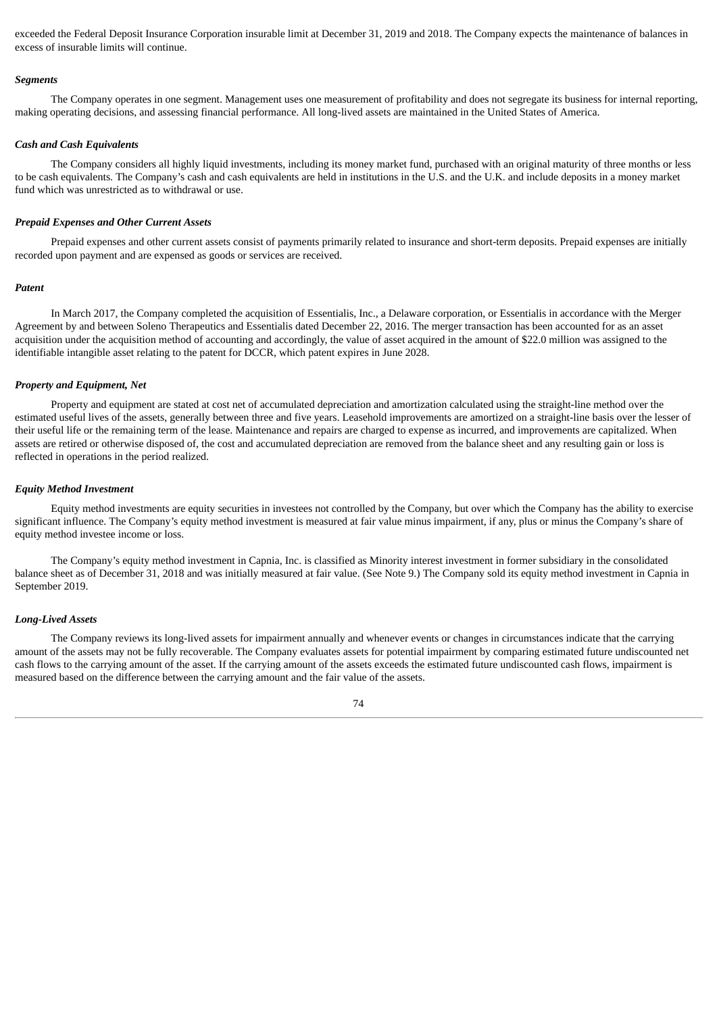exceeded the Federal Deposit Insurance Corporation insurable limit at December 31, 2019 and 2018. The Company expects the maintenance of balances in excess of insurable limits will continue.

#### *Segments*

The Company operates in one segment. Management uses one measurement of profitability and does not segregate its business for internal reporting, making operating decisions, and assessing financial performance. All long-lived assets are maintained in the United States of America.

#### *Cash and Cash Equivalents*

The Company considers all highly liquid investments, including its money market fund, purchased with an original maturity of three months or less to be cash equivalents. The Company's cash and cash equivalents are held in institutions in the U.S. and the U.K. and include deposits in a money market fund which was unrestricted as to withdrawal or use.

#### *Prepaid Expenses and Other Current Assets*

Prepaid expenses and other current assets consist of payments primarily related to insurance and short-term deposits. Prepaid expenses are initially recorded upon payment and are expensed as goods or services are received.

### *Patent*

In March 2017, the Company completed the acquisition of Essentialis, Inc., a Delaware corporation, or Essentialis in accordance with the Merger Agreement by and between Soleno Therapeutics and Essentialis dated December 22, 2016. The merger transaction has been accounted for as an asset acquisition under the acquisition method of accounting and accordingly, the value of asset acquired in the amount of \$22.0 million was assigned to the identifiable intangible asset relating to the patent for DCCR, which patent expires in June 2028.

### *Property and Equipment, Net*

Property and equipment are stated at cost net of accumulated depreciation and amortization calculated using the straight-line method over the estimated useful lives of the assets, generally between three and five years. Leasehold improvements are amortized on a straight-line basis over the lesser of their useful life or the remaining term of the lease. Maintenance and repairs are charged to expense as incurred, and improvements are capitalized. When assets are retired or otherwise disposed of, the cost and accumulated depreciation are removed from the balance sheet and any resulting gain or loss is reflected in operations in the period realized.

#### *Equity Method Investment*

Equity method investments are equity securities in investees not controlled by the Company, but over which the Company has the ability to exercise significant influence. The Company's equity method investment is measured at fair value minus impairment, if any, plus or minus the Company's share of equity method investee income or loss.

The Company's equity method investment in Capnia, Inc. is classified as Minority interest investment in former subsidiary in the consolidated balance sheet as of December 31, 2018 and was initially measured at fair value. (See Note 9.) The Company sold its equity method investment in Capnia in September 2019.

#### *Long-Lived Assets*

The Company reviews its long-lived assets for impairment annually and whenever events or changes in circumstances indicate that the carrying amount of the assets may not be fully recoverable. The Company evaluates assets for potential impairment by comparing estimated future undiscounted net cash flows to the carrying amount of the asset. If the carrying amount of the assets exceeds the estimated future undiscounted cash flows, impairment is measured based on the difference between the carrying amount and the fair value of the assets.

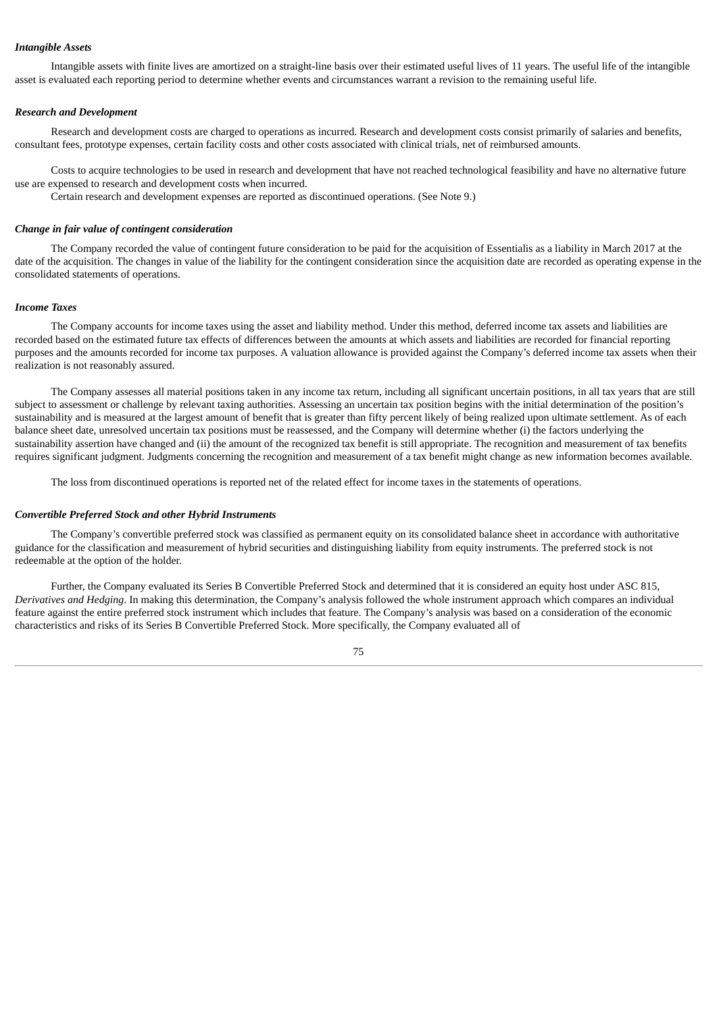# *Intangible Assets*

Intangible assets with finite lives are amortized on a straight-line basis over their estimated useful lives of 11 years. The useful life of the intangible asset is evaluated each reporting period to determine whether events and circumstances warrant a revision to the remaining useful life.

### *Research and Development*

Research and development costs are charged to operations as incurred. Research and development costs consist primarily of salaries and benefits, consultant fees, prototype expenses, certain facility costs and other costs associated with clinical trials, net of reimbursed amounts.

Costs to acquire technologies to be used in research and development that have not reached technological feasibility and have no alternative future use are expensed to research and development costs when incurred.

Certain research and development expenses are reported as discontinued operations. (See Note 9.)

### *Change in fair value of contingent consideration*

The Company recorded the value of contingent future consideration to be paid for the acquisition of Essentialis as a liability in March 2017 at the date of the acquisition. The changes in value of the liability for the contingent consideration since the acquisition date are recorded as operating expense in the consolidated statements of operations.

#### *Income Taxes*

The Company accounts for income taxes using the asset and liability method. Under this method, deferred income tax assets and liabilities are recorded based on the estimated future tax effects of differences between the amounts at which assets and liabilities are recorded for financial reporting purposes and the amounts recorded for income tax purposes. A valuation allowance is provided against the Company's deferred income tax assets when their realization is not reasonably assured.

The Company assesses all material positions taken in any income tax return, including all significant uncertain positions, in all tax years that are still subject to assessment or challenge by relevant taxing authorities. Assessing an uncertain tax position begins with the initial determination of the position's sustainability and is measured at the largest amount of benefit that is greater than fifty percent likely of being realized upon ultimate settlement. As of each balance sheet date, unresolved uncertain tax positions must be reassessed, and the Company will determine whether (i) the factors underlying the sustainability assertion have changed and (ii) the amount of the recognized tax benefit is still appropriate. The recognition and measurement of tax benefits requires significant judgment. Judgments concerning the recognition and measurement of a tax benefit might change as new information becomes available.

The loss from discontinued operations is reported net of the related effect for income taxes in the statements of operations.

#### *Convertible Preferred Stock and other Hybrid Instruments*

The Company's convertible preferred stock was classified as permanent equity on its consolidated balance sheet in accordance with authoritative guidance for the classification and measurement of hybrid securities and distinguishing liability from equity instruments. The preferred stock is not redeemable at the option of the holder.

Further, the Company evaluated its Series B Convertible Preferred Stock and determined that it is considered an equity host under ASC 815, *Derivatives and Hedging*. In making this determination, the Company's analysis followed the whole instrument approach which compares an individual feature against the entire preferred stock instrument which includes that feature. The Company's analysis was based on a consideration of the economic characteristics and risks of its Series B Convertible Preferred Stock. More specifically, the Company evaluated all of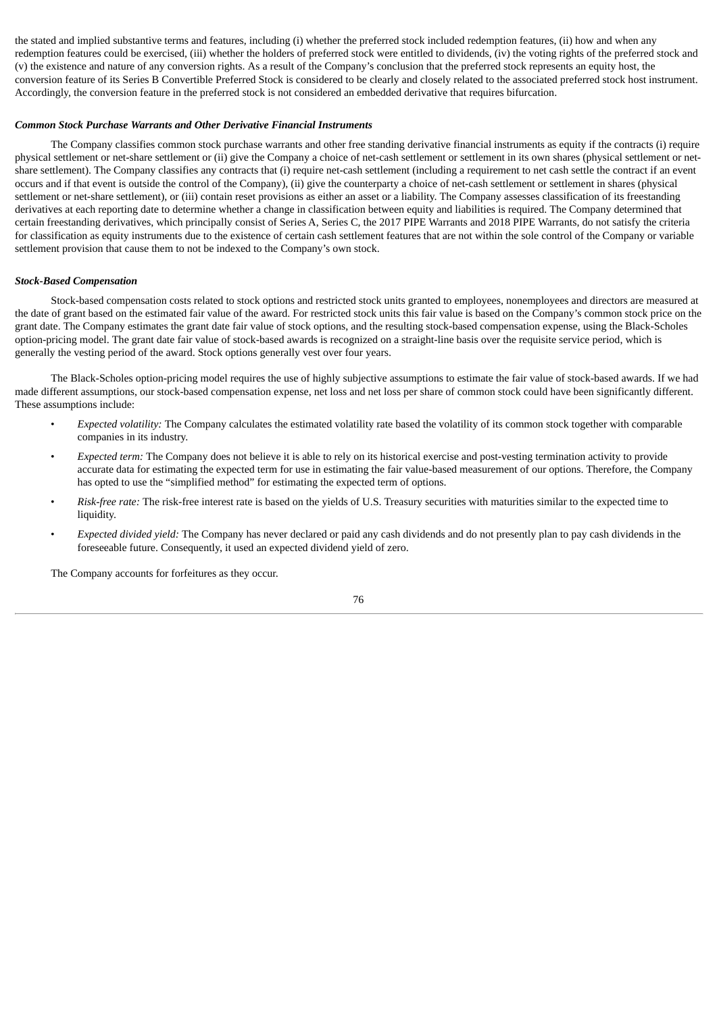the stated and implied substantive terms and features, including (i) whether the preferred stock included redemption features, (ii) how and when any redemption features could be exercised, (iii) whether the holders of preferred stock were entitled to dividends, (iv) the voting rights of the preferred stock and (v) the existence and nature of any conversion rights. As a result of the Company's conclusion that the preferred stock represents an equity host, the conversion feature of its Series B Convertible Preferred Stock is considered to be clearly and closely related to the associated preferred stock host instrument. Accordingly, the conversion feature in the preferred stock is not considered an embedded derivative that requires bifurcation.

### *Common Stock Purchase Warrants and Other Derivative Financial Instruments*

The Company classifies common stock purchase warrants and other free standing derivative financial instruments as equity if the contracts (i) require physical settlement or net-share settlement or (ii) give the Company a choice of net-cash settlement or settlement in its own shares (physical settlement or netshare settlement). The Company classifies any contracts that (i) require net-cash settlement (including a requirement to net cash settle the contract if an event occurs and if that event is outside the control of the Company), (ii) give the counterparty a choice of net-cash settlement or settlement in shares (physical settlement or net-share settlement), or (iii) contain reset provisions as either an asset or a liability. The Company assesses classification of its freestanding derivatives at each reporting date to determine whether a change in classification between equity and liabilities is required. The Company determined that certain freestanding derivatives, which principally consist of Series A, Series C, the 2017 PIPE Warrants and 2018 PIPE Warrants, do not satisfy the criteria for classification as equity instruments due to the existence of certain cash settlement features that are not within the sole control of the Company or variable settlement provision that cause them to not be indexed to the Company's own stock.

## *Stock-Based Compensation*

Stock-based compensation costs related to stock options and restricted stock units granted to employees, nonemployees and directors are measured at the date of grant based on the estimated fair value of the award. For restricted stock units this fair value is based on the Company's common stock price on the grant date. The Company estimates the grant date fair value of stock options, and the resulting stock-based compensation expense, using the Black-Scholes option-pricing model. The grant date fair value of stock-based awards is recognized on a straight-line basis over the requisite service period, which is generally the vesting period of the award. Stock options generally vest over four years.

The Black-Scholes option-pricing model requires the use of highly subjective assumptions to estimate the fair value of stock-based awards. If we had made different assumptions, our stock-based compensation expense, net loss and net loss per share of common stock could have been significantly different. These assumptions include:

- *Expected volatility:* The Company calculates the estimated volatility rate based the volatility of its common stock together with comparable companies in its industry.
- *Expected term:* The Company does not believe it is able to rely on its historical exercise and post-vesting termination activity to provide accurate data for estimating the expected term for use in estimating the fair value-based measurement of our options. Therefore, the Company has opted to use the "simplified method" for estimating the expected term of options.
- *Risk-free rate:* The risk-free interest rate is based on the yields of U.S. Treasury securities with maturities similar to the expected time to liquidity.
- *Expected divided yield:* The Company has never declared or paid any cash dividends and do not presently plan to pay cash dividends in the foreseeable future. Consequently, it used an expected dividend yield of zero.

The Company accounts for forfeitures as they occur.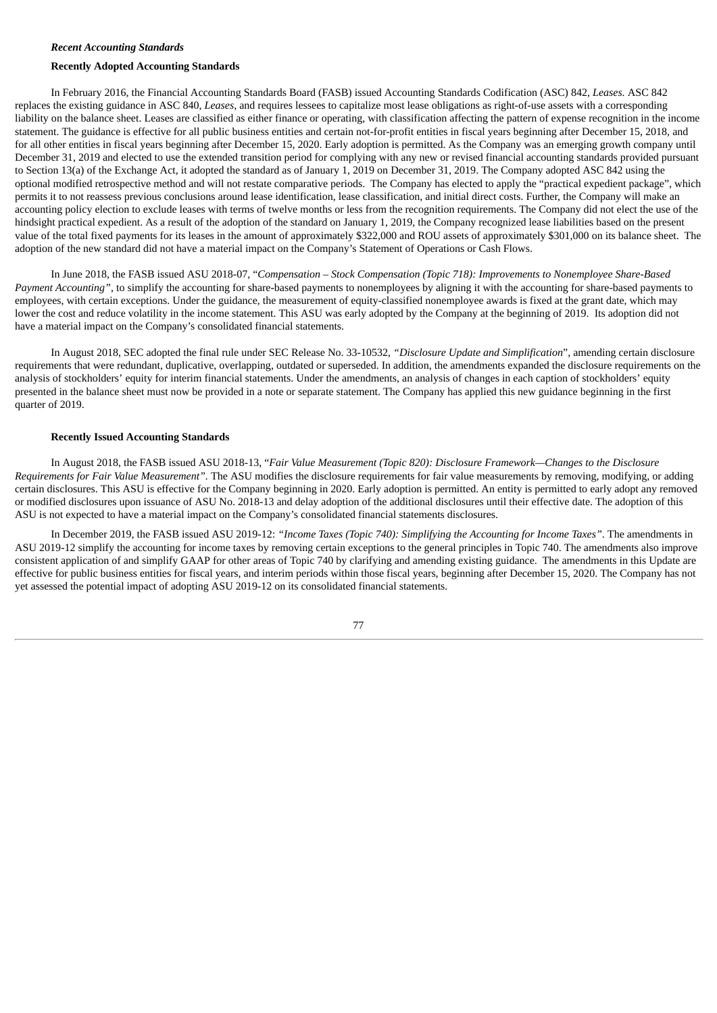## *Recent Accounting Standards*

#### **Recently Adopted Accounting Standards**

In February 2016, the Financial Accounting Standards Board (FASB) issued Accounting Standards Codification (ASC) 842, *Leases.* ASC 842 replaces the existing guidance in ASC 840, *Leases*, and requires lessees to capitalize most lease obligations as right-of-use assets with a corresponding liability on the balance sheet. Leases are classified as either finance or operating, with classification affecting the pattern of expense recognition in the income statement. The guidance is effective for all public business entities and certain not-for-profit entities in fiscal years beginning after December 15, 2018, and for all other entities in fiscal years beginning after December 15, 2020. Early adoption is permitted. As the Company was an emerging growth company until December 31, 2019 and elected to use the extended transition period for complying with any new or revised financial accounting standards provided pursuant to Section 13(a) of the Exchange Act, it adopted the standard as of January 1, 2019 on December 31, 2019. The Company adopted ASC 842 using the optional modified retrospective method and will not restate comparative periods. The Company has elected to apply the "practical expedient package", which permits it to not reassess previous conclusions around lease identification, lease classification, and initial direct costs. Further, the Company will make an accounting policy election to exclude leases with terms of twelve months or less from the recognition requirements. The Company did not elect the use of the hindsight practical expedient. As a result of the adoption of the standard on January 1, 2019, the Company recognized lease liabilities based on the present value of the total fixed payments for its leases in the amount of approximately \$322,000 and ROU assets of approximately \$301,000 on its balance sheet. The adoption of the new standard did not have a material impact on the Company's Statement of Operations or Cash Flows.

In June 2018, the FASB issued ASU 2018-07, "*Compensation – Stock Compensation (Topic 718): Improvements to Nonemployee Share-Based Payment Accounting"*, to simplify the accounting for share-based payments to nonemployees by aligning it with the accounting for share-based payments to employees, with certain exceptions. Under the guidance, the measurement of equity-classified nonemployee awards is fixed at the grant date, which may lower the cost and reduce volatility in the income statement. This ASU was early adopted by the Company at the beginning of 2019. Its adoption did not have a material impact on the Company's consolidated financial statements.

In August 2018, SEC adopted the final rule under SEC Release No. 33-10532, *"Disclosure Update and Simplification*", amending certain disclosure requirements that were redundant, duplicative, overlapping, outdated or superseded. In addition, the amendments expanded the disclosure requirements on the analysis of stockholders' equity for interim financial statements. Under the amendments, an analysis of changes in each caption of stockholders' equity presented in the balance sheet must now be provided in a note or separate statement. The Company has applied this new guidance beginning in the first quarter of 2019.

#### **Recently Issued Accounting Standards**

In August 2018, the FASB issued ASU 2018-13, "*Fair Value Measurement (Topic 820): Disclosure Framework—Changes to the Disclosure Requirements for Fair Value Measurement".* The ASU modifies the disclosure requirements for fair value measurements by removing, modifying, or adding certain disclosures. This ASU is effective for the Company beginning in 2020. Early adoption is permitted. An entity is permitted to early adopt any removed or modified disclosures upon issuance of ASU No. 2018-13 and delay adoption of the additional disclosures until their effective date. The adoption of this ASU is not expected to have a material impact on the Company's consolidated financial statements disclosures.

In December 2019, the FASB issued ASU 2019-12: *"Income Taxes (Topic 740): Simplifying the Accounting for Income Taxes"*. The amendments in ASU 2019-12 simplify the accounting for income taxes by removing certain exceptions to the general principles in Topic 740. The amendments also improve consistent application of and simplify GAAP for other areas of Topic 740 by clarifying and amending existing guidance. The amendments in this Update are effective for public business entities for fiscal years, and interim periods within those fiscal years, beginning after December 15, 2020. The Company has not yet assessed the potential impact of adopting ASU 2019-12 on its consolidated financial statements.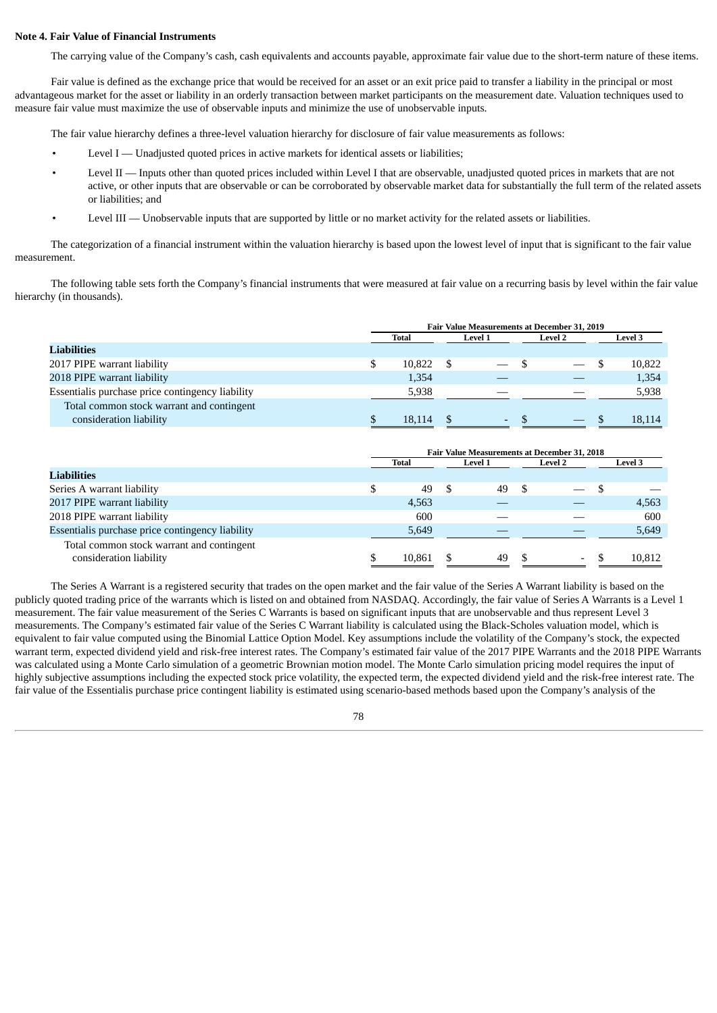### **Note 4. Fair Value of Financial Instruments**

The carrying value of the Company's cash, cash equivalents and accounts payable, approximate fair value due to the short-term nature of these items.

Fair value is defined as the exchange price that would be received for an asset or an exit price paid to transfer a liability in the principal or most advantageous market for the asset or liability in an orderly transaction between market participants on the measurement date. Valuation techniques used to measure fair value must maximize the use of observable inputs and minimize the use of unobservable inputs.

The fair value hierarchy defines a three-level valuation hierarchy for disclosure of fair value measurements as follows:

- Level I Unadjusted quoted prices in active markets for identical assets or liabilities;
- Level II Inputs other than quoted prices included within Level I that are observable, unadjusted quoted prices in markets that are not active, or other inputs that are observable or can be corroborated by observable market data for substantially the full term of the related assets or liabilities; and
- Level III Unobservable inputs that are supported by little or no market activity for the related assets or liabilities.

The categorization of a financial instrument within the valuation hierarchy is based upon the lowest level of input that is significant to the fair value measurement.

The following table sets forth the Company's financial instruments that were measured at fair value on a recurring basis by level within the fair value hierarchy (in thousands).

|                                                                      | Fair Value Measurements at December 31, 2019 |              |  |                          |  |                          |  |                |
|----------------------------------------------------------------------|----------------------------------------------|--------------|--|--------------------------|--|--------------------------|--|----------------|
|                                                                      |                                              | <b>Total</b> |  | <b>Level 1</b>           |  | <b>Level 2</b>           |  | <b>Level 3</b> |
| Liabilities                                                          |                                              |              |  |                          |  |                          |  |                |
| 2017 PIPE warrant liability                                          |                                              | 10.822       |  |                          |  |                          |  | 10,822         |
| 2018 PIPE warrant liability                                          |                                              | 1,354        |  |                          |  |                          |  | 1,354          |
| Essentialis purchase price contingency liability                     |                                              | 5.938        |  |                          |  |                          |  | 5,938          |
| Total common stock warrant and contingent<br>consideration liability |                                              | 18.114       |  | $\overline{\phantom{a}}$ |  | $\overline{\phantom{0}}$ |  | 18.114         |
|                                                                      |                                              |              |  |                          |  |                          |  |                |

|                                                                      | <b>Fair Value Measurements at December 31, 2018</b> |        |  |                |     |                          |  |                |
|----------------------------------------------------------------------|-----------------------------------------------------|--------|--|----------------|-----|--------------------------|--|----------------|
|                                                                      |                                                     | Total  |  | <b>Level 1</b> |     | <b>Level 2</b>           |  | <b>Level 3</b> |
| Liabilities                                                          |                                                     |        |  |                |     |                          |  |                |
| Series A warrant liability                                           |                                                     | 49     |  | 49             | - S |                          |  |                |
| 2017 PIPE warrant liability                                          |                                                     | 4,563  |  |                |     |                          |  | 4,563          |
| 2018 PIPE warrant liability                                          |                                                     | 600    |  |                |     |                          |  | 600            |
| Essentialis purchase price contingency liability                     |                                                     | 5,649  |  |                |     |                          |  | 5,649          |
| Total common stock warrant and contingent<br>consideration liability |                                                     | 10.861 |  | 49             |     | $\overline{\phantom{a}}$ |  | 10.812         |

The Series A Warrant is a registered security that trades on the open market and the fair value of the Series A Warrant liability is based on the publicly quoted trading price of the warrants which is listed on and obtained from NASDAQ. Accordingly, the fair value of Series A Warrants is a Level 1 measurement. The fair value measurement of the Series C Warrants is based on significant inputs that are unobservable and thus represent Level 3 measurements. The Company's estimated fair value of the Series C Warrant liability is calculated using the Black-Scholes valuation model, which is equivalent to fair value computed using the Binomial Lattice Option Model. Key assumptions include the volatility of the Company's stock, the expected warrant term, expected dividend yield and risk-free interest rates. The Company's estimated fair value of the 2017 PIPE Warrants and the 2018 PIPE Warrants was calculated using a Monte Carlo simulation of a geometric Brownian motion model. The Monte Carlo simulation pricing model requires the input of highly subjective assumptions including the expected stock price volatility, the expected term, the expected dividend yield and the risk-free interest rate. The fair value of the Essentialis purchase price contingent liability is estimated using scenario-based methods based upon the Company's analysis of the

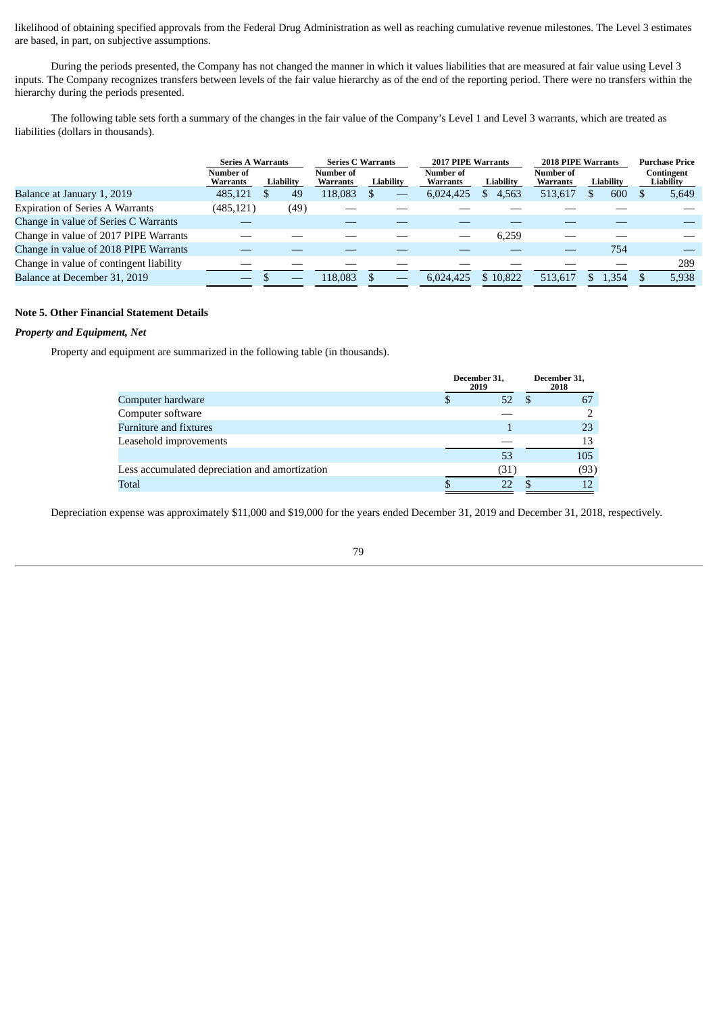likelihood of obtaining specified approvals from the Federal Drug Administration as well as reaching cumulative revenue milestones. The Level 3 estimates are based, in part, on subjective assumptions.

During the periods presented, the Company has not changed the manner in which it values liabilities that are measured at fair value using Level 3 inputs. The Company recognizes transfers between levels of the fair value hierarchy as of the end of the reporting period. There were no transfers within the hierarchy during the periods presented.

The following table sets forth a summary of the changes in the fair value of the Company's Level 1 and Level 3 warrants, which are treated as liabilities (dollars in thousands).

|                                         |                       | <b>Series A Warrants</b> |      |                              | <b>Series C. Warrants</b> |  |                              | 2017 PIPE Warrants |                              | 2018 PIPE Warrants |  | <b>Purchase Price</b>   |
|-----------------------------------------|-----------------------|--------------------------|------|------------------------------|---------------------------|--|------------------------------|--------------------|------------------------------|--------------------|--|-------------------------|
|                                         | Number of<br>Warrants | Liability                |      | Number of<br><b>Warrants</b> | Liability                 |  | Number of<br><b>Warrants</b> | Liability          | Number of<br><b>Warrants</b> | Liability          |  | Contingent<br>Liability |
| Balance at January 1, 2019              | 485.121               |                          | 49   | 118,083                      |                           |  | 6,024,425                    | 4,563<br>\$        | 513,617                      | 600                |  | 5,649                   |
| <b>Expiration of Series A Warrants</b>  | (485, 121)            |                          | (49) |                              |                           |  |                              |                    |                              |                    |  |                         |
| Change in value of Series C Warrants    |                       |                          |      |                              |                           |  |                              |                    |                              |                    |  |                         |
| Change in value of 2017 PIPE Warrants   |                       |                          |      |                              |                           |  |                              | 6,259              |                              |                    |  |                         |
| Change in value of 2018 PIPE Warrants   |                       |                          |      |                              |                           |  |                              |                    |                              | 754                |  |                         |
| Change in value of contingent liability |                       |                          |      |                              |                           |  |                              |                    |                              |                    |  | 289                     |
| Balance at December 31, 2019            |                       |                          |      | 118.083                      |                           |  | 6.024.425                    | \$10.822           | 513.617                      | L,354              |  | 5,938                   |

## **Note 5. Other Financial Statement Details**

# *Property and Equipment, Net*

Property and equipment are summarized in the following table (in thousands).

|                                                | December 31,<br>2019 | December 31,<br>2018 |
|------------------------------------------------|----------------------|----------------------|
| Computer hardware                              | 52                   | 67                   |
| Computer software                              |                      |                      |
| Furniture and fixtures                         |                      | 23                   |
| Leasehold improvements                         |                      |                      |
|                                                | 53                   | 105                  |
| Less accumulated depreciation and amortization | (31)                 | (93)                 |
| <b>Total</b>                                   |                      |                      |

Depreciation expense was approximately \$11,000 and \$19,000 for the years ended December 31, 2019 and December 31, 2018, respectively.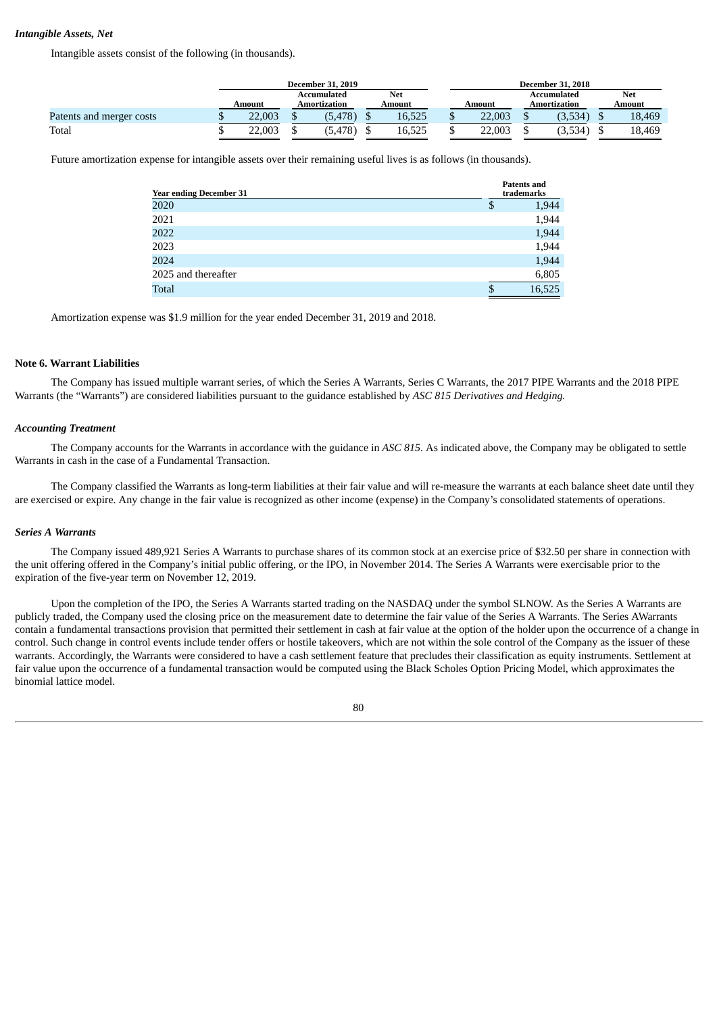# *Intangible Assets, Net*

Intangible assets consist of the following (in thousands).

|                          | <b>December 31, 2019</b> |  |                                                     |  |        |                             | <b>December 31, 2018</b> |        |
|--------------------------|--------------------------|--|-----------------------------------------------------|--|--------|-----------------------------|--------------------------|--------|
|                          | Amount                   |  | <b>Net</b><br>Accumulated<br>Amortization<br>Amount |  | Amount | Accumulated<br>Amortization | <b>Net</b><br>Amount     |        |
| Patents and merger costs | 22.003                   |  | (5, 478)                                            |  | 16,525 | 22,003                      | (3,534)                  | 18,469 |
| Total                    | 22.003                   |  | (5, 478)                                            |  | 16,525 | 22.003                      | (3,534)                  | 18,469 |

Future amortization expense for intangible assets over their remaining useful lives is as follows (in thousands).

| <b>Year ending December 31</b> |    | <b>Patents and</b><br>trademarks |  |  |
|--------------------------------|----|----------------------------------|--|--|
| 2020                           | \$ | 1,944                            |  |  |
| 2021                           |    | 1,944                            |  |  |
| 2022                           |    | 1,944                            |  |  |
| 2023                           |    | 1,944                            |  |  |
| 2024                           |    | 1,944                            |  |  |
| 2025 and thereafter            |    | 6,805                            |  |  |
| Total                          |    | 16,525                           |  |  |

Amortization expense was \$1.9 million for the year ended December 31, 2019 and 2018.

### **Note 6. Warrant Liabilities**

The Company has issued multiple warrant series, of which the Series A Warrants, Series C Warrants, the 2017 PIPE Warrants and the 2018 PIPE Warrants (the "Warrants") are considered liabilities pursuant to the guidance established by *ASC 815 Derivatives and Hedging.*

# *Accounting Treatment*

The Company accounts for the Warrants in accordance with the guidance in *ASC 815*. As indicated above, the Company may be obligated to settle Warrants in cash in the case of a Fundamental Transaction.

The Company classified the Warrants as long-term liabilities at their fair value and will re-measure the warrants at each balance sheet date until they are exercised or expire. Any change in the fair value is recognized as other income (expense) in the Company's consolidated statements of operations.

### *Series A Warrants*

The Company issued 489,921 Series A Warrants to purchase shares of its common stock at an exercise price of \$32.50 per share in connection with the unit offering offered in the Company's initial public offering, or the IPO, in November 2014. The Series A Warrants were exercisable prior to the expiration of the five-year term on November 12, 2019.

Upon the completion of the IPO, the Series A Warrants started trading on the NASDAQ under the symbol SLNOW. As the Series A Warrants are publicly traded, the Company used the closing price on the measurement date to determine the fair value of the Series A Warrants. The Series AWarrants contain a fundamental transactions provision that permitted their settlement in cash at fair value at the option of the holder upon the occurrence of a change in control. Such change in control events include tender offers or hostile takeovers, which are not within the sole control of the Company as the issuer of these warrants. Accordingly, the Warrants were considered to have a cash settlement feature that precludes their classification as equity instruments. Settlement at fair value upon the occurrence of a fundamental transaction would be computed using the Black Scholes Option Pricing Model, which approximates the binomial lattice model.

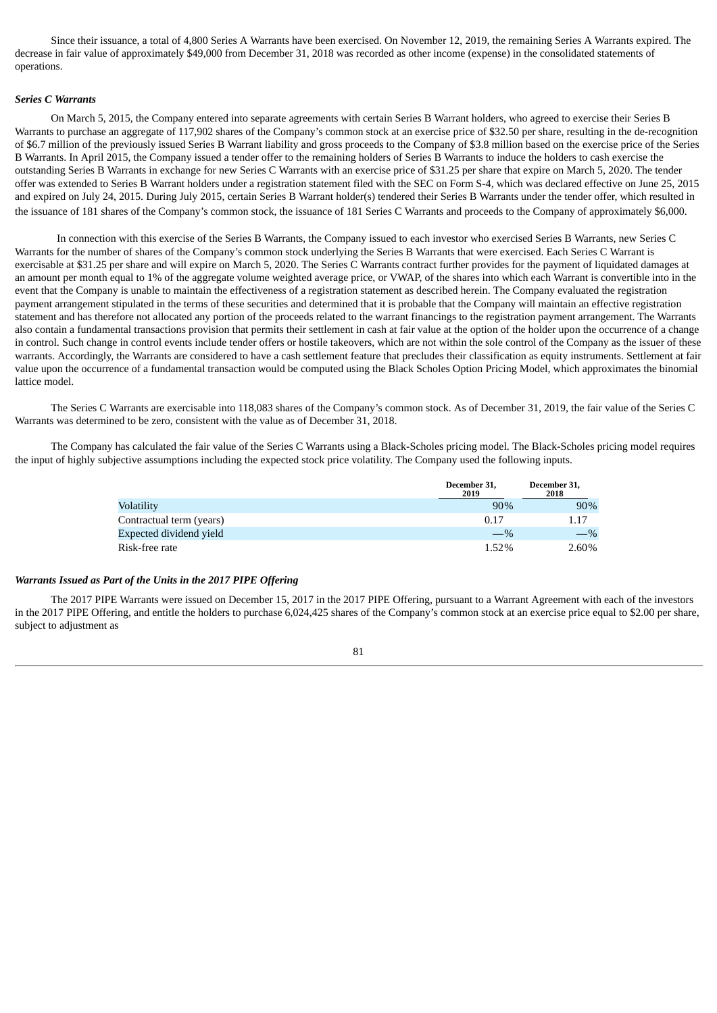Since their issuance, a total of 4,800 Series A Warrants have been exercised. On November 12, 2019, the remaining Series A Warrants expired. The decrease in fair value of approximately \$49,000 from December 31, 2018 was recorded as other income (expense) in the consolidated statements of operations.

### *Series C Warrants*

On March 5, 2015, the Company entered into separate agreements with certain Series B Warrant holders, who agreed to exercise their Series B Warrants to purchase an aggregate of 117,902 shares of the Company's common stock at an exercise price of \$32.50 per share, resulting in the de-recognition of \$6.7 million of the previously issued Series B Warrant liability and gross proceeds to the Company of \$3.8 million based on the exercise price of the Series B Warrants. In April 2015, the Company issued a tender offer to the remaining holders of Series B Warrants to induce the holders to cash exercise the outstanding Series B Warrants in exchange for new Series C Warrants with an exercise price of \$31.25 per share that expire on March 5, 2020. The tender offer was extended to Series B Warrant holders under a registration statement filed with the SEC on Form S-4, which was declared effective on June 25, 2015 and expired on July 24, 2015. During July 2015, certain Series B Warrant holder(s) tendered their Series B Warrants under the tender offer, which resulted in the issuance of 181 shares of the Company's common stock, the issuance of 181 Series C Warrants and proceeds to the Company of approximately \$6,000.

In connection with this exercise of the Series B Warrants, the Company issued to each investor who exercised Series B Warrants, new Series C Warrants for the number of shares of the Company's common stock underlying the Series B Warrants that were exercised. Each Series C Warrant is exercisable at \$31.25 per share and will expire on March 5, 2020. The Series C Warrants contract further provides for the payment of liquidated damages at an amount per month equal to 1% of the aggregate volume weighted average price, or VWAP, of the shares into which each Warrant is convertible into in the event that the Company is unable to maintain the effectiveness of a registration statement as described herein. The Company evaluated the registration payment arrangement stipulated in the terms of these securities and determined that it is probable that the Company will maintain an effective registration statement and has therefore not allocated any portion of the proceeds related to the warrant financings to the registration payment arrangement. The Warrants also contain a fundamental transactions provision that permits their settlement in cash at fair value at the option of the holder upon the occurrence of a change in control. Such change in control events include tender offers or hostile takeovers, which are not within the sole control of the Company as the issuer of these warrants. Accordingly, the Warrants are considered to have a cash settlement feature that precludes their classification as equity instruments. Settlement at fair value upon the occurrence of a fundamental transaction would be computed using the Black Scholes Option Pricing Model, which approximates the binomial lattice model.

The Series C Warrants are exercisable into 118,083 shares of the Company's common stock. As of December 31, 2019, the fair value of the Series C Warrants was determined to be zero, consistent with the value as of December 31, 2018.

The Company has calculated the fair value of the Series C Warrants using a Black-Scholes pricing model. The Black-Scholes pricing model requires the input of highly subjective assumptions including the expected stock price volatility. The Company used the following inputs.

|                          | December 31,<br>2019 | December 31,<br>2018 |
|--------------------------|----------------------|----------------------|
| Volatility               | 90%                  | $90\%$               |
| Contractual term (years) | 0.17                 | 1.17                 |
| Expected dividend vield  | $-$ %                | $-$ %                |
| Risk-free rate           | 1.52%                | 2.60%                |

### *Warrants Issued as Part of the Units in the 2017 PIPE Offering*

The 2017 PIPE Warrants were issued on December 15, 2017 in the 2017 PIPE Offering, pursuant to a Warrant Agreement with each of the investors in the 2017 PIPE Offering, and entitle the holders to purchase 6,024,425 shares of the Company's common stock at an exercise price equal to \$2.00 per share, subject to adjustment as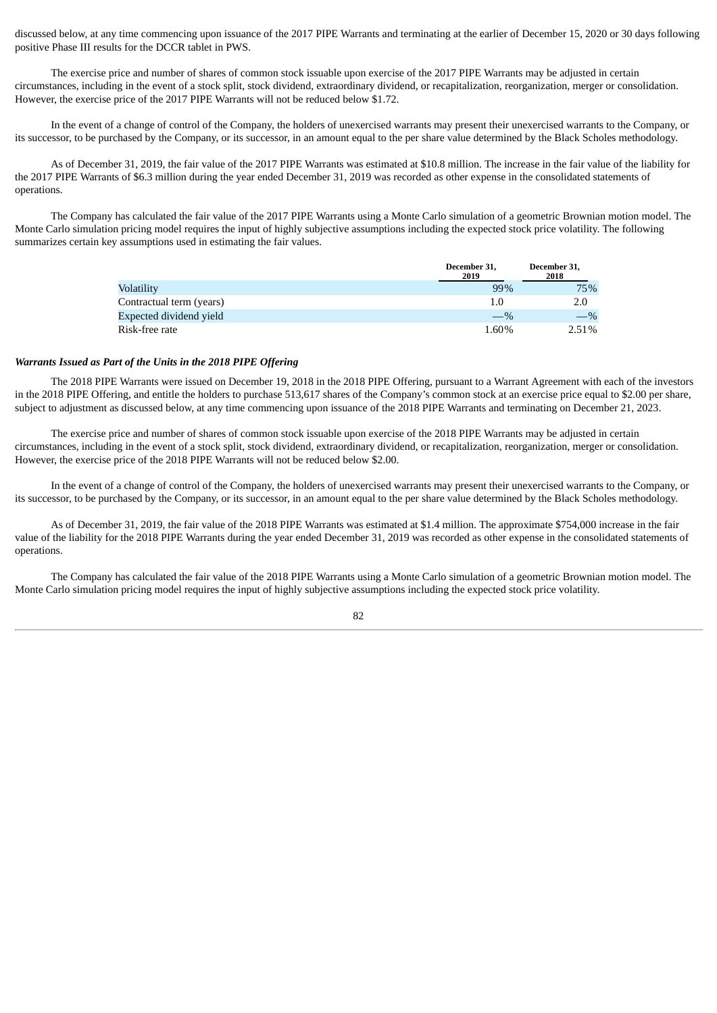discussed below, at any time commencing upon issuance of the 2017 PIPE Warrants and terminating at the earlier of December 15, 2020 or 30 days following positive Phase III results for the DCCR tablet in PWS.

The exercise price and number of shares of common stock issuable upon exercise of the 2017 PIPE Warrants may be adjusted in certain circumstances, including in the event of a stock split, stock dividend, extraordinary dividend, or recapitalization, reorganization, merger or consolidation. However, the exercise price of the 2017 PIPE Warrants will not be reduced below \$1.72.

In the event of a change of control of the Company, the holders of unexercised warrants may present their unexercised warrants to the Company, or its successor, to be purchased by the Company, or its successor, in an amount equal to the per share value determined by the Black Scholes methodology.

As of December 31, 2019, the fair value of the 2017 PIPE Warrants was estimated at \$10.8 million. The increase in the fair value of the liability for the 2017 PIPE Warrants of \$6.3 million during the year ended December 31, 2019 was recorded as other expense in the consolidated statements of operations.

The Company has calculated the fair value of the 2017 PIPE Warrants using a Monte Carlo simulation of a geometric Brownian motion model. The Monte Carlo simulation pricing model requires the input of highly subjective assumptions including the expected stock price volatility. The following summarizes certain key assumptions used in estimating the fair values.

|                          | December 31,<br>2019 | December 31,<br>2018 |
|--------------------------|----------------------|----------------------|
| Volatility               | 99%                  | 75%                  |
| Contractual term (years) | 1.0                  | 2.0                  |
| Expected dividend yield  | $-$ %                | $-$ %                |
| Risk-free rate           | 1.60%                | 2.51%                |

### *Warrants Issued as Part of the Units in the 2018 PIPE Offering*

The 2018 PIPE Warrants were issued on December 19, 2018 in the 2018 PIPE Offering, pursuant to a Warrant Agreement with each of the investors in the 2018 PIPE Offering, and entitle the holders to purchase 513,617 shares of the Company's common stock at an exercise price equal to \$2.00 per share, subject to adjustment as discussed below, at any time commencing upon issuance of the 2018 PIPE Warrants and terminating on December 21, 2023.

The exercise price and number of shares of common stock issuable upon exercise of the 2018 PIPE Warrants may be adjusted in certain circumstances, including in the event of a stock split, stock dividend, extraordinary dividend, or recapitalization, reorganization, merger or consolidation. However, the exercise price of the 2018 PIPE Warrants will not be reduced below \$2.00.

In the event of a change of control of the Company, the holders of unexercised warrants may present their unexercised warrants to the Company, or its successor, to be purchased by the Company, or its successor, in an amount equal to the per share value determined by the Black Scholes methodology.

As of December 31, 2019, the fair value of the 2018 PIPE Warrants was estimated at \$1.4 million. The approximate \$754,000 increase in the fair value of the liability for the 2018 PIPE Warrants during the year ended December 31, 2019 was recorded as other expense in the consolidated statements of operations.

The Company has calculated the fair value of the 2018 PIPE Warrants using a Monte Carlo simulation of a geometric Brownian motion model. The Monte Carlo simulation pricing model requires the input of highly subjective assumptions including the expected stock price volatility.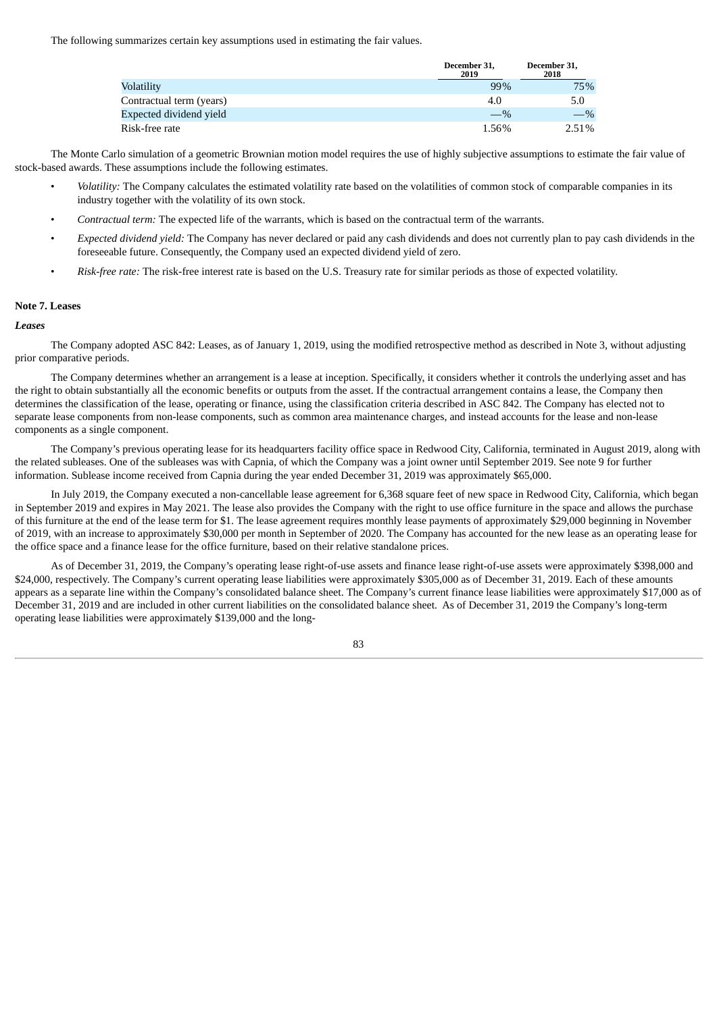The following summarizes certain key assumptions used in estimating the fair values.

|                          | December 31,<br>2019 | December 31,<br>2018 |
|--------------------------|----------------------|----------------------|
| Volatility               | 99%                  | 75%                  |
| Contractual term (years) | 4.0                  | 5.0                  |
| Expected dividend yield  | $-$ %                | $\%$                 |
| Risk-free rate           | 1.56%                | 2.51%                |

The Monte Carlo simulation of a geometric Brownian motion model requires the use of highly subjective assumptions to estimate the fair value of stock-based awards. These assumptions include the following estimates.

- *Volatility:* The Company calculates the estimated volatility rate based on the volatilities of common stock of comparable companies in its industry together with the volatility of its own stock.
- *Contractual term:* The expected life of the warrants, which is based on the contractual term of the warrants.
- *Expected dividend yield:* The Company has never declared or paid any cash dividends and does not currently plan to pay cash dividends in the foreseeable future. Consequently, the Company used an expected dividend yield of zero.
- *Risk-free rate:* The risk-free interest rate is based on the U.S. Treasury rate for similar periods as those of expected volatility.

#### **Note 7. Leases**

#### *Leases*

The Company adopted ASC 842: Leases, as of January 1, 2019, using the modified retrospective method as described in Note 3, without adjusting prior comparative periods.

The Company determines whether an arrangement is a lease at inception. Specifically, it considers whether it controls the underlying asset and has the right to obtain substantially all the economic benefits or outputs from the asset. If the contractual arrangement contains a lease, the Company then determines the classification of the lease, operating or finance, using the classification criteria described in ASC 842. The Company has elected not to separate lease components from non-lease components, such as common area maintenance charges, and instead accounts for the lease and non-lease components as a single component.

The Company's previous operating lease for its headquarters facility office space in Redwood City, California, terminated in August 2019, along with the related subleases. One of the subleases was with Capnia, of which the Company was a joint owner until September 2019. See note 9 for further information. Sublease income received from Capnia during the year ended December 31, 2019 was approximately \$65,000.

In July 2019, the Company executed a non-cancellable lease agreement for 6,368 square feet of new space in Redwood City, California, which began in September 2019 and expires in May 2021. The lease also provides the Company with the right to use office furniture in the space and allows the purchase of this furniture at the end of the lease term for \$1. The lease agreement requires monthly lease payments of approximately \$29,000 beginning in November of 2019, with an increase to approximately \$30,000 per month in September of 2020. The Company has accounted for the new lease as an operating lease for the office space and a finance lease for the office furniture, based on their relative standalone prices.

As of December 31, 2019, the Company's operating lease right-of-use assets and finance lease right-of-use assets were approximately \$398,000 and \$24,000, respectively. The Company's current operating lease liabilities were approximately \$305,000 as of December 31, 2019. Each of these amounts appears as a separate line within the Company's consolidated balance sheet. The Company's current finance lease liabilities were approximately \$17,000 as of December 31, 2019 and are included in other current liabilities on the consolidated balance sheet. As of December 31, 2019 the Company's long-term operating lease liabilities were approximately \$139,000 and the long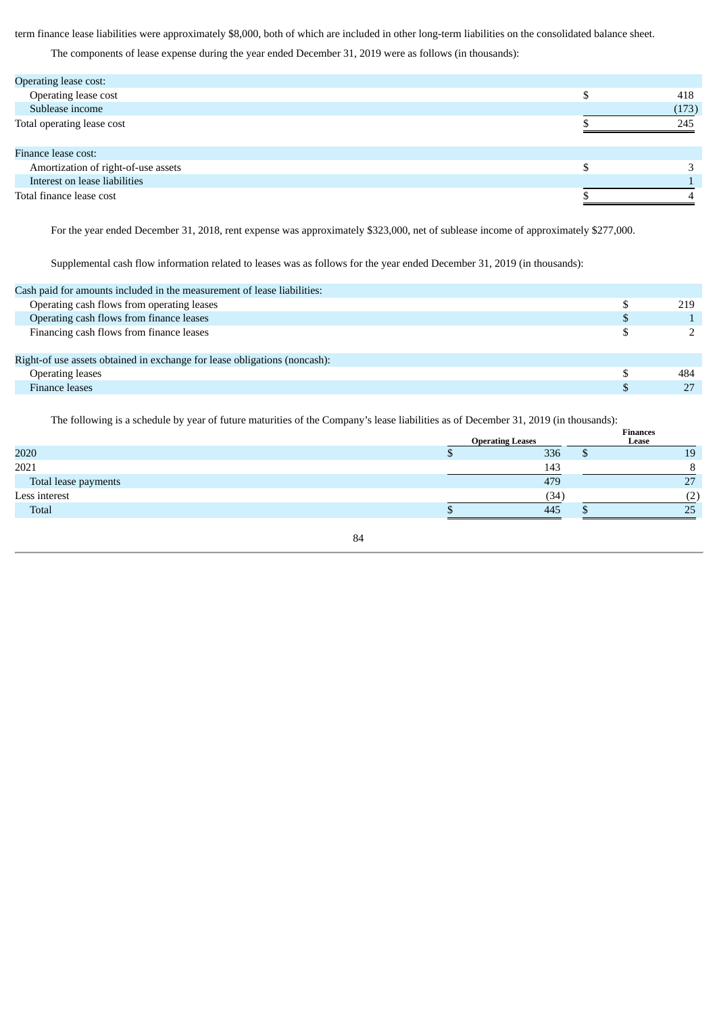term finance lease liabilities were approximately \$8,000, both of which are included in other long-term liabilities on the consolidated balance sheet.

The components of lease expense during the year ended December 31, 2019 were as follows (in thousands):

| Operating lease cost:               |       |
|-------------------------------------|-------|
| Operating lease cost                | 418   |
| Sublease income                     | (173) |
| Total operating lease cost          | 245   |
| Finance lease cost:                 |       |
| Amortization of right-of-use assets |       |
| Interest on lease liabilities       |       |
| Total finance lease cost            |       |

For the year ended December 31, 2018, rent expense was approximately \$323,000, net of sublease income of approximately \$277,000.

Supplemental cash flow information related to leases was as follows for the year ended December 31, 2019 (in thousands):

| Cash paid for amounts included in the measurement of lease liabilities:   |     |
|---------------------------------------------------------------------------|-----|
| Operating cash flows from operating leases                                | 219 |
| Operating cash flows from finance leases                                  |     |
| Financing cash flows from finance leases                                  |     |
| Right-of use assets obtained in exchange for lease obligations (noncash): |     |
| <b>Operating leases</b>                                                   | 484 |
| Finance leases                                                            | 27  |
|                                                                           |     |

The following is a schedule by year of future maturities of the Company's lease liabilities as of December 31, 2019 (in thousands):

| The following to a seneathe by year of fattare inataffies of the company s fease miomities as of Becennott bij Lorb (in thousands). |  |                         |   |                          |  |  |
|-------------------------------------------------------------------------------------------------------------------------------------|--|-------------------------|---|--------------------------|--|--|
|                                                                                                                                     |  | <b>Operating Leases</b> |   | <b>Finances</b><br>Lease |  |  |
| 2020                                                                                                                                |  | 336                     | D | 19                       |  |  |
| 2021                                                                                                                                |  | 143                     |   |                          |  |  |
| Total lease payments                                                                                                                |  | 479                     |   | רי                       |  |  |
| Less interest                                                                                                                       |  | (34)                    |   | (2)                      |  |  |
| Total                                                                                                                               |  | 445                     |   | 25                       |  |  |
|                                                                                                                                     |  |                         |   |                          |  |  |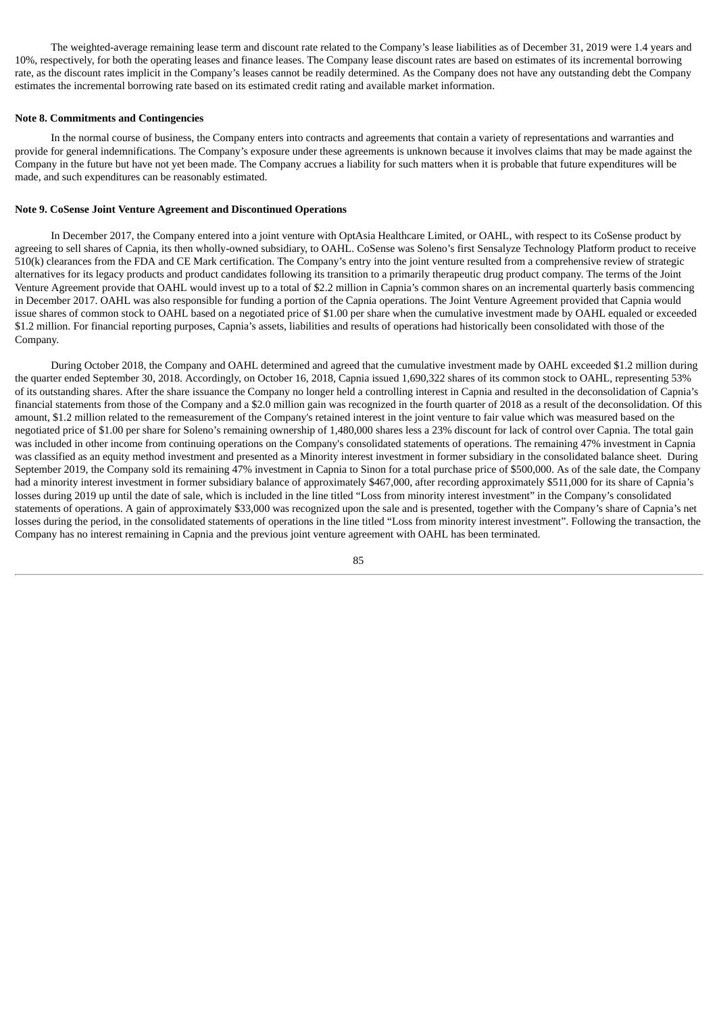The weighted-average remaining lease term and discount rate related to the Company's lease liabilities as of December 31, 2019 were 1.4 years and 10%, respectively, for both the operating leases and finance leases. The Company lease discount rates are based on estimates of its incremental borrowing rate, as the discount rates implicit in the Company's leases cannot be readily determined. As the Company does not have any outstanding debt the Company estimates the incremental borrowing rate based on its estimated credit rating and available market information.

#### **Note 8. Commitments and Contingencies**

In the normal course of business, the Company enters into contracts and agreements that contain a variety of representations and warranties and provide for general indemnifications. The Company's exposure under these agreements is unknown because it involves claims that may be made against the Company in the future but have not yet been made. The Company accrues a liability for such matters when it is probable that future expenditures will be made, and such expenditures can be reasonably estimated.

### **Note 9. CoSense Joint Venture Agreement and Discontinued Operations**

In December 2017, the Company entered into a joint venture with OptAsia Healthcare Limited, or OAHL, with respect to its CoSense product by agreeing to sell shares of Capnia, its then wholly-owned subsidiary, to OAHL. CoSense was Soleno's first Sensalyze Technology Platform product to receive 510(k) clearances from the FDA and CE Mark certification. The Company's entry into the joint venture resulted from a comprehensive review of strategic alternatives for its legacy products and product candidates following its transition to a primarily therapeutic drug product company. The terms of the Joint Venture Agreement provide that OAHL would invest up to a total of \$2.2 million in Capnia's common shares on an incremental quarterly basis commencing in December 2017. OAHL was also responsible for funding a portion of the Capnia operations. The Joint Venture Agreement provided that Capnia would issue shares of common stock to OAHL based on a negotiated price of \$1.00 per share when the cumulative investment made by OAHL equaled or exceeded \$1.2 million. For financial reporting purposes, Capnia's assets, liabilities and results of operations had historically been consolidated with those of the Company.

During October 2018, the Company and OAHL determined and agreed that the cumulative investment made by OAHL exceeded \$1.2 million during the quarter ended September 30, 2018. Accordingly, on October 16, 2018, Capnia issued 1,690,322 shares of its common stock to OAHL, representing 53% of its outstanding shares. After the share issuance the Company no longer held a controlling interest in Capnia and resulted in the deconsolidation of Capnia's financial statements from those of the Company and a \$2.0 million gain was recognized in the fourth quarter of 2018 as a result of the deconsolidation. Of this amount, \$1.2 million related to the remeasurement of the Company's retained interest in the joint venture to fair value which was measured based on the negotiated price of \$1.00 per share for Soleno's remaining ownership of 1,480,000 shares less a 23% discount for lack of control over Capnia. The total gain was included in other income from continuing operations on the Company's consolidated statements of operations. The remaining 47% investment in Capnia was classified as an equity method investment and presented as a Minority interest investment in former subsidiary in the consolidated balance sheet. During September 2019, the Company sold its remaining 47% investment in Capnia to Sinon for a total purchase price of \$500,000. As of the sale date, the Company had a minority interest investment in former subsidiary balance of approximately \$467,000, after recording approximately \$511,000 for its share of Capnia's losses during 2019 up until the date of sale, which is included in the line titled "Loss from minority interest investment" in the Company's consolidated statements of operations. A gain of approximately \$33,000 was recognized upon the sale and is presented, together with the Company's share of Capnia's net losses during the period, in the consolidated statements of operations in the line titled "Loss from minority interest investment". Following the transaction, the Company has no interest remaining in Capnia and the previous joint venture agreement with OAHL has been terminated.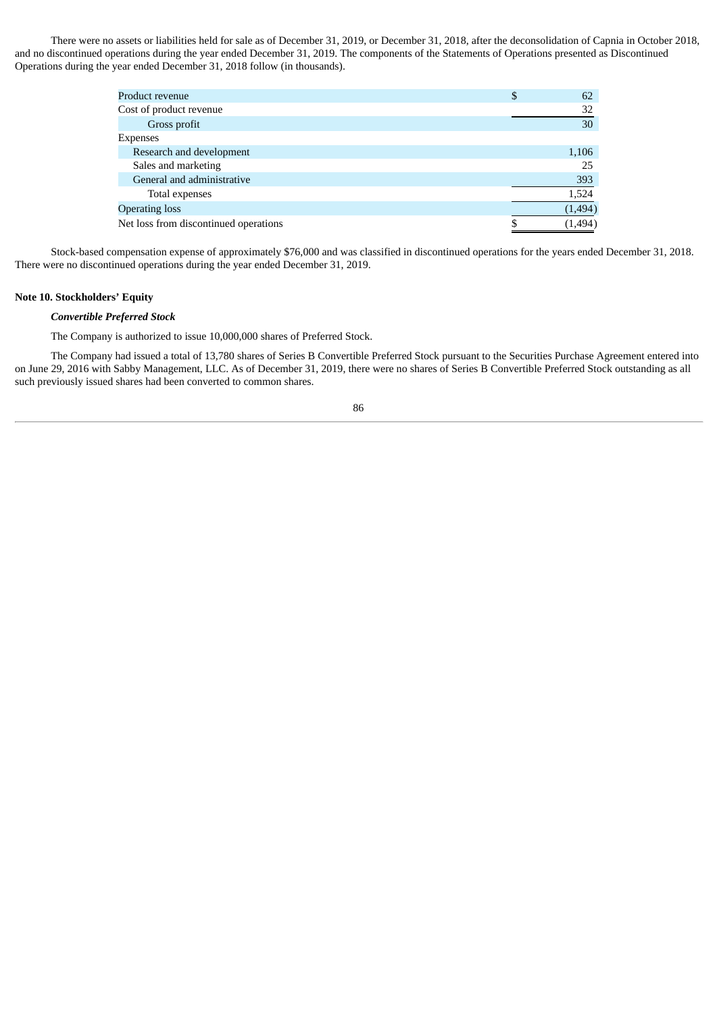There were no assets or liabilities held for sale as of December 31, 2019, or December 31, 2018, after the deconsolidation of Capnia in October 2018, and no discontinued operations during the year ended December 31, 2019. The components of the Statements of Operations presented as Discontinued Operations during the year ended December 31, 2018 follow (in thousands).

| Product revenue                       | \$<br>62 |
|---------------------------------------|----------|
| Cost of product revenue               | 32       |
| Gross profit                          | 30       |
| <b>Expenses</b>                       |          |
| Research and development              | 1,106    |
| Sales and marketing                   | 25       |
| General and administrative            | 393      |
| Total expenses                        | 1,524    |
| <b>Operating loss</b>                 | (1,494)  |
| Net loss from discontinued operations | (1,494)  |
|                                       |          |

Stock-based compensation expense of approximately \$76,000 and was classified in discontinued operations for the years ended December 31, 2018. There were no discontinued operations during the year ended December 31, 2019.

# **Note 10. Stockholders' Equity**

## *Convertible Preferred Stock*

The Company is authorized to issue 10,000,000 shares of Preferred Stock.

The Company had issued a total of 13,780 shares of Series B Convertible Preferred Stock pursuant to the Securities Purchase Agreement entered into on June 29, 2016 with Sabby Management, LLC. As of December 31, 2019, there were no shares of Series B Convertible Preferred Stock outstanding as all such previously issued shares had been converted to common shares.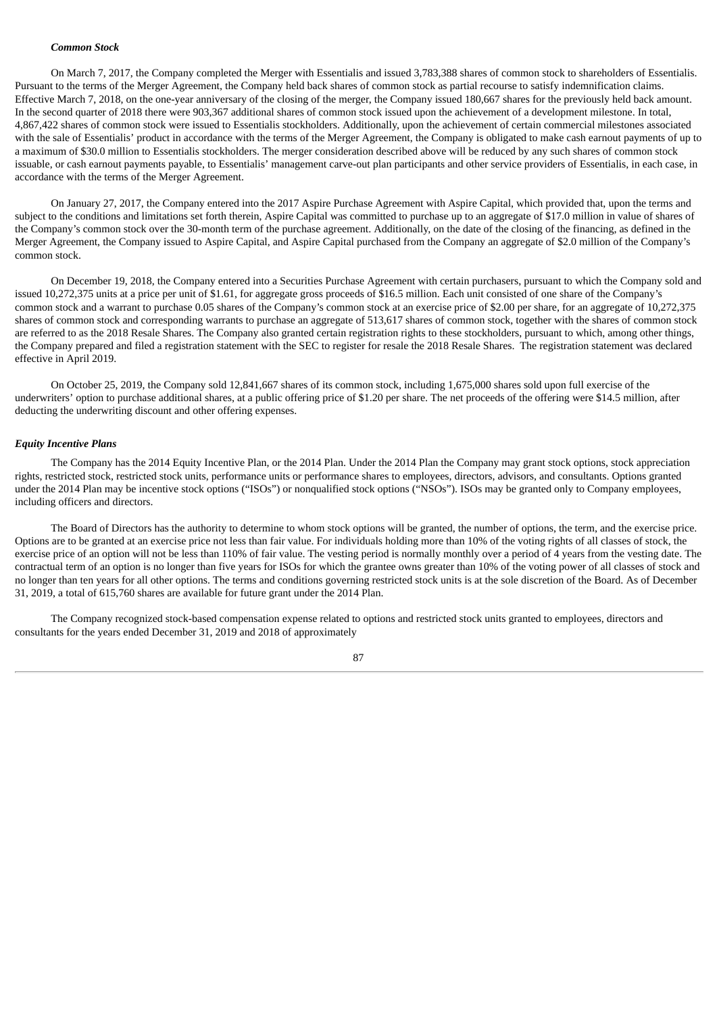### *Common Stock*

On March 7, 2017, the Company completed the Merger with Essentialis and issued 3,783,388 shares of common stock to shareholders of Essentialis. Pursuant to the terms of the Merger Agreement, the Company held back shares of common stock as partial recourse to satisfy indemnification claims. Effective March 7, 2018, on the one-year anniversary of the closing of the merger, the Company issued 180,667 shares for the previously held back amount. In the second quarter of 2018 there were 903,367 additional shares of common stock issued upon the achievement of a development milestone. In total, 4,867,422 shares of common stock were issued to Essentialis stockholders. Additionally, upon the achievement of certain commercial milestones associated with the sale of Essentialis' product in accordance with the terms of the Merger Agreement, the Company is obligated to make cash earnout payments of up to a maximum of \$30.0 million to Essentialis stockholders. The merger consideration described above will be reduced by any such shares of common stock issuable, or cash earnout payments payable, to Essentialis' management carve-out plan participants and other service providers of Essentialis, in each case, in accordance with the terms of the Merger Agreement.

On January 27, 2017, the Company entered into the 2017 Aspire Purchase Agreement with Aspire Capital, which provided that, upon the terms and subject to the conditions and limitations set forth therein, Aspire Capital was committed to purchase up to an aggregate of \$17.0 million in value of shares of the Company's common stock over the 30-month term of the purchase agreement. Additionally, on the date of the closing of the financing, as defined in the Merger Agreement, the Company issued to Aspire Capital, and Aspire Capital purchased from the Company an aggregate of \$2.0 million of the Company's common stock.

On December 19, 2018, the Company entered into a Securities Purchase Agreement with certain purchasers, pursuant to which the Company sold and issued 10,272,375 units at a price per unit of \$1.61, for aggregate gross proceeds of \$16.5 million. Each unit consisted of one share of the Company's common stock and a warrant to purchase 0.05 shares of the Company's common stock at an exercise price of \$2.00 per share, for an aggregate of 10,272,375 shares of common stock and corresponding warrants to purchase an aggregate of 513,617 shares of common stock, together with the shares of common stock are referred to as the 2018 Resale Shares. The Company also granted certain registration rights to these stockholders, pursuant to which, among other things, the Company prepared and filed a registration statement with the SEC to register for resale the 2018 Resale Shares. The registration statement was declared effective in April 2019.

On October 25, 2019, the Company sold 12,841,667 shares of its common stock, including 1,675,000 shares sold upon full exercise of the underwriters' option to purchase additional shares, at a public offering price of \$1.20 per share. The net proceeds of the offering were \$14.5 million, after deducting the underwriting discount and other offering expenses.

### *Equity Incentive Plans*

The Company has the 2014 Equity Incentive Plan, or the 2014 Plan. Under the 2014 Plan the Company may grant stock options, stock appreciation rights, restricted stock, restricted stock units, performance units or performance shares to employees, directors, advisors, and consultants. Options granted under the 2014 Plan may be incentive stock options ("ISOs") or nonqualified stock options ("NSOs"). ISOs may be granted only to Company employees, including officers and directors.

The Board of Directors has the authority to determine to whom stock options will be granted, the number of options, the term, and the exercise price. Options are to be granted at an exercise price not less than fair value. For individuals holding more than 10% of the voting rights of all classes of stock, the exercise price of an option will not be less than 110% of fair value. The vesting period is normally monthly over a period of 4 years from the vesting date. The contractual term of an option is no longer than five years for ISOs for which the grantee owns greater than 10% of the voting power of all classes of stock and no longer than ten years for all other options. The terms and conditions governing restricted stock units is at the sole discretion of the Board. As of December 31, 2019, a total of 615,760 shares are available for future grant under the 2014 Plan.

The Company recognized stock-based compensation expense related to options and restricted stock units granted to employees, directors and consultants for the years ended December 31, 2019 and 2018 of approximately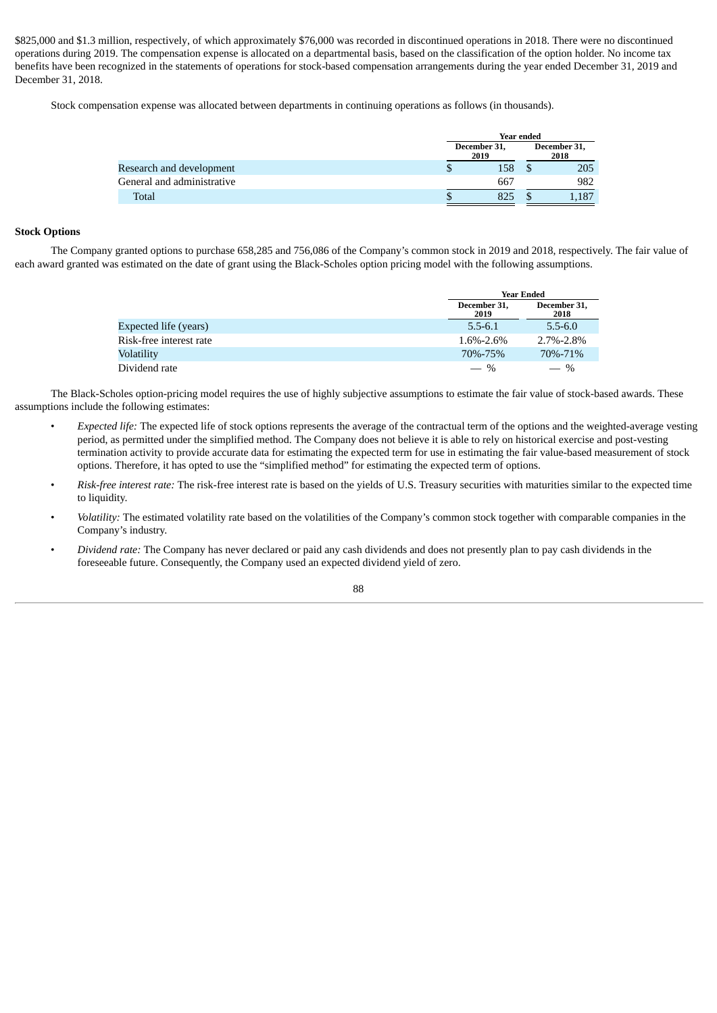\$825,000 and \$1.3 million, respectively, of which approximately \$76,000 was recorded in discontinued operations in 2018. There were no discontinued operations during 2019. The compensation expense is allocated on a departmental basis, based on the classification of the option holder. No income tax benefits have been recognized in the statements of operations for stock-based compensation arrangements during the year ended December 31, 2019 and December 31, 2018.

Stock compensation expense was allocated between departments in continuing operations as follows (in thousands).

|                            |                      | Year ended |                      |
|----------------------------|----------------------|------------|----------------------|
|                            | December 31,<br>2019 |            | December 31,<br>2018 |
| Research and development   |                      | 158        | 205                  |
| General and administrative |                      | 667        | 982                  |
| <b>Total</b>               |                      | 825        | 1,187                |

# **Stock Options**

The Company granted options to purchase 658,285 and 756,086 of the Company's common stock in 2019 and 2018, respectively. The fair value of each award granted was estimated on the date of grant using the Black-Scholes option pricing model with the following assumptions.

|                         | <b>Year Ended</b>    |                      |  |  |
|-------------------------|----------------------|----------------------|--|--|
|                         | December 31,<br>2019 | December 31,<br>2018 |  |  |
| Expected life (years)   | $5.5 - 6.1$          | $5.5 - 6.0$          |  |  |
| Risk-free interest rate | 1.6%-2.6%            | $2.7\% - 2.8\%$      |  |  |
| Volatility              | 70%-75%              | 70\%-71\%            |  |  |
| Dividend rate           | $-$ %                | $-$ %                |  |  |

The Black-Scholes option-pricing model requires the use of highly subjective assumptions to estimate the fair value of stock-based awards. These assumptions include the following estimates:

- *Expected life:* The expected life of stock options represents the average of the contractual term of the options and the weighted-average vesting period, as permitted under the simplified method. The Company does not believe it is able to rely on historical exercise and post-vesting termination activity to provide accurate data for estimating the expected term for use in estimating the fair value-based measurement of stock options. Therefore, it has opted to use the "simplified method" for estimating the expected term of options.
- *Risk-free interest rate:* The risk-free interest rate is based on the yields of U.S. Treasury securities with maturities similar to the expected time to liquidity.
- *Volatility:* The estimated volatility rate based on the volatilities of the Company's common stock together with comparable companies in the Company's industry.
- *Dividend rate:* The Company has never declared or paid any cash dividends and does not presently plan to pay cash dividends in the foreseeable future. Consequently, the Company used an expected dividend yield of zero.

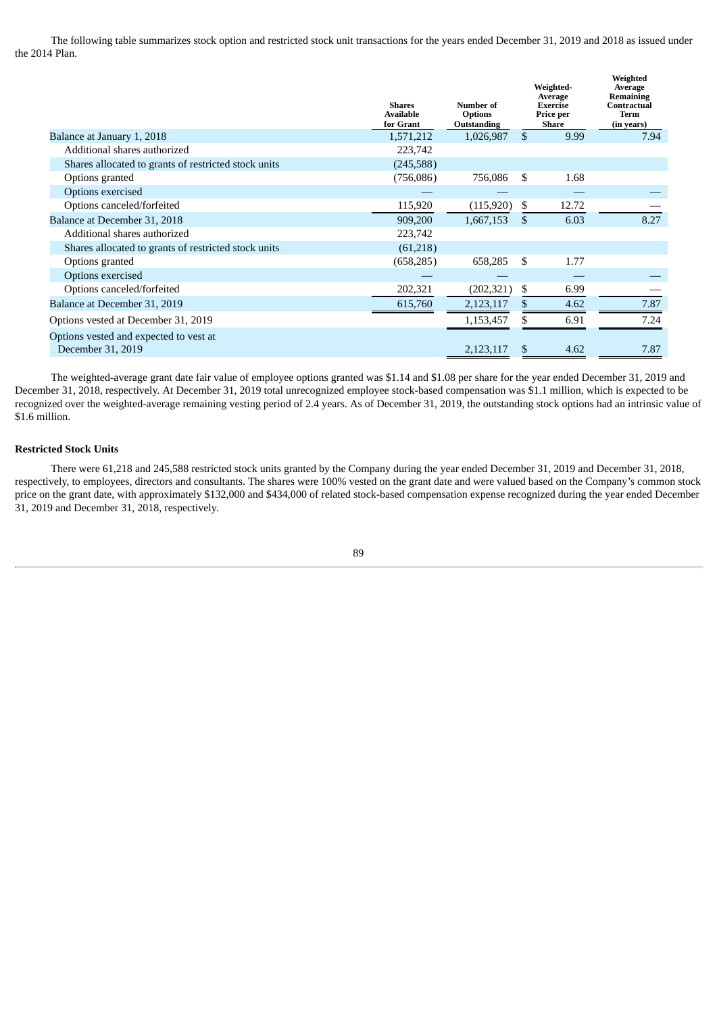The following table summarizes stock option and restricted stock unit transactions for the years ended December 31, 2019 and 2018 as issued under the 2014 Plan.

|                                                             | <b>Shares</b><br><b>Available</b><br>for Grant | Number of<br><b>Options</b><br>Outstanding |              | Weighted-<br>Average<br><b>Exercise</b><br>Price per<br><b>Share</b> | Weighted<br>Average<br><b>Remaining</b><br><b>Contractual</b><br>Term<br>(in years) |
|-------------------------------------------------------------|------------------------------------------------|--------------------------------------------|--------------|----------------------------------------------------------------------|-------------------------------------------------------------------------------------|
| Balance at January 1, 2018                                  | 1,571,212                                      | 1,026,987                                  | $\mathbf{s}$ | 9.99                                                                 | 7.94                                                                                |
| Additional shares authorized                                | 223,742                                        |                                            |              |                                                                      |                                                                                     |
| Shares allocated to grants of restricted stock units        | (245,588)                                      |                                            |              |                                                                      |                                                                                     |
| Options granted                                             | (756,086)                                      | 756,086                                    | \$           | 1.68                                                                 |                                                                                     |
| Options exercised                                           |                                                |                                            |              |                                                                      |                                                                                     |
| Options canceled/forfeited                                  | 115,920                                        | (115,920)                                  | S            | 12.72                                                                |                                                                                     |
| Balance at December 31, 2018                                | 909,200                                        | 1,667,153                                  | \$           | 6.03                                                                 | 8.27                                                                                |
| Additional shares authorized                                | 223,742                                        |                                            |              |                                                                      |                                                                                     |
| Shares allocated to grants of restricted stock units        | (61,218)                                       |                                            |              |                                                                      |                                                                                     |
| Options granted                                             | (658, 285)                                     | 658,285                                    | S            | 1.77                                                                 |                                                                                     |
| Options exercised                                           |                                                |                                            |              |                                                                      |                                                                                     |
| Options canceled/forfeited                                  | 202,321                                        | (202, 321)                                 | \$.          | 6.99                                                                 |                                                                                     |
| Balance at December 31, 2019                                | 615,760                                        | 2,123,117                                  |              | 4.62                                                                 | 7.87                                                                                |
| Options vested at December 31, 2019                         |                                                | 1,153,457                                  |              | 6.91                                                                 | 7.24                                                                                |
| Options vested and expected to vest at<br>December 31, 2019 |                                                | 2,123,117                                  | S            | 4.62                                                                 | 7.87                                                                                |

The weighted-average grant date fair value of employee options granted was \$1.14 and \$1.08 per share for the year ended December 31, 2019 and December 31, 2018, respectively. At December 31, 2019 total unrecognized employee stock-based compensation was \$1.1 million, which is expected to be recognized over the weighted-average remaining vesting period of 2.4 years. As of December 31, 2019, the outstanding stock options had an intrinsic value of \$1.6 million.

### **Restricted Stock Units**

There were 61,218 and 245,588 restricted stock units granted by the Company during the year ended December 31, 2019 and December 31, 2018, respectively, to employees, directors and consultants. The shares were 100% vested on the grant date and were valued based on the Company's common stock price on the grant date, with approximately \$132,000 and \$434,000 of related stock-based compensation expense recognized during the year ended December 31, 2019 and December 31, 2018, respectively.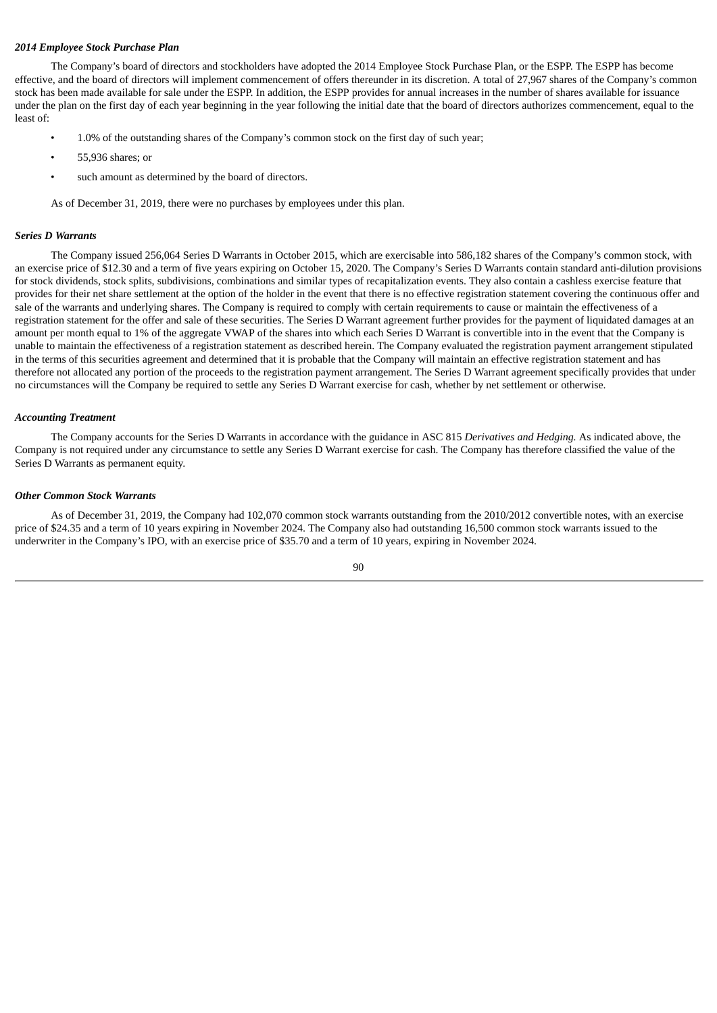# *2014 Employee Stock Purchase Plan*

The Company's board of directors and stockholders have adopted the 2014 Employee Stock Purchase Plan, or the ESPP. The ESPP has become effective, and the board of directors will implement commencement of offers thereunder in its discretion. A total of 27,967 shares of the Company's common stock has been made available for sale under the ESPP. In addition, the ESPP provides for annual increases in the number of shares available for issuance under the plan on the first day of each year beginning in the year following the initial date that the board of directors authorizes commencement, equal to the least of:

- 1.0% of the outstanding shares of the Company's common stock on the first day of such year;
- 55,936 shares; or
- such amount as determined by the board of directors.

As of December 31, 2019, there were no purchases by employees under this plan.

#### *Series D Warrants*

The Company issued 256,064 Series D Warrants in October 2015, which are exercisable into 586,182 shares of the Company's common stock, with an exercise price of \$12.30 and a term of five years expiring on October 15, 2020. The Company's Series D Warrants contain standard anti-dilution provisions for stock dividends, stock splits, subdivisions, combinations and similar types of recapitalization events. They also contain a cashless exercise feature that provides for their net share settlement at the option of the holder in the event that there is no effective registration statement covering the continuous offer and sale of the warrants and underlying shares. The Company is required to comply with certain requirements to cause or maintain the effectiveness of a registration statement for the offer and sale of these securities. The Series D Warrant agreement further provides for the payment of liquidated damages at an amount per month equal to 1% of the aggregate VWAP of the shares into which each Series D Warrant is convertible into in the event that the Company is unable to maintain the effectiveness of a registration statement as described herein. The Company evaluated the registration payment arrangement stipulated in the terms of this securities agreement and determined that it is probable that the Company will maintain an effective registration statement and has therefore not allocated any portion of the proceeds to the registration payment arrangement. The Series D Warrant agreement specifically provides that under no circumstances will the Company be required to settle any Series D Warrant exercise for cash, whether by net settlement or otherwise.

#### *Accounting Treatment*

The Company accounts for the Series D Warrants in accordance with the guidance in ASC 815 *Derivatives and Hedging.* As indicated above, the Company is not required under any circumstance to settle any Series D Warrant exercise for cash. The Company has therefore classified the value of the Series D Warrants as permanent equity.

#### *Other Common Stock Warrants*

As of December 31, 2019, the Company had 102,070 common stock warrants outstanding from the 2010/2012 convertible notes, with an exercise price of \$24.35 and a term of 10 years expiring in November 2024. The Company also had outstanding 16,500 common stock warrants issued to the underwriter in the Company's IPO, with an exercise price of \$35.70 and a term of 10 years, expiring in November 2024.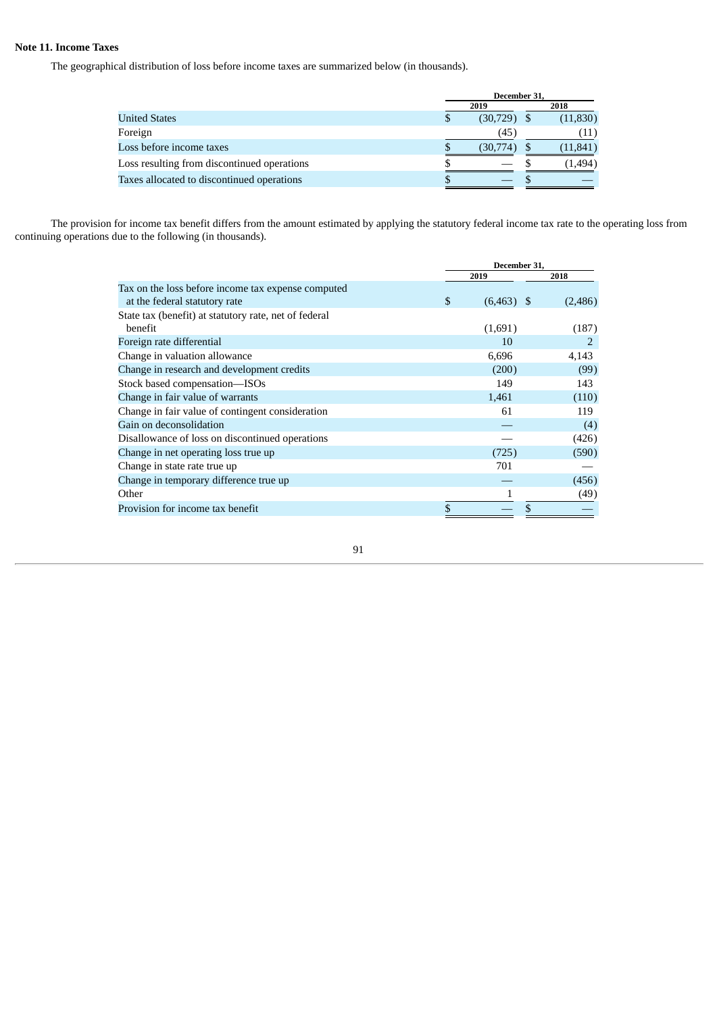# **Note 11. Income Taxes**

The geographical distribution of loss before income taxes are summarized below (in thousands).

|                                             | December 31, |               |  |           |
|---------------------------------------------|--------------|---------------|--|-----------|
|                                             |              | 2019          |  | 2018      |
| <b>United States</b>                        |              | $(30,729)$ \$ |  | (11,830)  |
| Foreign                                     |              | (45)          |  | (11)      |
| Loss before income taxes                    |              | (30,774)      |  | (11, 841) |
| Loss resulting from discontinued operations |              |               |  | (1, 494)  |
| Taxes allocated to discontinued operations  |              |               |  |           |

The provision for income tax benefit differs from the amount estimated by applying the statutory federal income tax rate to the operating loss from continuing operations due to the following (in thousands).

|                                                       | December 31,       |  |         |  |
|-------------------------------------------------------|--------------------|--|---------|--|
|                                                       | 2019               |  | 2018    |  |
| Tax on the loss before income tax expense computed    |                    |  |         |  |
| at the federal statutory rate                         | \$<br>$(6,463)$ \$ |  | (2,486) |  |
| State tax (benefit) at statutory rate, net of federal |                    |  |         |  |
| benefit                                               | (1,691)            |  | (187)   |  |
| Foreign rate differential                             | 10                 |  | 2       |  |
| Change in valuation allowance                         | 6,696              |  | 4,143   |  |
| Change in research and development credits            | (200)              |  | (99)    |  |
| Stock based compensation-ISOs                         | 149                |  | 143     |  |
| Change in fair value of warrants                      | 1,461              |  | (110)   |  |
| Change in fair value of contingent consideration      | 61                 |  | 119     |  |
| Gain on deconsolidation                               |                    |  | (4)     |  |
| Disallowance of loss on discontinued operations       |                    |  | (426)   |  |
| Change in net operating loss true up                  | (725)              |  | (590)   |  |
| Change in state rate true up                          | 701                |  |         |  |
| Change in temporary difference true up                |                    |  | (456)   |  |
| Other                                                 |                    |  | (49)    |  |
| Provision for income tax benefit                      | \$                 |  |         |  |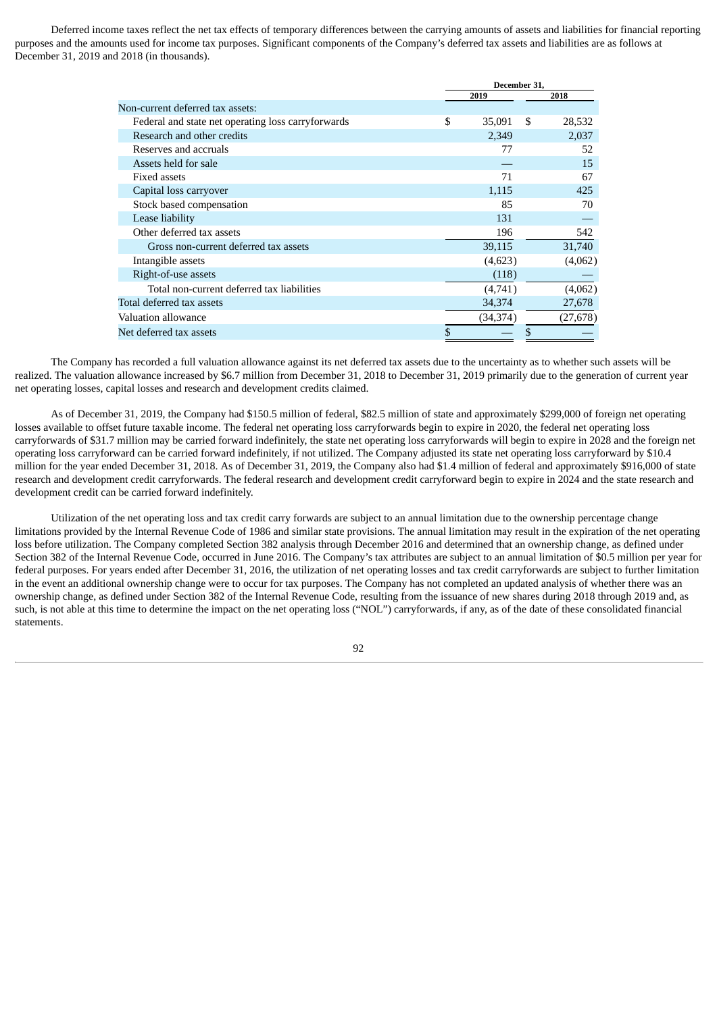Deferred income taxes reflect the net tax effects of temporary differences between the carrying amounts of assets and liabilities for financial reporting purposes and the amounts used for income tax purposes. Significant components of the Company's deferred tax assets and liabilities are as follows at December 31, 2019 and 2018 (in thousands).

|                                                    | December 31, |           |   |           |
|----------------------------------------------------|--------------|-----------|---|-----------|
|                                                    |              | 2019      |   | 2018      |
| Non-current deferred tax assets:                   |              |           |   |           |
| Federal and state net operating loss carryforwards | \$           | 35,091    | S | 28,532    |
| Research and other credits                         |              | 2,349     |   | 2,037     |
| Reserves and accruals                              |              | 77        |   | 52        |
| Assets held for sale                               |              |           |   | 15        |
| <b>Fixed assets</b>                                |              | 71        |   | 67        |
| Capital loss carryover                             |              | 1,115     |   | 425       |
| Stock based compensation                           |              | 85        |   | 70        |
| Lease liability                                    |              | 131       |   |           |
| Other deferred tax assets                          |              | 196       |   | 542       |
| Gross non-current deferred tax assets              |              | 39,115    |   | 31,740    |
| Intangible assets                                  |              | (4,623)   |   | (4,062)   |
| Right-of-use assets                                |              | (118)     |   |           |
| Total non-current deferred tax liabilities         |              | (4,741)   |   | (4,062)   |
| Total deferred tax assets                          |              | 34,374    |   | 27,678    |
| Valuation allowance                                |              | (34, 374) |   | (27, 678) |
| Net deferred tax assets                            | \$           |           | S |           |

The Company has recorded a full valuation allowance against its net deferred tax assets due to the uncertainty as to whether such assets will be realized. The valuation allowance increased by \$6.7 million from December 31, 2018 to December 31, 2019 primarily due to the generation of current year net operating losses, capital losses and research and development credits claimed.

As of December 31, 2019, the Company had \$150.5 million of federal, \$82.5 million of state and approximately \$299,000 of foreign net operating losses available to offset future taxable income. The federal net operating loss carryforwards begin to expire in 2020, the federal net operating loss carryforwards of \$31.7 million may be carried forward indefinitely, the state net operating loss carryforwards will begin to expire in 2028 and the foreign net operating loss carryforward can be carried forward indefinitely, if not utilized. The Company adjusted its state net operating loss carryforward by \$10.4 million for the year ended December 31, 2018. As of December 31, 2019, the Company also had \$1.4 million of federal and approximately \$916,000 of state research and development credit carryforwards. The federal research and development credit carryforward begin to expire in 2024 and the state research and development credit can be carried forward indefinitely.

Utilization of the net operating loss and tax credit carry forwards are subject to an annual limitation due to the ownership percentage change limitations provided by the Internal Revenue Code of 1986 and similar state provisions. The annual limitation may result in the expiration of the net operating loss before utilization. The Company completed Section 382 analysis through December 2016 and determined that an ownership change, as defined under Section 382 of the Internal Revenue Code, occurred in June 2016. The Company's tax attributes are subject to an annual limitation of \$0.5 million per year for federal purposes. For years ended after December 31, 2016, the utilization of net operating losses and tax credit carryforwards are subject to further limitation in the event an additional ownership change were to occur for tax purposes. The Company has not completed an updated analysis of whether there was an ownership change, as defined under Section 382 of the Internal Revenue Code, resulting from the issuance of new shares during 2018 through 2019 and, as such, is not able at this time to determine the impact on the net operating loss ("NOL") carryforwards, if any, as of the date of these consolidated financial statements.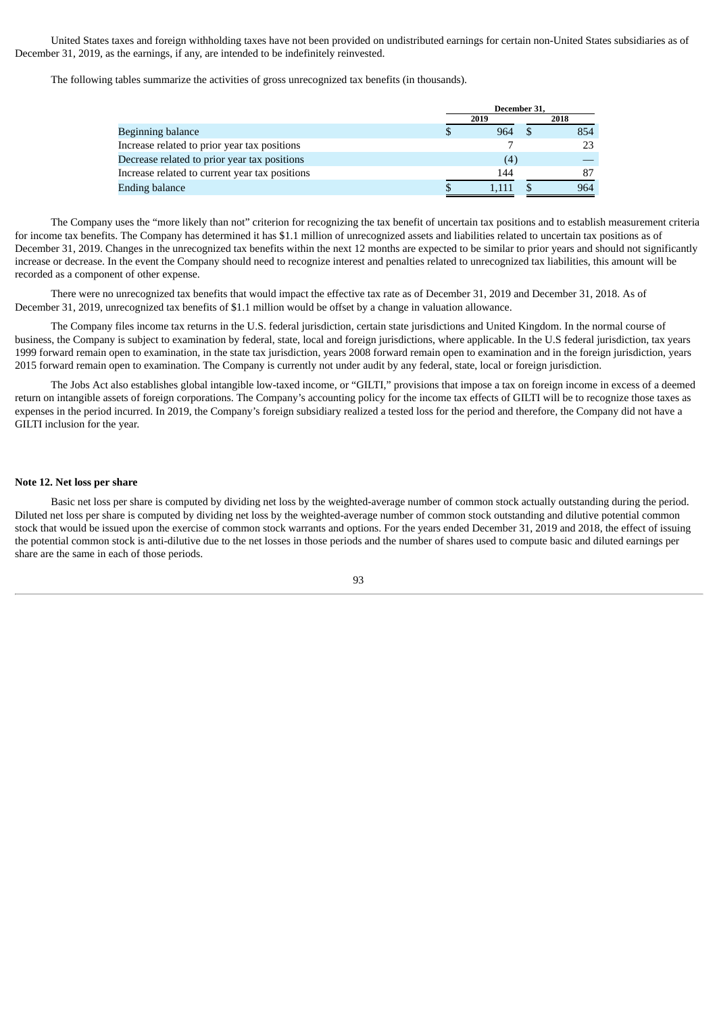United States taxes and foreign withholding taxes have not been provided on undistributed earnings for certain non-United States subsidiaries as of December 31, 2019, as the earnings, if any, are intended to be indefinitely reinvested.

The following tables summarize the activities of gross unrecognized tax benefits (in thousands).

|                                                | December 31, |       |  |      |
|------------------------------------------------|--------------|-------|--|------|
|                                                |              | 2019  |  | 2018 |
| Beginning balance                              |              | 964   |  | 854  |
| Increase related to prior year tax positions   |              |       |  | 23   |
| Decrease related to prior year tax positions   |              | (4)   |  |      |
| Increase related to current year tax positions |              | 144   |  | 87   |
| Ending balance                                 |              | 1.111 |  | 964  |

The Company uses the "more likely than not" criterion for recognizing the tax benefit of uncertain tax positions and to establish measurement criteria for income tax benefits. The Company has determined it has \$1.1 million of unrecognized assets and liabilities related to uncertain tax positions as of December 31, 2019. Changes in the unrecognized tax benefits within the next 12 months are expected to be similar to prior years and should not significantly increase or decrease. In the event the Company should need to recognize interest and penalties related to unrecognized tax liabilities, this amount will be recorded as a component of other expense.

There were no unrecognized tax benefits that would impact the effective tax rate as of December 31, 2019 and December 31, 2018. As of December 31, 2019, unrecognized tax benefits of \$1.1 million would be offset by a change in valuation allowance.

The Company files income tax returns in the U.S. federal jurisdiction, certain state jurisdictions and United Kingdom. In the normal course of business, the Company is subject to examination by federal, state, local and foreign jurisdictions, where applicable. In the U.S federal jurisdiction, tax years 1999 forward remain open to examination, in the state tax jurisdiction, years 2008 forward remain open to examination and in the foreign jurisdiction, years 2015 forward remain open to examination. The Company is currently not under audit by any federal, state, local or foreign jurisdiction.

The Jobs Act also establishes global intangible low-taxed income, or "GILTI," provisions that impose a tax on foreign income in excess of a deemed return on intangible assets of foreign corporations. The Company's accounting policy for the income tax effects of GILTI will be to recognize those taxes as expenses in the period incurred. In 2019, the Company's foreign subsidiary realized a tested loss for the period and therefore, the Company did not have a GILTI inclusion for the year.

### **Note 12. Net loss per share**

Basic net loss per share is computed by dividing net loss by the weighted-average number of common stock actually outstanding during the period. Diluted net loss per share is computed by dividing net loss by the weighted-average number of common stock outstanding and dilutive potential common stock that would be issued upon the exercise of common stock warrants and options. For the years ended December 31, 2019 and 2018, the effect of issuing the potential common stock is anti-dilutive due to the net losses in those periods and the number of shares used to compute basic and diluted earnings per share are the same in each of those periods.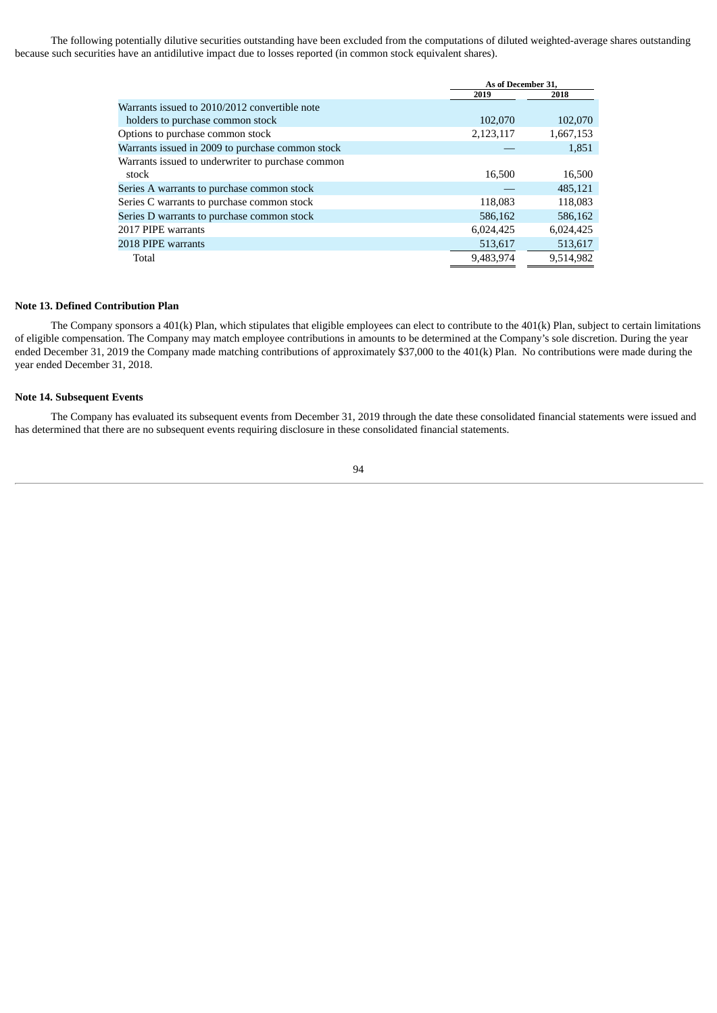The following potentially dilutive securities outstanding have been excluded from the computations of diluted weighted-average shares outstanding because such securities have an antidilutive impact due to losses reported (in common stock equivalent shares).

|                                                   |           | As of December 31, |
|---------------------------------------------------|-----------|--------------------|
|                                                   | 2019      | 2018               |
| Warrants issued to 2010/2012 convertible note     |           |                    |
| holders to purchase common stock                  | 102,070   | 102,070            |
| Options to purchase common stock                  | 2,123,117 | 1,667,153          |
| Warrants issued in 2009 to purchase common stock  |           | 1,851              |
| Warrants issued to underwriter to purchase common |           |                    |
| stock                                             | 16,500    | 16,500             |
| Series A warrants to purchase common stock        |           | 485,121            |
| Series C warrants to purchase common stock        | 118,083   | 118,083            |
| Series D warrants to purchase common stock        | 586,162   | 586,162            |
| 2017 PIPE warrants                                | 6,024,425 | 6,024,425          |
| 2018 PIPE warrants                                | 513,617   | 513,617            |
| Total                                             | 9,483,974 | 9.514.982          |

### **Note 13. Defined Contribution Plan**

The Company sponsors a 401(k) Plan, which stipulates that eligible employees can elect to contribute to the 401(k) Plan, subject to certain limitations of eligible compensation. The Company may match employee contributions in amounts to be determined at the Company's sole discretion. During the year ended December 31, 2019 the Company made matching contributions of approximately \$37,000 to the 401(k) Plan. No contributions were made during the year ended December 31, 2018.

### **Note 14. Subsequent Events**

The Company has evaluated its subsequent events from December 31, 2019 through the date these consolidated financial statements were issued and has determined that there are no subsequent events requiring disclosure in these consolidated financial statements.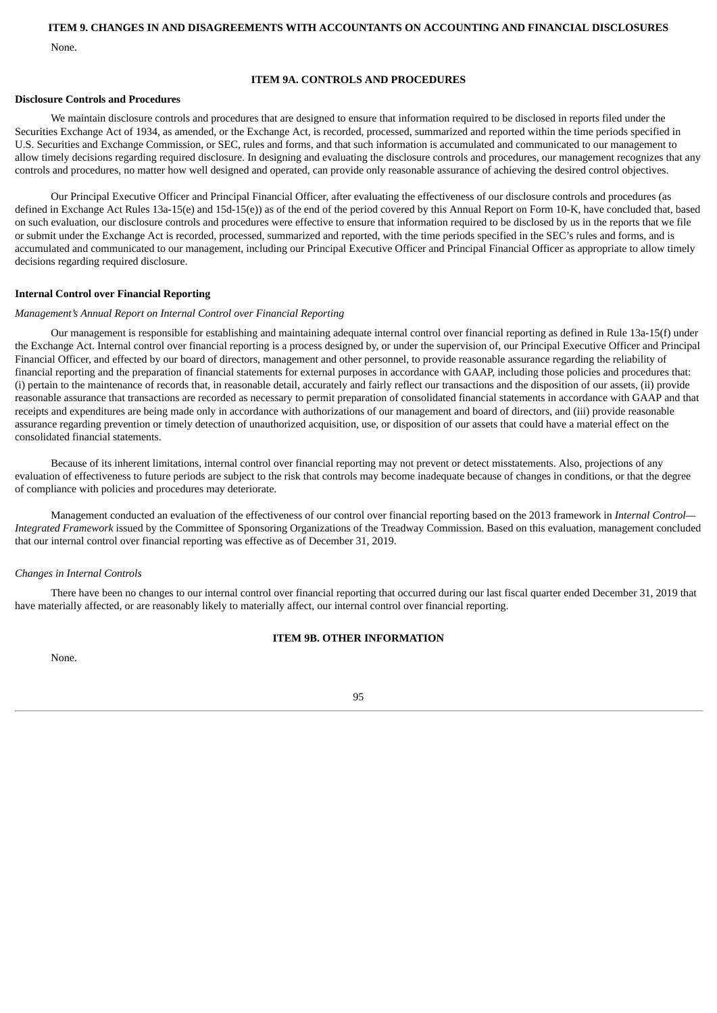## **ITEM 9. CHANGES IN AND DISAGREEMENTS WITH ACCOUNTANTS ON ACCOUNTING AND FINANCIAL DISCLOSURES**

None.

# **ITEM 9A. CONTROLS AND PROCEDURES**

# **Disclosure Controls and Procedures**

We maintain disclosure controls and procedures that are designed to ensure that information required to be disclosed in reports filed under the Securities Exchange Act of 1934, as amended, or the Exchange Act, is recorded, processed, summarized and reported within the time periods specified in U.S. Securities and Exchange Commission, or SEC, rules and forms, and that such information is accumulated and communicated to our management to allow timely decisions regarding required disclosure. In designing and evaluating the disclosure controls and procedures, our management recognizes that any controls and procedures, no matter how well designed and operated, can provide only reasonable assurance of achieving the desired control objectives.

Our Principal Executive Officer and Principal Financial Officer, after evaluating the effectiveness of our disclosure controls and procedures (as defined in Exchange Act Rules 13a-15(e) and 15d-15(e)) as of the end of the period covered by this Annual Report on Form 10-K, have concluded that, based on such evaluation, our disclosure controls and procedures were effective to ensure that information required to be disclosed by us in the reports that we file or submit under the Exchange Act is recorded, processed, summarized and reported, with the time periods specified in the SEC's rules and forms, and is accumulated and communicated to our management, including our Principal Executive Officer and Principal Financial Officer as appropriate to allow timely decisions regarding required disclosure.

# **Internal Control over Financial Reporting**

# *Management's Annual Report on Internal Control over Financial Reporting*

Our management is responsible for establishing and maintaining adequate internal control over financial reporting as defined in Rule 13a-15(f) under the Exchange Act. Internal control over financial reporting is a process designed by, or under the supervision of, our Principal Executive Officer and Principal Financial Officer, and effected by our board of directors, management and other personnel, to provide reasonable assurance regarding the reliability of financial reporting and the preparation of financial statements for external purposes in accordance with GAAP, including those policies and procedures that: (i) pertain to the maintenance of records that, in reasonable detail, accurately and fairly reflect our transactions and the disposition of our assets, (ii) provide reasonable assurance that transactions are recorded as necessary to permit preparation of consolidated financial statements in accordance with GAAP and that receipts and expenditures are being made only in accordance with authorizations of our management and board of directors, and (iii) provide reasonable assurance regarding prevention or timely detection of unauthorized acquisition, use, or disposition of our assets that could have a material effect on the consolidated financial statements.

Because of its inherent limitations, internal control over financial reporting may not prevent or detect misstatements. Also, projections of any evaluation of effectiveness to future periods are subject to the risk that controls may become inadequate because of changes in conditions, or that the degree of compliance with policies and procedures may deteriorate.

Management conducted an evaluation of the effectiveness of our control over financial reporting based on the 2013 framework in *Internal Control— Integrated Framework* issued by the Committee of Sponsoring Organizations of the Treadway Commission. Based on this evaluation, management concluded that our internal control over financial reporting was effective as of December 31, 2019.

# *Changes in Internal Controls*

There have been no changes to our internal control over financial reporting that occurred during our last fiscal quarter ended December 31, 2019 that have materially affected, or are reasonably likely to materially affect, our internal control over financial reporting.

# **ITEM 9B. OTHER INFORMATION**

None.

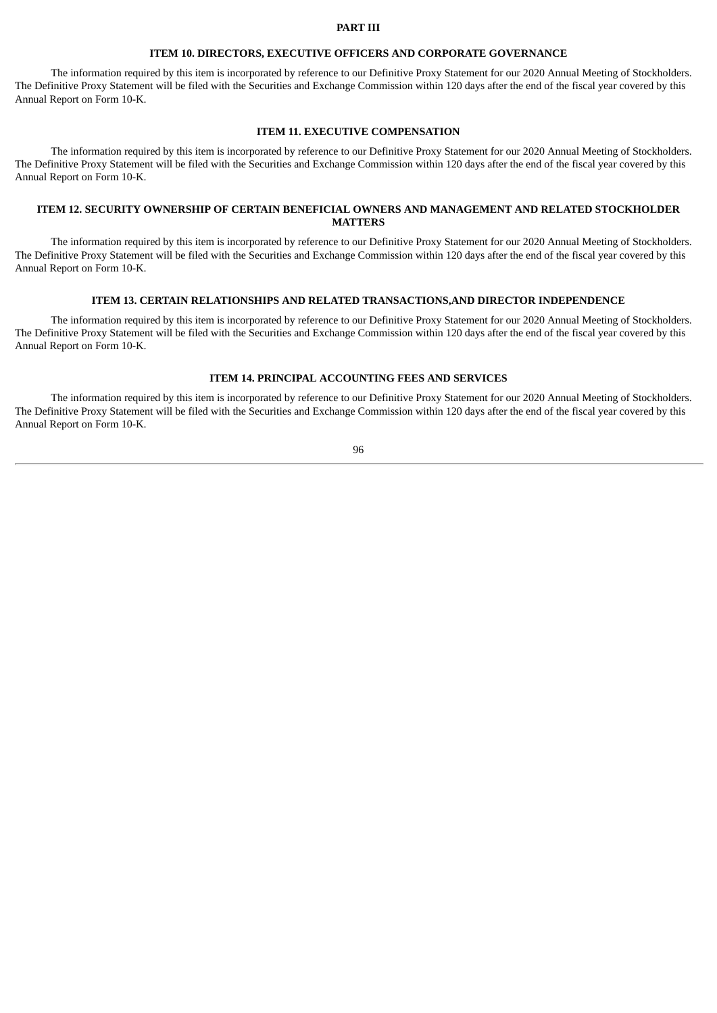#### **PART III**

### **ITEM 10. DIRECTORS, EXECUTIVE OFFICERS AND CORPORATE GOVERNANCE**

The information required by this item is incorporated by reference to our Definitive Proxy Statement for our 2020 Annual Meeting of Stockholders. The Definitive Proxy Statement will be filed with the Securities and Exchange Commission within 120 days after the end of the fiscal year covered by this Annual Report on Form 10-K.

# **ITEM 11. EXECUTIVE COMPENSATION**

The information required by this item is incorporated by reference to our Definitive Proxy Statement for our 2020 Annual Meeting of Stockholders. The Definitive Proxy Statement will be filed with the Securities and Exchange Commission within 120 days after the end of the fiscal year covered by this Annual Report on Form 10-K.

# **ITEM 12. SECURITY OWNERSHIP OF CERTAIN BENEFICIAL OWNERS AND MANAGEMENT AND RELATED STOCKHOLDER MATTERS**

The information required by this item is incorporated by reference to our Definitive Proxy Statement for our 2020 Annual Meeting of Stockholders. The Definitive Proxy Statement will be filed with the Securities and Exchange Commission within 120 days after the end of the fiscal year covered by this Annual Report on Form 10-K.

## **ITEM 13. CERTAIN RELATIONSHIPS AND RELATED TRANSACTIONS,AND DIRECTOR INDEPENDENCE**

The information required by this item is incorporated by reference to our Definitive Proxy Statement for our 2020 Annual Meeting of Stockholders. The Definitive Proxy Statement will be filed with the Securities and Exchange Commission within 120 days after the end of the fiscal year covered by this Annual Report on Form 10-K.

# **ITEM 14. PRINCIPAL ACCOUNTING FEES AND SERVICES**

The information required by this item is incorporated by reference to our Definitive Proxy Statement for our 2020 Annual Meeting of Stockholders. The Definitive Proxy Statement will be filed with the Securities and Exchange Commission within 120 days after the end of the fiscal year covered by this Annual Report on Form 10-K.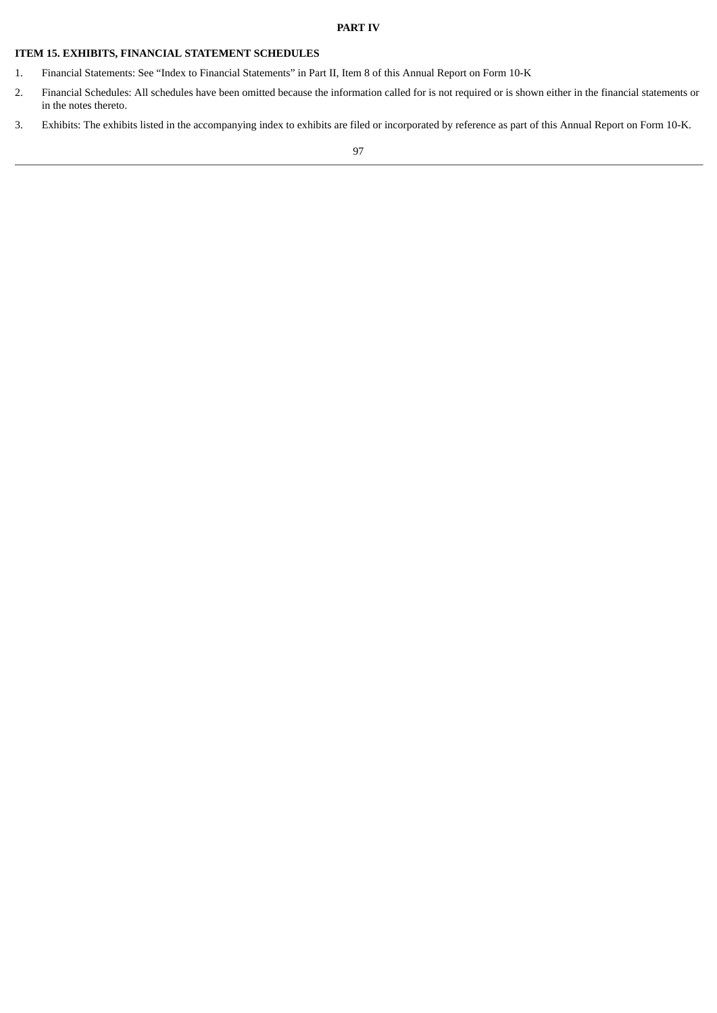# **ITEM 15. EXHIBITS, FINANCIAL STATEMENT SCHEDULES**

- 1. Financial Statements: See "Index to Financial Statements" in Part II, Item 8 of this Annual Report on Form 10-K
- 2. Financial Schedules: All schedules have been omitted because the information called for is not required or is shown either in the financial statements or in the notes thereto.
- 3. Exhibits: The exhibits listed in the accompanying index to exhibits are filed or incorporated by reference as part of this Annual Report on Form 10-K.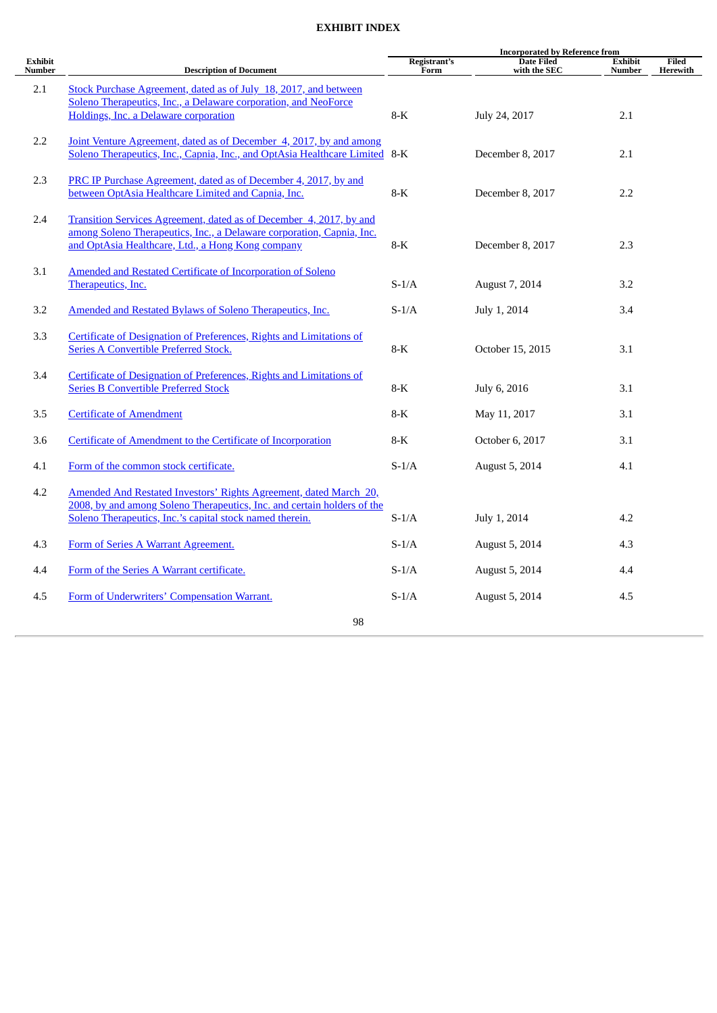# **EXHIBIT INDEX**

|                   |                                                                             | <b>Incorporated by Reference from</b> |                                   |                          |                   |  |  |
|-------------------|-----------------------------------------------------------------------------|---------------------------------------|-----------------------------------|--------------------------|-------------------|--|--|
| Exhibit<br>Number | <b>Description of Document</b>                                              | Registrant's<br>Form                  | <b>Date Filed</b><br>with the SEC | <b>Exhibit</b><br>Number | Filed<br>Herewith |  |  |
| 2.1               | Stock Purchase Agreement, dated as of July 18, 2017, and between            |                                       |                                   |                          |                   |  |  |
|                   | Soleno Therapeutics, Inc., a Delaware corporation, and NeoForce             |                                       |                                   |                          |                   |  |  |
|                   | Holdings, Inc. a Delaware corporation                                       | $8-K$                                 | July 24, 2017                     | 2.1                      |                   |  |  |
|                   |                                                                             |                                       |                                   |                          |                   |  |  |
| 2.2               | Joint Venture Agreement, dated as of December 4, 2017, by and among         |                                       |                                   |                          |                   |  |  |
|                   | Soleno Therapeutics, Inc., Capnia, Inc., and OptAsia Healthcare Limited 8-K |                                       | December 8, 2017                  | 2.1                      |                   |  |  |
| 2.3               | PRC IP Purchase Agreement, dated as of December 4, 2017, by and             |                                       |                                   |                          |                   |  |  |
|                   | between OptAsia Healthcare Limited and Capnia, Inc.                         | $8-K$                                 | December 8, 2017                  | 2.2                      |                   |  |  |
|                   |                                                                             |                                       |                                   |                          |                   |  |  |
| 2.4               | Transition Services Agreement, dated as of December 4, 2017, by and         |                                       |                                   |                          |                   |  |  |
|                   | among Soleno Therapeutics, Inc., a Delaware corporation, Capnia, Inc.       |                                       |                                   |                          |                   |  |  |
|                   | and OptAsia Healthcare, Ltd., a Hong Kong company                           | 8-K                                   | December 8, 2017                  | 2.3                      |                   |  |  |
|                   |                                                                             |                                       |                                   |                          |                   |  |  |
| 3.1               | <b>Amended and Restated Certificate of Incorporation of Soleno</b>          |                                       |                                   |                          |                   |  |  |
|                   | Therapeutics, Inc.                                                          | $S-1/A$                               | August 7, 2014                    | 3.2                      |                   |  |  |
| 3.2               | Amended and Restated Bylaws of Soleno Therapeutics, Inc.                    | $S-1/A$                               | July 1, 2014                      | 3.4                      |                   |  |  |
|                   |                                                                             |                                       |                                   |                          |                   |  |  |
| 3.3               | Certificate of Designation of Preferences, Rights and Limitations of        |                                       |                                   |                          |                   |  |  |
|                   | <b>Series A Convertible Preferred Stock.</b>                                | $8-K$                                 | October 15, 2015                  | 3.1                      |                   |  |  |
|                   |                                                                             |                                       |                                   |                          |                   |  |  |
| 3.4               | Certificate of Designation of Preferences, Rights and Limitations of        |                                       |                                   |                          |                   |  |  |
|                   | <b>Series B Convertible Preferred Stock</b>                                 | $8-K$                                 | July 6, 2016                      | 3.1                      |                   |  |  |
|                   |                                                                             |                                       |                                   |                          |                   |  |  |
| 3.5               | <b>Certificate of Amendment</b>                                             | $8-K$                                 | May 11, 2017                      | 3.1                      |                   |  |  |
| 3.6               | Certificate of Amendment to the Certificate of Incorporation                | $8-K$                                 | October 6, 2017                   | 3.1                      |                   |  |  |
|                   |                                                                             |                                       |                                   |                          |                   |  |  |
| 4.1               | Form of the common stock certificate.                                       | $S-1/A$                               | August 5, 2014                    | 4.1                      |                   |  |  |
|                   |                                                                             |                                       |                                   |                          |                   |  |  |
| 4.2               | Amended And Restated Investors' Rights Agreement, dated March 20,           |                                       |                                   |                          |                   |  |  |
|                   | 2008, by and among Soleno Therapeutics, Inc. and certain holders of the     |                                       |                                   |                          |                   |  |  |
|                   | Soleno Therapeutics, Inc.'s capital stock named therein.                    | $S-1/A$                               | July 1, 2014                      | 4.2                      |                   |  |  |
| 4.3               | Form of Series A Warrant Agreement.                                         | $S-1/A$                               | August 5, 2014                    | 4.3                      |                   |  |  |
|                   |                                                                             |                                       |                                   |                          |                   |  |  |
| 4.4               | Form of the Series A Warrant certificate.                                   | $S-1/A$                               | August 5, 2014                    | 4.4                      |                   |  |  |
|                   |                                                                             |                                       |                                   |                          |                   |  |  |
| 4.5               | Form of Underwriters' Compensation Warrant.                                 | $S-1/A$                               | August 5, 2014                    | 4.5                      |                   |  |  |
|                   |                                                                             |                                       |                                   |                          |                   |  |  |
|                   | 98                                                                          |                                       |                                   |                          |                   |  |  |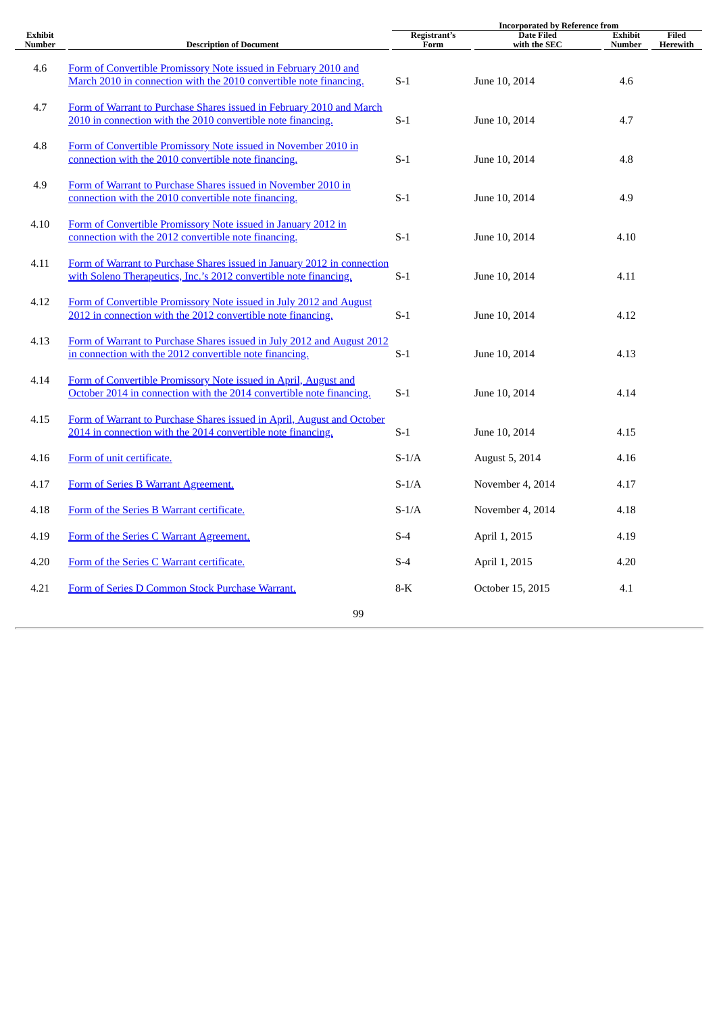|                                 |                                                                                                                                              | <b>Incorporated by Reference from</b> |                                   |                                 |                          |  |
|---------------------------------|----------------------------------------------------------------------------------------------------------------------------------------------|---------------------------------------|-----------------------------------|---------------------------------|--------------------------|--|
| <b>Exhibit</b><br><b>Number</b> | <b>Description of Document</b>                                                                                                               | Registrant's<br>Form                  | <b>Date Filed</b><br>with the SEC | <b>Exhibit</b><br><b>Number</b> | <b>Filed</b><br>Herewith |  |
| 4.6                             | Form of Convertible Promissory Note issued in February 2010 and<br>March 2010 in connection with the 2010 convertible note financing.        | $S-1$                                 | June 10, 2014                     | 4.6                             |                          |  |
| 4.7                             | Form of Warrant to Purchase Shares issued in February 2010 and March<br>2010 in connection with the 2010 convertible note financing.         | $S-1$                                 | June 10, 2014                     | 4.7                             |                          |  |
| 4.8                             | Form of Convertible Promissory Note issued in November 2010 in<br>connection with the 2010 convertible note financing.                       | $S-1$                                 | June 10, 2014                     | 4.8                             |                          |  |
| 4.9                             | Form of Warrant to Purchase Shares issued in November 2010 in<br>connection with the 2010 convertible note financing.                        | $S-1$                                 | June 10, 2014                     | 4.9                             |                          |  |
| 4.10                            | Form of Convertible Promissory Note issued in January 2012 in<br>connection with the 2012 convertible note financing.                        | $S-1$                                 | June 10, 2014                     | 4.10                            |                          |  |
| 4.11                            | Form of Warrant to Purchase Shares issued in January 2012 in connection<br>with Soleno Therapeutics, Inc.'s 2012 convertible note financing. | $S-1$                                 | June 10, 2014                     | 4.11                            |                          |  |
| 4.12                            | Form of Convertible Promissory Note issued in July 2012 and August<br>2012 in connection with the 2012 convertible note financing.           | $S-1$                                 | June 10, 2014                     | 4.12                            |                          |  |
| 4.13                            | Form of Warrant to Purchase Shares issued in July 2012 and August 2012<br>in connection with the 2012 convertible note financing.            | $S-1$                                 | June 10, 2014                     | 4.13                            |                          |  |
| 4.14                            | Form of Convertible Promissory Note issued in April, August and<br>October 2014 in connection with the 2014 convertible note financing.      | $S-1$                                 | June 10, 2014                     | 4.14                            |                          |  |
| 4.15                            | Form of Warrant to Purchase Shares issued in April, August and October<br>2014 in connection with the 2014 convertible note financing.       | $S-1$                                 | June 10, 2014                     | 4.15                            |                          |  |
| 4.16                            | Form of unit certificate.                                                                                                                    | $S-1/A$                               | August 5, 2014                    | 4.16                            |                          |  |
| 4.17                            | Form of Series B Warrant Agreement.                                                                                                          | $S-1/A$                               | November 4, 2014                  | 4.17                            |                          |  |
| 4.18                            | Form of the Series B Warrant certificate.                                                                                                    | $S-1/A$                               | November 4, 2014                  | 4.18                            |                          |  |
| 4.19                            | Form of the Series C Warrant Agreement.                                                                                                      | $S-4$                                 | April 1, 2015                     | 4.19                            |                          |  |
| 4.20                            | Form of the Series C Warrant certificate.                                                                                                    | $S-4$                                 | April 1, 2015                     | 4.20                            |                          |  |
| 4.21                            | Form of Series D Common Stock Purchase Warrant.                                                                                              | $8-K$                                 | October 15, 2015                  | 4.1                             |                          |  |
|                                 | 99                                                                                                                                           |                                       |                                   |                                 |                          |  |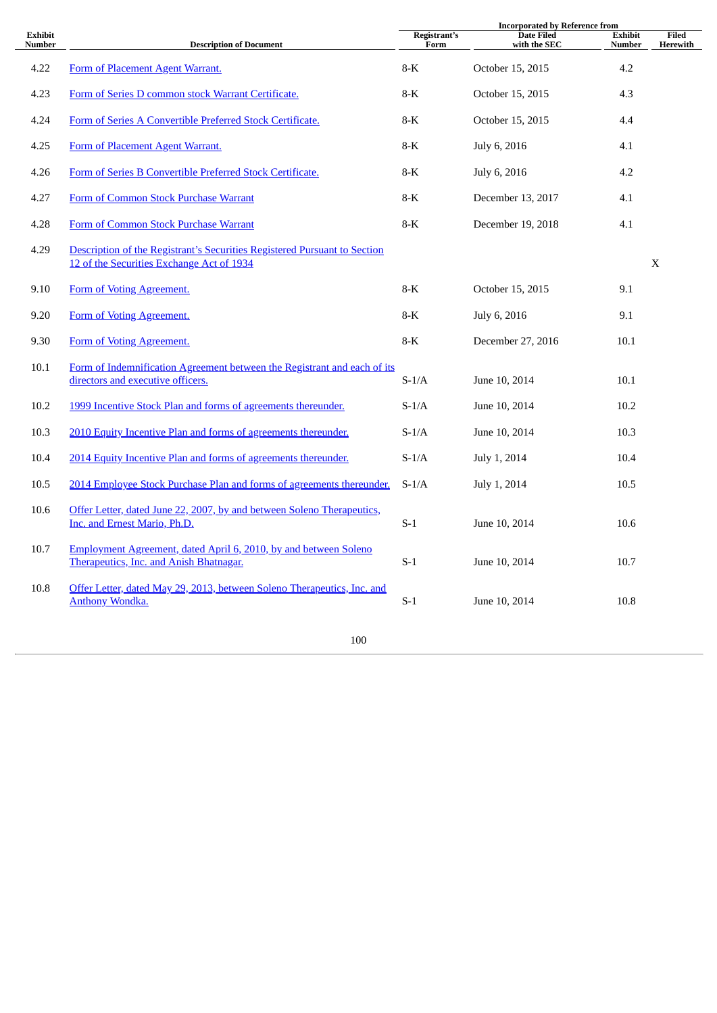|                          |                                                                                                                        |                      | <b>Incorporated by Reference from</b> |                                 |                          |
|--------------------------|------------------------------------------------------------------------------------------------------------------------|----------------------|---------------------------------------|---------------------------------|--------------------------|
| <b>Exhibit</b><br>Number | <b>Description of Document</b>                                                                                         | Registrant's<br>Form | <b>Date Filed</b><br>with the SEC     | <b>Exhibit</b><br><b>Number</b> | Filed<br><b>Herewith</b> |
| 4.22                     | Form of Placement Agent Warrant.                                                                                       | 8-K                  | October 15, 2015                      | 4.2                             |                          |
| 4.23                     | Form of Series D common stock Warrant Certificate.                                                                     | $8-K$                | October 15, 2015                      | 4.3                             |                          |
| 4.24                     | Form of Series A Convertible Preferred Stock Certificate.                                                              | $8-K$                | October 15, 2015                      | 4.4                             |                          |
| 4.25                     | Form of Placement Agent Warrant.                                                                                       | $8-K$                | July 6, 2016                          | 4.1                             |                          |
| 4.26                     | Form of Series B Convertible Preferred Stock Certificate.                                                              | 8-K                  | July 6, 2016                          | 4.2                             |                          |
| 4.27                     | Form of Common Stock Purchase Warrant                                                                                  | $8-K$                | December 13, 2017                     | 4.1                             |                          |
| 4.28                     | Form of Common Stock Purchase Warrant                                                                                  | 8-K                  | December 19, 2018                     | 4.1                             |                          |
| 4.29                     | Description of the Registrant's Securities Registered Pursuant to Section<br>12 of the Securities Exchange Act of 1934 |                      |                                       |                                 | X                        |
| 9.10                     | Form of Voting Agreement.                                                                                              | $8-K$                | October 15, 2015                      | 9.1                             |                          |
| 9.20                     | Form of Voting Agreement.                                                                                              | $8-K$                | July 6, 2016                          | 9.1                             |                          |
| 9.30                     | Form of Voting Agreement.                                                                                              | $8-K$                | December 27, 2016                     | 10.1                            |                          |
| 10.1                     | Form of Indemnification Agreement between the Registrant and each of its<br>directors and executive officers.          | $S-1/A$              | June 10, 2014                         | 10.1                            |                          |
| 10.2                     | 1999 Incentive Stock Plan and forms of agreements thereunder.                                                          | $S-1/A$              | June 10, 2014                         | 10.2                            |                          |
| 10.3                     | 2010 Equity Incentive Plan and forms of agreements thereunder.                                                         | $S-1/A$              | June 10, 2014                         | 10.3                            |                          |
| 10.4                     | 2014 Equity Incentive Plan and forms of agreements thereunder.                                                         | $S-1/A$              | July 1, 2014                          | 10.4                            |                          |
| 10.5                     | 2014 Employee Stock Purchase Plan and forms of agreements thereunder.                                                  | $S-1/A$              | July 1, 2014                          | 10.5                            |                          |
| 10.6                     | Offer Letter, dated June 22, 2007, by and between Soleno Therapeutics,<br>Inc. and Ernest Mario, Ph.D.                 | $S-1$                | June 10, 2014                         | 10.6                            |                          |
| 10.7                     | Employment Agreement, dated April 6, 2010, by and between Soleno<br>Therapeutics, Inc. and Anish Bhatnagar.            | $S-1$                | June 10, 2014                         | 10.7                            |                          |
| 10.8                     | Offer Letter, dated May 29, 2013, between Soleno Therapeutics, Inc. and<br><b>Anthony Wondka.</b>                      | $S-1$                | June 10, 2014                         | 10.8                            |                          |
|                          | 100                                                                                                                    |                      |                                       |                                 |                          |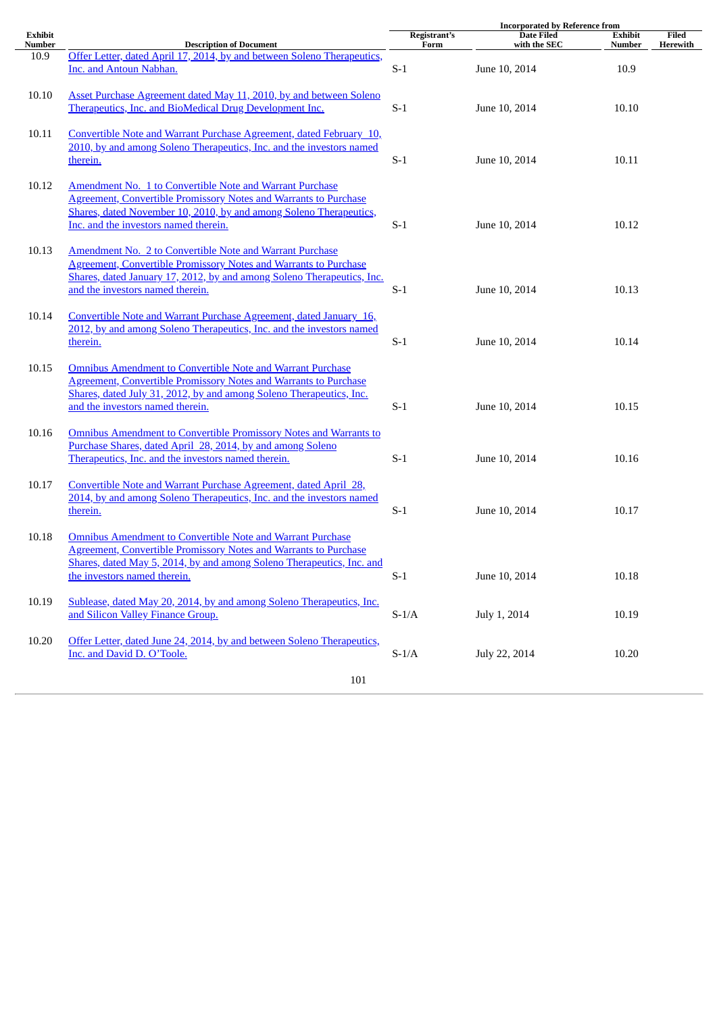|         |                                                                                                                                                                                                                                                          | <b>Incorporated by Reference from</b> |                   |                |          |
|---------|----------------------------------------------------------------------------------------------------------------------------------------------------------------------------------------------------------------------------------------------------------|---------------------------------------|-------------------|----------------|----------|
| Exhibit |                                                                                                                                                                                                                                                          | Registrant's                          | <b>Date Filed</b> | <b>Exhibit</b> | Filed    |
| Number  | <b>Description of Document</b><br>Offer Letter, dated April 17, 2014, by and between Soleno Therapeutics,                                                                                                                                                | Form                                  | with the SEC      | Number         | Herewith |
| 10.9    | Inc. and Antoun Nabhan.                                                                                                                                                                                                                                  | $S-1$                                 | June 10, 2014     | 10.9           |          |
| 10.10   | Asset Purchase Agreement dated May 11, 2010, by and between Soleno<br>Therapeutics, Inc. and BioMedical Drug Development Inc.                                                                                                                            | $S-1$                                 | June 10, 2014     | 10.10          |          |
| 10.11   | Convertible Note and Warrant Purchase Agreement, dated February 10,<br>2010, by and among Soleno Therapeutics, Inc. and the investors named<br>therein.                                                                                                  | $S-1$                                 | June 10, 2014     | 10.11          |          |
| 10.12   | Amendment No. 1 to Convertible Note and Warrant Purchase<br><b>Agreement, Convertible Promissory Notes and Warrants to Purchase</b><br>Shares, dated November 10, 2010, by and among Soleno Therapeutics,<br>Inc. and the investors named therein.       | $S-1$                                 | June 10, 2014     | 10.12          |          |
| 10.13   | <b>Amendment No. 2 to Convertible Note and Warrant Purchase</b><br><b>Agreement, Convertible Promissory Notes and Warrants to Purchase</b><br>Shares, dated January 17, 2012, by and among Soleno Therapeutics, Inc.<br>and the investors named therein. | $S-1$                                 | June 10, 2014     | 10.13          |          |
| 10.14   | Convertible Note and Warrant Purchase Agreement, dated January 16,<br>2012, by and among Soleno Therapeutics, Inc. and the investors named<br>therein.                                                                                                   | $S-1$                                 | June 10, 2014     | 10.14          |          |
| 10.15   | <b>Omnibus Amendment to Convertible Note and Warrant Purchase</b><br><b>Agreement, Convertible Promissory Notes and Warrants to Purchase</b><br>Shares, dated July 31, 2012, by and among Soleno Therapeutics, Inc.<br>and the investors named therein.  | $S-1$                                 | June 10, 2014     | 10.15          |          |
| 10.16   | <b>Omnibus Amendment to Convertible Promissory Notes and Warrants to</b><br>Purchase Shares, dated April 28, 2014, by and among Soleno<br>Therapeutics, Inc. and the investors named therein.                                                            | $S-1$                                 | June 10, 2014     | 10.16          |          |
| 10.17   | Convertible Note and Warrant Purchase Agreement, dated April 28,<br>2014, by and among Soleno Therapeutics, Inc. and the investors named<br>therein.                                                                                                     | $S-1$                                 | June 10, 2014     | 10.17          |          |
| 10.18   | <b>Omnibus Amendment to Convertible Note and Warrant Purchase</b><br><b>Agreement, Convertible Promissory Notes and Warrants to Purchase</b><br>Shares, dated May 5, 2014, by and among Soleno Therapeutics, Inc. and<br>the investors named therein.    | $S-1$                                 | June 10, 2014     | 10.18          |          |
| 10.19   | Sublease, dated May 20, 2014, by and among Soleno Therapeutics, Inc.<br>and Silicon Valley Finance Group.                                                                                                                                                | $\mbox{S-1/A}$                        | July 1, 2014      | 10.19          |          |
| 10.20   | Offer Letter, dated June 24, 2014, by and between Soleno Therapeutics,<br>Inc. and David D. O'Toole.                                                                                                                                                     | $\mbox{S-1/A}$                        | July 22, 2014     | 10.20          |          |
|         | 101                                                                                                                                                                                                                                                      |                                       |                   |                |          |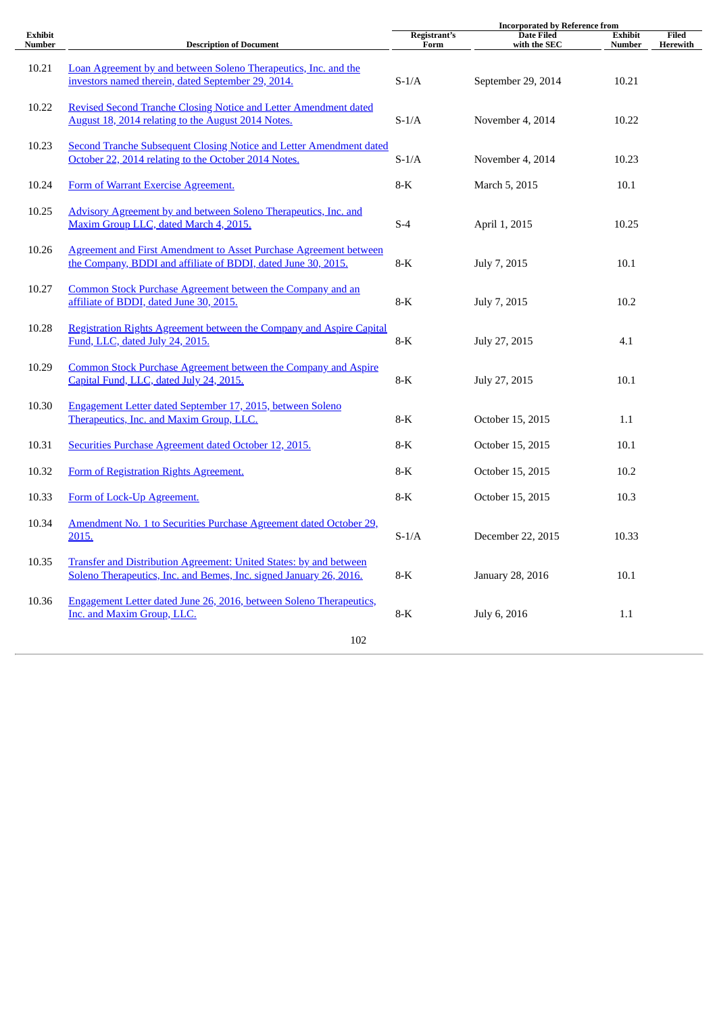|                          |                                                                                                                                           |                      | <b>Incorporated by Reference from</b> |                          |                          |
|--------------------------|-------------------------------------------------------------------------------------------------------------------------------------------|----------------------|---------------------------------------|--------------------------|--------------------------|
| <b>Exhibit</b><br>Number | <b>Description of Document</b>                                                                                                            | Registrant's<br>Form | <b>Date Filed</b><br>with the SEC     | <b>Exhibit</b><br>Number | <b>Filed</b><br>Herewith |
| 10.21                    | Loan Agreement by and between Soleno Therapeutics, Inc. and the<br>investors named therein, dated September 29, 2014.                     | $S-1/A$              | September 29, 2014                    | 10.21                    |                          |
| 10.22                    | Revised Second Tranche Closing Notice and Letter Amendment dated<br>August 18, 2014 relating to the August 2014 Notes.                    | $S-1/A$              | November 4, 2014                      | 10.22                    |                          |
| 10.23                    | <b>Second Tranche Subsequent Closing Notice and Letter Amendment dated</b><br>October 22, 2014 relating to the October 2014 Notes.        | $S-1/A$              | November 4, 2014                      | 10.23                    |                          |
| 10.24                    | Form of Warrant Exercise Agreement.                                                                                                       | $8-K$                | March 5, 2015                         | 10.1                     |                          |
| 10.25                    | Advisory Agreement by and between Soleno Therapeutics, Inc. and<br>Maxim Group LLC, dated March 4, 2015.                                  | $S-4$                | April 1, 2015                         | 10.25                    |                          |
| 10.26                    | <b>Agreement and First Amendment to Asset Purchase Agreement between</b><br>the Company, BDDI and affiliate of BDDI, dated June 30, 2015. | $8-K$                | July 7, 2015                          | 10.1                     |                          |
| 10.27                    | Common Stock Purchase Agreement between the Company and an<br>affiliate of BDDI, dated June 30, 2015.                                     | 8-K                  | July 7, 2015                          | 10.2                     |                          |
| 10.28                    | Registration Rights Agreement between the Company and Aspire Capital<br>Fund, LLC, dated July 24, 2015.                                   | 8-K                  | July 27, 2015                         | 4.1                      |                          |
| 10.29                    | Common Stock Purchase Agreement between the Company and Aspire<br>Capital Fund, LLC, dated July 24, 2015.                                 | $8-K$                | July 27, 2015                         | 10.1                     |                          |
| 10.30                    | Engagement Letter dated September 17, 2015, between Soleno<br>Therapeutics, Inc. and Maxim Group, LLC.                                    | $8-K$                | October 15, 2015                      | 1.1                      |                          |
| 10.31                    | Securities Purchase Agreement dated October 12, 2015.                                                                                     | $8-K$                | October 15, 2015                      | 10.1                     |                          |
| 10.32                    | Form of Registration Rights Agreement.                                                                                                    | 8-K                  | October 15, 2015                      | 10.2                     |                          |
| 10.33                    | Form of Lock-Up Agreement.                                                                                                                | 8-K                  | October 15, 2015                      | 10.3                     |                          |
| 10.34                    | Amendment No. 1 to Securities Purchase Agreement dated October 29,<br>2015.                                                               | $S-1/A$              | December 22, 2015                     | 10.33                    |                          |
| 10.35                    | Transfer and Distribution Agreement: United States: by and between<br>Soleno Therapeutics, Inc. and Bemes, Inc. signed January 26, 2016.  | $8-K$                | January 28, 2016                      | 10.1                     |                          |
| 10.36                    | Engagement Letter dated June 26, 2016, between Soleno Therapeutics,<br>Inc. and Maxim Group, LLC.                                         | $8-K$                | July 6, 2016                          | 1.1                      |                          |
|                          | 102                                                                                                                                       |                      |                                       |                          |                          |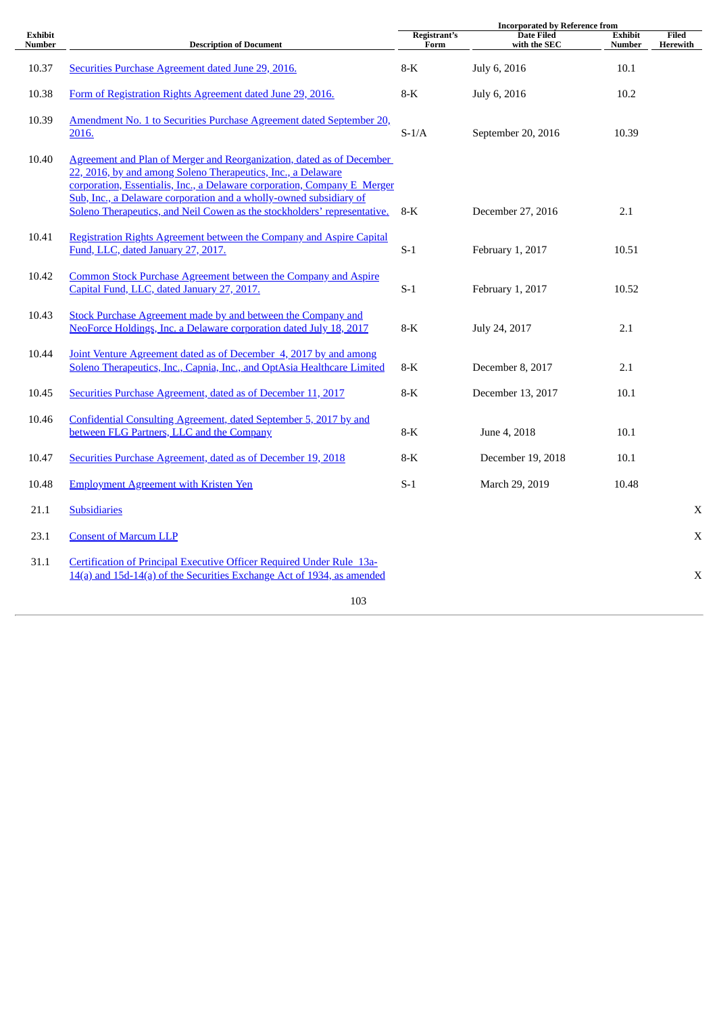|                          |                                                                                                                                                | <b>Incorporated by Reference from</b> |                                   |                                 |                   |
|--------------------------|------------------------------------------------------------------------------------------------------------------------------------------------|---------------------------------------|-----------------------------------|---------------------------------|-------------------|
| <b>Exhibit</b><br>Number | <b>Description of Document</b>                                                                                                                 | Registrant's<br>Form                  | <b>Date Filed</b><br>with the SEC | <b>Exhibit</b><br><b>Number</b> | Filed<br>Herewith |
|                          |                                                                                                                                                |                                       |                                   |                                 |                   |
| 10.37                    | Securities Purchase Agreement dated June 29, 2016.                                                                                             | $8-K$                                 | July 6, 2016                      | 10.1                            |                   |
|                          |                                                                                                                                                |                                       |                                   |                                 |                   |
| 10.38                    | Form of Registration Rights Agreement dated June 29, 2016.                                                                                     | $8-K$                                 | July 6, 2016                      | 10.2                            |                   |
| 10.39                    | Amendment No. 1 to Securities Purchase Agreement dated September 20,                                                                           |                                       |                                   |                                 |                   |
|                          | 2016.                                                                                                                                          | $S-1/A$                               | September 20, 2016                | 10.39                           |                   |
|                          |                                                                                                                                                |                                       |                                   |                                 |                   |
| 10.40                    | Agreement and Plan of Merger and Reorganization, dated as of December                                                                          |                                       |                                   |                                 |                   |
|                          | 22, 2016, by and among Soleno Therapeutics, Inc., a Delaware                                                                                   |                                       |                                   |                                 |                   |
|                          | corporation, Essentialis, Inc., a Delaware corporation, Company E Merger<br>Sub, Inc., a Delaware corporation and a wholly-owned subsidiary of |                                       |                                   |                                 |                   |
|                          | Soleno Therapeutics, and Neil Cowen as the stockholders' representative.                                                                       | $8-K$                                 | December 27, 2016                 | 2.1                             |                   |
|                          |                                                                                                                                                |                                       |                                   |                                 |                   |
| 10.41                    | Registration Rights Agreement between the Company and Aspire Capital                                                                           |                                       |                                   |                                 |                   |
|                          | Fund, LLC, dated January 27, 2017.                                                                                                             | $S-1$                                 | February 1, 2017                  | 10.51                           |                   |
|                          |                                                                                                                                                |                                       |                                   |                                 |                   |
| 10.42                    | Common Stock Purchase Agreement between the Company and Aspire<br>Capital Fund, LLC, dated January 27, 2017.                                   | $S-1$                                 | February 1, 2017                  | 10.52                           |                   |
|                          |                                                                                                                                                |                                       |                                   |                                 |                   |
| 10.43                    | Stock Purchase Agreement made by and between the Company and                                                                                   |                                       |                                   |                                 |                   |
|                          | NeoForce Holdings, Inc. a Delaware corporation dated July 18, 2017                                                                             | $8-K$                                 | July 24, 2017                     | 2.1                             |                   |
|                          |                                                                                                                                                |                                       |                                   |                                 |                   |
| 10.44                    | Joint Venture Agreement dated as of December 4, 2017 by and among<br>Soleno Therapeutics, Inc., Capnia, Inc., and OptAsia Healthcare Limited   | $8-K$                                 | December 8, 2017                  | 2.1                             |                   |
|                          |                                                                                                                                                |                                       |                                   |                                 |                   |
| 10.45                    | Securities Purchase Agreement, dated as of December 11, 2017                                                                                   | $8-K$                                 | December 13, 2017                 | 10.1                            |                   |
|                          |                                                                                                                                                |                                       |                                   |                                 |                   |
| 10.46                    | Confidential Consulting Agreement, dated September 5, 2017 by and                                                                              |                                       |                                   |                                 |                   |
|                          | between FLG Partners, LLC and the Company                                                                                                      | $8-K$                                 | June 4, 2018                      | 10.1                            |                   |
| 10.47                    | Securities Purchase Agreement, dated as of December 19, 2018                                                                                   | $8-K$                                 | December 19, 2018                 | 10.1                            |                   |
|                          |                                                                                                                                                |                                       |                                   |                                 |                   |
| 10.48                    | <b>Employment Agreement with Kristen Yen</b>                                                                                                   | $S-1$                                 | March 29, 2019                    | 10.48                           |                   |
|                          |                                                                                                                                                |                                       |                                   |                                 |                   |
| 21.1                     | <b>Subsidiaries</b>                                                                                                                            |                                       |                                   |                                 | $\mathbf X$       |
| 23.1                     | <b>Consent of Marcum LLP</b>                                                                                                                   |                                       |                                   |                                 | $\mathbf X$       |
|                          |                                                                                                                                                |                                       |                                   |                                 |                   |
| 31.1                     | Certification of Principal Executive Officer Required Under Rule 13a-                                                                          |                                       |                                   |                                 |                   |
|                          | 14(a) and 15d-14(a) of the Securities Exchange Act of 1934, as amended                                                                         |                                       |                                   |                                 | X                 |
|                          |                                                                                                                                                |                                       |                                   |                                 |                   |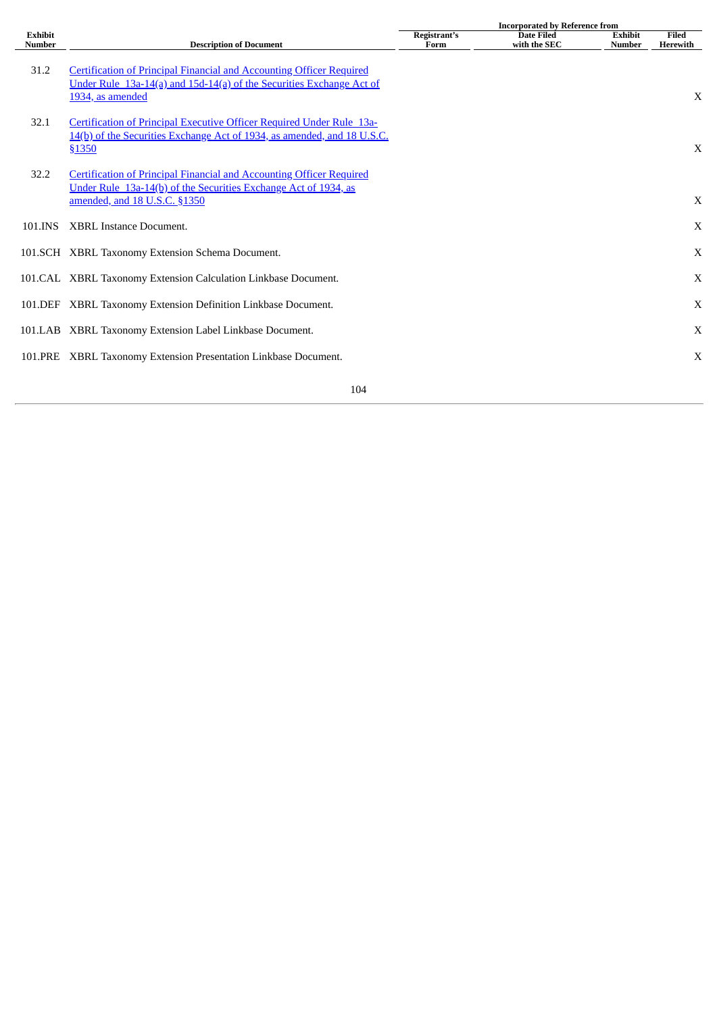|                                 |                                                                                                                                                                                | <b>Incorporated by Reference from</b> |                                   |                                 |                   |
|---------------------------------|--------------------------------------------------------------------------------------------------------------------------------------------------------------------------------|---------------------------------------|-----------------------------------|---------------------------------|-------------------|
| <b>Exhibit</b><br><b>Number</b> | <b>Description of Document</b>                                                                                                                                                 | Registrant's<br>Form                  | <b>Date Filed</b><br>with the SEC | <b>Exhibit</b><br><b>Number</b> | Filed<br>Herewith |
| 31.2                            | <b>Certification of Principal Financial and Accounting Officer Required</b><br>Under Rule 13a-14(a) and 15d-14(a) of the Securities Exchange Act of<br>1934, as amended        |                                       |                                   |                                 | X                 |
| 32.1                            | Certification of Principal Executive Officer Required Under Rule 13a-<br>14(b) of the Securities Exchange Act of 1934, as amended, and 18 U.S.C.<br>\$1350                     |                                       |                                   |                                 | X                 |
| 32.2                            | <b>Certification of Principal Financial and Accounting Officer Required</b><br>Under Rule 13a-14(b) of the Securities Exchange Act of 1934, as<br>amended, and 18 U.S.C. §1350 |                                       |                                   |                                 | X                 |
| 101.INS                         | <b>XBRL Instance Document.</b>                                                                                                                                                 |                                       |                                   |                                 | X                 |
|                                 | 101.SCH XBRL Taxonomy Extension Schema Document.                                                                                                                               |                                       |                                   |                                 | X                 |
|                                 | 101.CAL XBRL Taxonomy Extension Calculation Linkbase Document.                                                                                                                 |                                       |                                   |                                 | X                 |
|                                 | 101. DEF XBRL Taxonomy Extension Definition Linkbase Document.                                                                                                                 |                                       |                                   |                                 | X                 |
|                                 | 101.LAB XBRL Taxonomy Extension Label Linkbase Document.                                                                                                                       |                                       |                                   |                                 | X                 |
| 101.PRE                         | XBRL Taxonomy Extension Presentation Linkbase Document.                                                                                                                        |                                       |                                   |                                 | $\mathbf X$       |
|                                 |                                                                                                                                                                                |                                       |                                   |                                 |                   |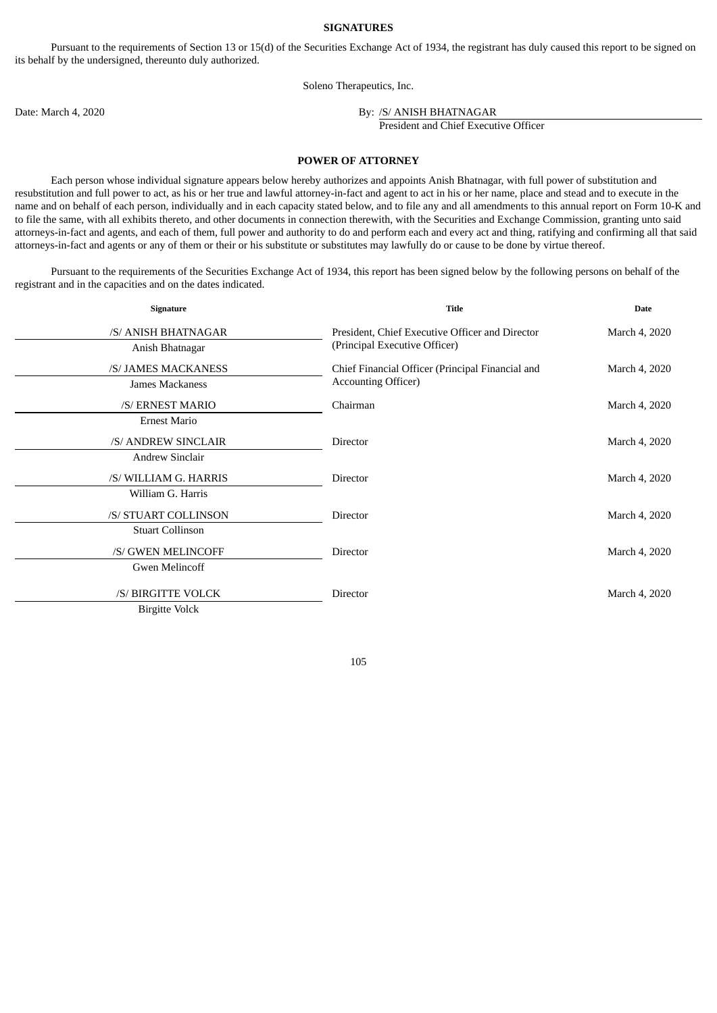#### **SIGNATURES**

Pursuant to the requirements of Section 13 or 15(d) of the Securities Exchange Act of 1934, the registrant has duly caused this report to be signed on its behalf by the undersigned, thereunto duly authorized.

Soleno Therapeutics, Inc.

Date: March 4, 2020 By: /S/ ANISH BHATNAGAR

President and Chief Executive Officer

# **POWER OF ATTORNEY**

Each person whose individual signature appears below hereby authorizes and appoints Anish Bhatnagar, with full power of substitution and resubstitution and full power to act, as his or her true and lawful attorney-in-fact and agent to act in his or her name, place and stead and to execute in the name and on behalf of each person, individually and in each capacity stated below, and to file any and all amendments to this annual report on Form 10-K and to file the same, with all exhibits thereto, and other documents in connection therewith, with the Securities and Exchange Commission, granting unto said attorneys-in-fact and agents, and each of them, full power and authority to do and perform each and every act and thing, ratifying and confirming all that said attorneys-in-fact and agents or any of them or their or his substitute or substitutes may lawfully do or cause to be done by virtue thereof.

Pursuant to the requirements of the Securities Exchange Act of 1934, this report has been signed below by the following persons on behalf of the registrant and in the capacities and on the dates indicated.

| Signature               | <b>Title</b>                                     | <b>Date</b>   |  |
|-------------------------|--------------------------------------------------|---------------|--|
| /S/ ANISH BHATNAGAR     | President, Chief Executive Officer and Director  | March 4, 2020 |  |
| Anish Bhatnagar         | (Principal Executive Officer)                    |               |  |
| /S/ JAMES MACKANESS     | Chief Financial Officer (Principal Financial and | March 4, 2020 |  |
| James Mackaness         | <b>Accounting Officer)</b>                       |               |  |
| /S/ ERNEST MARIO        | Chairman                                         | March 4, 2020 |  |
| <b>Ernest Mario</b>     |                                                  |               |  |
| /S/ ANDREW SINCLAIR     | Director                                         | March 4, 2020 |  |
| <b>Andrew Sinclair</b>  |                                                  |               |  |
| /S/ WILLIAM G. HARRIS   | Director                                         | March 4, 2020 |  |
| William G. Harris       |                                                  |               |  |
| /S/ STUART COLLINSON    | Director                                         | March 4, 2020 |  |
| <b>Stuart Collinson</b> |                                                  |               |  |
| /S/ GWEN MELINCOFF      | Director                                         | March 4, 2020 |  |
| Gwen Melincoff          |                                                  |               |  |
| /S/ BIRGITTE VOLCK      | Director                                         | March 4, 2020 |  |
| <b>Birgitte Volck</b>   |                                                  |               |  |

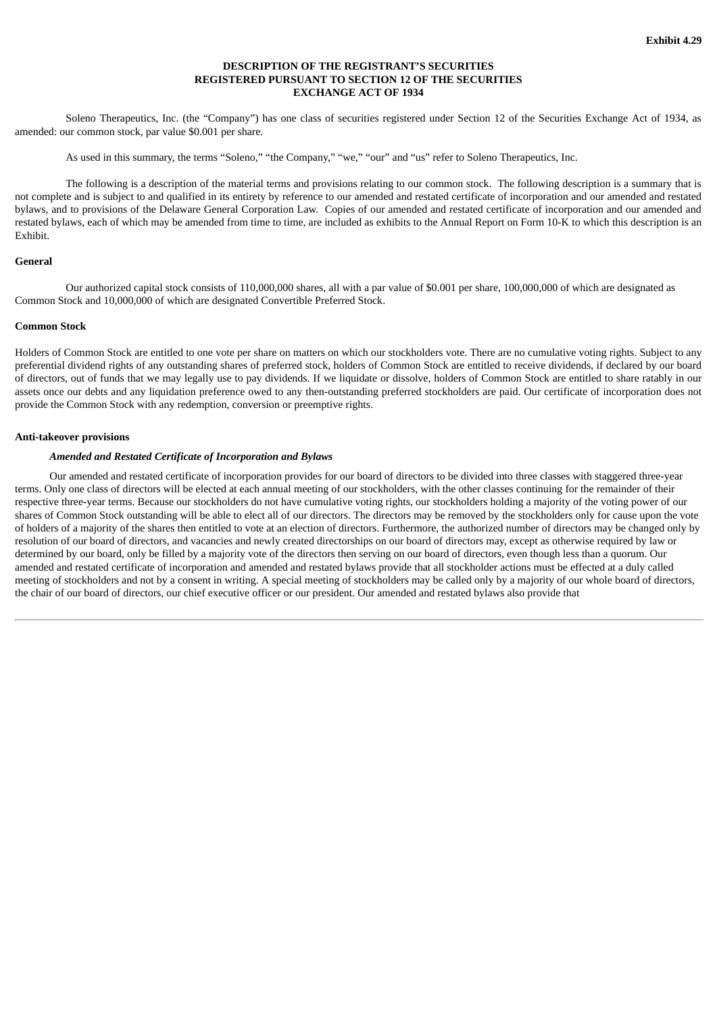# **DESCRIPTION OF THE REGISTRANT'S SECURITIES REGISTERED PURSUANT TO SECTION 12 OF THE SECURITIES EXCHANGE ACT OF 1934**

<span id="page-107-0"></span>Soleno Therapeutics, Inc. (the "Company") has one class of securities registered under Section 12 of the Securities Exchange Act of 1934, as amended: our common stock, par value \$0.001 per share.

As used in this summary, the terms "Soleno," "the Company," "we," "our" and "us" refer to Soleno Therapeutics, Inc.

The following is a description of the material terms and provisions relating to our common stock. The following description is a summary that is not complete and is subject to and qualified in its entirety by reference to our amended and restated certificate of incorporation and our amended and restated bylaws, and to provisions of the Delaware General Corporation Law. Copies of our amended and restated certificate of incorporation and our amended and restated bylaws, each of which may be amended from time to time, are included as exhibits to the Annual Report on Form 10-K to which this description is an Exhibit.

### **General**

Our authorized capital stock consists of 110,000,000 shares, all with a par value of \$0.001 per share, 100,000,000 of which are designated as Common Stock and 10,000,000 of which are designated Convertible Preferred Stock.

#### **Common Stock**

Holders of Common Stock are entitled to one vote per share on matters on which our stockholders vote. There are no cumulative voting rights. Subject to any preferential dividend rights of any outstanding shares of preferred stock, holders of Common Stock are entitled to receive dividends, if declared by our board of directors, out of funds that we may legally use to pay dividends. If we liquidate or dissolve, holders of Common Stock are entitled to share ratably in our assets once our debts and any liquidation preference owed to any then-outstanding preferred stockholders are paid. Our certificate of incorporation does not provide the Common Stock with any redemption, conversion or preemptive rights.

#### **Anti-takeover provisions**

## *Amended and Restated Certificate of Incorporation and Bylaws*

Our amended and restated certificate of incorporation provides for our board of directors to be divided into three classes with staggered three-year terms. Only one class of directors will be elected at each annual meeting of our stockholders, with the other classes continuing for the remainder of their respective three-year terms. Because our stockholders do not have cumulative voting rights, our stockholders holding a majority of the voting power of our shares of Common Stock outstanding will be able to elect all of our directors. The directors may be removed by the stockholders only for cause upon the vote of holders of a majority of the shares then entitled to vote at an election of directors. Furthermore, the authorized number of directors may be changed only by resolution of our board of directors, and vacancies and newly created directorships on our board of directors may, except as otherwise required by law or determined by our board, only be filled by a majority vote of the directors then serving on our board of directors, even though less than a quorum. Our amended and restated certificate of incorporation and amended and restated bylaws provide that all stockholder actions must be effected at a duly called meeting of stockholders and not by a consent in writing. A special meeting of stockholders may be called only by a majority of our whole board of directors, the chair of our board of directors, our chief executive officer or our president. Our amended and restated bylaws also provide that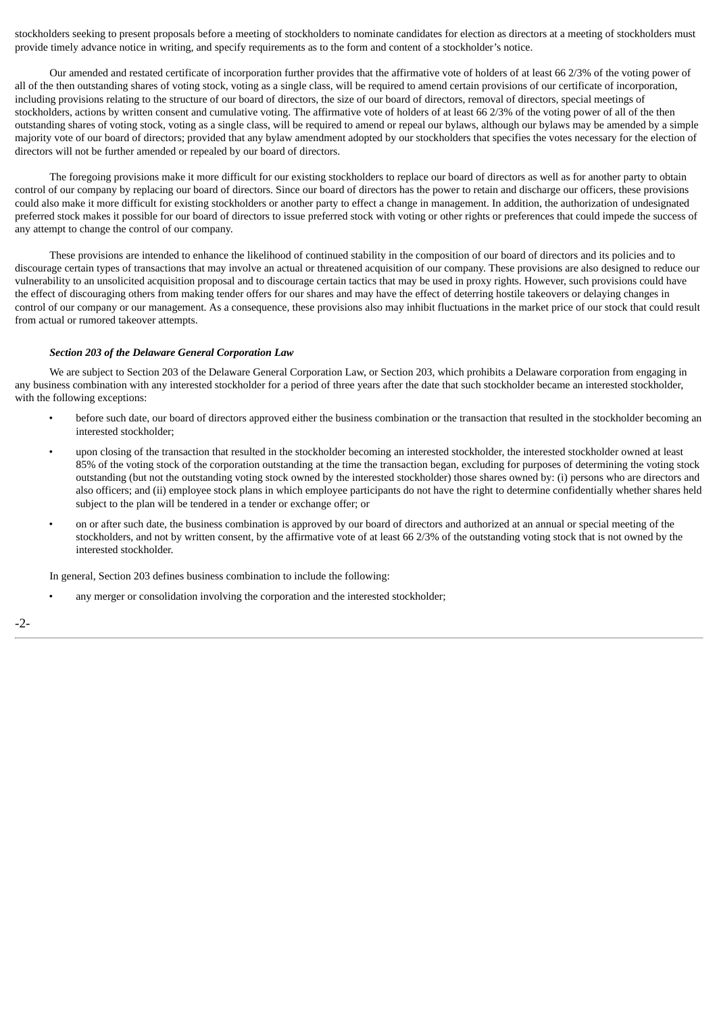stockholders seeking to present proposals before a meeting of stockholders to nominate candidates for election as directors at a meeting of stockholders must provide timely advance notice in writing, and specify requirements as to the form and content of a stockholder's notice.

Our amended and restated certificate of incorporation further provides that the affirmative vote of holders of at least 66 2/3% of the voting power of all of the then outstanding shares of voting stock, voting as a single class, will be required to amend certain provisions of our certificate of incorporation, including provisions relating to the structure of our board of directors, the size of our board of directors, removal of directors, special meetings of stockholders, actions by written consent and cumulative voting. The affirmative vote of holders of at least 66 2/3% of the voting power of all of the then outstanding shares of voting stock, voting as a single class, will be required to amend or repeal our bylaws, although our bylaws may be amended by a simple majority vote of our board of directors; provided that any bylaw amendment adopted by our stockholders that specifies the votes necessary for the election of directors will not be further amended or repealed by our board of directors.

The foregoing provisions make it more difficult for our existing stockholders to replace our board of directors as well as for another party to obtain control of our company by replacing our board of directors. Since our board of directors has the power to retain and discharge our officers, these provisions could also make it more difficult for existing stockholders or another party to effect a change in management. In addition, the authorization of undesignated preferred stock makes it possible for our board of directors to issue preferred stock with voting or other rights or preferences that could impede the success of any attempt to change the control of our company.

These provisions are intended to enhance the likelihood of continued stability in the composition of our board of directors and its policies and to discourage certain types of transactions that may involve an actual or threatened acquisition of our company. These provisions are also designed to reduce our vulnerability to an unsolicited acquisition proposal and to discourage certain tactics that may be used in proxy rights. However, such provisions could have the effect of discouraging others from making tender offers for our shares and may have the effect of deterring hostile takeovers or delaying changes in control of our company or our management. As a consequence, these provisions also may inhibit fluctuations in the market price of our stock that could result from actual or rumored takeover attempts.

#### *Section 203 of the Delaware General Corporation Law*

We are subject to Section 203 of the Delaware General Corporation Law, or Section 203, which prohibits a Delaware corporation from engaging in any business combination with any interested stockholder for a period of three years after the date that such stockholder became an interested stockholder, with the following exceptions:

- before such date, our board of directors approved either the business combination or the transaction that resulted in the stockholder becoming an interested stockholder;
- upon closing of the transaction that resulted in the stockholder becoming an interested stockholder, the interested stockholder owned at least 85% of the voting stock of the corporation outstanding at the time the transaction began, excluding for purposes of determining the voting stock outstanding (but not the outstanding voting stock owned by the interested stockholder) those shares owned by: (i) persons who are directors and also officers; and (ii) employee stock plans in which employee participants do not have the right to determine confidentially whether shares held subject to the plan will be tendered in a tender or exchange offer; or
- on or after such date, the business combination is approved by our board of directors and authorized at an annual or special meeting of the stockholders, and not by written consent, by the affirmative vote of at least 66 2/3% of the outstanding voting stock that is not owned by the interested stockholder.

In general, Section 203 defines business combination to include the following:

any merger or consolidation involving the corporation and the interested stockholder;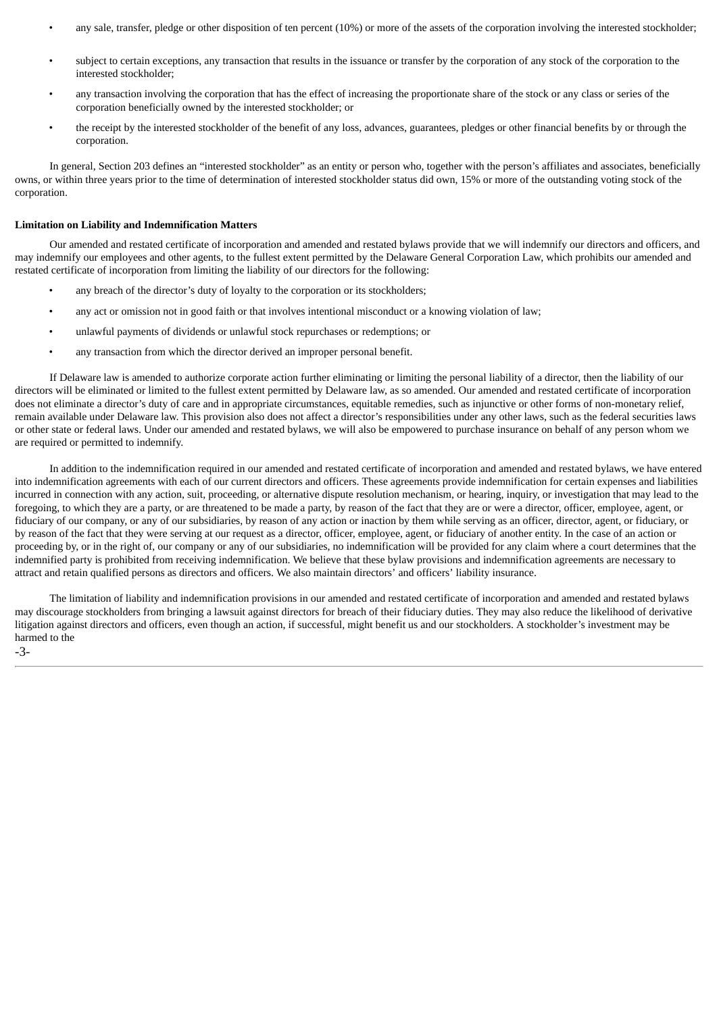- any sale, transfer, pledge or other disposition of ten percent (10%) or more of the assets of the corporation involving the interested stockholder;
- subject to certain exceptions, any transaction that results in the issuance or transfer by the corporation of any stock of the corporation to the interested stockholder;
- any transaction involving the corporation that has the effect of increasing the proportionate share of the stock or any class or series of the corporation beneficially owned by the interested stockholder; or
- the receipt by the interested stockholder of the benefit of any loss, advances, guarantees, pledges or other financial benefits by or through the corporation.

In general, Section 203 defines an "interested stockholder" as an entity or person who, together with the person's affiliates and associates, beneficially owns, or within three years prior to the time of determination of interested stockholder status did own, 15% or more of the outstanding voting stock of the corporation.

#### **Limitation on Liability and Indemnification Matters**

Our amended and restated certificate of incorporation and amended and restated bylaws provide that we will indemnify our directors and officers, and may indemnify our employees and other agents, to the fullest extent permitted by the Delaware General Corporation Law, which prohibits our amended and restated certificate of incorporation from limiting the liability of our directors for the following:

- any breach of the director's duty of lovalty to the corporation or its stockholders;
- any act or omission not in good faith or that involves intentional misconduct or a knowing violation of law;
- unlawful payments of dividends or unlawful stock repurchases or redemptions; or
- any transaction from which the director derived an improper personal benefit.

If Delaware law is amended to authorize corporate action further eliminating or limiting the personal liability of a director, then the liability of our directors will be eliminated or limited to the fullest extent permitted by Delaware law, as so amended. Our amended and restated certificate of incorporation does not eliminate a director's duty of care and in appropriate circumstances, equitable remedies, such as injunctive or other forms of non-monetary relief, remain available under Delaware law. This provision also does not affect a director's responsibilities under any other laws, such as the federal securities laws or other state or federal laws. Under our amended and restated bylaws, we will also be empowered to purchase insurance on behalf of any person whom we are required or permitted to indemnify.

In addition to the indemnification required in our amended and restated certificate of incorporation and amended and restated bylaws, we have entered into indemnification agreements with each of our current directors and officers. These agreements provide indemnification for certain expenses and liabilities incurred in connection with any action, suit, proceeding, or alternative dispute resolution mechanism, or hearing, inquiry, or investigation that may lead to the foregoing, to which they are a party, or are threatened to be made a party, by reason of the fact that they are or were a director, officer, employee, agent, or fiduciary of our company, or any of our subsidiaries, by reason of any action or inaction by them while serving as an officer, director, agent, or fiduciary, or by reason of the fact that they were serving at our request as a director, officer, employee, agent, or fiduciary of another entity. In the case of an action or proceeding by, or in the right of, our company or any of our subsidiaries, no indemnification will be provided for any claim where a court determines that the indemnified party is prohibited from receiving indemnification. We believe that these bylaw provisions and indemnification agreements are necessary to attract and retain qualified persons as directors and officers. We also maintain directors' and officers' liability insurance.

The limitation of liability and indemnification provisions in our amended and restated certificate of incorporation and amended and restated bylaws may discourage stockholders from bringing a lawsuit against directors for breach of their fiduciary duties. They may also reduce the likelihood of derivative litigation against directors and officers, even though an action, if successful, might benefit us and our stockholders. A stockholder's investment may be harmed to the -3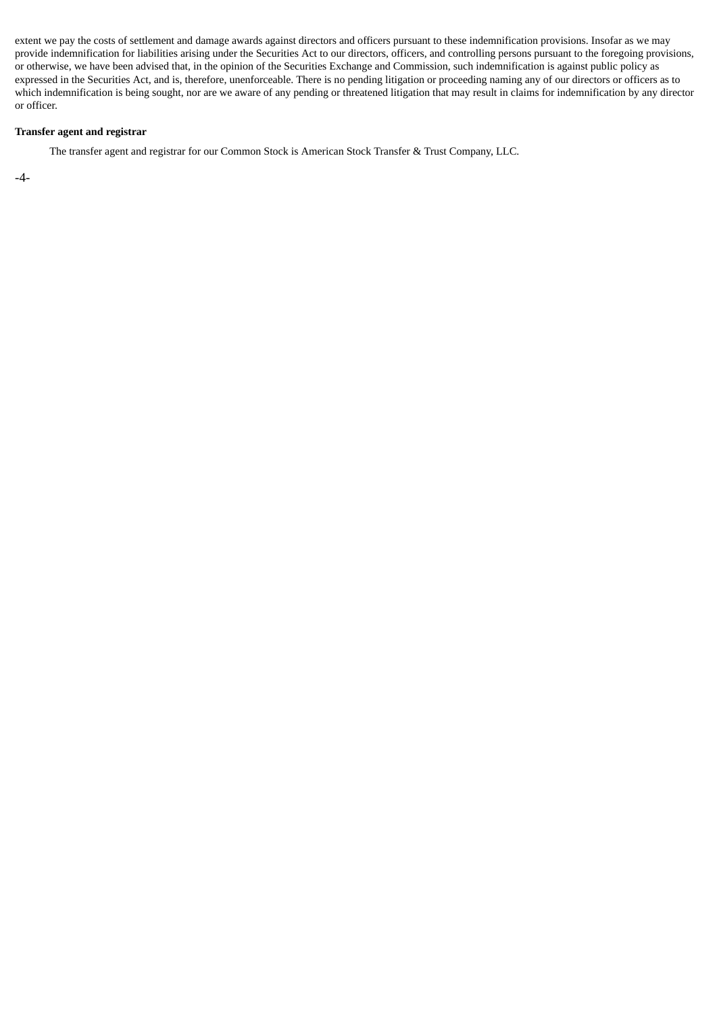extent we pay the costs of settlement and damage awards against directors and officers pursuant to these indemnification provisions. Insofar as we may provide indemnification for liabilities arising under the Securities Act to our directors, officers, and controlling persons pursuant to the foregoing provisions, or otherwise, we have been advised that, in the opinion of the Securities Exchange and Commission, such indemnification is against public policy as expressed in the Securities Act, and is, therefore, unenforceable. There is no pending litigation or proceeding naming any of our directors or officers as to which indemnification is being sought, nor are we aware of any pending or threatened litigation that may result in claims for indemnification by any director or officer.

## **Transfer agent and registrar**

The transfer agent and registrar for our Common Stock is American Stock Transfer & Trust Company, LLC.

-4-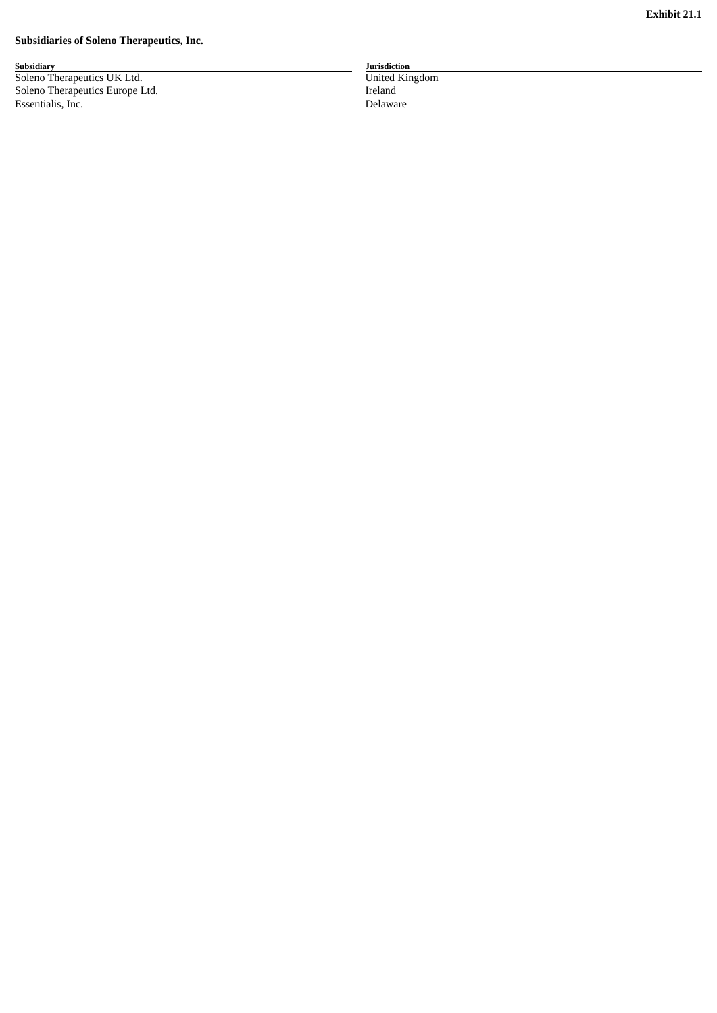#### **Subsidiaries of Soleno Therapeutics, Inc.**

**S u b s i d i a r y** Soleno Therapeutics UK Ltd. **Example 18 and 20 and 20 and 20 and 20 and 20 and 20 and 20 and 20 and 20 and 20 and 20 and 20 and 20 and 20 and 20 and 20 and 20 and 20 and 20 and 20 and 20 and 20 and 20 and 20 and 20 and 20** Soleno Therapeutics Europe Lto d. In the set of the set of the set of the set of the set of the set of the set of the set of the set of the set of the set of the set of the set of the set of the set of the set of the set of the set of the set of the set **Essentialis, Inc.** De

**J u r i s d i c t i o n** n i t e d K in g d o m r e l a n d elaware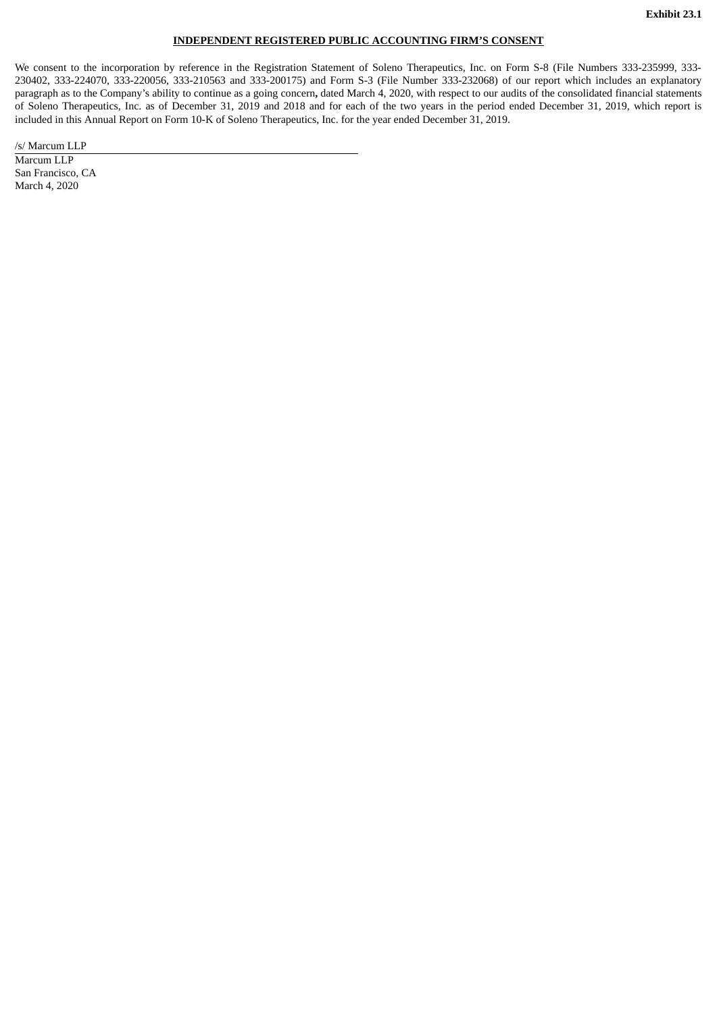## **INDEPENDENT REGISTERED PUBLIC ACCOUNTING FIRM'S CONSENT**

We consent to the incorporation by reference in the Registration Statement of Soleno Therapeutics, Inc. on Form S-8 (File Numbers 333-235999, 333- 230402, 333-224070, 333-220056, 333-210563 and 333-200175) and Form S-3 (File Number 333-232068) of our report which includes an explanatory paragraph as to the Company's ability to continue as a going concern**,** dated March 4, 2020, with respect to our audits of the consolidated financial statements of Soleno Therapeutics, Inc. as of December 31, 2019 and 2018 and for each of the two years in the period ended December 31, 2019, which report is included in this Annual Report on Form 10-K of Soleno Therapeutics, Inc. for the year ended December 31, 2019.

/s/ Marcum LLP

Marcum LLP San Francisco, CA March 4, 2020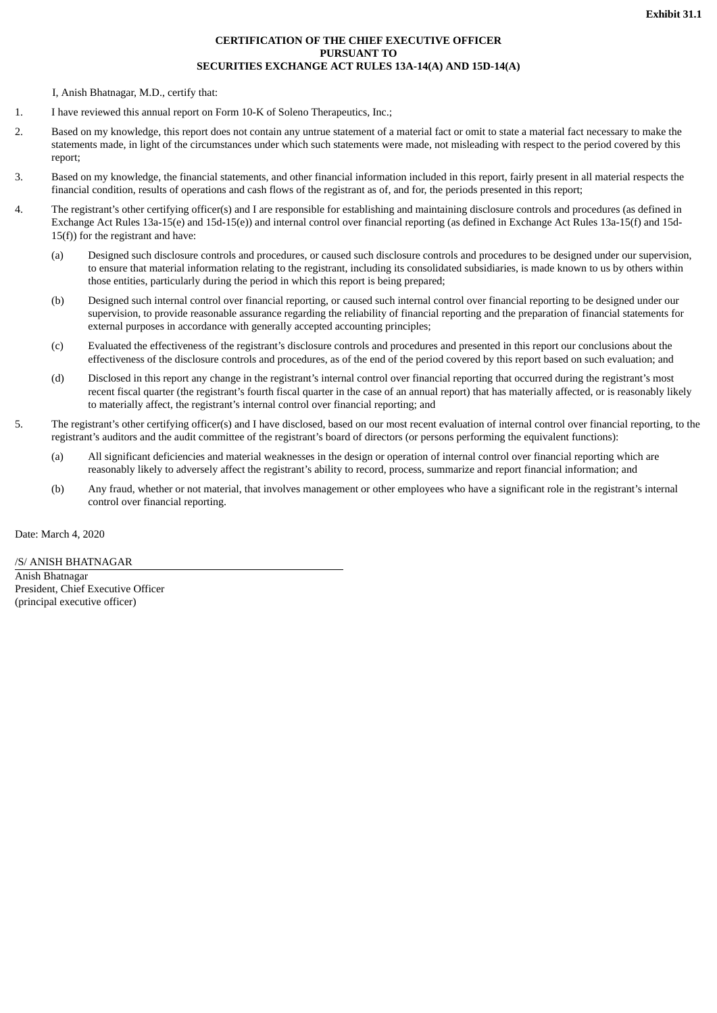# **CERTIFICATION OF THE CHIEF EXECUTIVE OFFICER PURSUANT TO SECURITIES EXCHANGE ACT RULES 13A-14(A) AND 15D-14(A)**

I, Anish Bhatnagar, M.D., certify that:

- 1. I have reviewed this annual report on Form 10-K of Soleno Therapeutics, Inc.;
- 2. Based on my knowledge, this report does not contain any untrue statement of a material fact or omit to state a material fact necessary to make the statements made, in light of the circumstances under which such statements were made, not misleading with respect to the period covered by this report;
- 3. Based on my knowledge, the financial statements, and other financial information included in this report, fairly present in all material respects the financial condition, results of operations and cash flows of the registrant as of, and for, the periods presented in this report;
- 4. The registrant's other certifying officer(s) and I are responsible for establishing and maintaining disclosure controls and procedures (as defined in Exchange Act Rules 13a-15(e) and 15d-15(e)) and internal control over financial reporting (as defined in Exchange Act Rules 13a-15(f) and 15d-15(f)) for the registrant and have:
	- (a) Designed such disclosure controls and procedures, or caused such disclosure controls and procedures to be designed under our supervision, to ensure that material information relating to the registrant, including its consolidated subsidiaries, is made known to us by others within those entities, particularly during the period in which this report is being prepared;
	- (b) Designed such internal control over financial reporting, or caused such internal control over financial reporting to be designed under our supervision, to provide reasonable assurance regarding the reliability of financial reporting and the preparation of financial statements for external purposes in accordance with generally accepted accounting principles;
	- (c) Evaluated the effectiveness of the registrant's disclosure controls and procedures and presented in this report our conclusions about the effectiveness of the disclosure controls and procedures, as of the end of the period covered by this report based on such evaluation; and
	- (d) Disclosed in this report any change in the registrant's internal control over financial reporting that occurred during the registrant's most recent fiscal quarter (the registrant's fourth fiscal quarter in the case of an annual report) that has materially affected, or is reasonably likely to materially affect, the registrant's internal control over financial reporting; and
- 5. The registrant's other certifying officer(s) and I have disclosed, based on our most recent evaluation of internal control over financial reporting, to the registrant's auditors and the audit committee of the registrant's board of directors (or persons performing the equivalent functions):
	- (a) All significant deficiencies and material weaknesses in the design or operation of internal control over financial reporting which are reasonably likely to adversely affect the registrant's ability to record, process, summarize and report financial information; and
	- (b) Any fraud, whether or not material, that involves management or other employees who have a significant role in the registrant's internal control over financial reporting.

Date: March 4, 2020

/S/ ANISH BHATNAGAR

Anish Bhatnagar President, Chief Executive Officer (principal executive officer)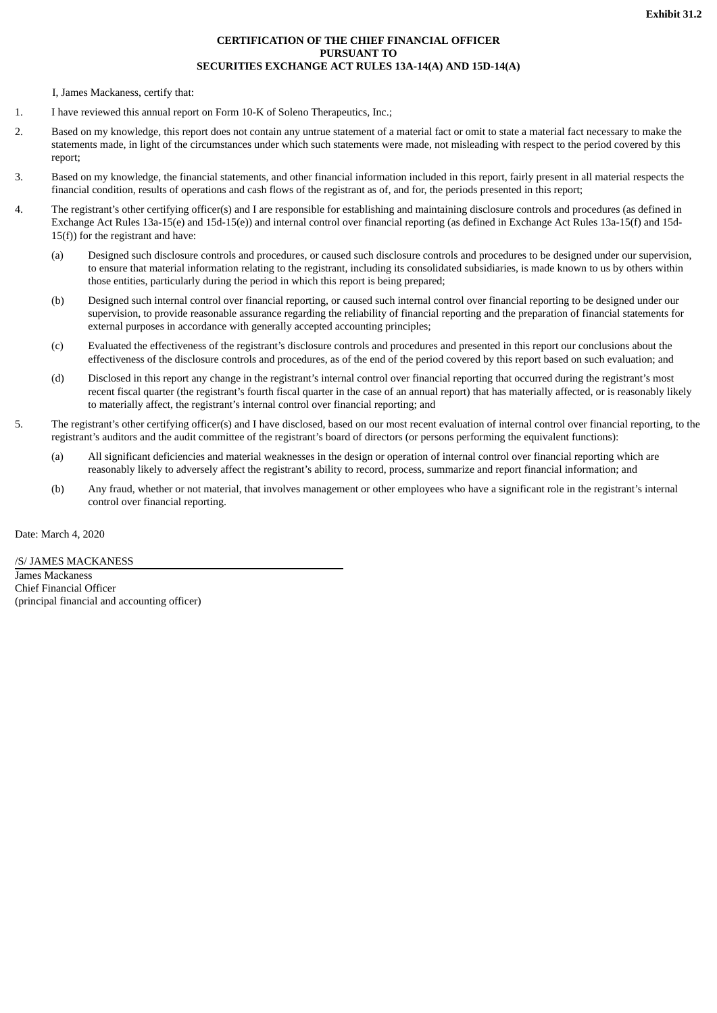# **CERTIFICATION OF THE CHIEF FINANCIAL OFFICER PURSUANT TO SECURITIES EXCHANGE ACT RULES 13A-14(A) AND 15D-14(A)**

I, James Mackaness, certify that:

- 1. I have reviewed this annual report on Form 10-K of Soleno Therapeutics, Inc.;
- 2. Based on my knowledge, this report does not contain any untrue statement of a material fact or omit to state a material fact necessary to make the statements made, in light of the circumstances under which such statements were made, not misleading with respect to the period covered by this report;
- 3. Based on my knowledge, the financial statements, and other financial information included in this report, fairly present in all material respects the financial condition, results of operations and cash flows of the registrant as of, and for, the periods presented in this report;
- 4. The registrant's other certifying officer(s) and I are responsible for establishing and maintaining disclosure controls and procedures (as defined in Exchange Act Rules 13a-15(e) and 15d-15(e)) and internal control over financial reporting (as defined in Exchange Act Rules 13a-15(f) and 15d- $15(f)$ ) for the registrant and have:
	- (a) Designed such disclosure controls and procedures, or caused such disclosure controls and procedures to be designed under our supervision, to ensure that material information relating to the registrant, including its consolidated subsidiaries, is made known to us by others within those entities, particularly during the period in which this report is being prepared;
	- (b) Designed such internal control over financial reporting, or caused such internal control over financial reporting to be designed under our supervision, to provide reasonable assurance regarding the reliability of financial reporting and the preparation of financial statements for external purposes in accordance with generally accepted accounting principles;
	- (c) Evaluated the effectiveness of the registrant's disclosure controls and procedures and presented in this report our conclusions about the effectiveness of the disclosure controls and procedures, as of the end of the period covered by this report based on such evaluation; and
	- (d) Disclosed in this report any change in the registrant's internal control over financial reporting that occurred during the registrant's most recent fiscal quarter (the registrant's fourth fiscal quarter in the case of an annual report) that has materially affected, or is reasonably likely to materially affect, the registrant's internal control over financial reporting; and
- 5. The registrant's other certifying officer(s) and I have disclosed, based on our most recent evaluation of internal control over financial reporting, to the registrant's auditors and the audit committee of the registrant's board of directors (or persons performing the equivalent functions):
	- (a) All significant deficiencies and material weaknesses in the design or operation of internal control over financial reporting which are reasonably likely to adversely affect the registrant's ability to record, process, summarize and report financial information; and
	- (b) Any fraud, whether or not material, that involves management or other employees who have a significant role in the registrant's internal control over financial reporting.

Date: March 4, 2020

/S/ JAMES MACKANESS James Mackaness Chief Financial Officer (principal financial and accounting officer)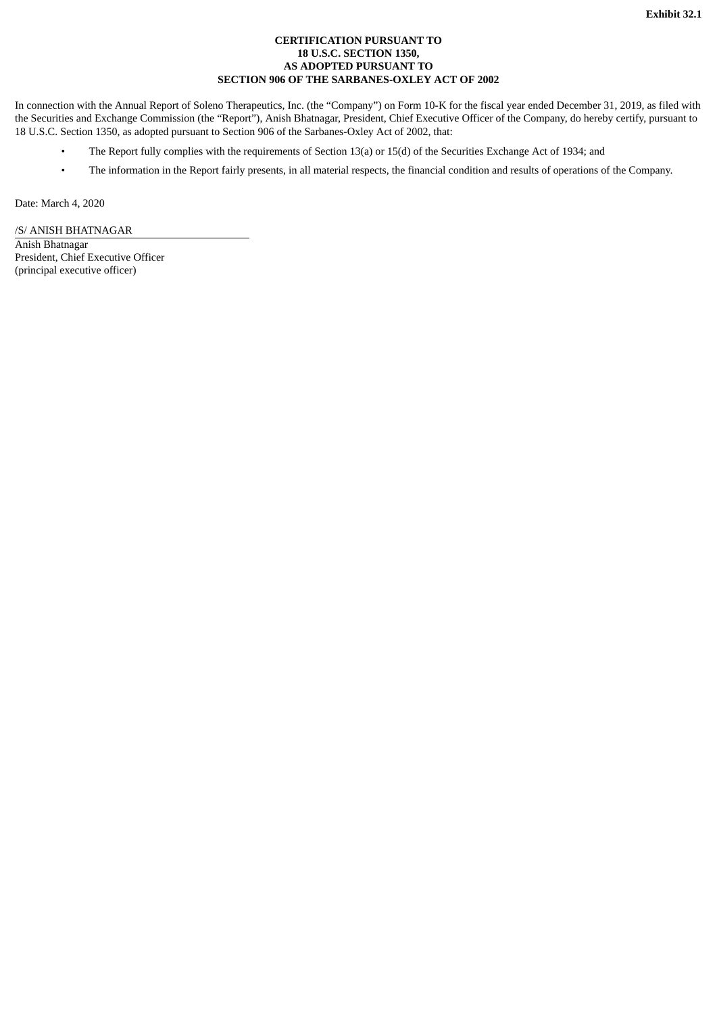## **CERTIFICATION PURSUANT TO 18 U.S.C. SECTION 1350, AS ADOPTED PURSUANT TO SECTION 906 OF THE SARBANES-OXLEY ACT OF 2002**

In connection with the Annual Report of Soleno Therapeutics, Inc. (the "Company") on Form 10-K for the fiscal year ended December 31, 2019, as filed with the Securities and Exchange Commission (the "Report"), Anish Bhatnagar, President, Chief Executive Officer of the Company, do hereby certify, pursuant to 18 U.S.C. Section 1350, as adopted pursuant to Section 906 of the Sarbanes-Oxley Act of 2002, that:

- The Report fully complies with the requirements of Section 13(a) or 15(d) of the Securities Exchange Act of 1934; and
- The information in the Report fairly presents, in all material respects, the financial condition and results of operations of the Company.

Date: March 4, 2020

/S/ ANISH BHATNAGAR Anish Bhatnagar President, Chief Executive Officer

(principal executive officer)